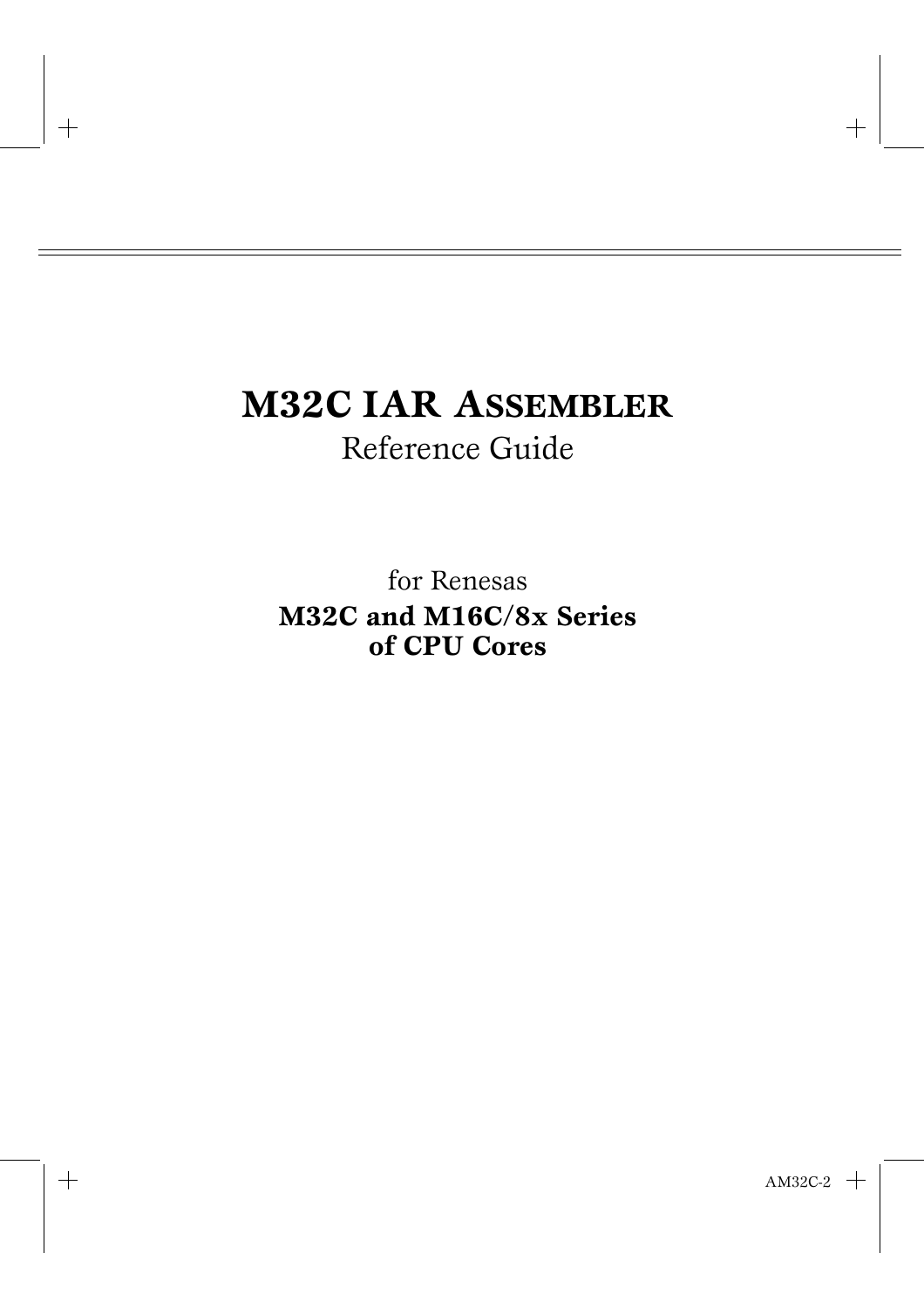# **M32C IAR ASSEMBLER** Reference Guide

for Renesas **M32C and M16C/8x Series of CPU Cores**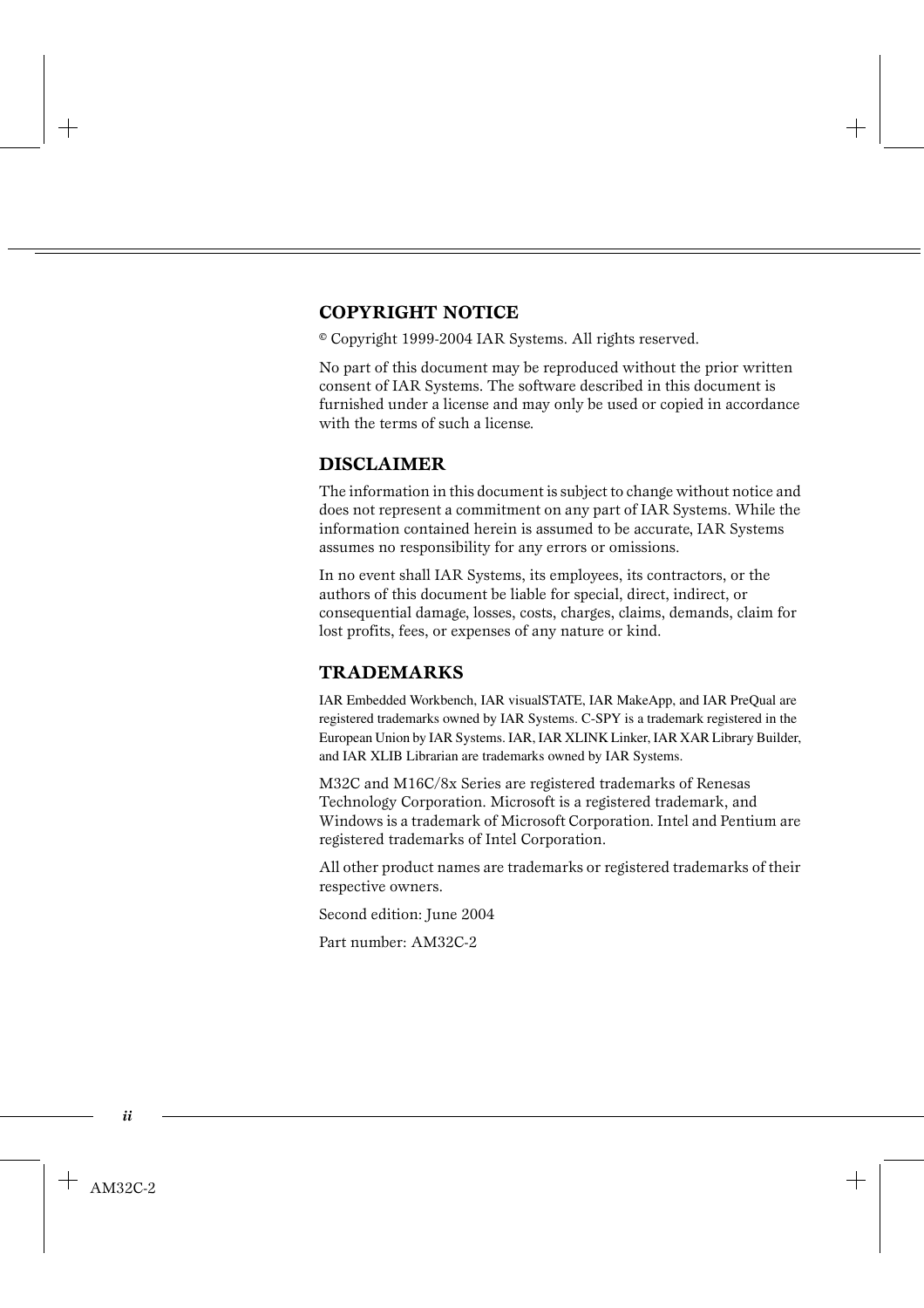# **COPYRIGHT NOTICE**

© Copyright 1999-2004 IAR Systems. All rights reserved.

No part of this document may be reproduced without the prior written consent of IAR Systems. The software described in this document is furnished under a license and may only be used or copied in accordance with the terms of such a license.

# **DISCLAIMER**

The information in this document is subject to change without notice and does not represent a commitment on any part of IAR Systems. While the information contained herein is assumed to be accurate, IAR Systems assumes no responsibility for any errors or omissions.

In no event shall IAR Systems, its employees, its contractors, or the authors of this document be liable for special, direct, indirect, or consequential damage, losses, costs, charges, claims, demands, claim for lost profits, fees, or expenses of any nature or kind.

# **TRADEMARKS**

IAR Embedded Workbench, IAR visualSTATE, IAR MakeApp, and IAR PreQual are registered trademarks owned by IAR Systems. C-SPY is a trademark registered in the European Union by IAR Systems. IAR, IAR XLINK Linker, IAR XAR Library Builder, and IAR XLIB Librarian are trademarks owned by IAR Systems.

M32C and M16C/8x Series are registered trademarks of Renesas Technology Corporation. Microsoft is a registered trademark, and Windows is a trademark of Microsoft Corporation. Intel and Pentium are registered trademarks of Intel Corporation.

All other product names are trademarks or registered trademarks of their respective owners.

Second edition: June 2004

Part number: AM32C-2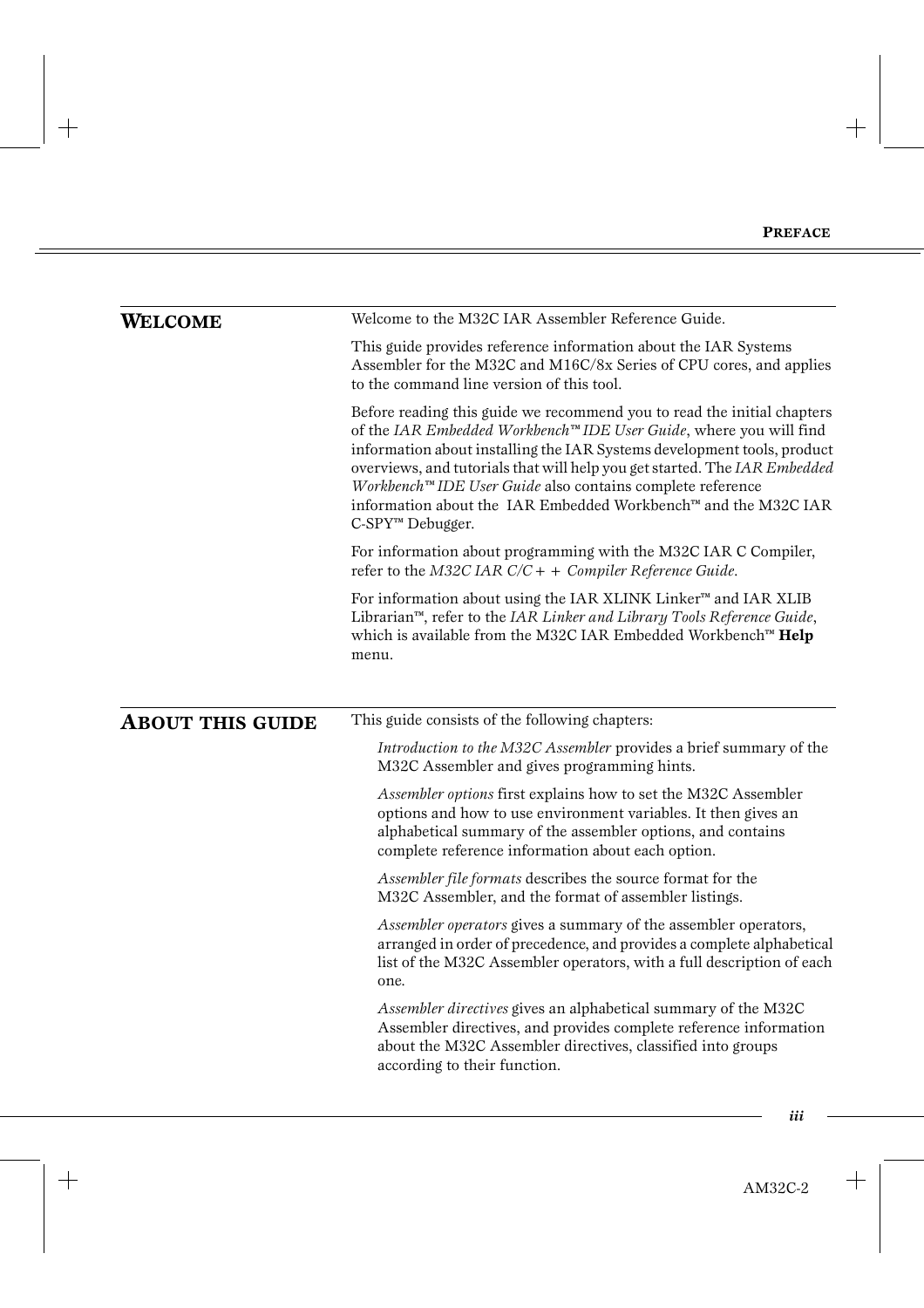| WELCOME                 | Welcome to the M32C IAR Assembler Reference Guide.                                                                                                                                                                                                                                                                                                                                                                                                        |
|-------------------------|-----------------------------------------------------------------------------------------------------------------------------------------------------------------------------------------------------------------------------------------------------------------------------------------------------------------------------------------------------------------------------------------------------------------------------------------------------------|
|                         | This guide provides reference information about the IAR Systems<br>Assembler for the M32C and M16C/8x Series of CPU cores, and applies<br>to the command line version of this tool.                                                                                                                                                                                                                                                                       |
|                         | Before reading this guide we recommend you to read the initial chapters<br>of the IAR Embedded Workbench™ IDE User Guide, where you will find<br>information about installing the IAR Systems development tools, product<br>overviews, and tutorials that will help you get started. The IAR Embedded<br>Workbench™ IDE User Guide also contains complete reference<br>information about the IAR Embedded Workbench™ and the M32C IAR<br>C-SPY™ Debugger. |
|                         | For information about programming with the M32C IAR C Compiler,<br>refer to the M32C IAR $C/C + +$ Compiler Reference Guide.                                                                                                                                                                                                                                                                                                                              |
|                         | For information about using the IAR XLINK Linker™ and IAR XLIB<br>Librarian™, refer to the IAR Linker and Library Tools Reference Guide,<br>which is available from the M32C IAR Embedded Workbench™ Help<br>menu.                                                                                                                                                                                                                                        |
| <b>ABOUT THIS GUIDE</b> | This guide consists of the following chapters:                                                                                                                                                                                                                                                                                                                                                                                                            |
|                         | Introduction to the M32C Assembler provides a brief summary of the<br>M32C Assembler and gives programming hints.                                                                                                                                                                                                                                                                                                                                         |
|                         | Assembler options first explains how to set the M32C Assembler<br>options and how to use environment variables. It then gives an<br>alphabetical summary of the assembler options, and contains<br>complete reference information about each option.                                                                                                                                                                                                      |
|                         | Assembler file formats describes the source format for the<br>M32C Assembler, and the format of assembler listings.                                                                                                                                                                                                                                                                                                                                       |
|                         | Assembler operators gives a summary of the assembler operators,<br>arranged in order of precedence, and provides a complete alphabetical<br>list of the M32C Assembler operators, with a full description of each<br>one.                                                                                                                                                                                                                                 |
|                         | Assembler directives gives an alphabetical summary of the M32C<br>Assembler directives, and provides complete reference information<br>about the M32C Assembler directives, classified into groups<br>according to their function.                                                                                                                                                                                                                        |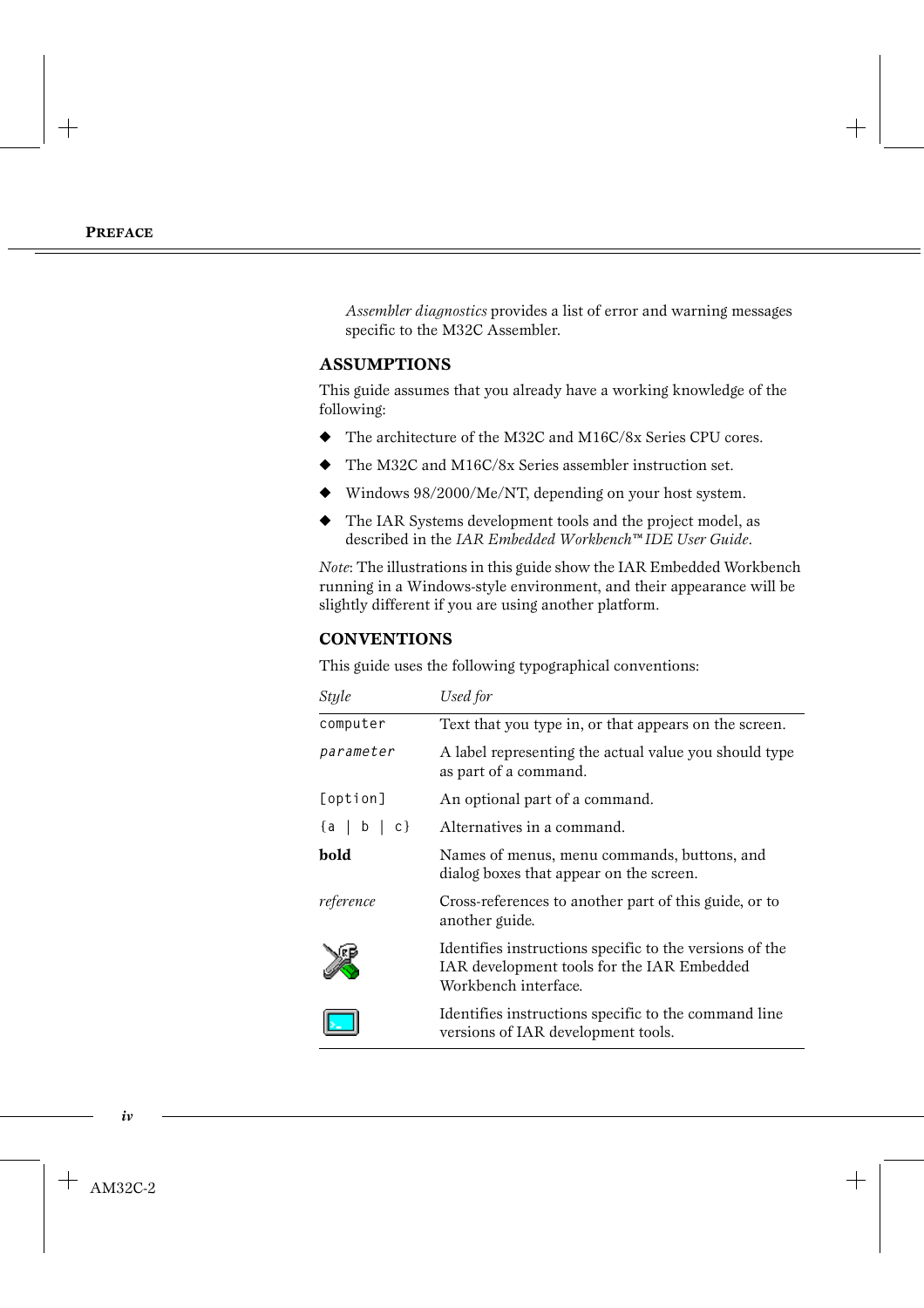*[Assembler diagnostics](#page-100-0)* provides a list of error and warning messages specific to the M32C Assembler.

# **ASSUMPTIONS**

This guide assumes that you already have a working knowledge of the following:

- ◆ The architecture of the M32C and M16C/8x Series CPU cores.
- The M32C and M16C/8x Series assembler instruction set.
- ◆ Windows 98/2000/Me/NT, depending on your host system.
- ◆ The IAR Systems development tools and the project model, as described in the *IAR Embedded Workbench™ IDE User Guide*.

*Note*: The illustrations in this guide show the IAR Embedded Workbench running in a Windows-style environment, and their appearance will be slightly different if you are using another platform.

# **CONVENTIONS**

This guide uses the following typographical conventions:

| <i>Style</i>          | Used for                                                                                                                      |
|-----------------------|-------------------------------------------------------------------------------------------------------------------------------|
| computer              | Text that you type in, or that appears on the screen.                                                                         |
| parameter             | A label representing the actual value you should type<br>as part of a command.                                                |
| [option]              | An optional part of a command.                                                                                                |
| $\{a \mid b \mid c\}$ | Alternatives in a command.                                                                                                    |
| bold                  | Names of menus, menu commands, buttons, and<br>dialog boxes that appear on the screen.                                        |
| reference             | Cross-references to another part of this guide, or to<br>another guide.                                                       |
|                       | Identifies instructions specific to the versions of the<br>IAR development tools for the IAR Embedded<br>Workbench interface. |
|                       | Identifies instructions specific to the command line<br>versions of IAR development tools.                                    |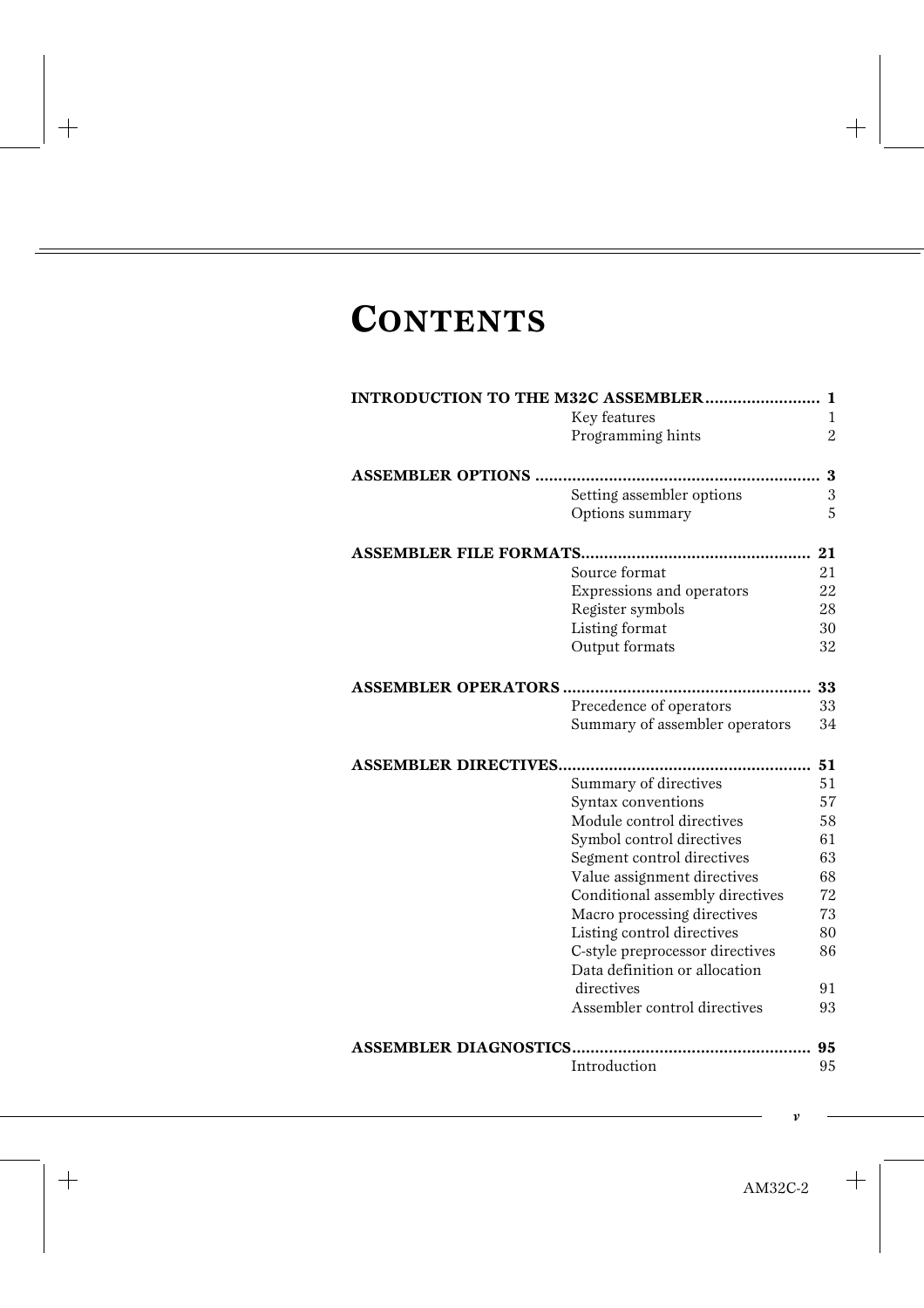# **CONTENTS**

| <b>INTRODUCTION TO THE M32C ASSEMBLER</b><br>1 |                                 |                |
|------------------------------------------------|---------------------------------|----------------|
|                                                | Key features                    | 1.             |
|                                                | Programming hints               | $\overline{2}$ |
| <b>ASSEMBLER OPTIONS </b>                      |                                 | 3              |
|                                                | Setting assembler options       | 3              |
|                                                | Options summary                 | 5              |
|                                                |                                 | 21             |
|                                                | Source format                   | 21             |
|                                                | Expressions and operators       | 22             |
|                                                | Register symbols                | 28             |
|                                                | Listing format                  | 30             |
|                                                | Output formats                  | 32             |
| <b>ASSEMBLER OPERATORS.</b>                    |                                 | 33             |
|                                                | Precedence of operators         | 33             |
|                                                | Summary of assembler operators  | 34             |
| <b>ASSEMBLER DIRECTIVES.</b>                   |                                 | 51             |
|                                                | Summary of directives           | 51             |
|                                                | Syntax conventions              | 57             |
|                                                | Module control directives       | 58             |
|                                                | Symbol control directives       | 61             |
|                                                | Segment control directives      | 63             |
|                                                | Value assignment directives     | 68             |
|                                                | Conditional assembly directives | 72             |
|                                                | Macro processing directives     | 73             |
|                                                | Listing control directives      | 80             |
|                                                | C-style preprocessor directives | 86             |
|                                                | Data definition or allocation   |                |
|                                                | directives                      | 91             |
|                                                | Assembler control directives    | 93             |
|                                                |                                 | 95             |
|                                                | Introduction                    | 95             |

*v*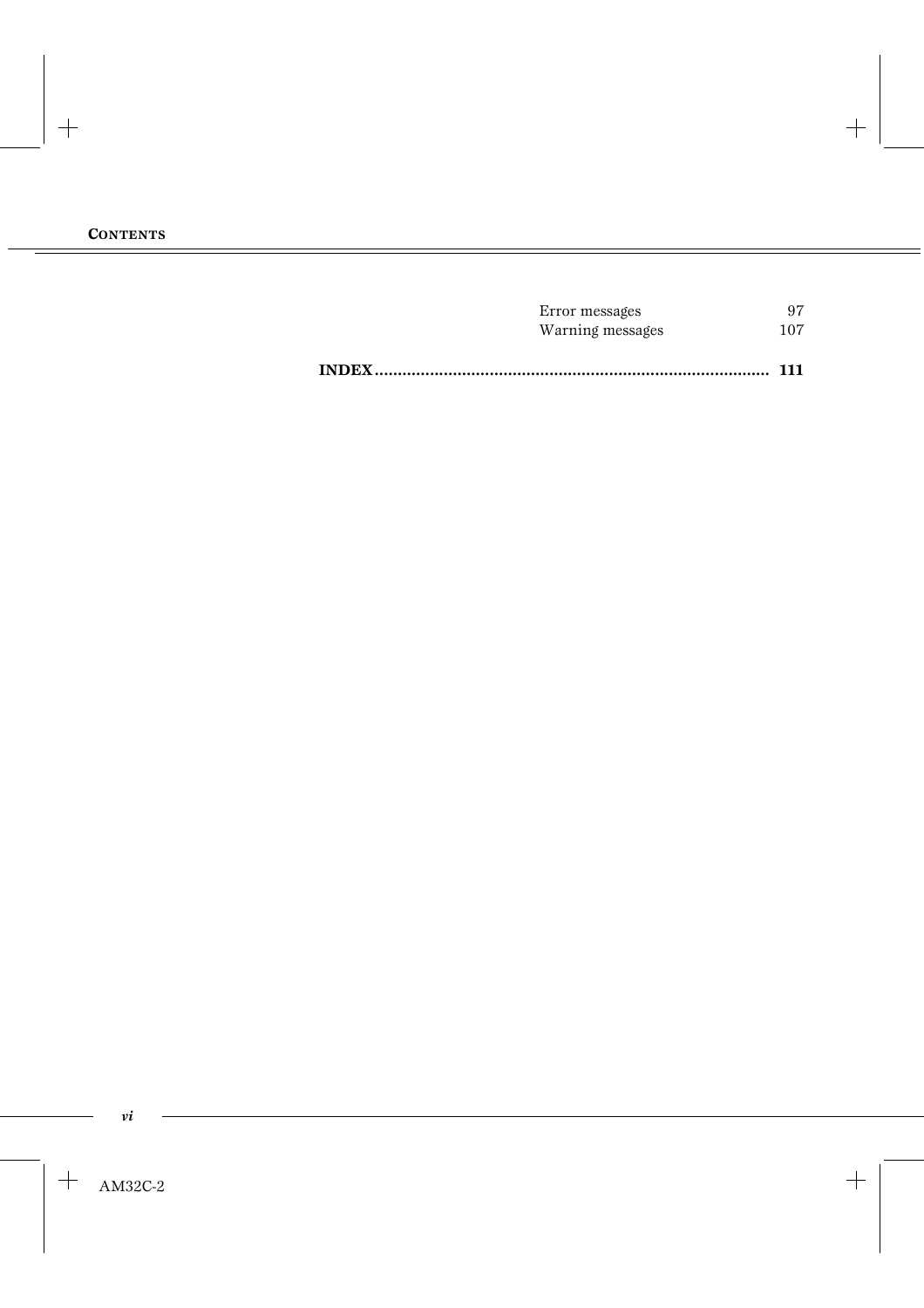|                  | -111 |
|------------------|------|
| Warning messages | 107  |
| Error messages   |      |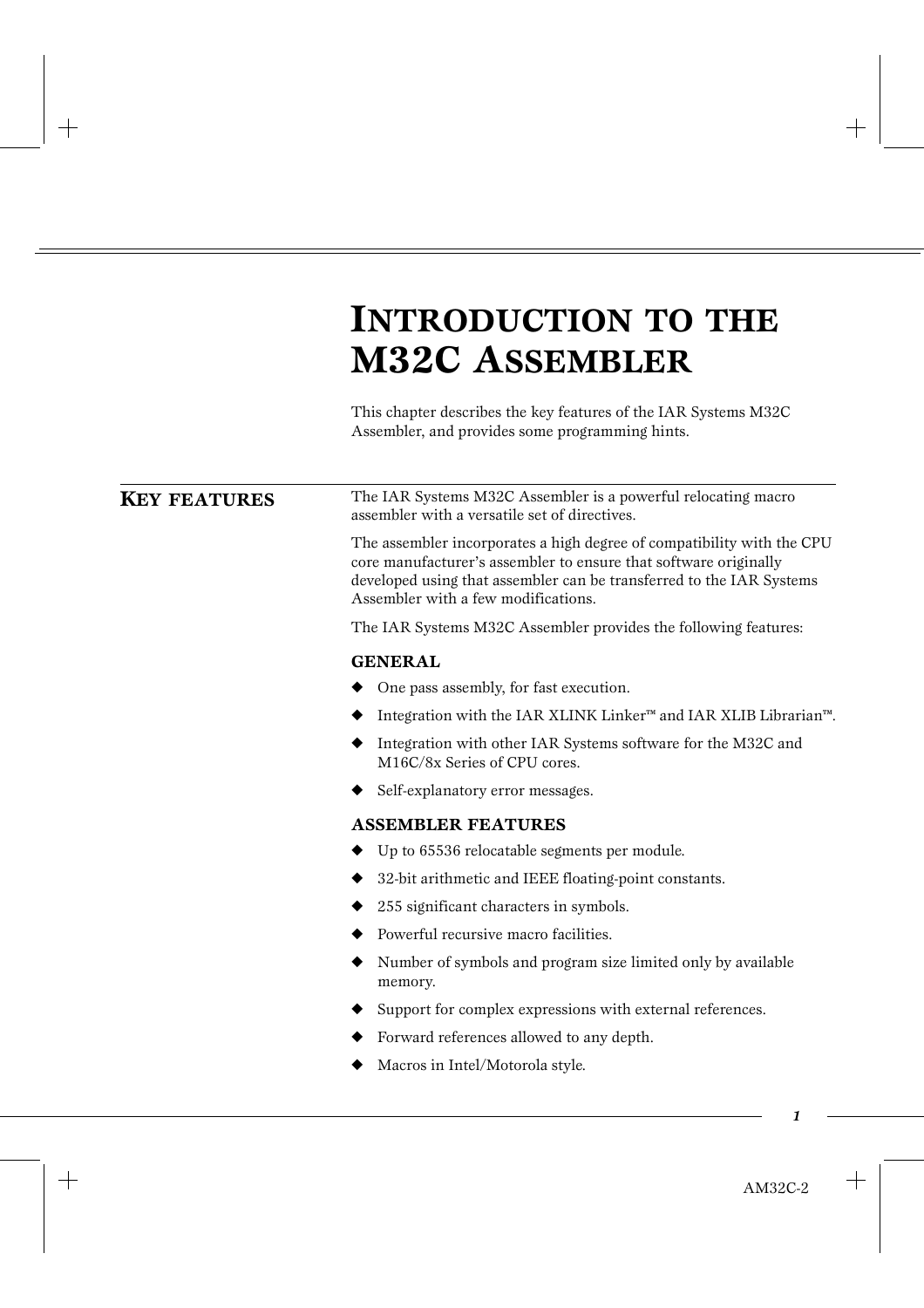# <span id="page-6-1"></span><span id="page-6-0"></span>**INTRODUCTION TO THE M32C ASSEMBLER**

This chapter describes the key features of the IAR Systems M32C Assembler, and provides some programming hints.

<span id="page-6-2"></span>

| <b>KEY FEATURES</b> | The IAR Systems M32C Assembler is a powerful relocating macro<br>assembler with a versatile set of directives.                                                                                                                                            |
|---------------------|-----------------------------------------------------------------------------------------------------------------------------------------------------------------------------------------------------------------------------------------------------------|
|                     | The assembler incorporates a high degree of compatibility with the CPU<br>core manufacturer's assembler to ensure that software originally<br>developed using that assembler can be transferred to the IAR Systems<br>Assembler with a few modifications. |
|                     | The IAR Systems M32C Assembler provides the following features:                                                                                                                                                                                           |
|                     | <b>GENERAL</b>                                                                                                                                                                                                                                            |
|                     | One pass assembly, for fast execution.                                                                                                                                                                                                                    |
|                     | Integration with the IAR XLINK Linker™ and IAR XLIB Librarian™.                                                                                                                                                                                           |
|                     | Integration with other IAR Systems software for the M32C and<br>M16C/8x Series of CPU cores.                                                                                                                                                              |
|                     | Self-explanatory error messages.                                                                                                                                                                                                                          |
|                     | <b>ASSEMBLER FEATURES</b>                                                                                                                                                                                                                                 |
|                     | Up to 65536 relocatable segments per module.                                                                                                                                                                                                              |
|                     | 32-bit arithmetic and IEEE floating-point constants.                                                                                                                                                                                                      |
|                     | 255 significant characters in symbols.                                                                                                                                                                                                                    |
|                     | Powerful recursive macro facilities.                                                                                                                                                                                                                      |
|                     | Number of symbols and program size limited only by available<br>memory.                                                                                                                                                                                   |
|                     | Support for complex expressions with external references.                                                                                                                                                                                                 |
|                     | Forward references allowed to any depth.                                                                                                                                                                                                                  |
|                     | Macros in Intel/Motorola style.                                                                                                                                                                                                                           |
|                     |                                                                                                                                                                                                                                                           |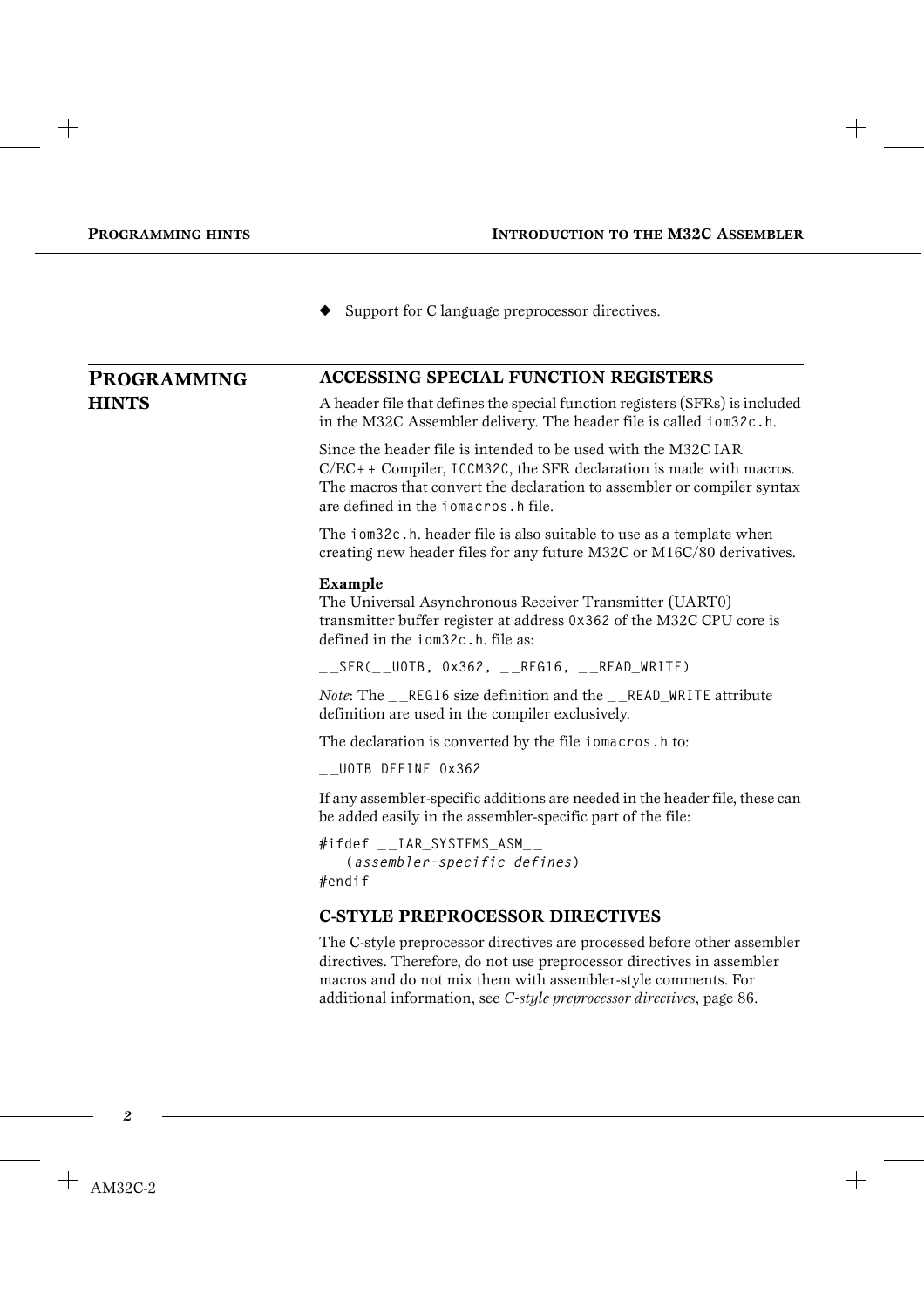◆ Support for C language preprocessor directives.

<span id="page-7-0"></span>

| <b>PROGRAMMING</b> | <b>ACCESSING SPECIAL FUNCTION REGISTERS</b>                                                                                                                                                                                                                                                  |
|--------------------|----------------------------------------------------------------------------------------------------------------------------------------------------------------------------------------------------------------------------------------------------------------------------------------------|
| <b>HINTS</b>       | A header file that defines the special function registers (SFRs) is included<br>in the M32C Assembler delivery. The header file is called iom32c.h.                                                                                                                                          |
|                    | Since the header file is intended to be used with the M32C IAR<br>$C/EC$ + + Compiler, ICCM32C, the SFR declaration is made with macros.<br>The macros that convert the declaration to assembler or compiler syntax<br>are defined in the iomacros. h file.                                  |
|                    | The iom32c.h. header file is also suitable to use as a template when<br>creating new header files for any future M32C or M16C/80 derivatives.                                                                                                                                                |
|                    | Example<br>The Universal Asynchronous Receiver Transmitter (UART0)<br>transmitter buffer register at address 0x362 of the M32C CPU core is<br>defined in the iom32c.h. file as:                                                                                                              |
|                    | $\_SFR($ UOTB, 0x362, $\_REG16$ , $\_READ_WRITE)$                                                                                                                                                                                                                                            |
|                    | Note: The __REG16 size definition and the __READ_WRITE attribute<br>definition are used in the compiler exclusively.                                                                                                                                                                         |
|                    | The declaration is converted by the file iomacros.h to:                                                                                                                                                                                                                                      |
|                    | __UOTB DEFINE 0x362                                                                                                                                                                                                                                                                          |
|                    | If any assembler-specific additions are needed in the header file, these can<br>be added easily in the assembler-specific part of the file:                                                                                                                                                  |
|                    | #ifdef __IAR_SYSTEMS_ASM__<br>(assembler-specific defines)<br>#endif                                                                                                                                                                                                                         |
|                    | <b>C-STYLE PREPROCESSOR DIRECTIVES</b>                                                                                                                                                                                                                                                       |
|                    | The C-style preprocessor directives are processed before other assembler<br>directives. Therefore, do not use preprocessor directives in assembler<br>macros and do not mix them with assembler-style comments. For<br>additional information, see C-style preprocessor directives, page 86. |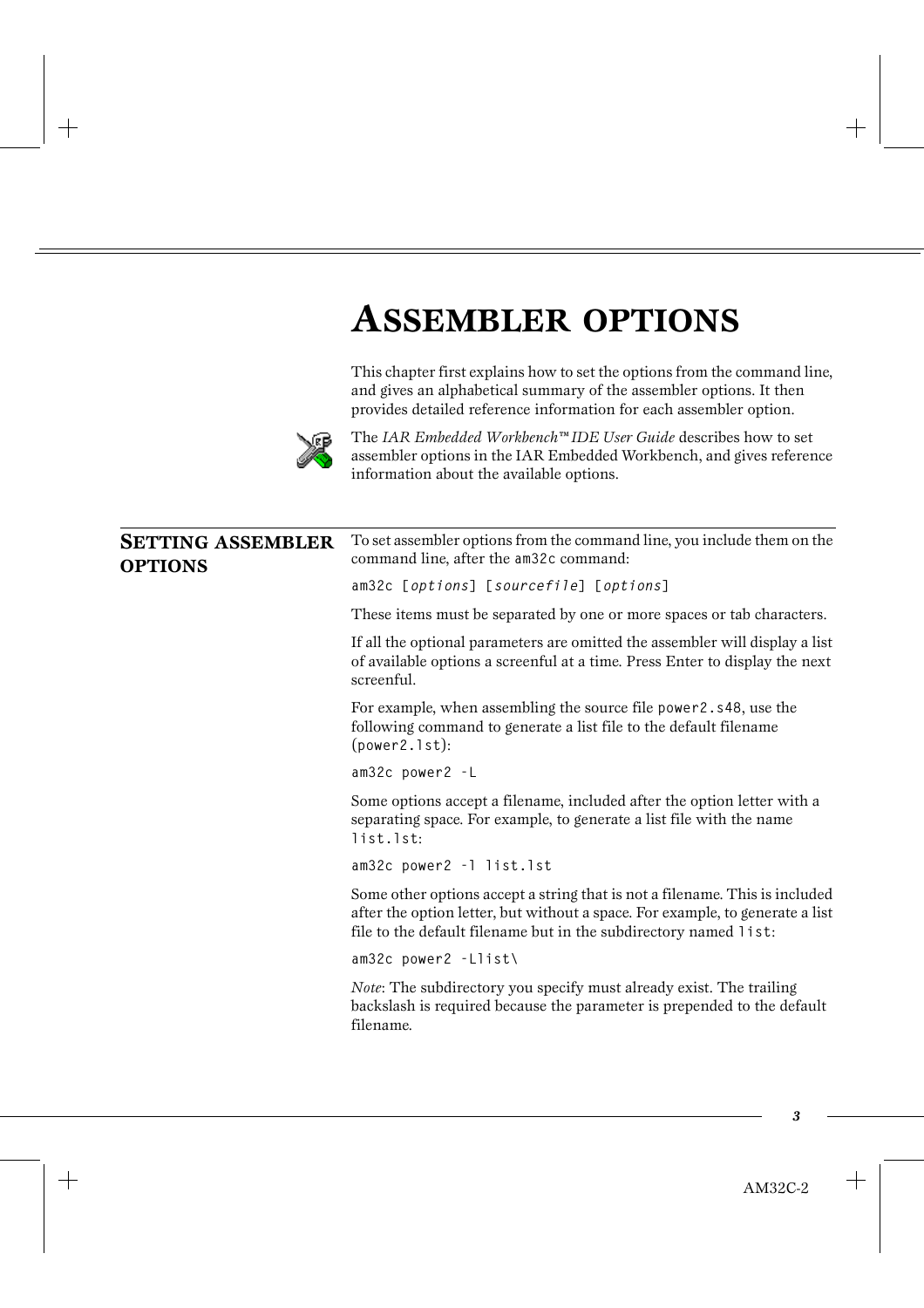# <span id="page-8-1"></span><span id="page-8-0"></span>**ASSEMBLER OPTIONS**

This chapter first explains how to set the options from the command line, and gives an alphabetical summary of the assembler options. It then provides detailed reference information for each assembler option.



The *IAR Embedded Workbench™ IDE User Guide* describes how to set assembler options in the IAR Embedded Workbench, and gives reference information about the available options.

<span id="page-8-2"></span>

| <b>SETTING ASSEMBLER</b><br><b>OPTIONS</b> | To set assembler options from the command line, you include them on the<br>command line, after the am32c command:                                                                                                                |
|--------------------------------------------|----------------------------------------------------------------------------------------------------------------------------------------------------------------------------------------------------------------------------------|
|                                            | am32c [options] [sourcefile] [options]                                                                                                                                                                                           |
|                                            | These items must be separated by one or more spaces or tab characters.                                                                                                                                                           |
|                                            | If all the optional parameters are omitted the assembler will display a list<br>of available options a screenful at a time. Press Enter to display the next<br>screenful.                                                        |
|                                            | For example, when assembling the source file power 2. s 48, use the<br>following command to generate a list file to the default filename<br>(power2.1st):                                                                        |
|                                            | am32c power2 -L                                                                                                                                                                                                                  |
|                                            | Some options accept a filename, included after the option letter with a<br>separating space. For example, to generate a list file with the name<br>list.lst:                                                                     |
|                                            | am32c power2 -1 list.lst                                                                                                                                                                                                         |
|                                            | Some other options accept a string that is not a filename. This is included<br>after the option letter, but without a space. For example, to generate a list<br>file to the default filename but in the subdirectory named list: |
|                                            | am32c power2 - Llist\                                                                                                                                                                                                            |
|                                            | <i>Note:</i> The subdirectory you specify must already exist. The trailing<br>backslash is required because the parameter is prepended to the default<br>filename.                                                               |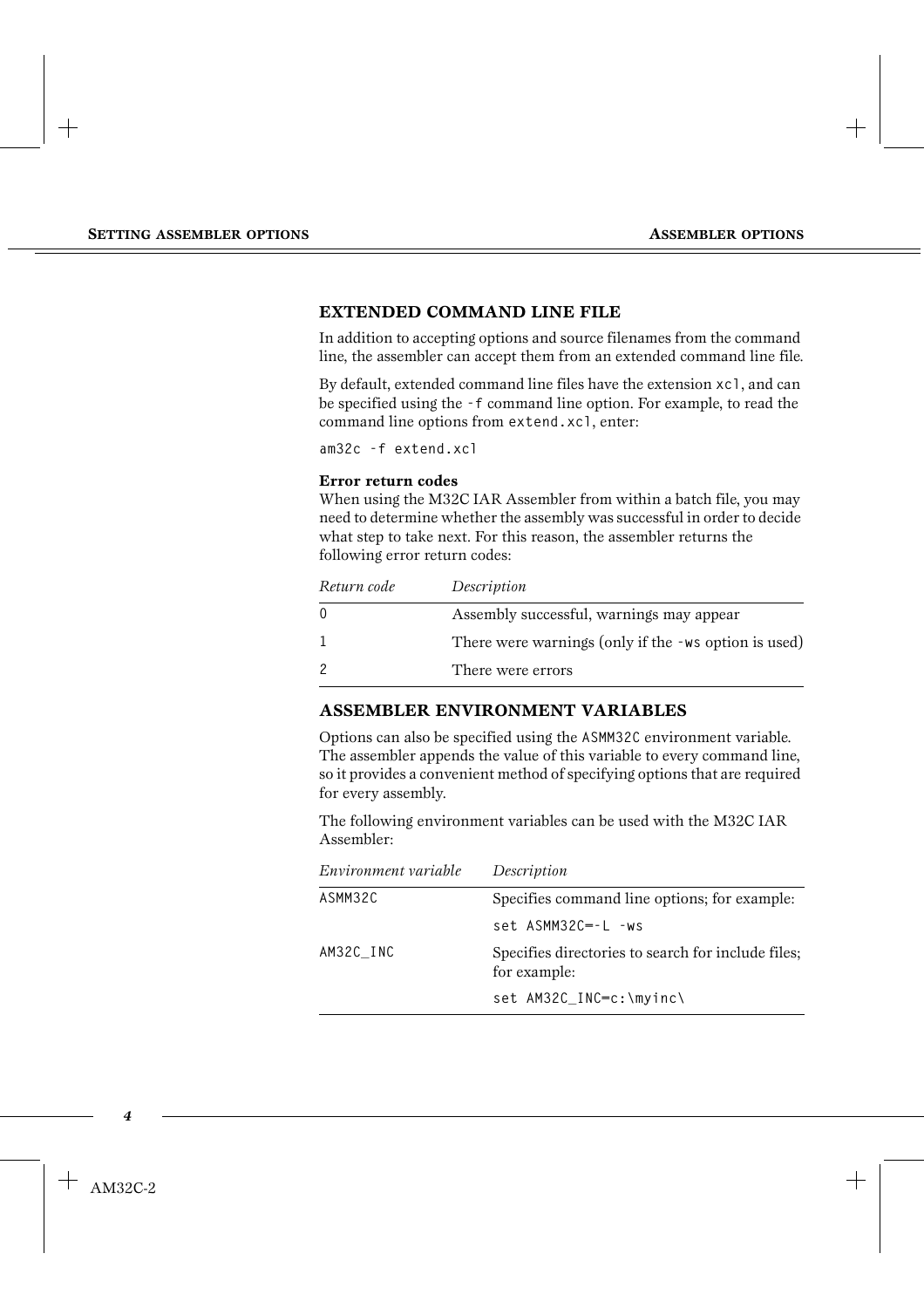# **EXTENDED COMMAND LINE FILE**

In addition to accepting options and source filenames from the command line, the assembler can accept them from an extended command line file.

By default, extended command line files have the extension **xcl**, and can be specified using the **-f** command line option. For example, to read the command line options from **extend.xcl**, enter:

**am32c -f extend.xcl** 

#### **Error return codes**

When using the M32C IAR Assembler from within a batch file, you may need to determine whether the assembly was successful in order to decide what step to take next. For this reason, the assembler returns the following error return codes:

| Return code | Description                                          |
|-------------|------------------------------------------------------|
|             | Assembly successful, warnings may appear             |
|             | There were warnings (only if the -ws option is used) |
|             | There were errors                                    |

# **ASSEMBLER ENVIRONMENT VARIABLES**

Options can also be specified using the **ASMM32C** environment variable. The assembler appends the value of this variable to every command line, so it provides a convenient method of specifying options that are required for every assembly.

The following environment variables can be used with the M32C IAR Assembler:

| Environment variable | Description                                                        |
|----------------------|--------------------------------------------------------------------|
| ASMM32C              | Specifies command line options; for example:                       |
|                      | set ASMM32C=-L -ws                                                 |
| AM32C INC            | Specifies directories to search for include files;<br>for example: |
|                      | set AM32C INC=c:\myinc\                                            |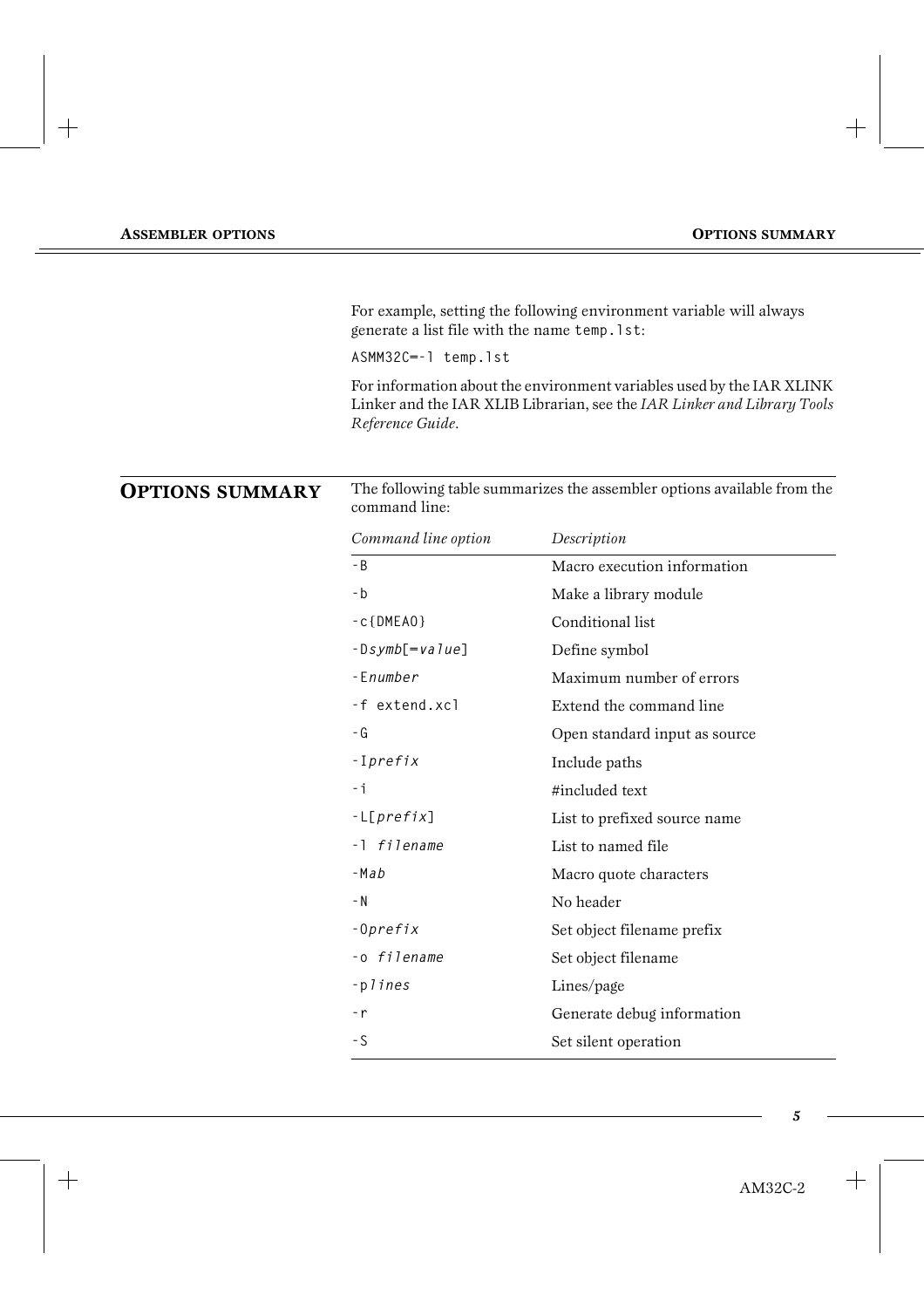For example, setting the following environment variable will always generate a list file with the name **temp.lst**:

**ASMM32C=-l temp.lst**

For information about the environment variables used by the IAR XLINK Linker and the IAR XLIB Librarian, see the *IAR Linker and Library Tools Reference Guide*.

<span id="page-10-0"></span>**OPTIONS SUMMARY** The following table summarizes the assembler options available from the command line:

| Command line option | Description                   |
|---------------------|-------------------------------|
| $-B$                | Macro execution information   |
| - b                 | Make a library module         |
| $-c$ {DMEAO}        | Conditional list              |
| $-Dsymb[-value]$    | Define symbol                 |
| -Enumber            | Maximum number of errors      |
| -f extend.xcl       | Extend the command line       |
| - G                 | Open standard input as source |
| $-I prefix$         | Include paths                 |
| - i                 | #included text                |
| $-L[prefix]$        | List to prefixed source name  |
| -1 filename         | List to named file            |
| -Mab                | Macro quote characters        |
| $- N$               | No header                     |
| $-0pref$            | Set object filename prefix    |
| -o filename         | Set object filename           |
| $-p$ <i>lines</i>   | Lines/page                    |
| $-r$                | Generate debug information    |
| $-S$                | Set silent operation          |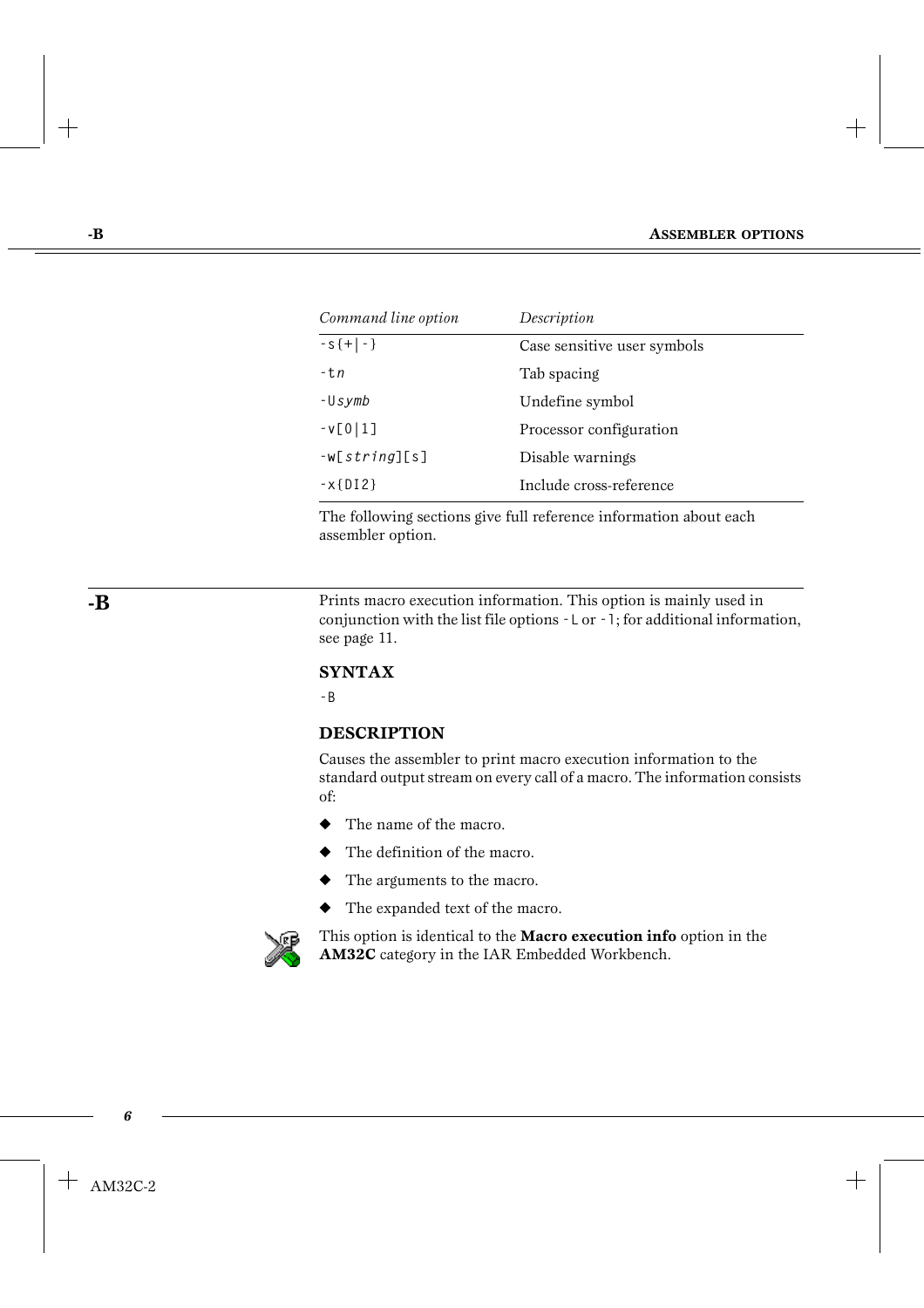| Command line option | Description                 |
|---------------------|-----------------------------|
| $- s + -$           | Case sensitive user symbols |
| -tn                 | Tab spacing                 |
| -U <i>symb</i>      | Undefine symbol             |
| $-v[0 1]$           | Processor configuration     |
| $-w[string][s]$     | Disable warnings            |
| $-x{D12}$           | Include cross-reference     |

The following sections give full reference information about each assembler option.

**-B** Prints macro execution information. This option is mainly used in conjunction with the list file options **-L** or **-l**; for additional information, see [page 11](#page-16-0).

# **SYNTAX**

**-B** 

# **DESCRIPTION**

Causes the assembler to print macro execution information to the standard output stream on every call of a macro. The information consists of:

- ◆ The name of the macro.
- The definition of the macro.
- The arguments to the macro.
- ◆ The expanded text of the macro.



This option is identical to the **Macro execution info** option in the **AM32C** category in the IAR Embedded Workbench.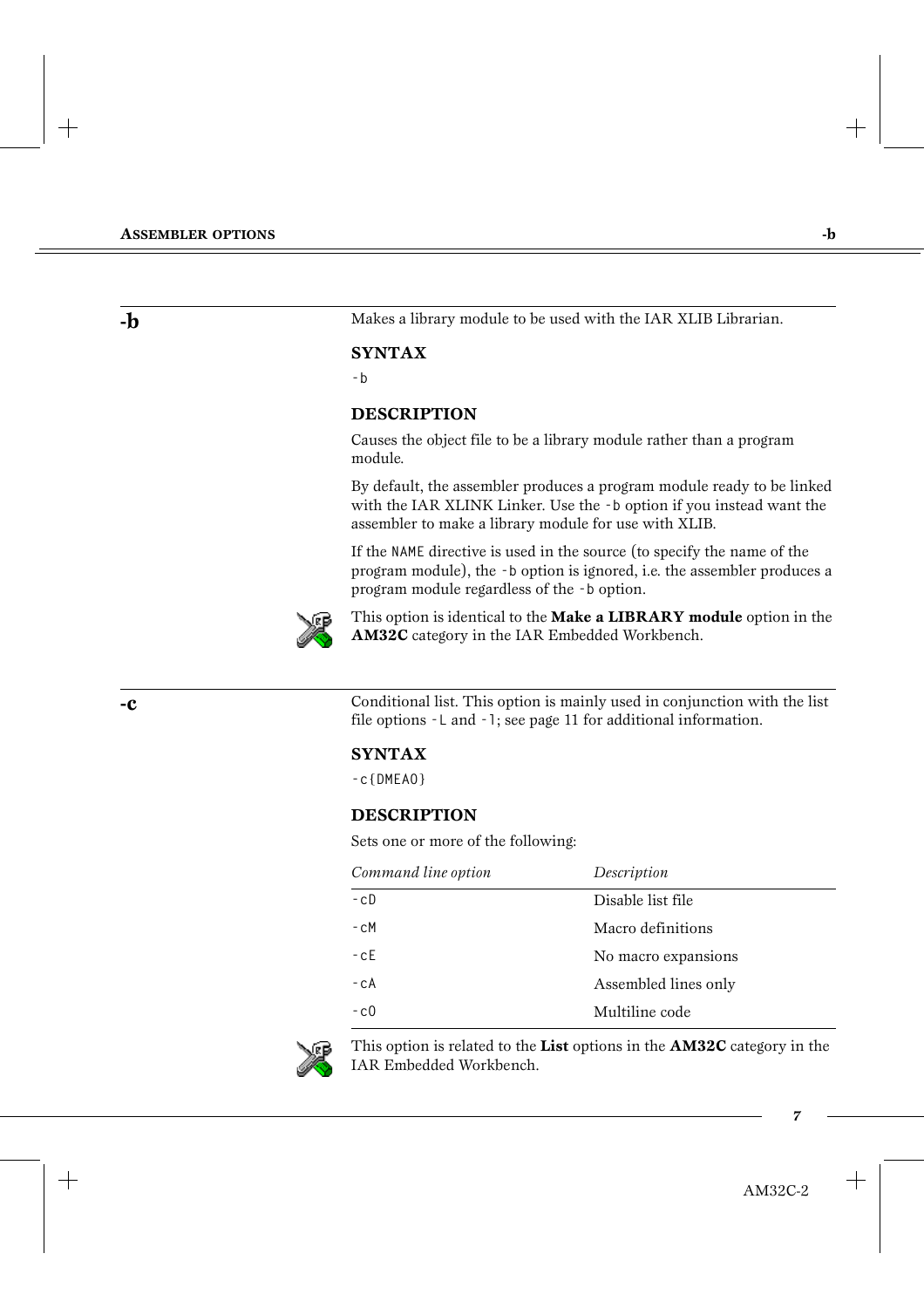**-b** Makes a library module to be used with the IAR XLIB Librarian.

#### **SYNTAX**

**-b** 

## **DESCRIPTION**

Causes the object file to be a library module rather than a program module.

By default, the assembler produces a program module ready to be linked with the IAR XLINK Linker. Use the **-b** option if you instead want the assembler to make a library module for use with XLIB.

If the **NAME** directive is used in the source (to specify the name of the program module), the **-b** option is ignored, i.e. the assembler produces a program module regardless of the **-b** option.



This option is identical to the **Make a LIBRARY module** option in the **AM32C** category in the IAR Embedded Workbench.

**-c c** Conditional list. This option is mainly used in conjunction with the list file options **-L** and **-l**; see [page 11](#page-16-0) for additional information.

#### **SYNTAX**

**-c{DMEAO}** 

#### **DESCRIPTION**

Sets one or more of the following:

| Command line option | Description          |
|---------------------|----------------------|
| $-cD$               | Disable list file    |
| - cM                | Macro definitions    |
| $-cE$               | No macro expansions  |
| - c A               | Assembled lines only |
| $-c0$               | Multiline code       |



This option is related to the **List** options in the **AM32C** category in the IAR Embedded Workbench.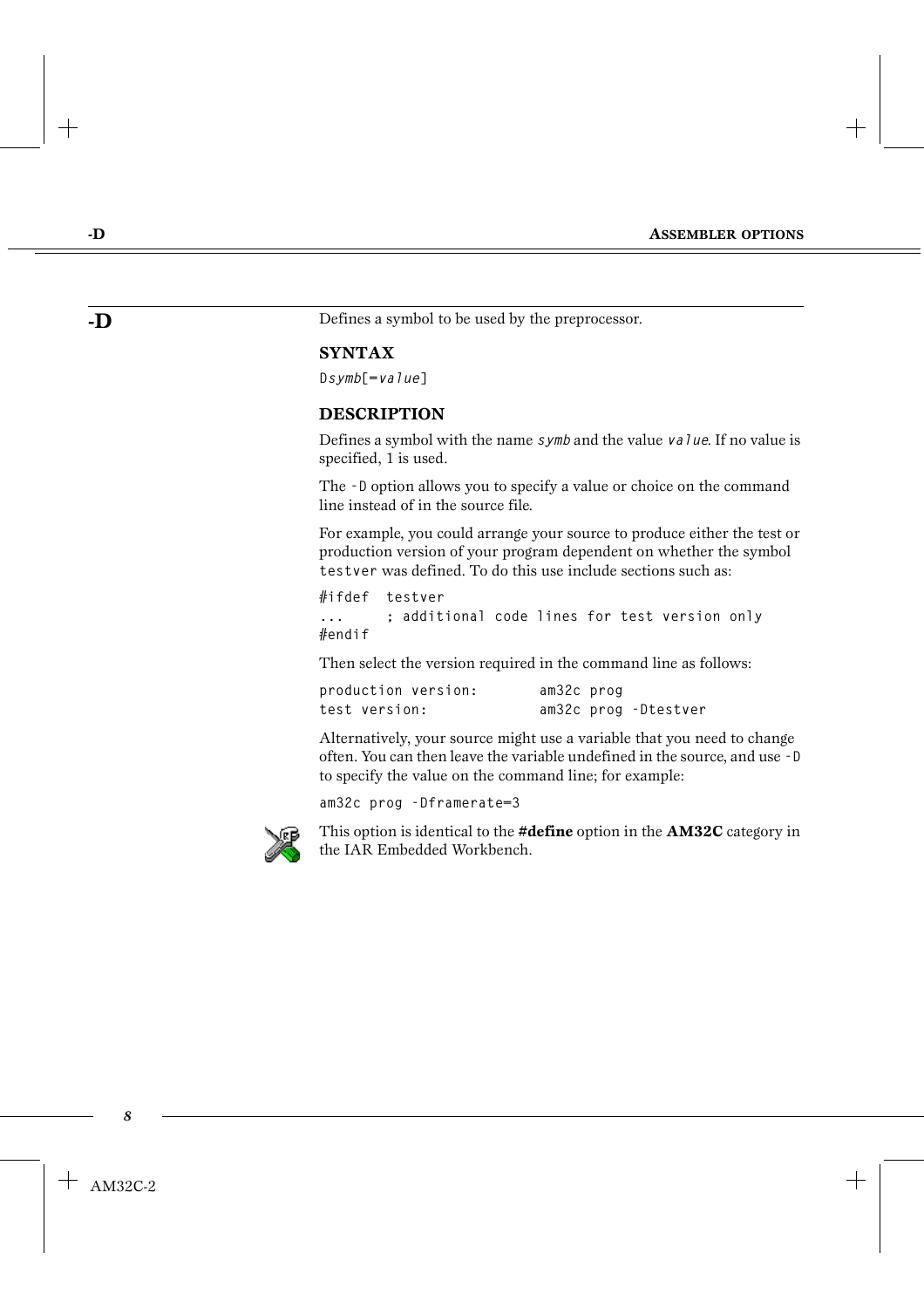**-D** Defines a symbol to be used by the preprocessor.

# **SYNTAX**

**D***symb***[=***value***]** 

# **DESCRIPTION**

Defines a symbol with the name *symb* and the value *value*. If no value is specified, 1 is used.

The **-D** option allows you to specify a value or choice on the command line instead of in the source file.

For example, you could arrange your source to produce either the test or production version of your program dependent on whether the symbol **testver** was defined. To do this use include sections such as:

```
#ifdef testver
... ; additional code lines for test version only
#endif
```
Then select the version required in the command line as follows:

| production version: | am32c prog |                      |
|---------------------|------------|----------------------|
| test version:       |            | am32c prog -Dtestver |

Alternatively, your source might use a variable that you need to change often. You can then leave the variable undefined in the source, and use **-D** to specify the value on the command line; for example:

**am32c prog -Dframerate=3** 



This option is identical to the **#define** option in the **AM32C** category in the IAR Embedded Workbench.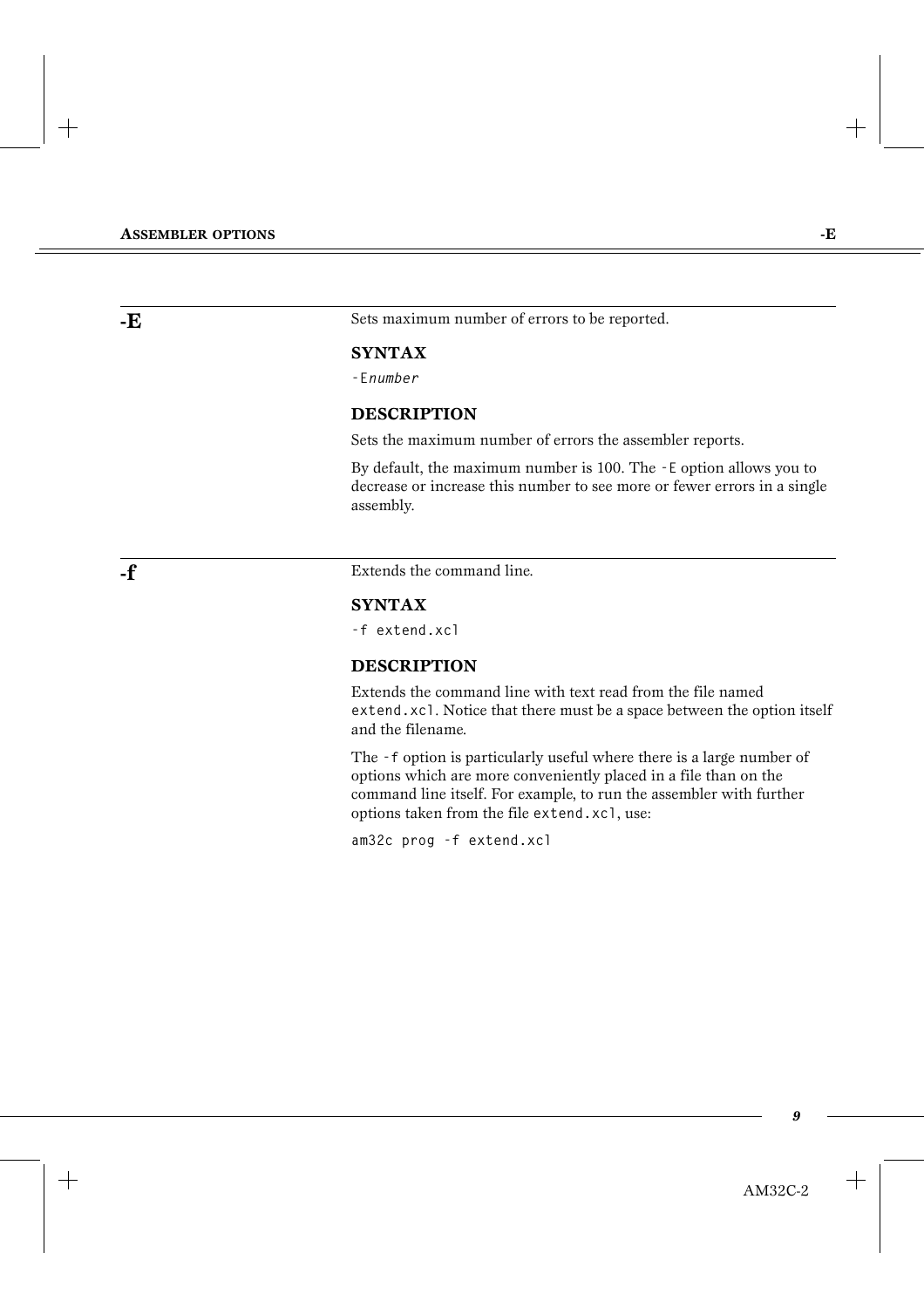**-E** Sets maximum number of errors to be reported.

#### **SYNTAX**

**-E***number* 

### **DESCRIPTION**

Sets the maximum number of errors the assembler reports.

By default, the maximum number is 100. The **-E** option allows you to decrease or increase this number to see more or fewer errors in a single assembly.

**-f** Extends the command line.

#### **SYNTAX**

**-f extend.xcl**

#### **DESCRIPTION**

Extends the command line with text read from the file named **extend.xcl**. Notice that there must be a space between the option itself and the filename.

The **-f** option is particularly useful where there is a large number of options which are more conveniently placed in a file than on the command line itself. For example, to run the assembler with further options taken from the file **extend.xcl**, use:

**am32c prog -f extend.xcl**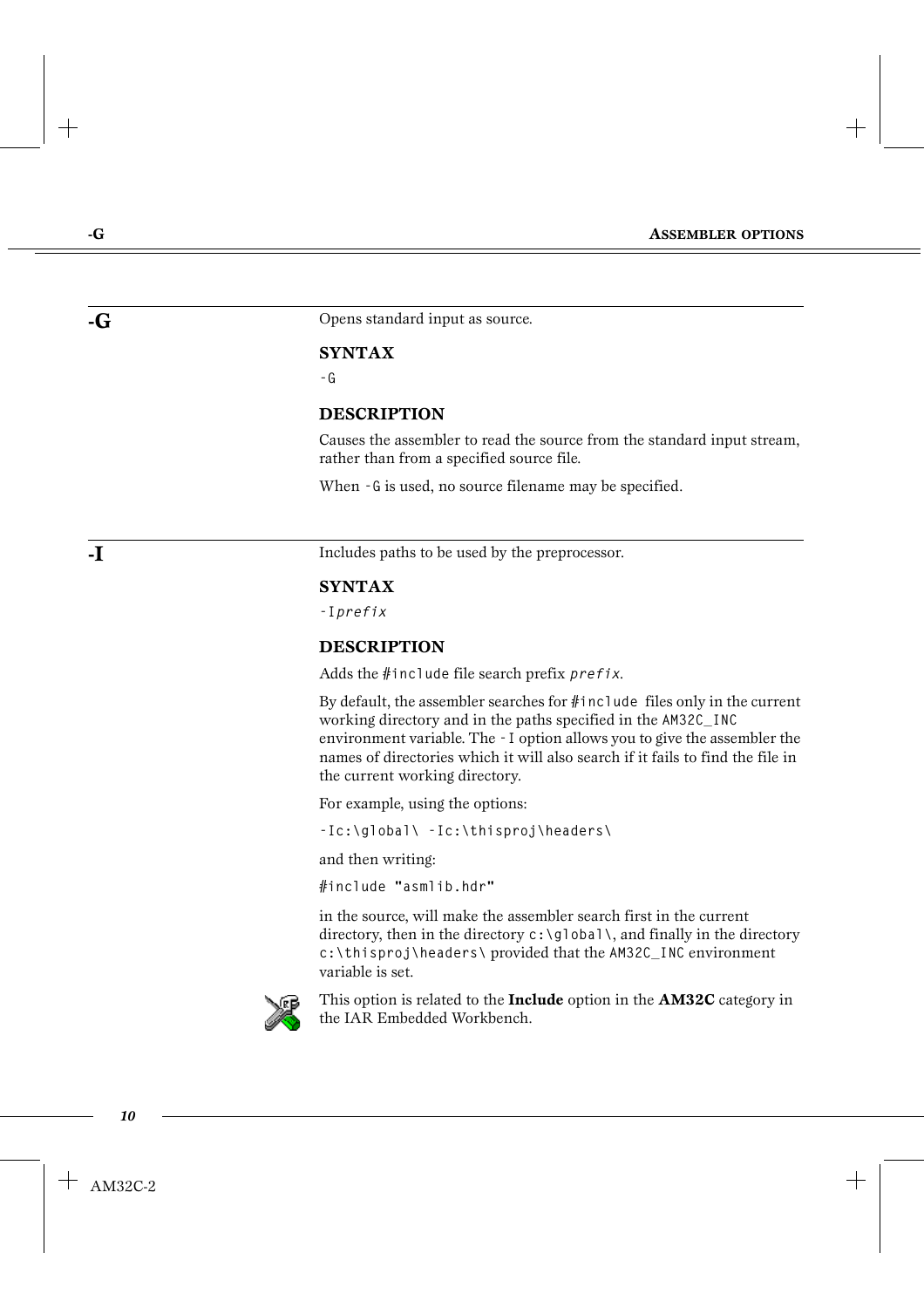**-G** Opens standard input as source.

# **SYNTAX**

**-G** 

#### **DESCRIPTION**

Causes the assembler to read the source from the standard input stream, rather than from a specified source file.

When **-G** is used, no source filename may be specified.

**-I** Includes paths to be used by the preprocessor.

## **SYNTAX**

**-I***prefix*

#### **DESCRIPTION**

Adds the **#include** file search prefix *prefix*.

By default, the assembler searches for **#include** files only in the current working directory and in the paths specified in the **AM32C\_INC** environment variable. The **-I** option allows you to give the assembler the names of directories which it will also search if it fails to find the file in the current working directory.

For example, using the options:

**-Ic:\global\ -Ic:\thisproj\headers\**

and then writing:

**#include "asmlib.hdr"** 

in the source, will make the assembler search first in the current directory, then in the directory **c:\global\**, and finally in the directory **c:\thisproj\headers\** provided that the **AM32C\_INC** environment variable is set.



This option is related to the **Include** option in the **AM32C** category in the IAR Embedded Workbench.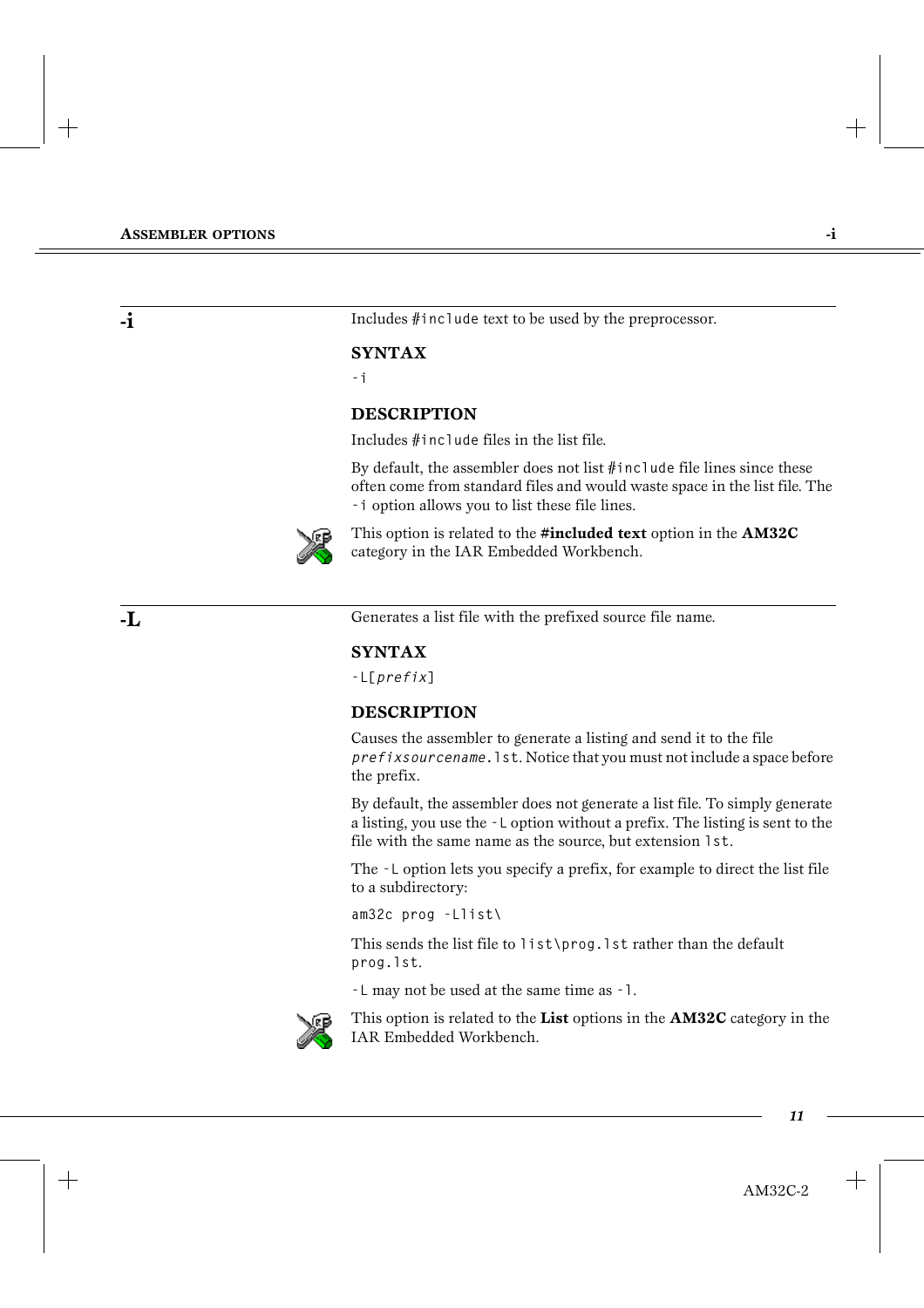**-i** Includes #include text to be used by the preprocessor.

#### **SYNTAX**

**-i** 

#### **DESCRIPTION**

Includes **#include** files in the list file.

By default, the assembler does not list **#include** file lines since these often come from standard files and would waste space in the list file. The **-i** option allows you to list these file lines.



This option is related to the **#included text** option in the **AM32C** category in the IAR Embedded Workbench.

<span id="page-16-0"></span>**-L** Generates a list file with the prefixed source file name.

# **SYNTAX**

**-L[***prefix***]** 

# **DESCRIPTION**

Causes the assembler to generate a listing and send it to the file *prefixsourcename***.lst**. Notice that you must not include a space before the prefix.

By default, the assembler does not generate a list file. To simply generate a listing, you use the **-L** option without a prefix. The listing is sent to the file with the same name as the source, but extension **lst**.

The **-L** option lets you specify a prefix, for example to direct the list file to a subdirectory:

**am32c prog -Llist\** 

This sends the list file to **list\prog.lst** rather than the default **prog.lst**.

**-L** may not be used at the same time as **-l**.



This option is related to the **List** options in the **AM32C** category in the IAR Embedded Workbench.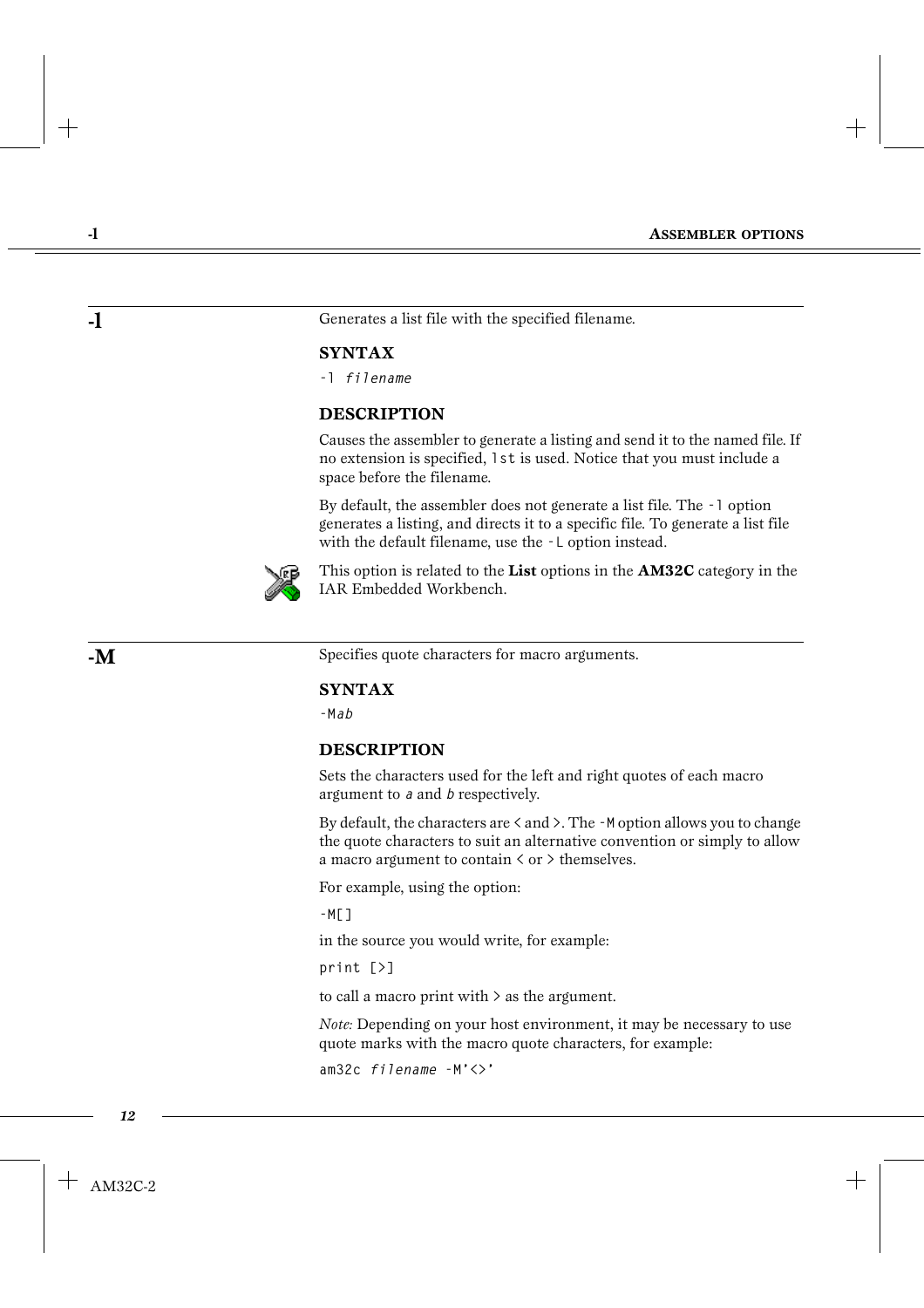**-l** Generates a list file with the specified filename.

# **SYNTAX**

**-l** *filename* 

# **DESCRIPTION**

Causes the assembler to generate a listing and send it to the named file. If no extension is specified, **lst** is used. Notice that you must include a space before the filename.

By default, the assembler does not generate a list file. The **-l** option generates a listing, and directs it to a specific file. To generate a list file with the default filename, use the **-L** option instead.



This option is related to the **List** options in the **AM32C** category in the IAR Embedded Workbench.

**-M** Specifies quote characters for macro arguments.

# **SYNTAX**

**-M***ab* 

#### **DESCRIPTION**

Sets the characters used for the left and right quotes of each macro argument to *a* and *b* respectively.

By default, the characters are **<** and **>**. The **-M** option allows you to change the quote characters to suit an alternative convention or simply to allow a macro argument to contain **<** or **>** themselves.

For example, using the option:

**-M[]**

in the source you would write, for example:

**print [>]**

to call a macro print with **>** as the argument.

*Note:* Depending on your host environment, it may be necessary to use quote marks with the macro quote characters, for example:

**am32c** *filename* **-M'<>'**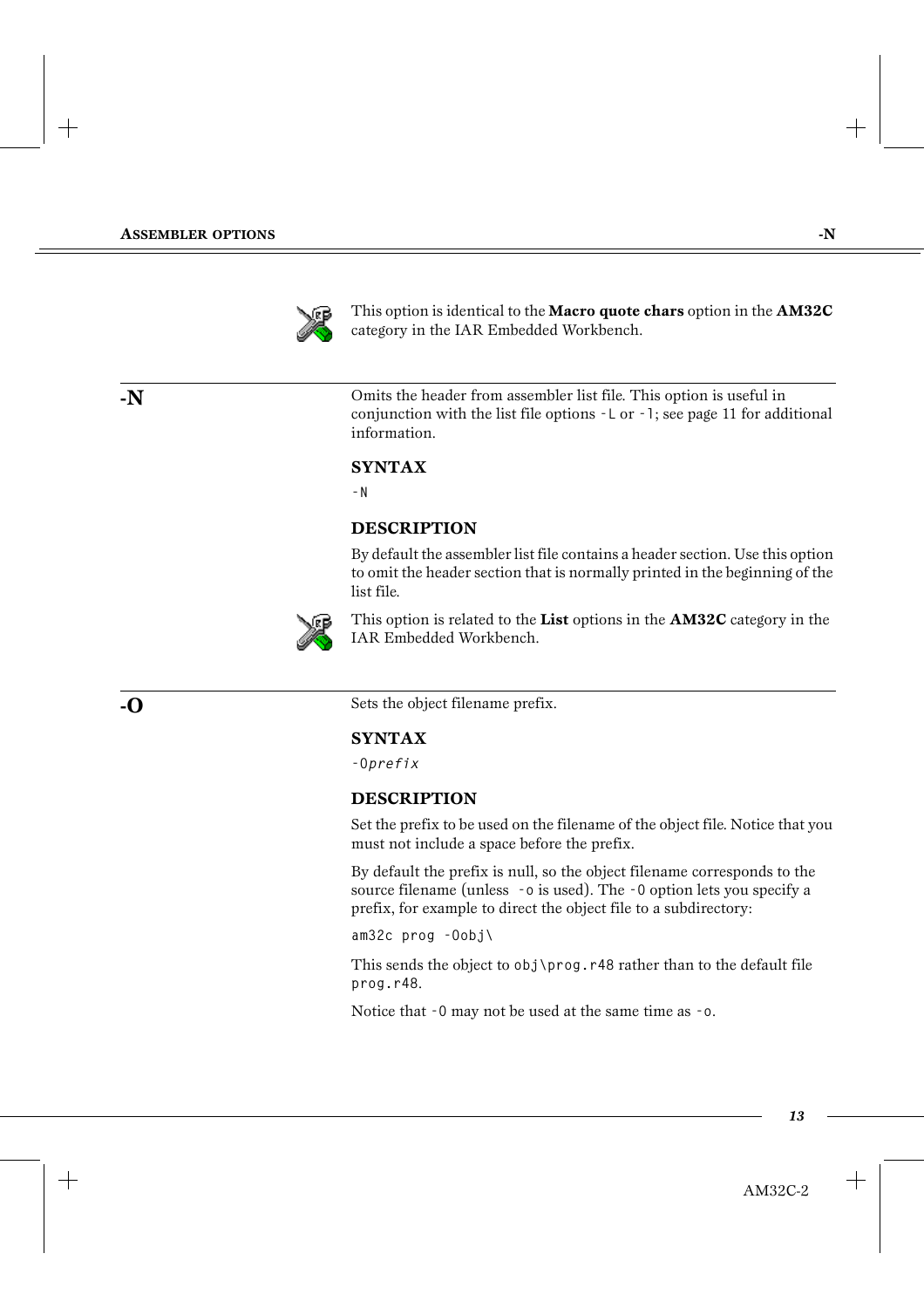

This option is identical to the **Macro quote chars** option in the **AM32C** category in the IAR Embedded Workbench.

**-N** Omits the header from assembler list file. This option is useful in conjunction with the list file options **-L** or **-l**; see [page 11](#page-16-0) for additional information.

# **SYNTAX**

**-N** 

# **DESCRIPTION**

By default the assembler list file contains a header section. Use this option to omit the header section that is normally printed in the beginning of the list file.



This option is related to the **List** options in the **AM32C** category in the IAR Embedded Workbench.

**-O** Sets the object filename prefix.

# **SYNTAX**

**-O***prefix* 

#### **DESCRIPTION**

Set the prefix to be used on the filename of the object file. Notice that you must not include a space before the prefix.

By default the prefix is null, so the object filename corresponds to the source filename (unless **-o** is used). The **-O** option lets you specify a prefix, for example to direct the object file to a subdirectory:

**am32c prog -Oobj\** 

This sends the object to **obj\prog.r48** rather than to the default file **prog.r48**.

Notice that **-O** may not be used at the same time as **-o**.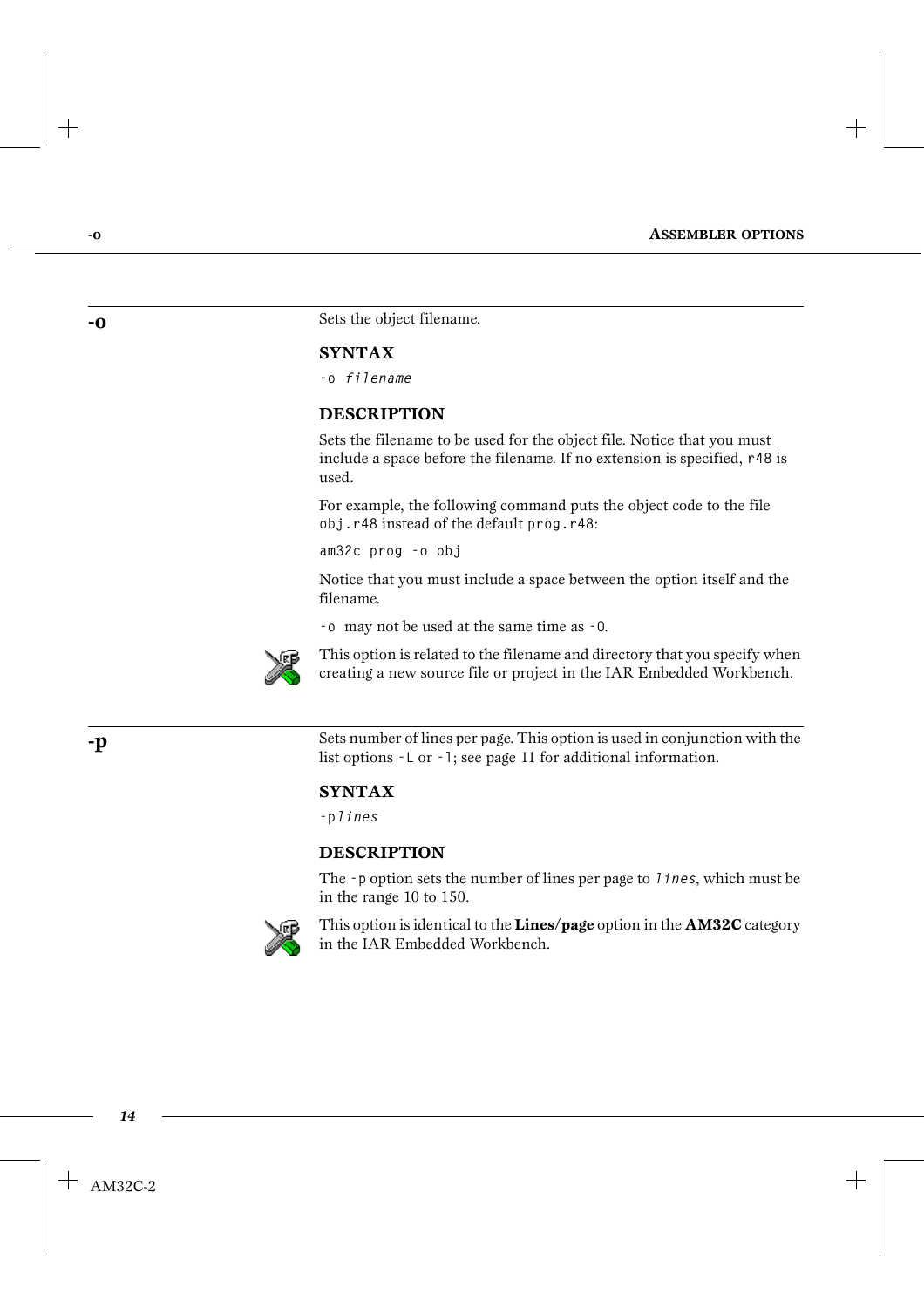**-o** Sets the object filename.

# **SYNTAX**

**-o** *filename*

### **DESCRIPTION**

Sets the filename to be used for the object file. Notice that you must include a space before the filename. If no extension is specified, **r48** is used.

For example, the following command puts the object code to the file **obj.r48** instead of the default **prog.r48**:

**am32c prog -o obj** 

Notice that you must include a space between the option itself and the filename.

**-o** may not be used at the same time as **-O**.



This option is related to the filename and directory that you specify when creating a new source file or project in the IAR Embedded Workbench.

**-p** Sets number of lines per page. This option is used in conjunction with the list options **-L** or **-l**; see [page 11](#page-16-0) for additional information.

# **SYNTAX**

**-p***lines* 

# **DESCRIPTION**

The **-p** option sets the number of lines per page to *lines*, which must be in the range 10 to 150.



This option is identical to the **Lines/page** option in the **AM32C** category in the IAR Embedded Workbench.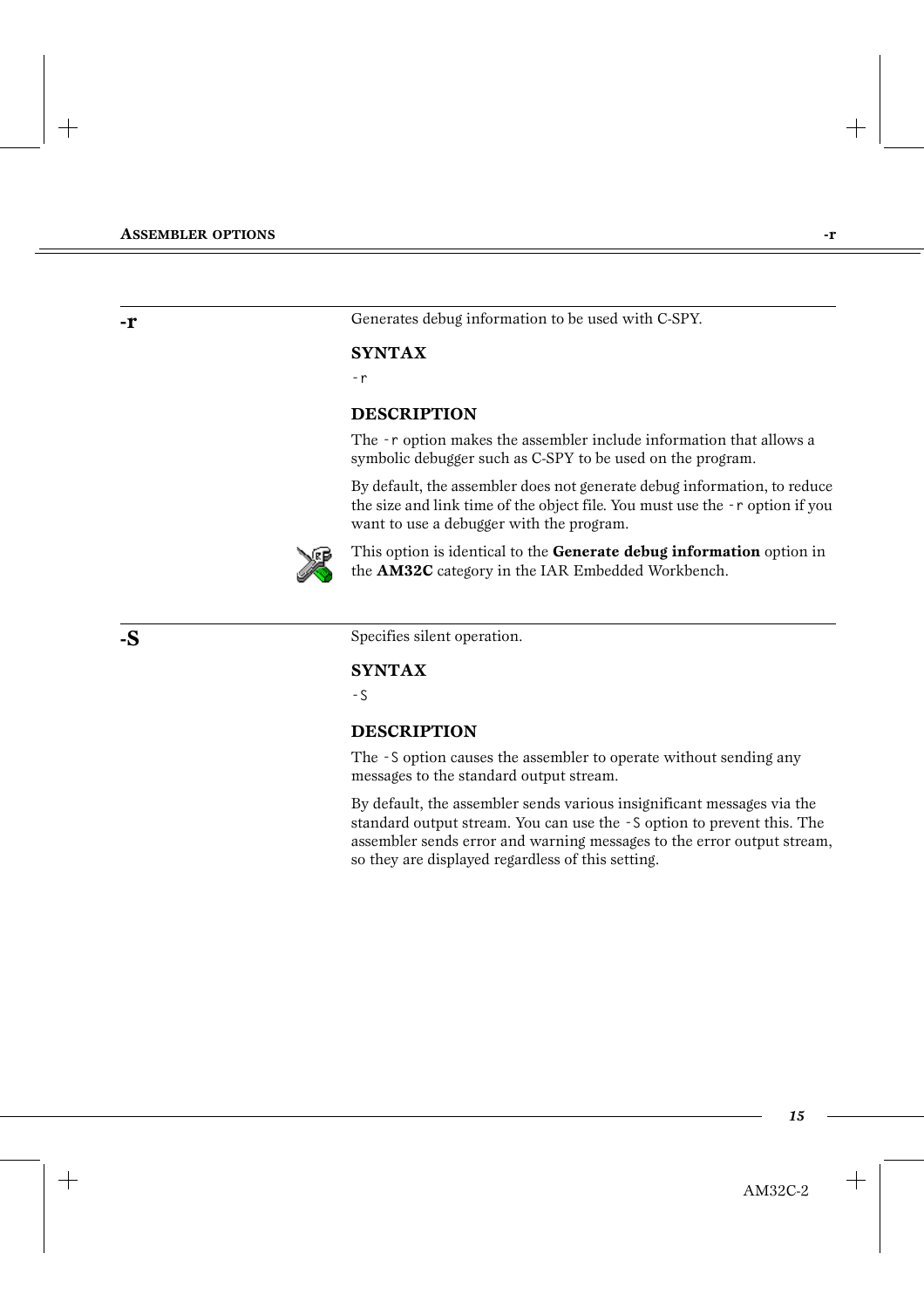**-r** Generates debug information to be used with C-SPY.

#### **SYNTAX**

**-r** 

#### **DESCRIPTION**

The **-r** option makes the assembler include information that allows a symbolic debugger such as C-SPY to be used on the program.

By default, the assembler does not generate debug information, to reduce the size and link time of the object file. You must use the **-r** option if you want to use a debugger with the program.



This option is identical to the **Generate debug information** option in the **AM32C** category in the IAR Embedded Workbench.

**-S** Specifies silent operation.

# **SYNTAX**

**-S** 

# **DESCRIPTION**

The **-S** option causes the assembler to operate without sending any messages to the standard output stream.

By default, the assembler sends various insignificant messages via the standard output stream. You can use the **-S** option to prevent this. The assembler sends error and warning messages to the error output stream, so they are displayed regardless of this setting.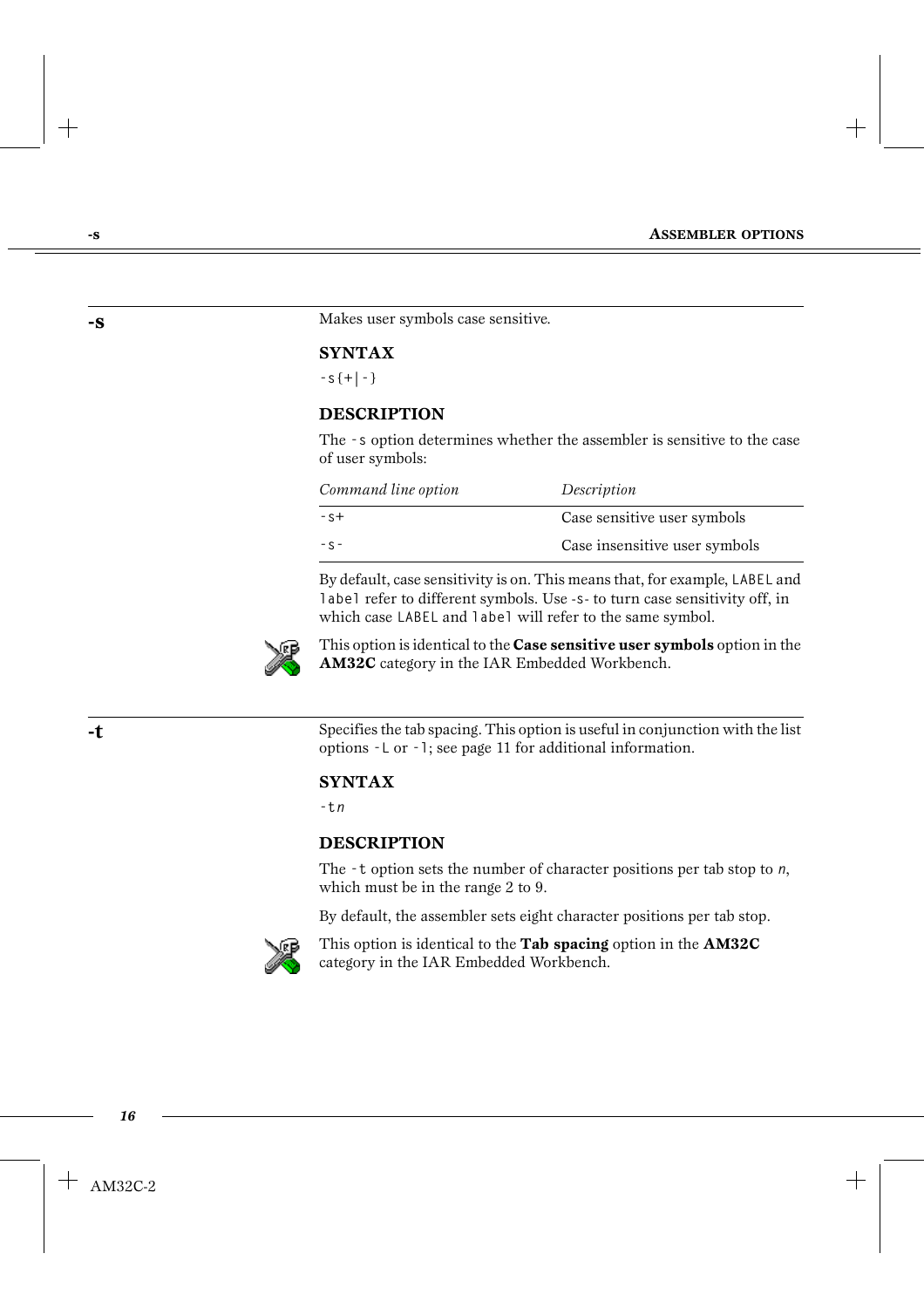<span id="page-21-0"></span>**-s** Makes user symbols case sensitive.

# **SYNTAX**

**-s{+|-}** 

#### **DESCRIPTION**

The **-s** option determines whether the assembler is sensitive to the case of user symbols:

| Command line option | Description                   |
|---------------------|-------------------------------|
| $-5+$               | Case sensitive user symbols   |
| $-S-$               | Case insensitive user symbols |

By default, case sensitivity is on. This means that, for example, **LABEL** and **label** refer to different symbols. Use -**s**- to turn case sensitivity off, in which case **LABEL** and **label** will refer to the same symbol.



This option is identical to the **Case sensitive user symbols** option in the **AM32C** category in the IAR Embedded Workbench.

**-t** Specifies the tab spacing. This option is useful in conjunction with the list options **-L** or **-l**; see [page 11](#page-16-0) for additional information.

# **SYNTAX**

**-t***n* 

# **DESCRIPTION**

The **-t** option sets the number of character positions per tab stop to *n*, which must be in the range 2 to 9.

By default, the assembler sets eight character positions per tab stop.



This option is identical to the **Tab spacing** option in the **AM32C** category in the IAR Embedded Workbench.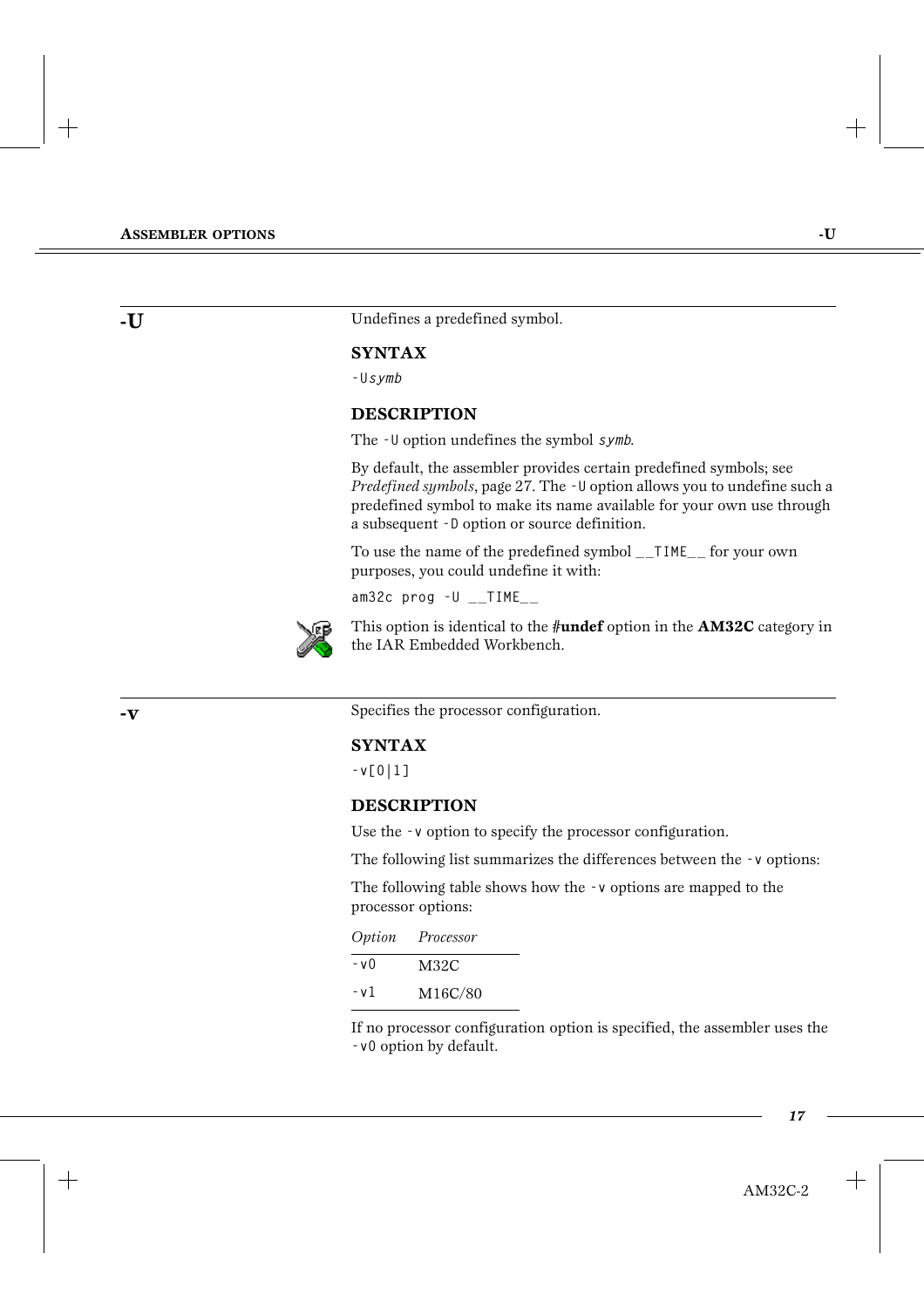**-U** Undefines a predefined symbol.

# **SYNTAX**

**-U***symb*

#### **DESCRIPTION**

The **-U** option undefines the symbol *symb*.

By default, the assembler provides certain predefined symbols; see *[Predefined symbols](#page-32-0)*, page 27. The **-U** option allows you to undefine such a predefined symbol to make its name available for your own use through a subsequent **-D** option or source definition.

To use the name of the predefined symbol **\_\_TIME\_\_** for your own purposes, you could undefine it with:

**am32c prog -U \_\_TIME\_\_** 



This option is identical to the **#undef** option in the **AM32C** category in the IAR Embedded Workbench.

**-v** Specifies the processor configuration.

# **SYNTAX**

**-v[0|1]**

# **DESCRIPTION**

Use the **-v** option to specify the processor configuration.

The following list summarizes the differences between the **-v** options:

The following table shows how the **-v** options are mapped to the processor options:

| Option | Processor |
|--------|-----------|
| - v 0  | M32C      |
| - v 1  | M16C/80   |

If no processor configuration option is specified, the assembler uses the **-v0** option by default.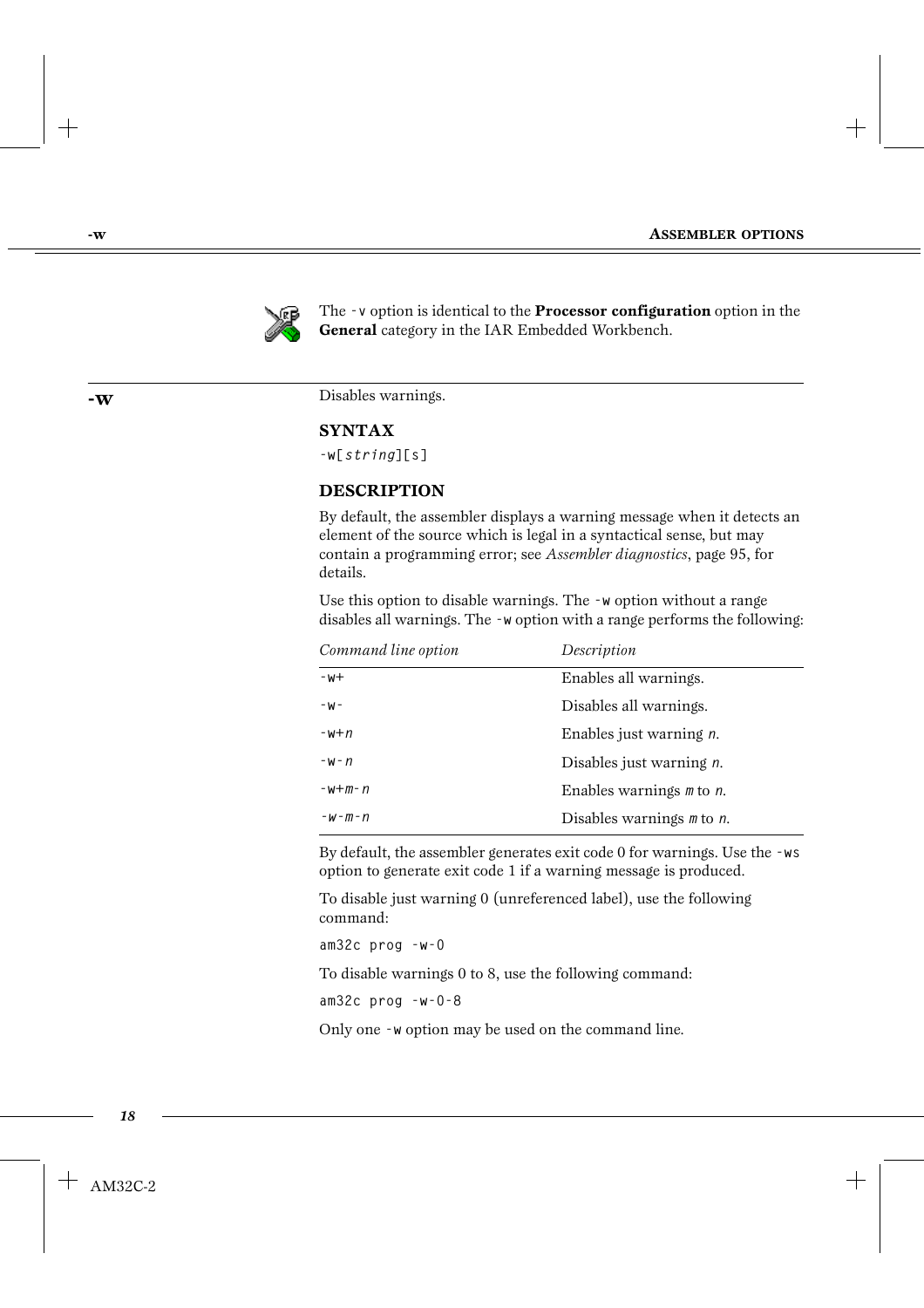

The **-v** option is identical to the **Processor configuration** option in the **General** category in the IAR Embedded Workbench.

**-w** Disables warnings.

# **SYNTAX**

**-w[***string***][s]** 

#### **DESCRIPTION**

By default, the assembler displays a warning message when it detects an element of the source which is legal in a syntactical sense, but may contain a programming error; see *[Assembler diagnostics](#page-100-0)*, page 95, for details.

Use this option to disable warnings. The **-w** option without a range disables all warnings. The **-w** option with a range performs the following:

| Command line option | Description                      |
|---------------------|----------------------------------|
| $-w+$               | Enables all warnings.            |
| $-W -$              | Disables all warnings.           |
| $-w+n$              | Enables just warning <i>n</i> .  |
| $-W - n$            | Disables just warning <i>n</i> . |
| $-W + m - n$        | Enables warnings $m$ to $n$ .    |
| -w-m-n              | Disables warnings $m$ to $n$ .   |

By default, the assembler generates exit code 0 for warnings. Use the **-ws** option to generate exit code 1 if a warning message is produced.

To disable just warning 0 (unreferenced label), use the following command:

**am32c prog -w-0** 

To disable warnings 0 to 8, use the following command:

**am32c prog -w-0-8** 

Only one **-w** option may be used on the command line.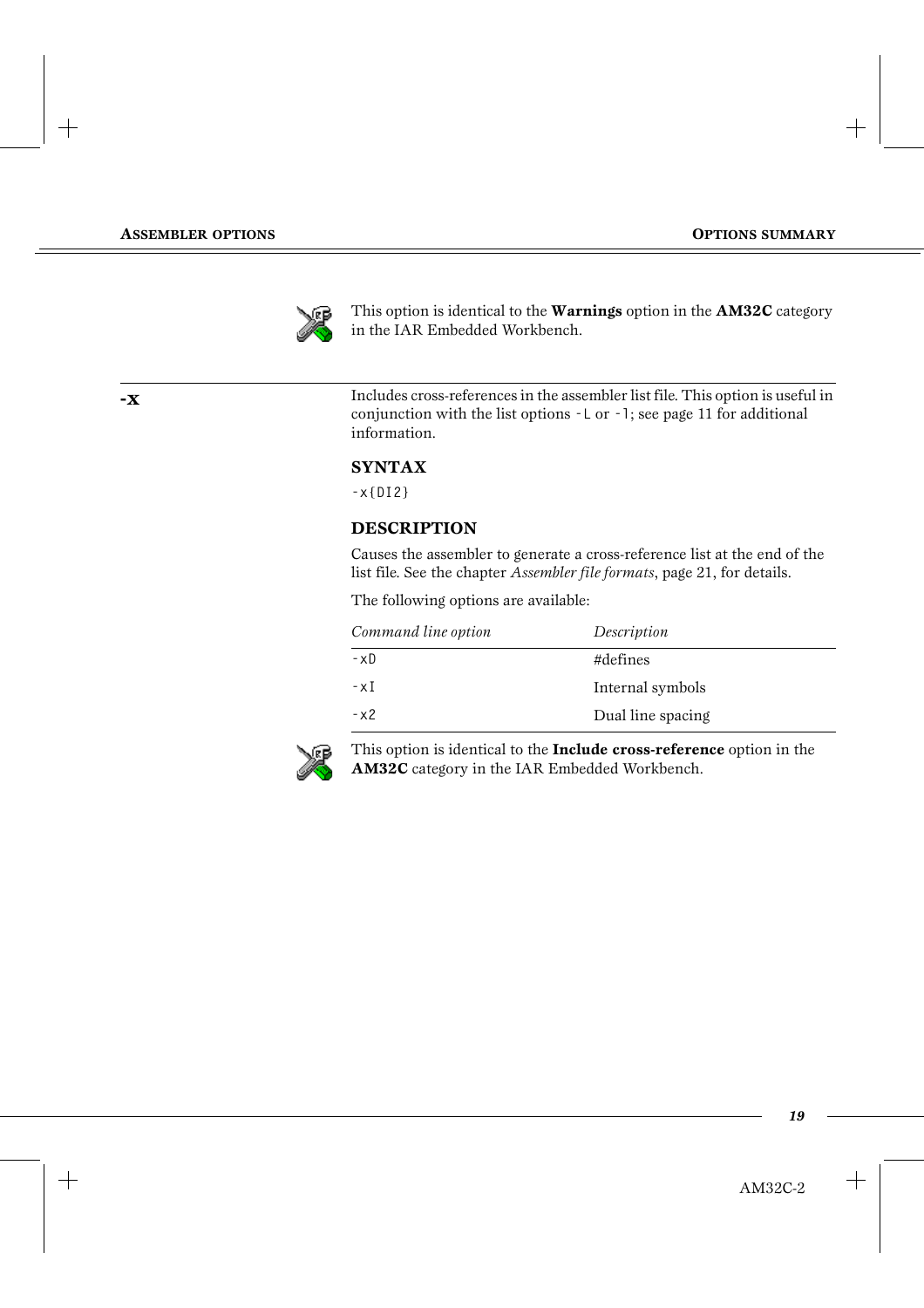

This option is identical to the **Warnings** option in the **AM32C** category in the IAR Embedded Workbench.

**-x** Includes cross-references in the assembler list file. This option is useful in conjunction with the list options **-L** or **-l**; see [page 11](#page-16-0) for additional information.

# **SYNTAX**

**-x{DI2}** 

# **DESCRIPTION**

Causes the assembler to generate a cross-reference list at the end of the list file. See the chapter *[Assembler file formats](#page-26-0)*, page 21, for details.

The following options are available:

| Command line option | Description       |
|---------------------|-------------------|
| $-xD$               | #defines          |
| $-xI$               | Internal symbols  |
| $-x2$               | Dual line spacing |



This option is identical to the **Include cross-reference** option in the **AM32C** category in the IAR Embedded Workbench.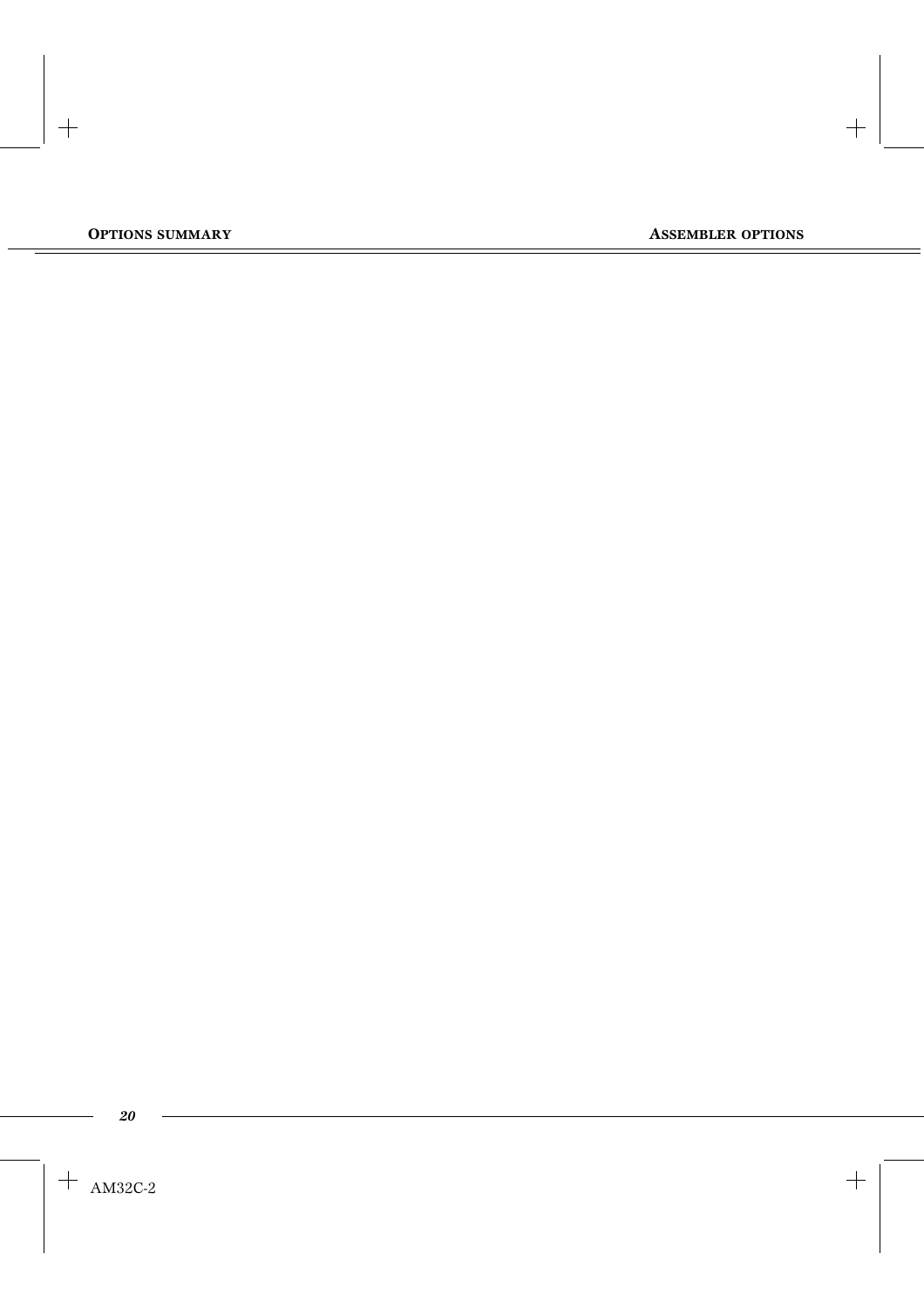÷,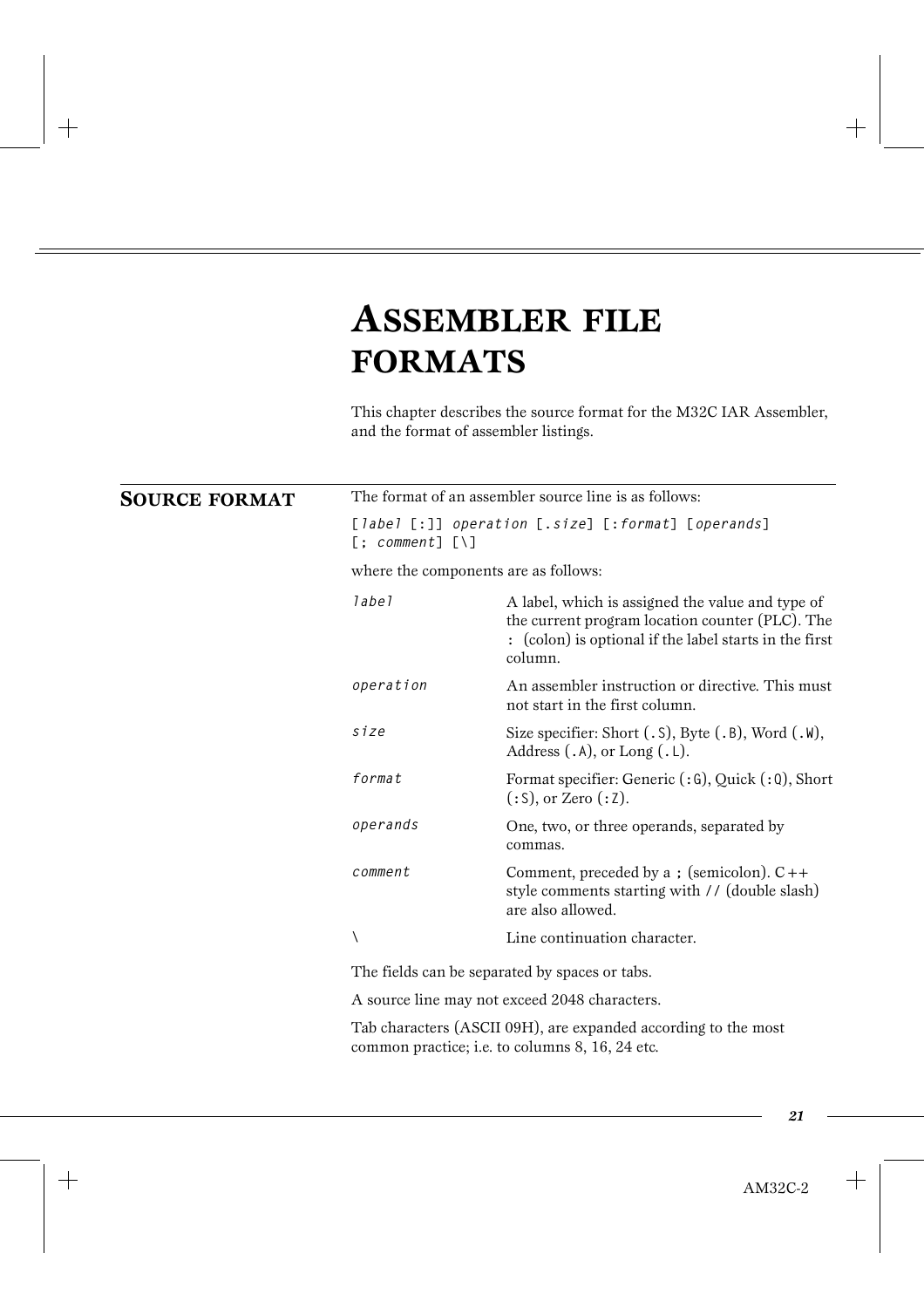# <span id="page-26-1"></span><span id="page-26-0"></span>**ASSEMBLER FILE FORMATS**

This chapter describes the source format for the M32C IAR Assembler, and the format of assembler listings.

<span id="page-26-2"></span>

| <b>SOURCE FORMAT</b> | The format of an assembler source line is as follows:                                                             |                                                                                                                                                                          |  |
|----------------------|-------------------------------------------------------------------------------------------------------------------|--------------------------------------------------------------------------------------------------------------------------------------------------------------------------|--|
|                      | [label [:]] operation [.size] [:format] [operands]<br>$[$ ; comment] $[\ ]$                                       |                                                                                                                                                                          |  |
|                      | where the components are as follows:                                                                              |                                                                                                                                                                          |  |
|                      | label                                                                                                             | A label, which is assigned the value and type of<br>the current program location counter (PLC). The<br>: (colon) is optional if the label starts in the first<br>column. |  |
|                      | operation                                                                                                         | An assembler instruction or directive. This must<br>not start in the first column.                                                                                       |  |
|                      | size                                                                                                              | Size specifier: Short $(.S)$ , Byte $(.B)$ , Word $(.W)$ ,<br>Address $($ . A), or Long $($ . L).                                                                        |  |
|                      | format                                                                                                            | Format specifier: Generic $(:6)$ , Quick $(:0)$ , Short<br>$(:S)$ , or Zero $(:Z)$ .                                                                                     |  |
|                      | operands                                                                                                          | One, two, or three operands, separated by<br>commas.                                                                                                                     |  |
|                      | comment                                                                                                           | Comment, preceded by a ; (semicolon). $C++$<br>style comments starting with // (double slash)<br>are also allowed.                                                       |  |
|                      |                                                                                                                   | Line continuation character.                                                                                                                                             |  |
|                      | The fields can be separated by spaces or tabs.                                                                    |                                                                                                                                                                          |  |
|                      | A source line may not exceed 2048 characters.                                                                     |                                                                                                                                                                          |  |
|                      | Tab characters (ASCII 09H), are expanded according to the most<br>common practice; i.e. to columns 8, 16, 24 etc. |                                                                                                                                                                          |  |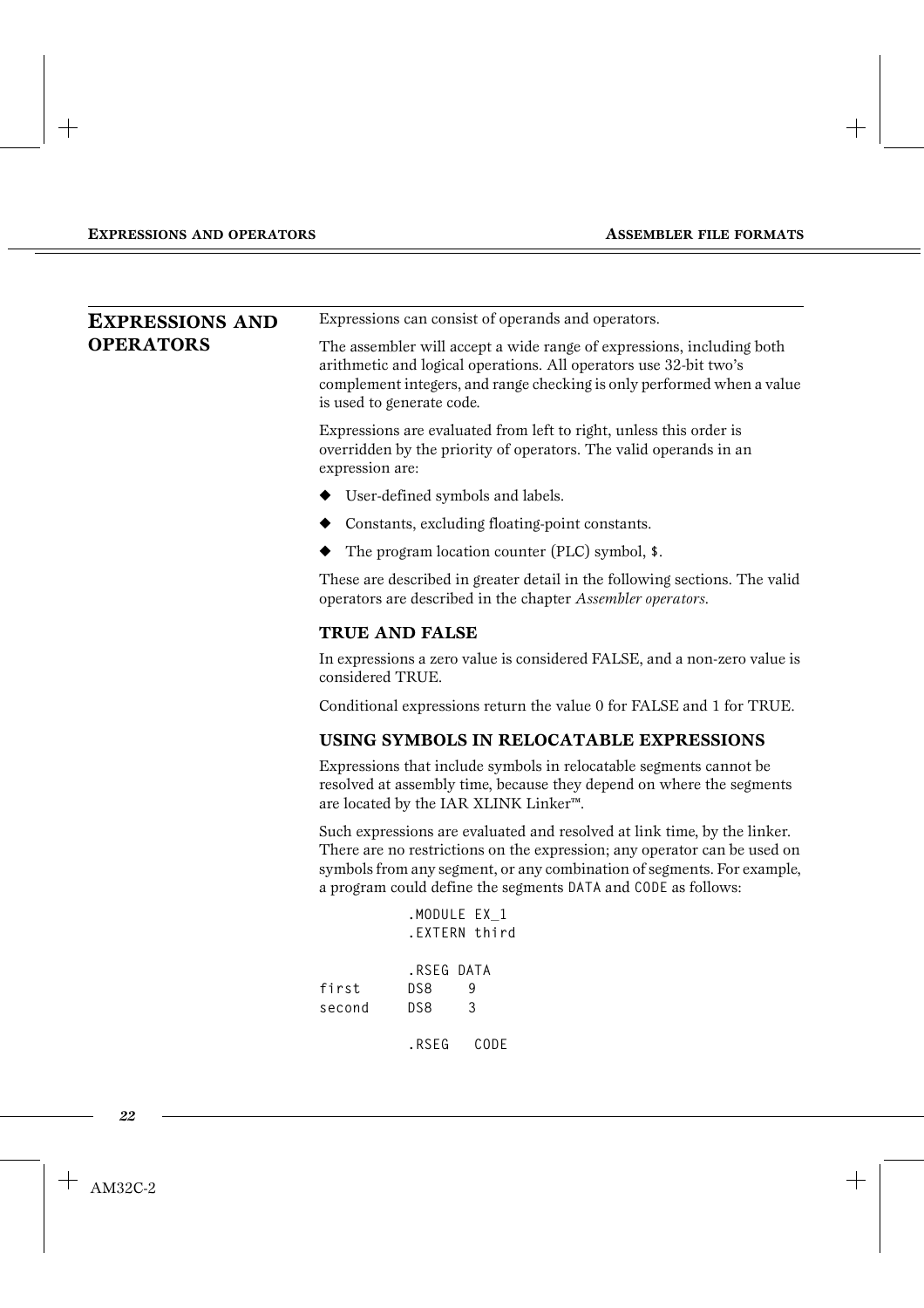<span id="page-27-0"></span>

| <b>EXPRESSIONS AND</b> | Expressions can consist of operands and operators.                                                                                                                                                                                                                                              |
|------------------------|-------------------------------------------------------------------------------------------------------------------------------------------------------------------------------------------------------------------------------------------------------------------------------------------------|
| <b>OPERATORS</b>       | The assembler will accept a wide range of expressions, including both<br>arithmetic and logical operations. All operators use 32-bit two's<br>complement integers, and range checking is only performed when a value<br>is used to generate code.                                               |
|                        | Expressions are evaluated from left to right, unless this order is<br>overridden by the priority of operators. The valid operands in an<br>expression are:                                                                                                                                      |
|                        | User-defined symbols and labels.<br>٠                                                                                                                                                                                                                                                           |
|                        | Constants, excluding floating-point constants.                                                                                                                                                                                                                                                  |
|                        | The program location counter (PLC) symbol, \$.                                                                                                                                                                                                                                                  |
|                        | These are described in greater detail in the following sections. The valid<br>operators are described in the chapter Assembler operators.                                                                                                                                                       |
|                        | <b>TRUE AND FALSE</b>                                                                                                                                                                                                                                                                           |
|                        | In expressions a zero value is considered FALSE, and a non-zero value is<br>considered TRUE.                                                                                                                                                                                                    |
|                        | Conditional expressions return the value 0 for FALSE and 1 for TRUE.                                                                                                                                                                                                                            |
|                        | USING SYMBOLS IN RELOCATABLE EXPRESSIONS                                                                                                                                                                                                                                                        |
|                        | Expressions that include symbols in relocatable segments cannot be<br>resolved at assembly time, because they depend on where the segments<br>are located by the IAR XLINK Linker™.                                                                                                             |
|                        | Such expressions are evaluated and resolved at link time, by the linker.<br>There are no restrictions on the expression; any operator can be used on<br>symbols from any segment, or any combination of segments. For example,<br>a program could define the segments DATA and CODE as follows: |
|                        | .MODULE EX_1<br>.EXTERN third                                                                                                                                                                                                                                                                   |
|                        | .RSEG DATA<br>DS8<br>9<br>first<br>3<br>DS8<br>second                                                                                                                                                                                                                                           |

 **.RSEG CODE**

 $\mathcal{L}_{\mathcal{A}}$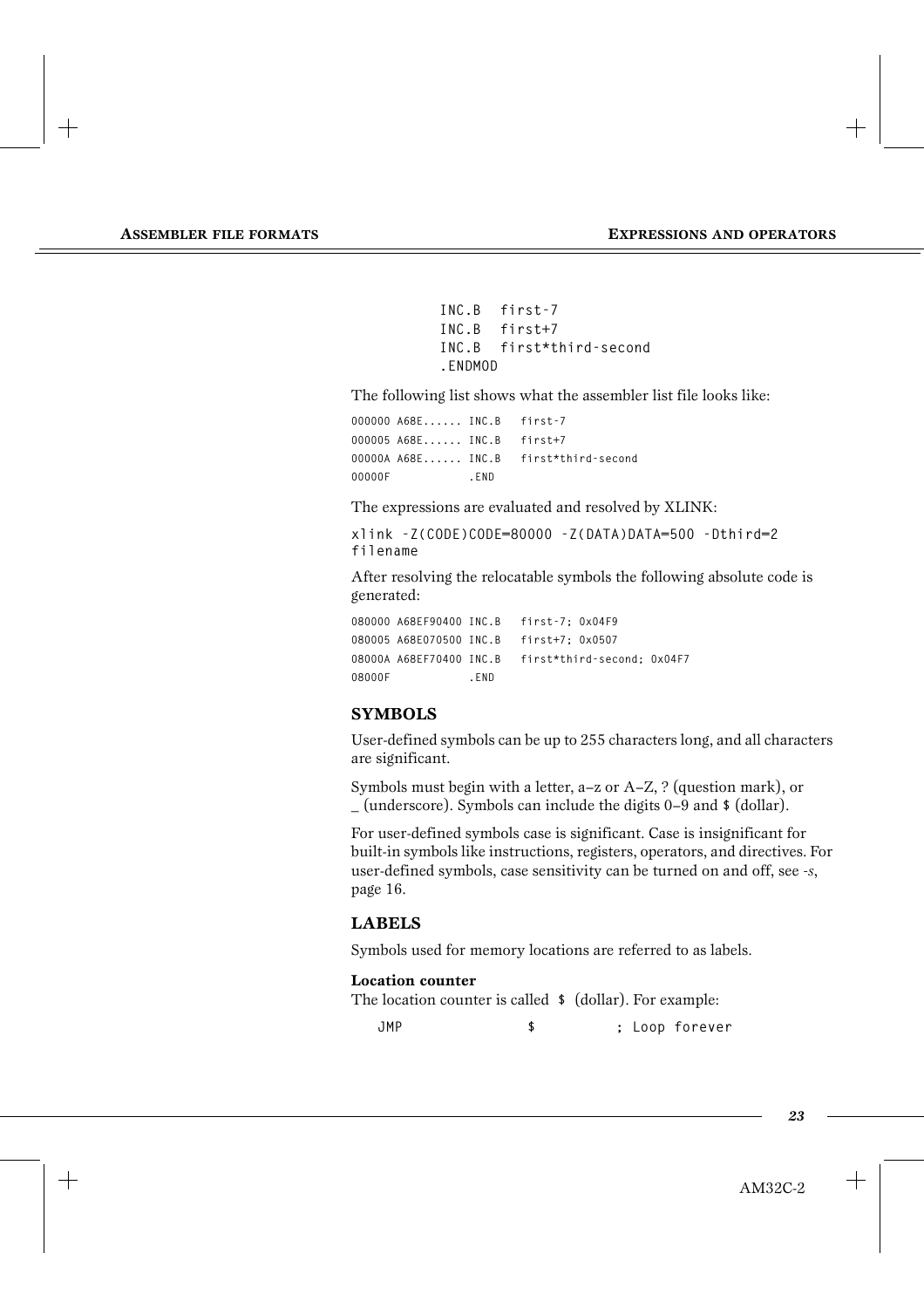```
 INC.B first-7
 INC.B first+7
 INC.B first*third-second
.ENDMOD
```
The following list shows what the assembler list file looks like:

**000000 A68E...... INC.B first-7 000005 A68E...... INC.B first+7 00000A A68E...... INC.B first\*third-second 00000F .END**

The expressions are evaluated and resolved by XLINK:

```
xlink -Z(CODE)CODE=80000 -Z(DATA)DATA=500 -Dthird=2 
filename
```
After resolving the relocatable symbols the following absolute code is generated:

**080000 A68EF90400 INC.B first-7; 0x04F9 080005 A68E070500 INC.B first+7; 0x0507 08000A A68EF70400 INC.B first\*third-second; 0x04F7 08000F .END**

#### **SYMBOLS**

User-defined symbols can be up to 255 characters long, and all characters are significant.

Symbols must begin with a letter, a–z or A–Z, ? (question mark), or \_ (underscore). Symbols can include the digits 0–9 and **\$** (dollar).

For user-defined symbols case is significant. Case is insignificant for built-in symbols like instructions, registers, operators, and directives. For user-defined symbols, case sensitivity can be turned on and off, see *[-s](#page-21-0)*, [page 16.](#page-21-0)

# **LABELS**

Symbols used for memory locations are referred to as labels.

# **Location counter**

The location counter is called **\$** (dollar). For example:

**JMP \$ ; Loop forever**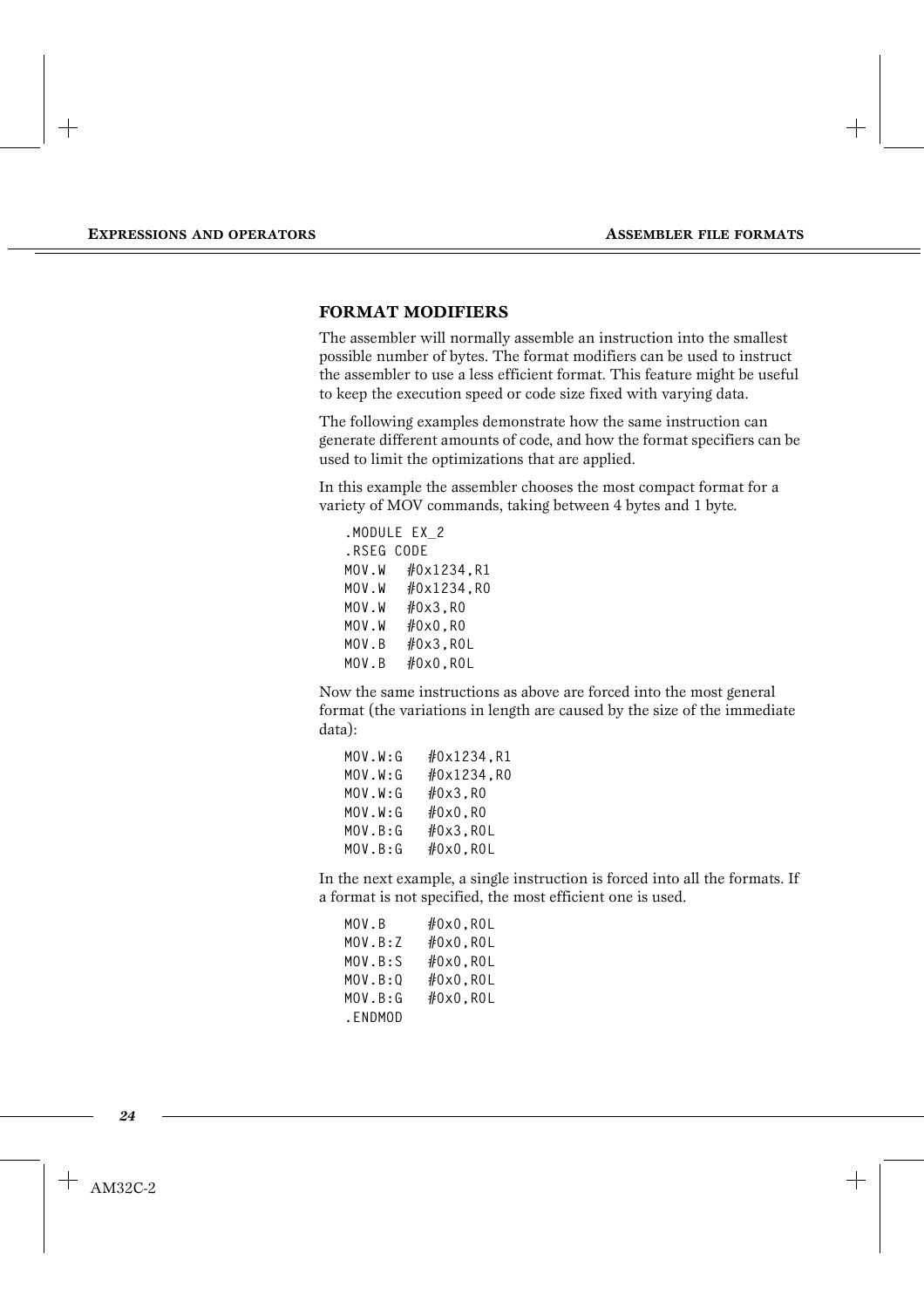# **FORMAT MODIFIERS**

The assembler will normally assemble an instruction into the smallest possible number of bytes. The format modifiers can be used to instruct the assembler to use a less efficient format. This feature might be useful to keep the execution speed or code size fixed with varying data.

The following examples demonstrate how the same instruction can generate different amounts of code, and how the format specifiers can be used to limit the optimizations that are applied.

In this example the assembler chooses the most compact format for a variety of MOV commands, taking between 4 bytes and 1 byte.

|            | .MODULE EX_2     |
|------------|------------------|
| .RSEG CODE |                  |
| MOV.W      | #0x1234.R1       |
|            | MOV.W #0x1234,R0 |
| MOV.W      | #0x3.R0          |
| MOV.W      | $#0\times0$ .RO  |
| MOV.B      | #0x3,R0L         |
| MOV.B      | #0x0,R0L         |

Now the same instructions as above are forced into the most general format (the variations in length are caused by the size of the immediate data):

| MOV.W:G  | #0x1234.R1      |
|----------|-----------------|
| MOV.W:G  | #0x1234.R0      |
| MOV.W:G  | #0x3.R0         |
| MOV.W:G  | $#0\times0$ .RO |
| MOV.B:G  | #0x3.ROL        |
| MOV.B: G | #0x0,R0L        |

In the next example, a single instruction is forced into all the formats. If a format is not specified, the most efficient one is used.

| MOV.B    | #0x0.ROL |
|----------|----------|
| MOV.B:Z  | #0x0.ROL |
| MOV.B: S | #0x0.ROL |
| MOV.B:0  | #0x0,R0L |
| MOV.B:G  | #0x0.ROL |
| .ENDMOD  |          |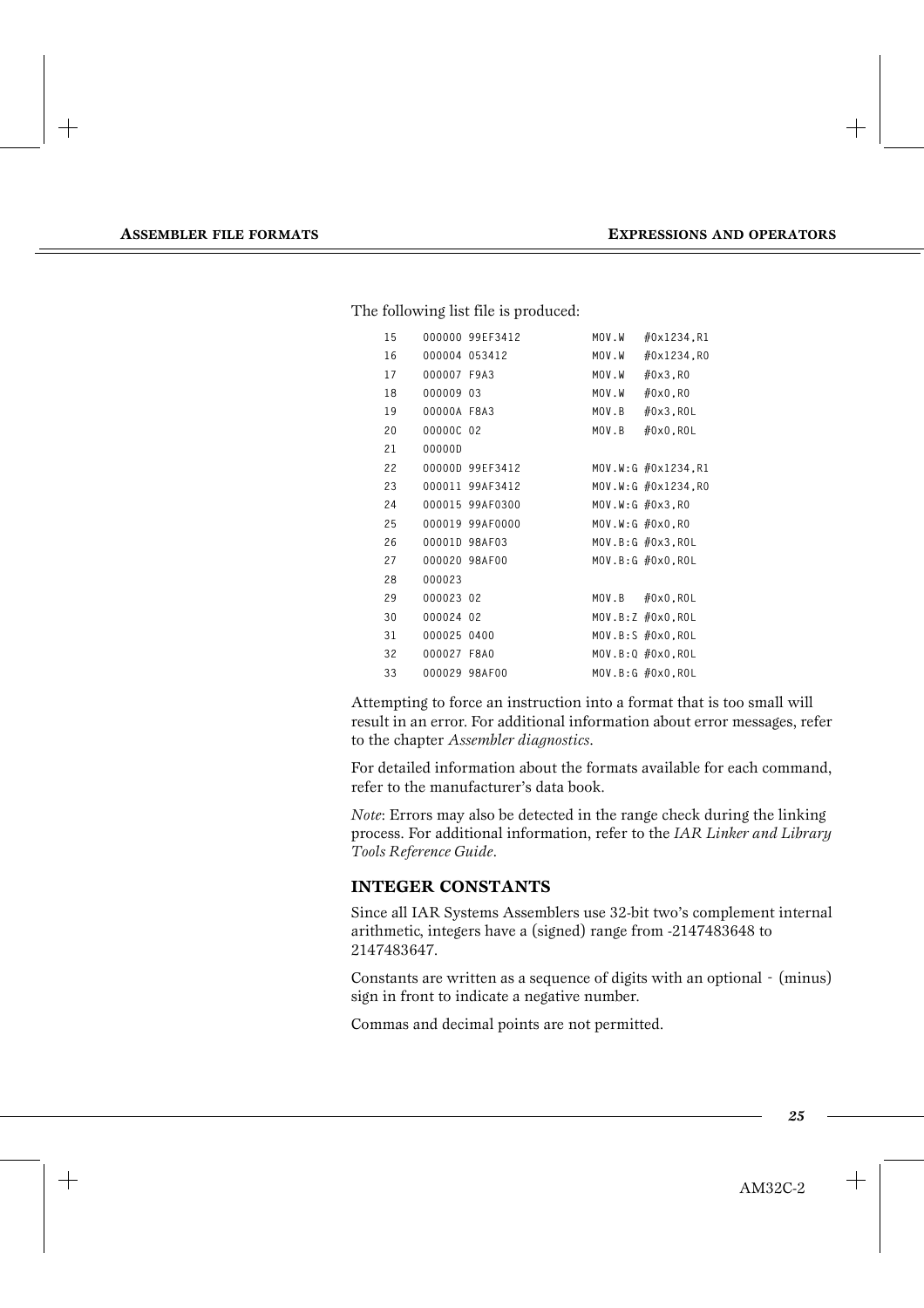The following list file is produced:

| 15 |               | 000000 99EF3412 | MOV.W | #0x1234.R1          |
|----|---------------|-----------------|-------|---------------------|
| 16 |               | 000004 053412   | MOV.W | #0x1234.RO          |
| 17 | 000007 F9A3   |                 | MOV.W | #0x3.RO             |
| 18 | 000009 03     |                 | MOV.W | #0x0.R0             |
| 19 | 00000A F8A3   |                 | MOV.B | #0x3.ROL            |
| 20 | 00000C 02     |                 | MOV.B | #0x0.ROL            |
| 21 | 00000D        |                 |       |                     |
| 22 |               | 00000D 99EF3412 |       | MOV.W:G #0x1234.R1  |
| 23 |               | 000011 99AF3412 |       | MOV.W:G #Ox1234.R0  |
| 24 |               | 000015 99AF0300 |       | MOV.W:G #0x3.R0     |
| 25 |               | 000019 99AF0000 |       | MOV.W:G #Ox0.R0     |
| 26 |               | 00001D 98AF03   |       | MOV.B:G #Ox3.ROL    |
| 27 | 000020 98AF00 |                 |       | MOV.B:G #OxO.ROL    |
| 28 | 000023        |                 |       |                     |
| 29 | 000023 02     |                 |       | $MOV.B$ # $OX0.ROL$ |
| 30 | 000024 02     |                 |       | MOV.B:Z #0x0.R0L    |
| 31 | 000025 0400   |                 |       | $MOV.B:S$ #OxO, ROL |
| 32 | 000027 F8A0   |                 |       | MOV.B:Q #OxO.ROL    |
| 33 | 000029 98AF00 |                 |       | MOV.B:G #OxO.ROL    |

Attempting to force an instruction into a format that is too small will result in an error. For additional information about error messages, refer to the chapter *[Assembler diagnostics](#page-100-0)*.

For detailed information about the formats available for each command, refer to the manufacturer's data book.

*Note*: Errors may also be detected in the range check during the linking process. For additional information, refer to the *IAR Linker and Library Tools Reference Guide*.

# **INTEGER CONSTANTS**

Since all IAR Systems Assemblers use 32-bit two's complement internal arithmetic, integers have a (signed) range from -2147483648 to 2147483647.

Constants are written as a sequence of digits with an optional **-** (minus) sign in front to indicate a negative number.

Commas and decimal points are not permitted.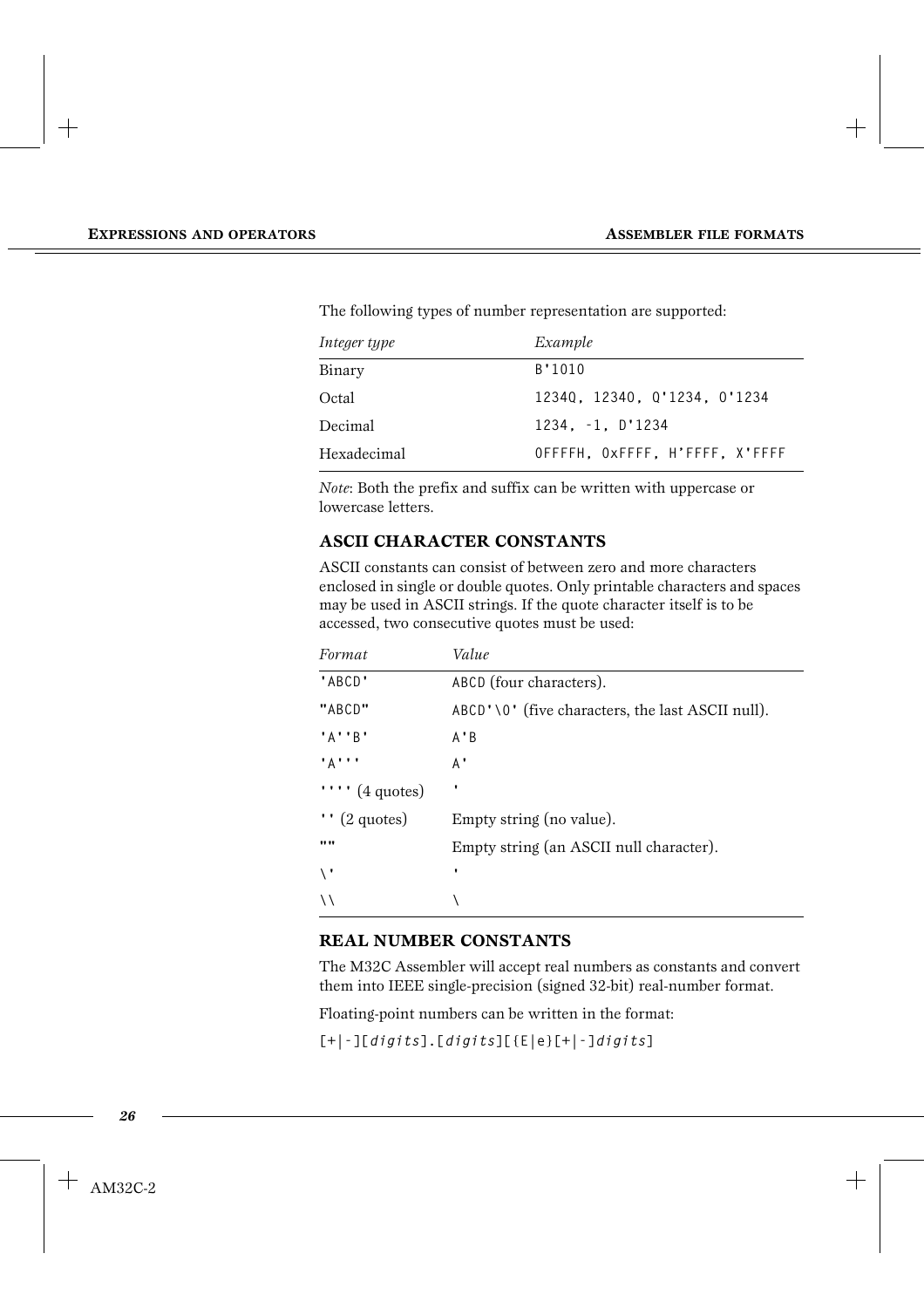| Integer type | Example                        |
|--------------|--------------------------------|
| Binary       | B'1010                         |
| Octal        | 12340, 12340, 0'1234, 0'1234   |
| Decimal      | $1234. -1. D'1234$             |
| Hexadecimal  | OFFFFH, OxFFFF, H'FFFF, X'FFFF |

The following types of number representation are supported:

*Note*: Both the prefix and suffix can be written with uppercase or lowercase letters.

# **ASCII CHARACTER CONSTANTS**

ASCII constants can consist of between zero and more characters enclosed in single or double quotes. Only printable characters and spaces may be used in ASCII strings. If the quote character itself is to be accessed, two consecutive quotes must be used:

| Format                | Value                                            |
|-----------------------|--------------------------------------------------|
| 'ABCD'                | ABCD (four characters).                          |
| "ABCD"                | ABCD'\0' (five characters, the last ASCII null). |
| $'A$ ''B'             | A'B                                              |
| $A \cdot \cdot \cdot$ | $A^{\bullet}$                                    |
| $\cdots$ (4 quotes)   | ,                                                |
| $\cdot$ (2 quotes)    | Empty string (no value).                         |
| ,,,,                  | Empty string (an ASCII null character).          |
| $\lambda$ .           | ٠                                                |
| $\setminus$           |                                                  |

# **REAL NUMBER CONSTANTS**

The M32C Assembler will accept real numbers as constants and convert them into IEEE single-precision (signed 32-bit) real-number format.

Floating-point numbers can be written in the format:

**[+|-][***digits***].[***digits***][{E|e}[+|-]***digits***]**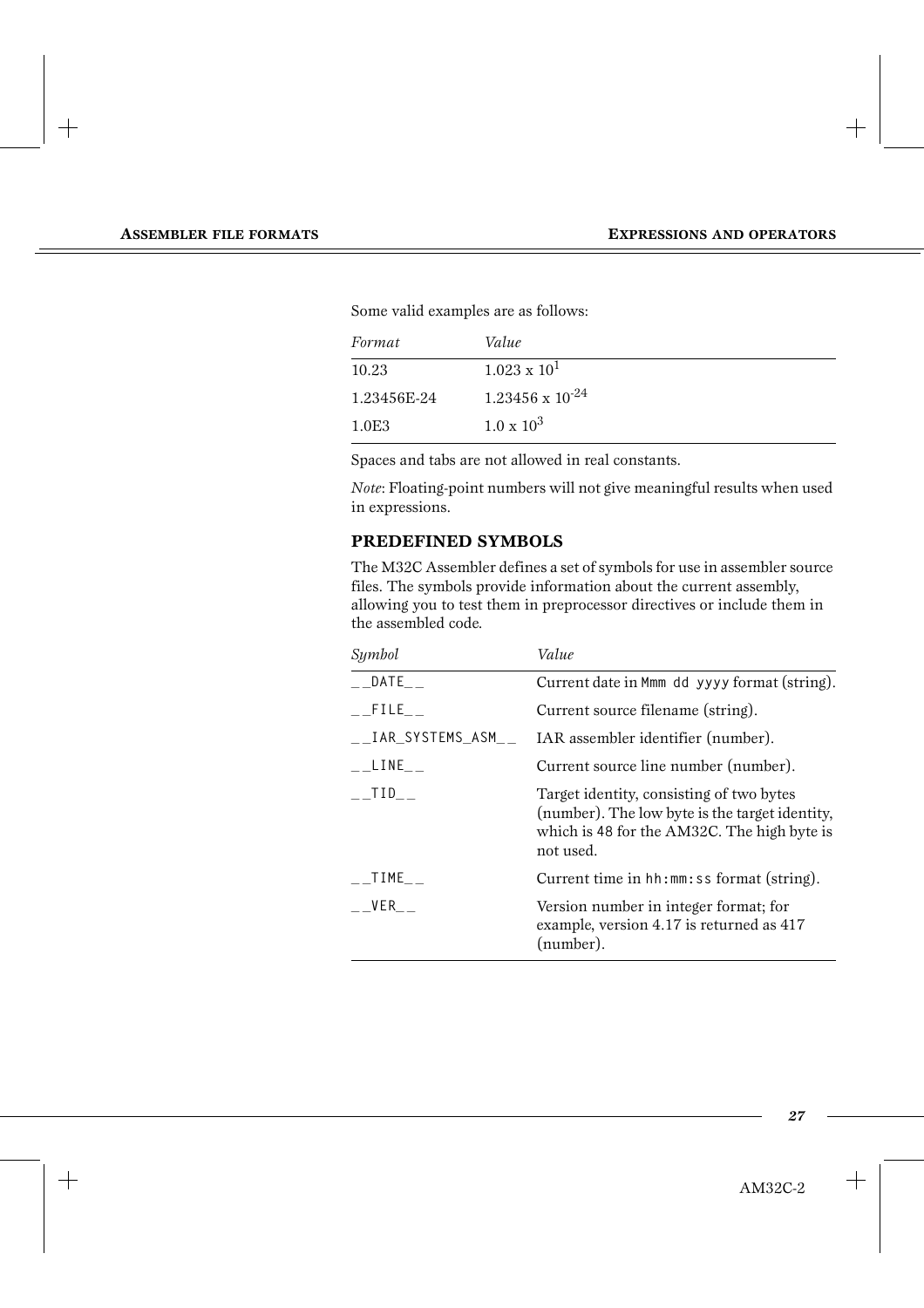Some valid examples are as follows:

| Format      | Value                     |
|-------------|---------------------------|
| 10.23       | $1.023 \times 10^{1}$     |
| 1.23456E-24 | $1.23456 \times 10^{-24}$ |
| 1.0E3       | $1.0 \times 10^3$         |

Spaces and tabs are not allowed in real constants.

*Note*: Floating-point numbers will not give meaningful results when used in expressions.

# <span id="page-32-0"></span>**PREDEFINED SYMBOLS**

The M32C Assembler defines a set of symbols for use in assembler source files. The symbols provide information about the current assembly, allowing you to test them in preprocessor directives or include them in the assembled code.

| Symbol          | Value                                                                                                                                                  |
|-----------------|--------------------------------------------------------------------------------------------------------------------------------------------------------|
| $\_$ DATE $\_$  | Current date in Mmm dd yyyy format (string).                                                                                                           |
| FILE            | Current source filename (string).                                                                                                                      |
| IAR SYSTEMS ASM | IAR assembler identifier (number).                                                                                                                     |
| LINE            | Current source line number (number).                                                                                                                   |
| TID             | Target identity, consisting of two bytes<br>(number). The low byte is the target identity,<br>which is 48 for the AM32C. The high byte is<br>not used. |
| TIME            | Current time in hh:mm: ss format (string).                                                                                                             |
| $-VER$ __       | Version number in integer format; for<br>example, version 4.17 is returned as 417<br>(number).                                                         |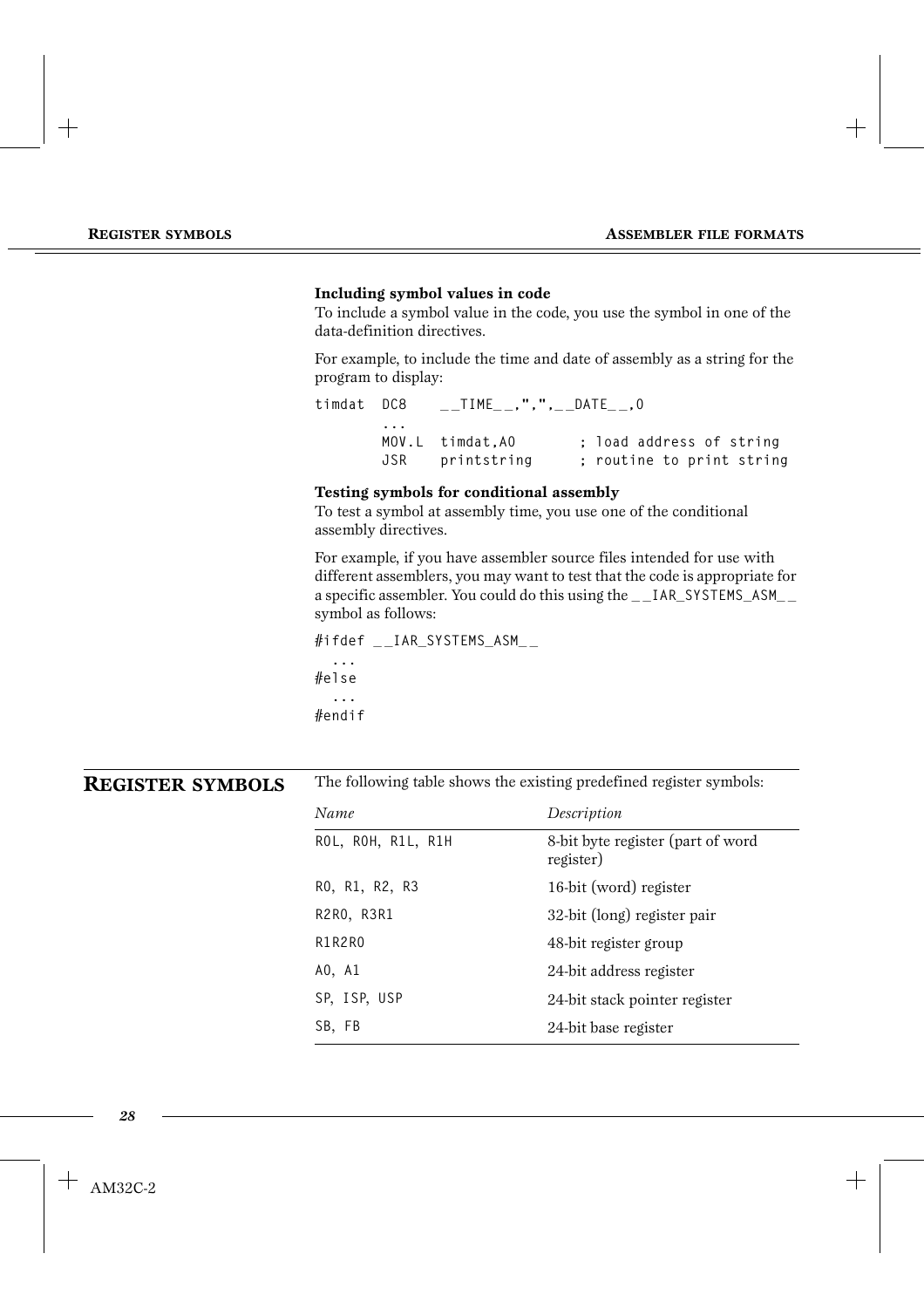#### **Including symbol values in code**

To include a symbol value in the code, you use the symbol in one of the data-definition directives.

For example, to include the time and date of assembly as a string for the program to display:

| timdat DC8 |          | $\_$ TIME $\_$ ,",", $\_$ DATE $\_$ ,0 |                           |  |  |
|------------|----------|----------------------------------------|---------------------------|--|--|
|            | $\cdots$ |                                        |                           |  |  |
|            |          | MOV.L timdat.AO                        | : load address of string  |  |  |
|            |          | JSR printstring                        | ; routine to print string |  |  |

#### **Testing symbols for conditional assembly**

To test a symbol at assembly time, you use one of the conditional assembly directives.

For example, if you have assembler source files intended for use with different assemblers, you may want to test that the code is appropriate for a specific assembler. You could do this using the **\_ \_IAR\_SYSTEMS\_ASM\_ \_** symbol as follows:

**#ifdef \_ \_IAR\_SYSTEMS\_ASM\_ \_ ... #else ... #endif**

<span id="page-33-0"></span>

| <b>REGISTER SYMBOLS</b> | The following table shows the existing predefined register symbols: |
|-------------------------|---------------------------------------------------------------------|
|-------------------------|---------------------------------------------------------------------|

| Name               | Description                                    |
|--------------------|------------------------------------------------|
| ROL, ROH, R1L, R1H | 8-bit byte register (part of word<br>register) |
| RO, R1, R2, R3     | 16-bit (word) register                         |
| R2RO, R3R1         | 32-bit (long) register pair                    |
| R1R2R0             | 48-bit register group                          |
| A0, A1             | 24-bit address register                        |
| SP, ISP, USP       | 24-bit stack pointer register                  |
| SB, FB             | 24-bit base register                           |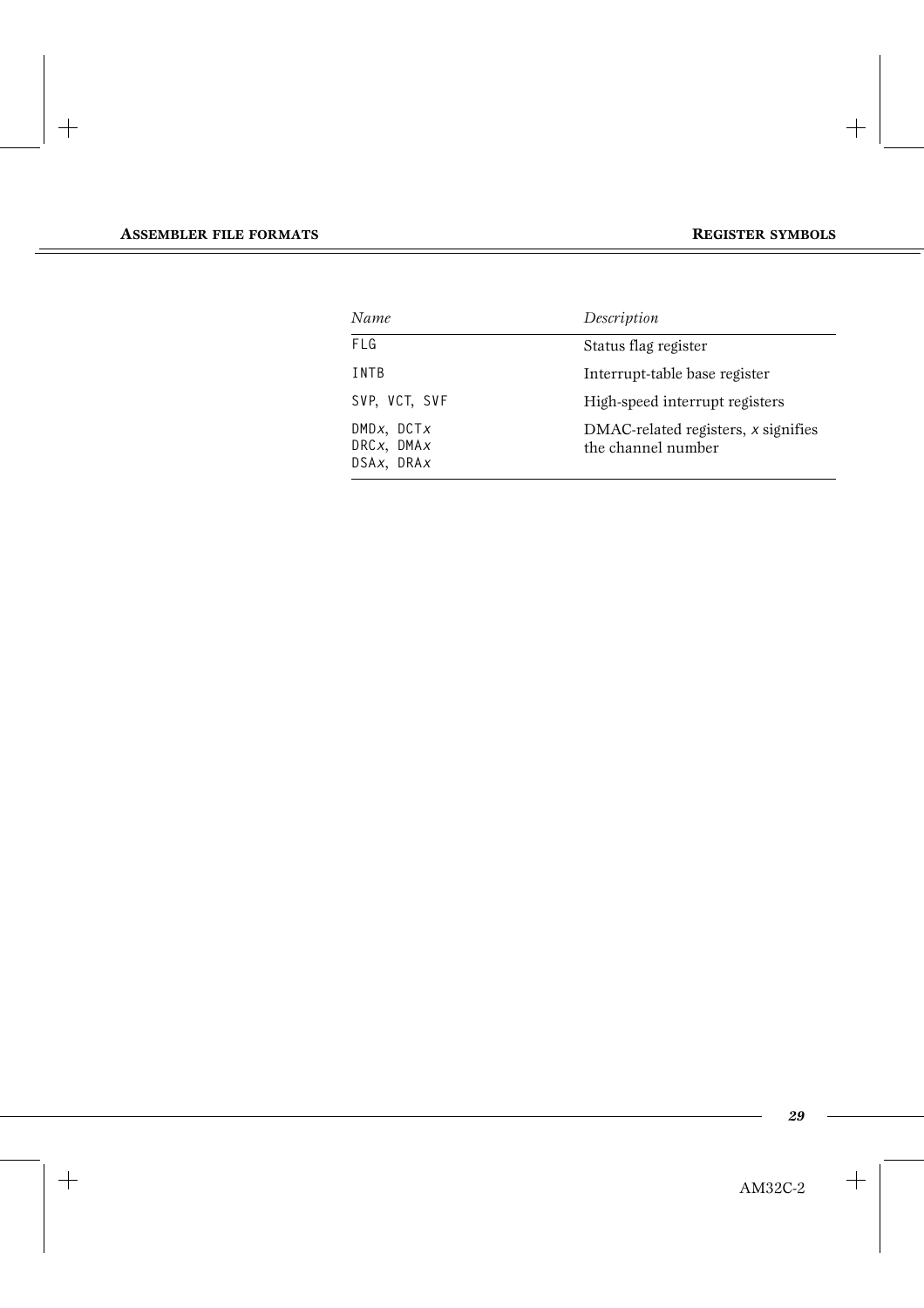| Name                                         | Description                                               |
|----------------------------------------------|-----------------------------------------------------------|
| FLG                                          | Status flag register                                      |
| INTB                                         | Interrupt-table base register                             |
| SVP, VCT, SVF                                | High-speed interrupt registers                            |
| $DMDx$ , DCT $x$<br>DRCx, DMAX<br>DSAx, DRAx | DMAC-related registers, x signifies<br>the channel number |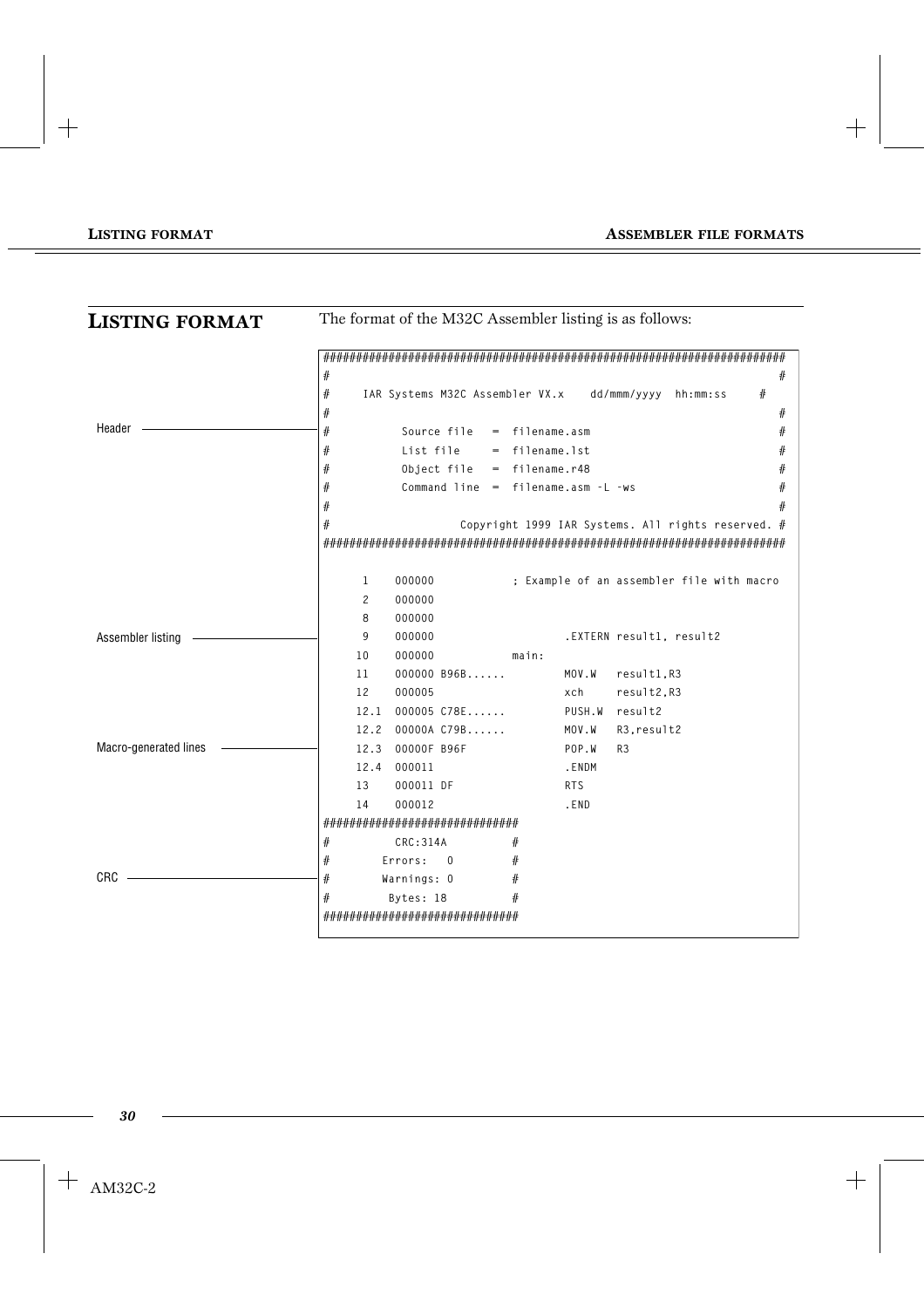<span id="page-35-0"></span>

|                       | #                                       |                                      |                  |                                                    | #      |
|-----------------------|-----------------------------------------|--------------------------------------|------------------|----------------------------------------------------|--------|
|                       | #                                       | IAR Systems M32C Assembler VX.x      |                  | dd/mmm/yyyy<br>hh:mm:ss                            | #      |
| Header                | #                                       |                                      |                  |                                                    | #      |
|                       | #<br>Source file<br>= filename.asm<br># |                                      |                  |                                                    |        |
|                       | #                                       | List file                            | - filename.lst   |                                                    | #      |
|                       | #                                       | Object file                          | $=$ filename.r48 |                                                    | #      |
|                       | #                                       | Command line = $filename.asm -L -ws$ |                  |                                                    | #<br># |
|                       | #<br>#                                  |                                      |                  | Copyright 1999 IAR Systems. All rights reserved. # |        |
|                       |                                         |                                      |                  |                                                    |        |
|                       |                                         |                                      |                  |                                                    |        |
|                       | 1                                       | 000000                               |                  | ; Example of an assembler file with macro          |        |
|                       | $\overline{c}$                          | 000000                               |                  |                                                    |        |
|                       | 8                                       | 000000                               |                  |                                                    |        |
| Assembler listing     | 9                                       | 000000                               |                  | .EXTERN result1, result2                           |        |
|                       | 10                                      | 000000                               | main:            |                                                    |        |
|                       | 11                                      | 000000 B96B                          |                  | MOV.W<br>result1,R3                                |        |
|                       | 12                                      | 000005                               | xch              | result2, R3                                        |        |
|                       | 12.1                                    | 000005 C78E                          |                  | PUSH.W<br>result2                                  |        |
|                       | 12.2                                    | 00000A C79B                          |                  | MOV.W<br>R3, result2                               |        |
| Macro-generated lines | 12.3                                    | 00000F B96F                          |                  | POP.W<br>R <sub>3</sub>                            |        |
|                       | 12.4                                    | 000011                               |                  | .ENDM                                              |        |
|                       | 13                                      | 000011 DF                            | <b>RTS</b>       |                                                    |        |
|                       | 14                                      | 000012                               | .END             |                                                    |        |
|                       |                                         |                                      |                  |                                                    |        |
|                       | #                                       | CRC:314A                             | #                |                                                    |        |
|                       | #                                       | Errors:<br>$\Omega$                  | #                |                                                    |        |
|                       |                                         |                                      |                  |                                                    |        |
| CRC                   | #<br>#                                  | Warnings: 0<br>Bytes: 18             | #<br>#           |                                                    |        |

 $\overline{\phantom{0}}$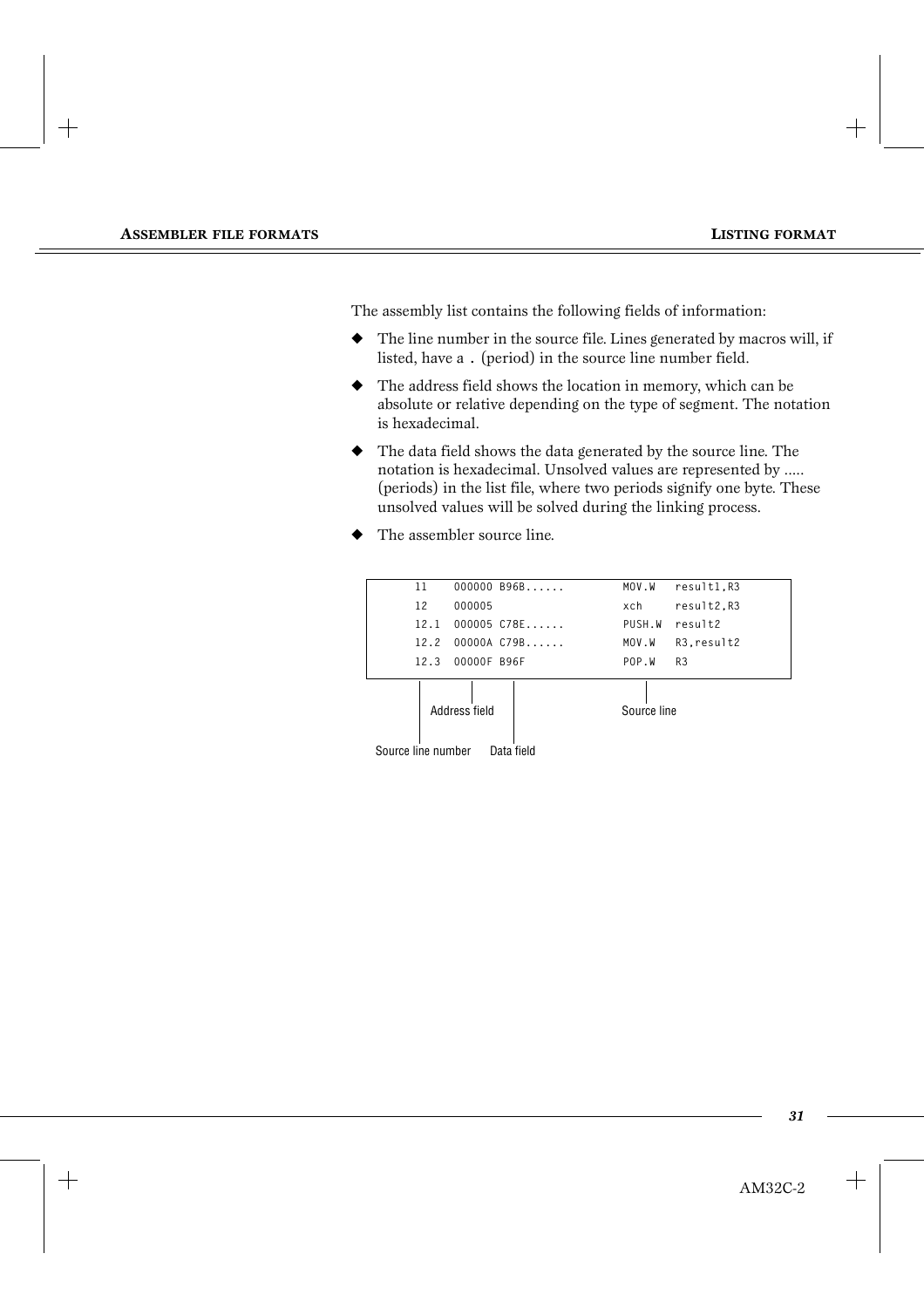The assembly list contains the following fields of information:

- The line number in the source file. Lines generated by macros will, if listed, have a **.** (period) in the source line number field.
- ◆ The address field shows the location in memory, which can be absolute or relative depending on the type of segment. The notation is hexadecimal.
- ◆ The data field shows the data generated by the source line. The notation is hexadecimal. Unsolved values are represented by ..... (periods) in the list file, where two periods signify one byte. These unsolved values will be solved during the linking process.
- The assembler source line.

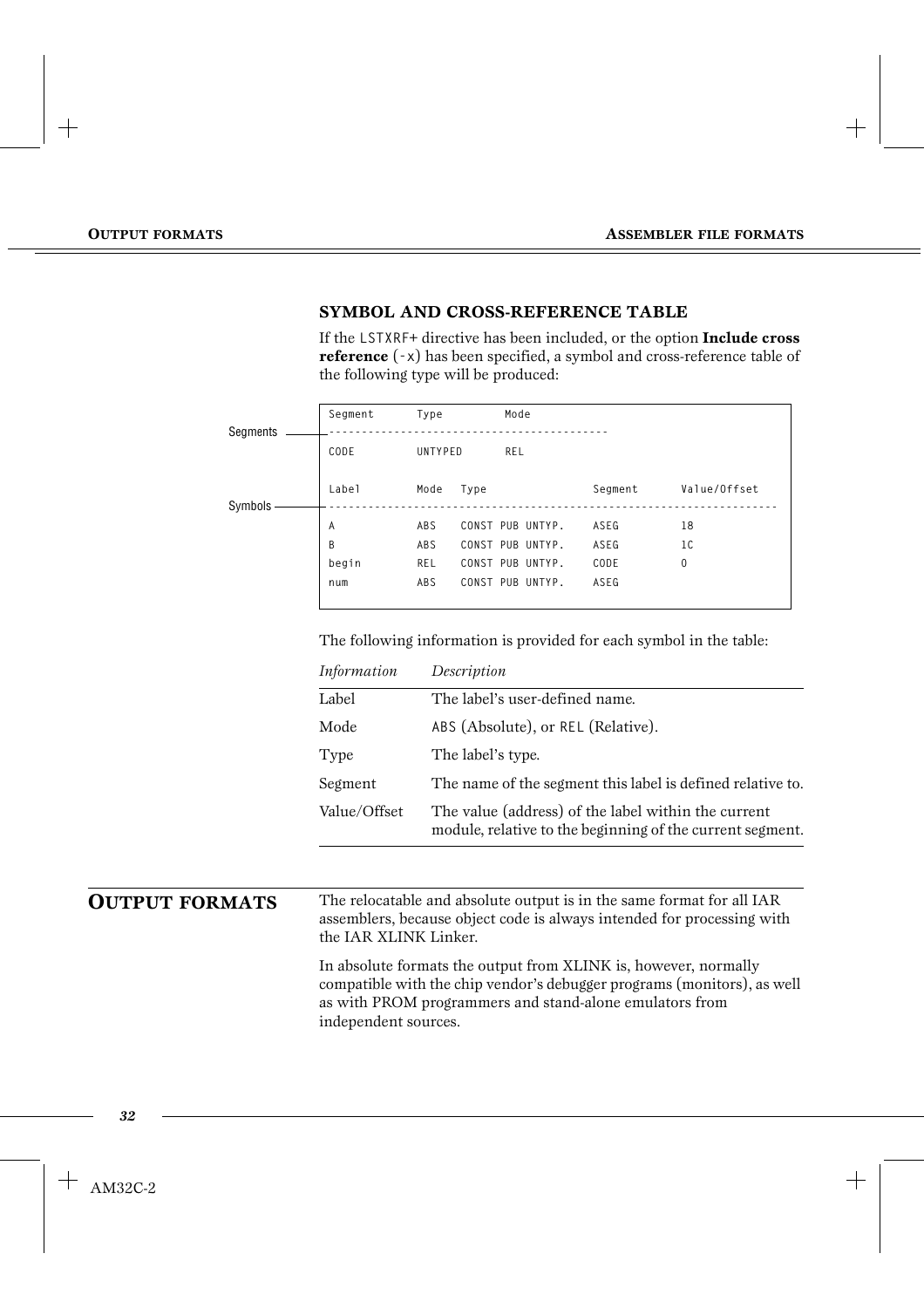#### **SYMBOL AND CROSS-REFERENCE TABLE**

If the **LSTXRF+** directive has been included, or the option **Include cross reference** ( $-x$ ) has been specified, a symbol and cross-reference table of the following type will be produced:

| Segments | Segment                | Type                     |      | Mode                                                                         |                              |                           |
|----------|------------------------|--------------------------|------|------------------------------------------------------------------------------|------------------------------|---------------------------|
|          | CODE                   | UNTYPED                  |      | REL                                                                          |                              |                           |
| Symbols  | Label                  | Mode                     | Type |                                                                              | Segment                      | Value/Offset              |
|          | A<br>B<br>begin<br>num | ABS<br>ABS<br>REL<br>ABS |      | CONST PUB UNTYP.<br>CONST PUB UNTYP.<br>CONST PUB UNTYP.<br>CONST PUB UNTYP. | ASEG<br>ASEG<br>CODE<br>ASEG | 18<br>1 <sup>C</sup><br>0 |

The following information is provided for each symbol in the table:

| Information  | Description                                                                                                      |
|--------------|------------------------------------------------------------------------------------------------------------------|
| Label        | The label's user-defined name.                                                                                   |
| Mode         | ABS (Absolute), or REL (Relative).                                                                               |
| Type         | The label's type.                                                                                                |
| Segment      | The name of the segment this label is defined relative to.                                                       |
| Value/Offset | The value (address) of the label within the current<br>module, relative to the beginning of the current segment. |

**OUTPUT FORMATS** The relocatable and absolute output is in the same format for all IAR assemblers, because object code is always intended for processing with the IAR XLINK Linker.

> In absolute formats the output from XLINK is, however, normally compatible with the chip vendor's debugger programs (monitors), as well as with PROM programmers and stand-alone emulators from independent sources.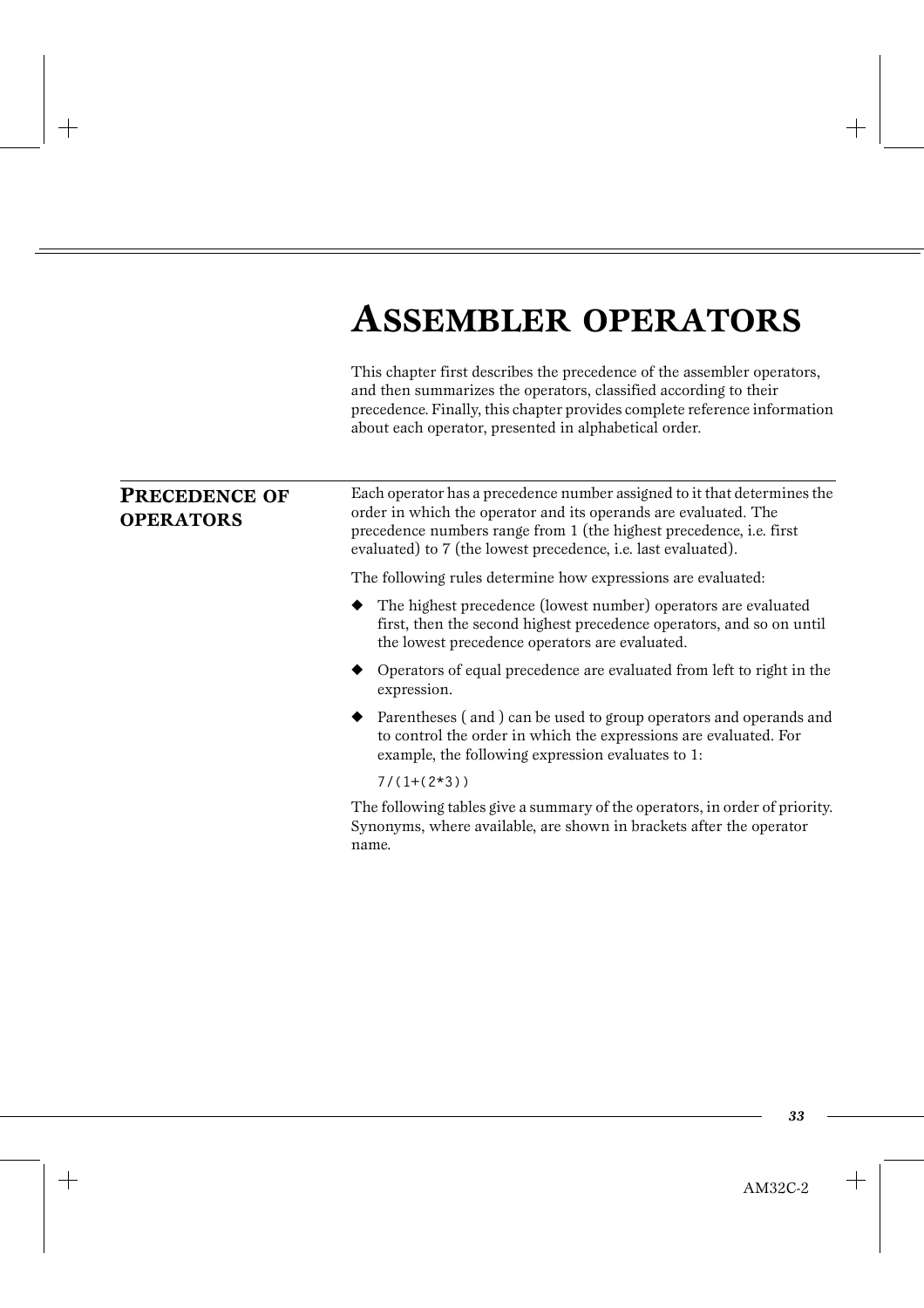# **ASSEMBLER OPERATORS**

This chapter first describes the precedence of the assembler operators, and then summarizes the operators, classified according to their precedence. Finally, this chapter provides complete reference information about each operator, presented in alphabetical order.

# **PRECEDENCE OF OPERATORS**

Each operator has a precedence number assigned to it that determines the order in which the operator and its operands are evaluated. The precedence numbers range from 1 (the highest precedence, i.e. first evaluated) to 7 (the lowest precedence, i.e. last evaluated).

The following rules determine how expressions are evaluated:

- The highest precedence (lowest number) operators are evaluated first, then the second highest precedence operators, and so on until the lowest precedence operators are evaluated.
- Operators of equal precedence are evaluated from left to right in the expression.
- ◆ Parentheses ( and ) can be used to group operators and operands and to control the order in which the expressions are evaluated. For example, the following expression evaluates to 1:

**7/(1+(2\*3))**

The following tables give a summary of the operators, in order of priority. Synonyms, where available, are shown in brackets after the operator name.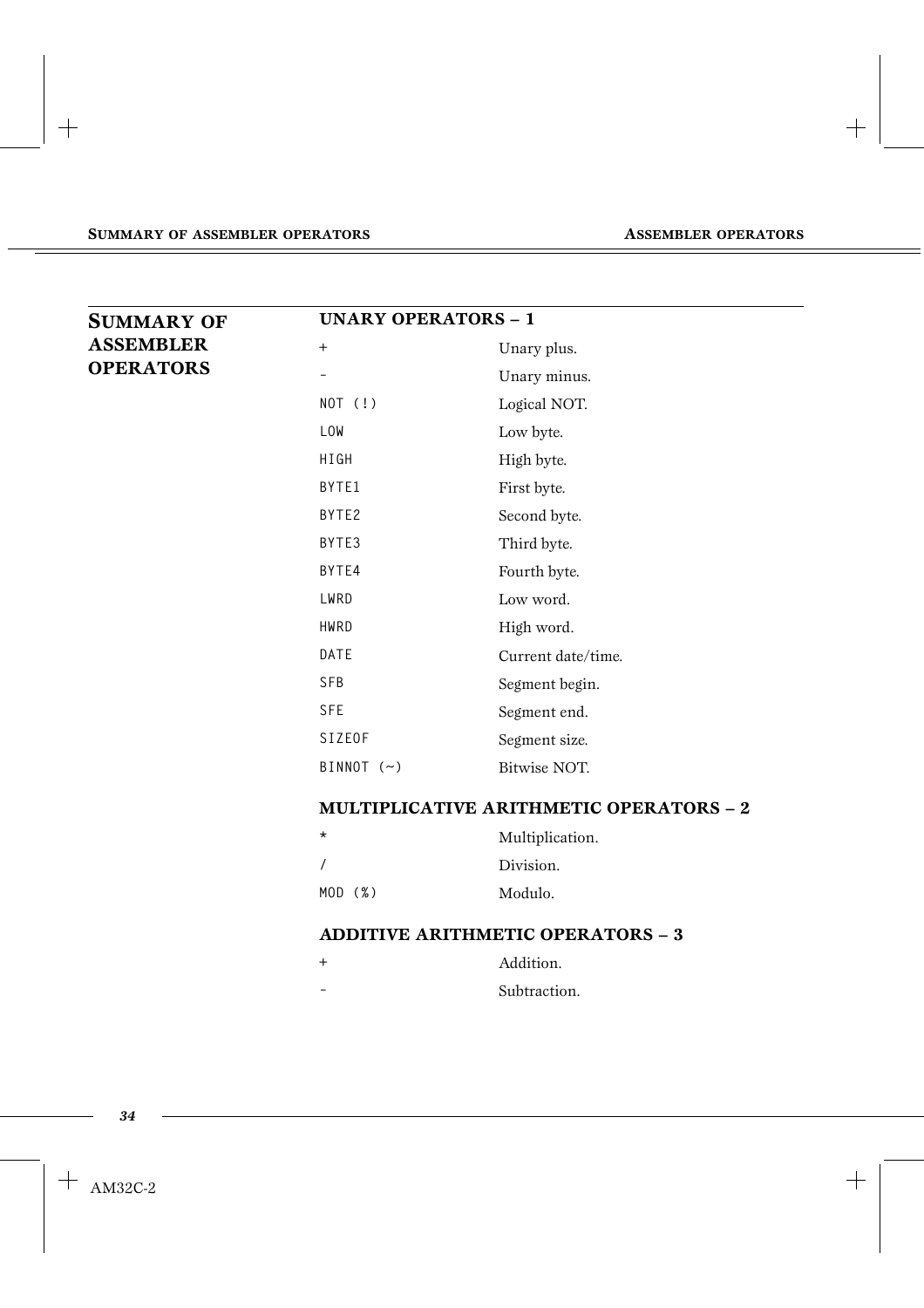| <b>SUMMARY OF</b> | <b>UNARY OPERATORS - 1</b>               |                    |  |  |
|-------------------|------------------------------------------|--------------------|--|--|
| <b>ASSEMBLER</b>  | $\ddot{}$                                | Unary plus.        |  |  |
| <b>OPERATORS</b>  | $\qquad \qquad -$                        | Unary minus.       |  |  |
|                   | NOT (!)                                  | Logical NOT.       |  |  |
|                   | LOW                                      | Low byte.          |  |  |
|                   | HIGH                                     | High byte.         |  |  |
|                   | BYTE1                                    | First byte.        |  |  |
|                   | BYTE2                                    | Second byte.       |  |  |
|                   | BYTE3                                    | Third byte.        |  |  |
|                   | BYTE4                                    | Fourth byte.       |  |  |
|                   | LWRD                                     | Low word.          |  |  |
|                   | HWRD                                     | High word.         |  |  |
|                   | DATE                                     | Current date/time. |  |  |
|                   | SFB                                      | Segment begin.     |  |  |
|                   | <b>SFE</b>                               | Segment end.       |  |  |
|                   | SIZEOF                                   | Segment size.      |  |  |
|                   | BINNOT $(\sim)$                          | Bitwise NOT.       |  |  |
|                   | MULTIPLICATIVE ARITHMETIC OPERATORS - 2  |                    |  |  |
|                   | $\star$                                  | Multiplication.    |  |  |
|                   | $\prime$                                 | Division.          |  |  |
|                   | MOD(%)                                   | Modulo.            |  |  |
|                   | <b>ADDITIVE ARITHMETIC OPERATORS - 3</b> |                    |  |  |
|                   | $\begin{array}{c} + \end{array}$         | Addition.          |  |  |
|                   |                                          | Subtraction.       |  |  |
|                   |                                          |                    |  |  |

 $\overline{\phantom{0}}$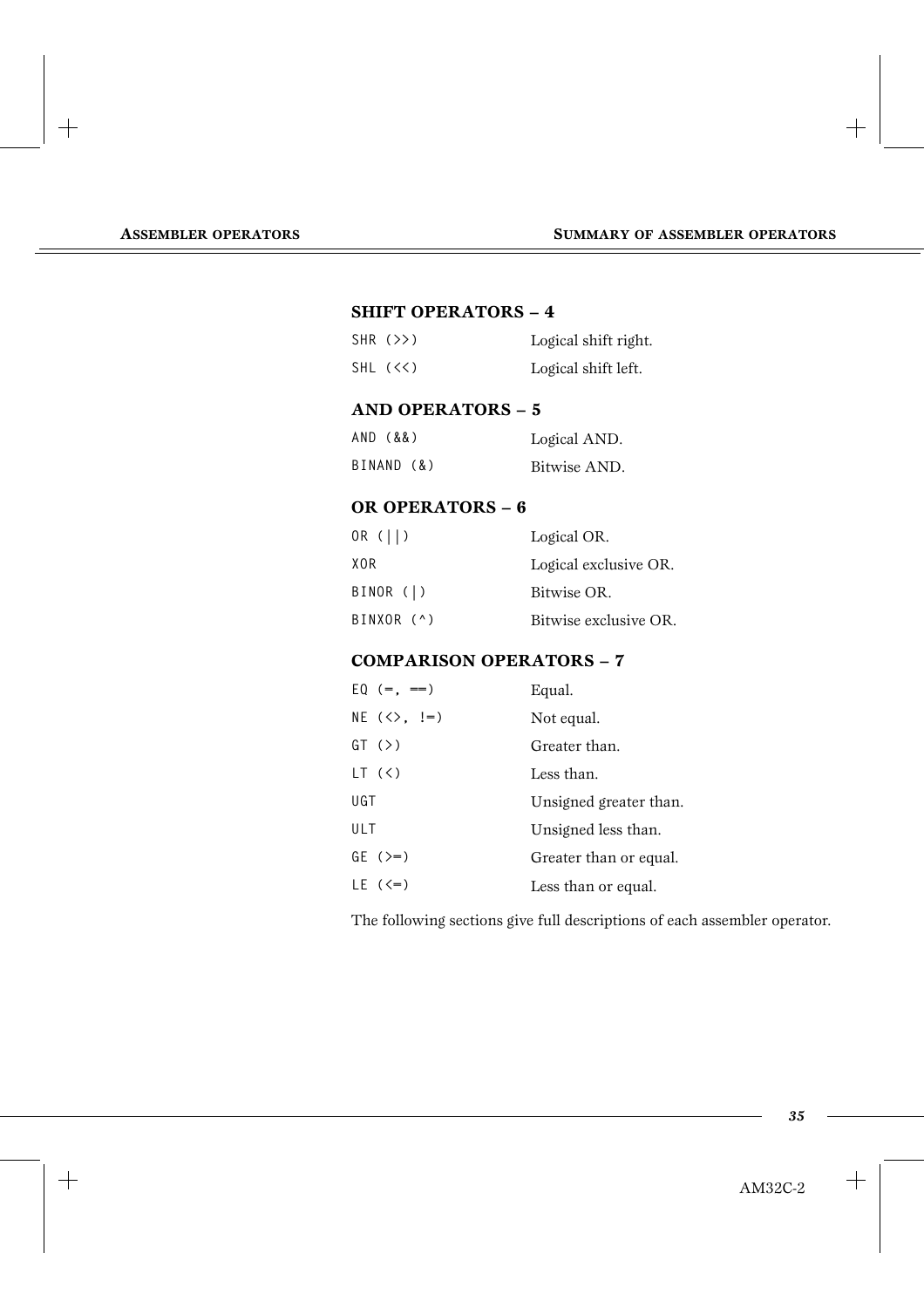### **SHIFT OPERATORS – 4**

| $SHR$ $(\gg)$ | Logical shift right. |
|---------------|----------------------|
| SHL (<<)      | Logical shift left.  |

#### **AND OPERATORS – 5**

| AND (&&)   | Logical AND. |
|------------|--------------|
| BINAND (&) | Bitwise AND. |

### **OR OPERATORS – 6**

| OR (  )    | Logical OR.           |
|------------|-----------------------|
| XOR        | Logical exclusive OR. |
| BINOR ( )  | Bitwise OR.           |
| BINXOR (^) | Bitwise exclusive OR. |

### **COMPARISON OPERATORS – 7**

| $EQ (=$ , $==)$            | Equal.                 |
|----------------------------|------------------------|
| NE $(\langle \rangle, !=)$ | Not equal.             |
| GT(>)                      | Greater than.          |
| $LT$ $(\langle )$          | Less than.             |
| UGT                        | Unsigned greater than. |
| ULT                        | Unsigned less than.    |
| $GE$ (>=)                  | Greater than or equal. |
| $LE$ $(\leq)$              | Less than or equal.    |

The following sections give full descriptions of each assembler operator.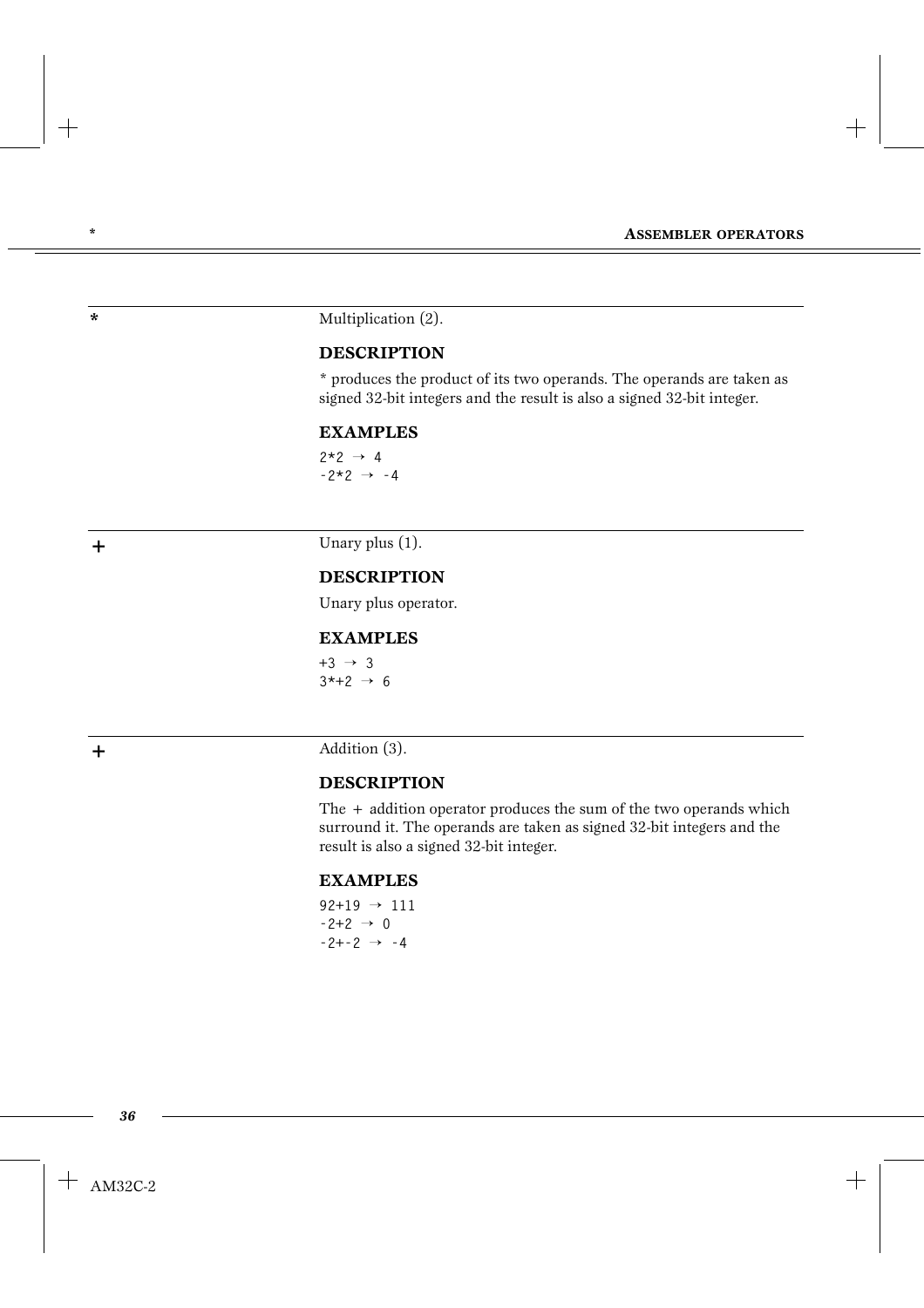**\*** Multiplication (2).

#### **DESCRIPTION**

\* produces the product of its two operands. The operands are taken as signed 32-bit integers and the result is also a signed 32-bit integer.

#### **EXAMPLES**

 $2*2 \rightarrow 4$ **-2\*2** → **-4**

### **+** Unary plus (1).

#### **DESCRIPTION**

Unary plus operator.

#### **EXAMPLES**

**+3** → **3**  $3*+2 \rightarrow 6$ 

**+** Addition (3).

#### **DESCRIPTION**

The + addition operator produces the sum of the two operands which surround it. The operands are taken as signed 32-bit integers and the result is also a signed 32-bit integer.

#### **EXAMPLES**

```
92+19 → 111
-2+2 → 0
-2+-2 → -4
```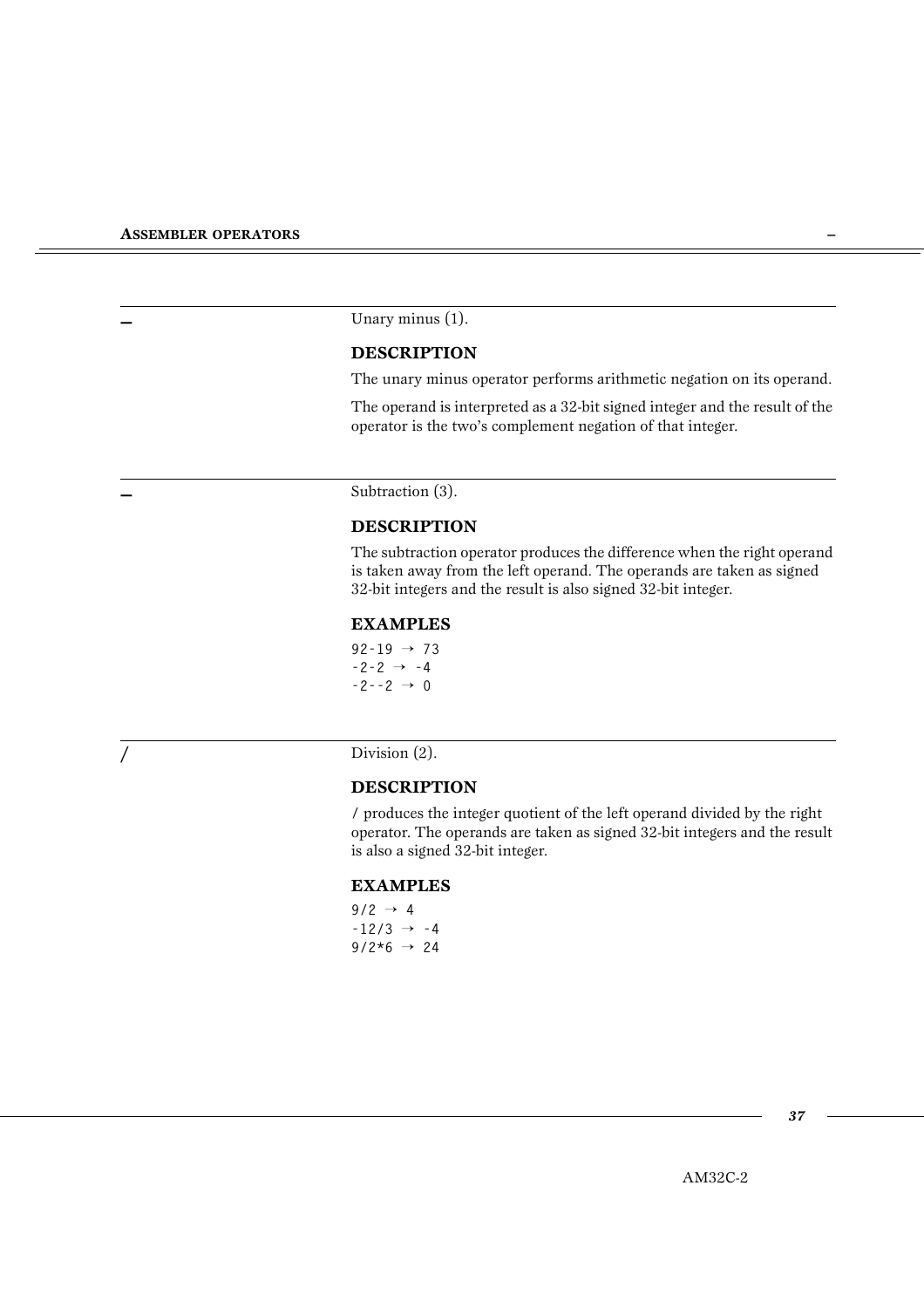#### **–** Unary minus (1).

#### **DESCRIPTION**

The unary minus operator performs arithmetic negation on its operand.

The operand is interpreted as a 32-bit signed integer and the result of the operator is the two's complement negation of that integer.

**–** Subtraction (3).

#### **DESCRIPTION**

The subtraction operator produces the difference when the right operand is taken away from the left operand. The operands are taken as signed 32-bit integers and the result is also signed 32-bit integer.

#### **EXAMPLES**

**92-19** → **73 -2-2** → **-4 -2--2** → **0**

**/** Division (2).

#### **DESCRIPTION**

**/** produces the integer quotient of the left operand divided by the right operator. The operands are taken as signed 32-bit integers and the result is also a signed 32-bit integer.

#### **EXAMPLES**

 $9/2 \rightarrow 4$  $-12/3 \rightarrow -4$ **9/2\*6** → **24**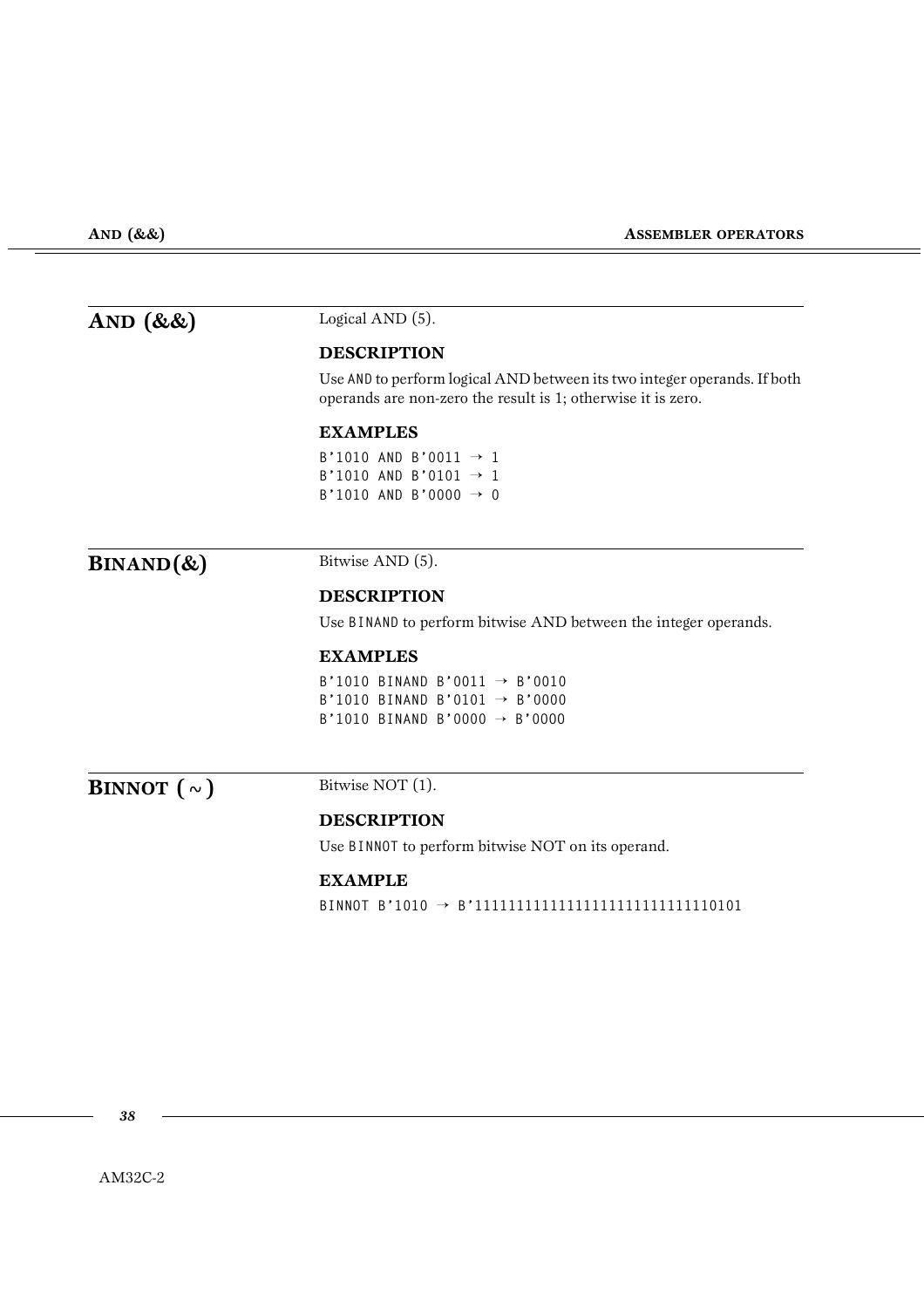# **AND (&&)** Logical AND (5).

#### **DESCRIPTION**

Use **AND** to perform logical AND between its two integer operands. If both operands are non-zero the result is 1; otherwise it is zero.

#### **EXAMPLES**

**B'1010 AND B'0011** → **1 B'1010 AND B'0101** → **1 B'1010 AND B'0000** → **0**

# **BINAND**( $\&$ ) Bitwise AND (5).

#### **DESCRIPTION**

Use **BINAND** to perform bitwise AND between the integer operands.

#### **EXAMPLES**

**B'1010 BINAND B'0011** → **B'0010 B'1010 BINAND B'0101** → **B'0000 B'1010 BINAND B'0000** → **B'0OOO**

**BINNOT**  $(\sim)$  Bitwise NOT (1).

#### **DESCRIPTION**

Use **BINNOT** to perform bitwise NOT on its operand.

### **EXAMPLE**

**BINNOT B'1010** → **B'11111111111111111111111111110101**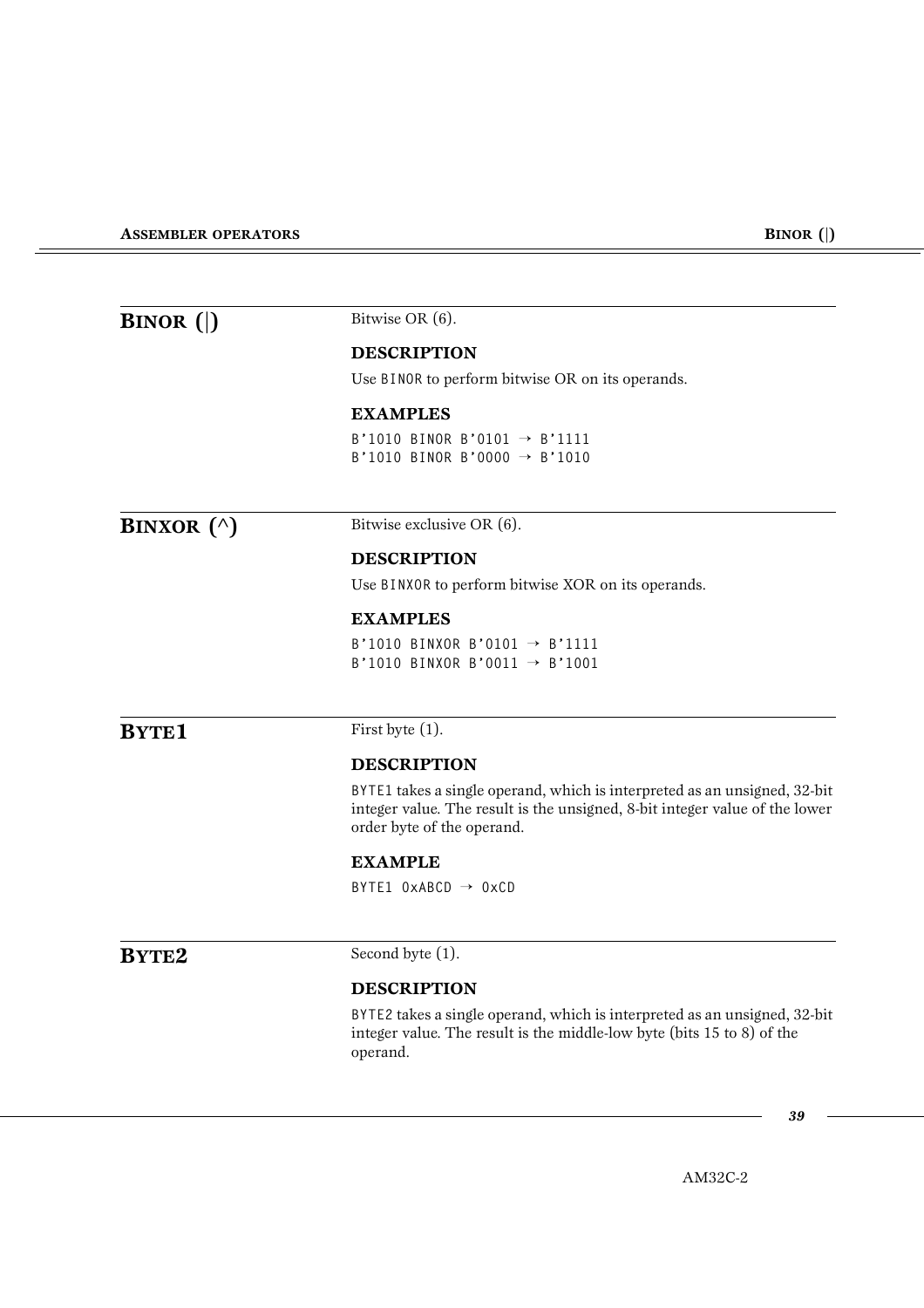# **BINOR (|)** Bitwise OR (6).

#### **DESCRIPTION**

Use **BINOR** to perform bitwise OR on its operands.

#### **EXAMPLES**

**B'1010 BINOR B'0101** → **B'1111 B'1010 BINOR B'0000** → **B'1010**

**BINXOR** (^) Bitwise exclusive OR (6).

#### **DESCRIPTION**

Use **BINXOR** to perform bitwise XOR on its operands.

#### **EXAMPLES**

**B'1010 BINXOR B'0101** → **B'1111 B'1010 BINXOR B'0011** → **B'1001**

### **BYTE1** First byte (1).

#### **DESCRIPTION**

**BYTE1** takes a single operand, which is interpreted as an unsigned, 32-bit integer value. The result is the unsigned, 8-bit integer value of the lower order byte of the operand.

#### **EXAMPLE**

**BYTE1 0xABCD** → **0xCD**

**BYTE2** Second byte (1).

#### **DESCRIPTION**

**BYTE2** takes a single operand, which is interpreted as an unsigned, 32-bit integer value. The result is the middle-low byte (bits 15 to 8) of the operand.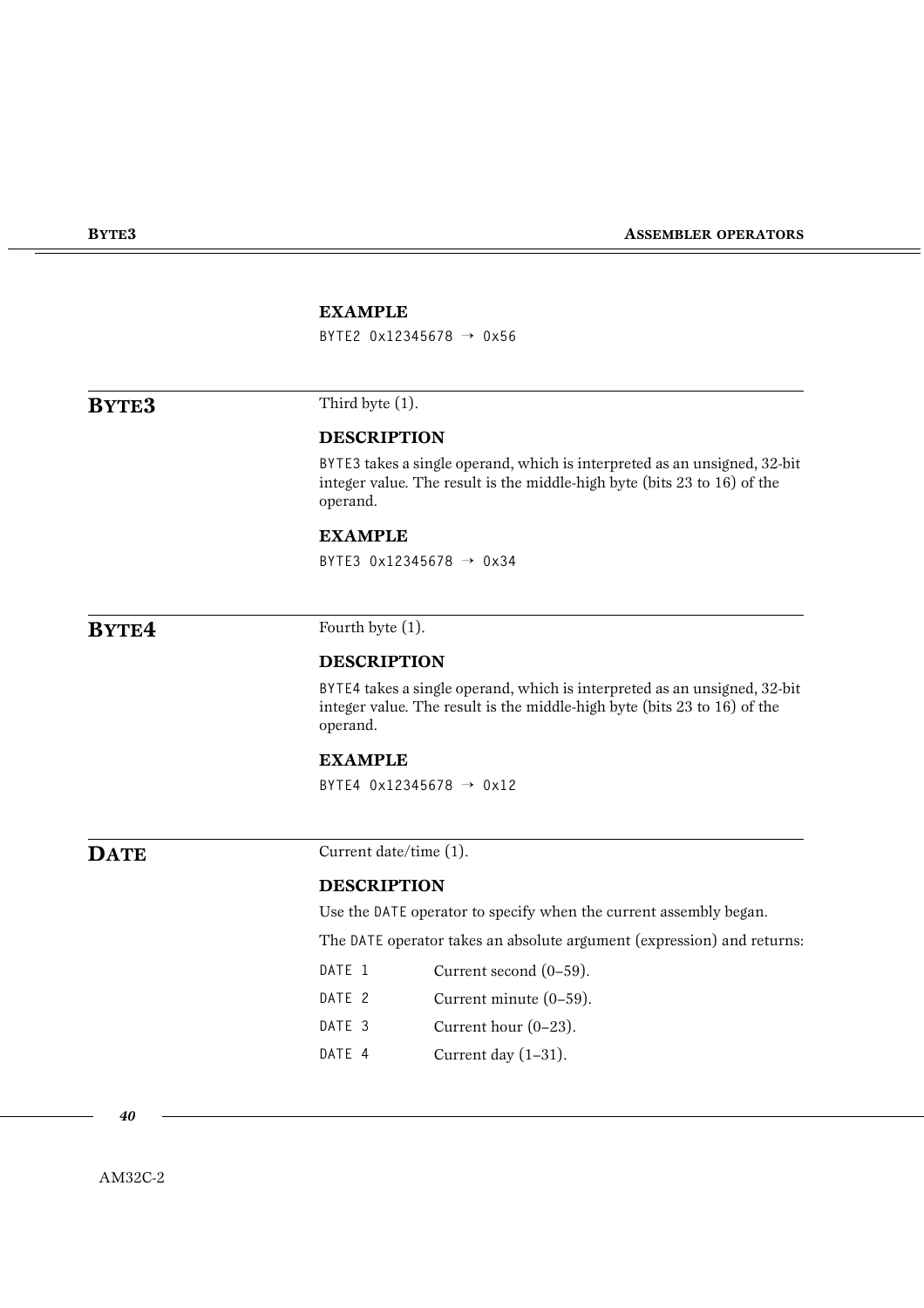#### **EXAMPLE**

**BYTE2 0x12345678** → **0x56**

### **BYTE3** Third byte (1).

#### **DESCRIPTION**

**BYTE3** takes a single operand, which is interpreted as an unsigned, 32-bit integer value. The result is the middle-high byte (bits 23 to 16) of the operand.

#### **EXAMPLE**

**BYTE3 0x12345678** → **0x34**

**BYTE4** Fourth byte (1).

#### **DESCRIPTION**

**BYTE4** takes a single operand, which is interpreted as an unsigned, 32-bit integer value. The result is the middle-high byte (bits 23 to 16) of the operand.

#### **EXAMPLE**

**BYTE4 0x12345678** → **0x12**

**DATE** Current date/time (1).

#### **DESCRIPTION**

Use the **DATE** operator to specify when the current assembly began.

The **DATE** operator takes an absolute argument (expression) and returns:

- DATE 1 Current second (0–59).
- DATE 2 Current minute  $(0-59)$ .
- DATE 3 Current hour (0–23).
- DATE 4 Current day (1–31).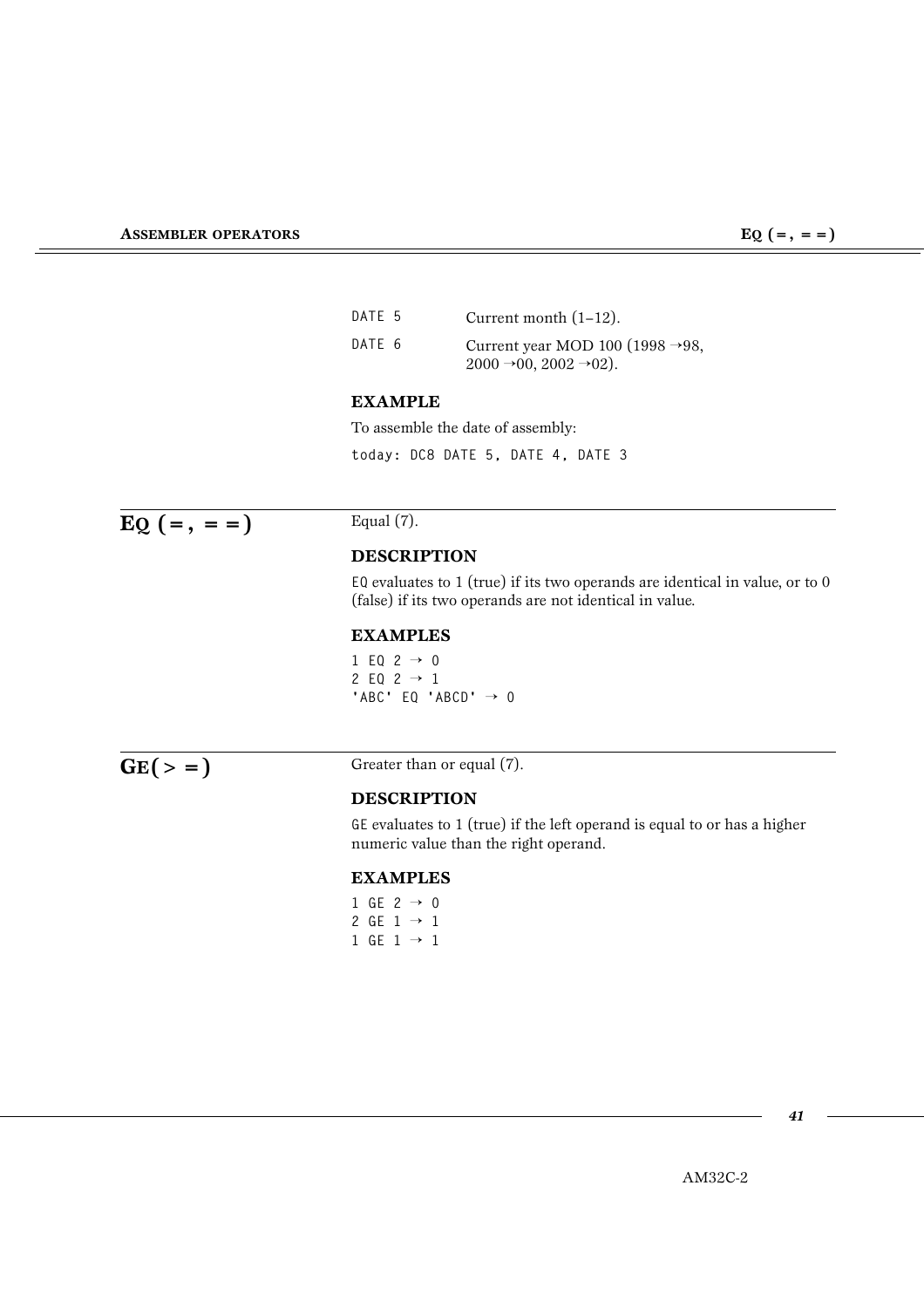| DATE 5 | Current month $(1-12)$ .                         |
|--------|--------------------------------------------------|
| DATE 6 | Current year MOD 100 (1998 $\rightarrow$ 98,     |
|        | $2000 \rightarrow 00$ , $2002 \rightarrow 02$ ). |

#### **EXAMPLE**

To assemble the date of assembly:

**today: DC8 DATE 5, DATE 4, DATE 3**

$$
EQ = - = 1
$$

**EQ (=, ==)** Equal (7).

#### **DESCRIPTION**

**EQ** evaluates to 1 (true) if its two operands are identical in value, or to 0 (false) if its two operands are not identical in value.

#### **EXAMPLES**

1 EQ 2  $\rightarrow$  0 2 EQ 2  $\rightarrow$  1 **'ABC' EQ 'ABCD'** → **0**

 $GE(>=)$  Greater than or equal (7).

#### **DESCRIPTION**

**GE** evaluates to 1 (true) if the left operand is equal to or has a higher numeric value than the right operand.

#### **EXAMPLES**

1 GE  $2 \to 0$ 2 GE  $1 \to 1$ 1 GE  $1 \to 1$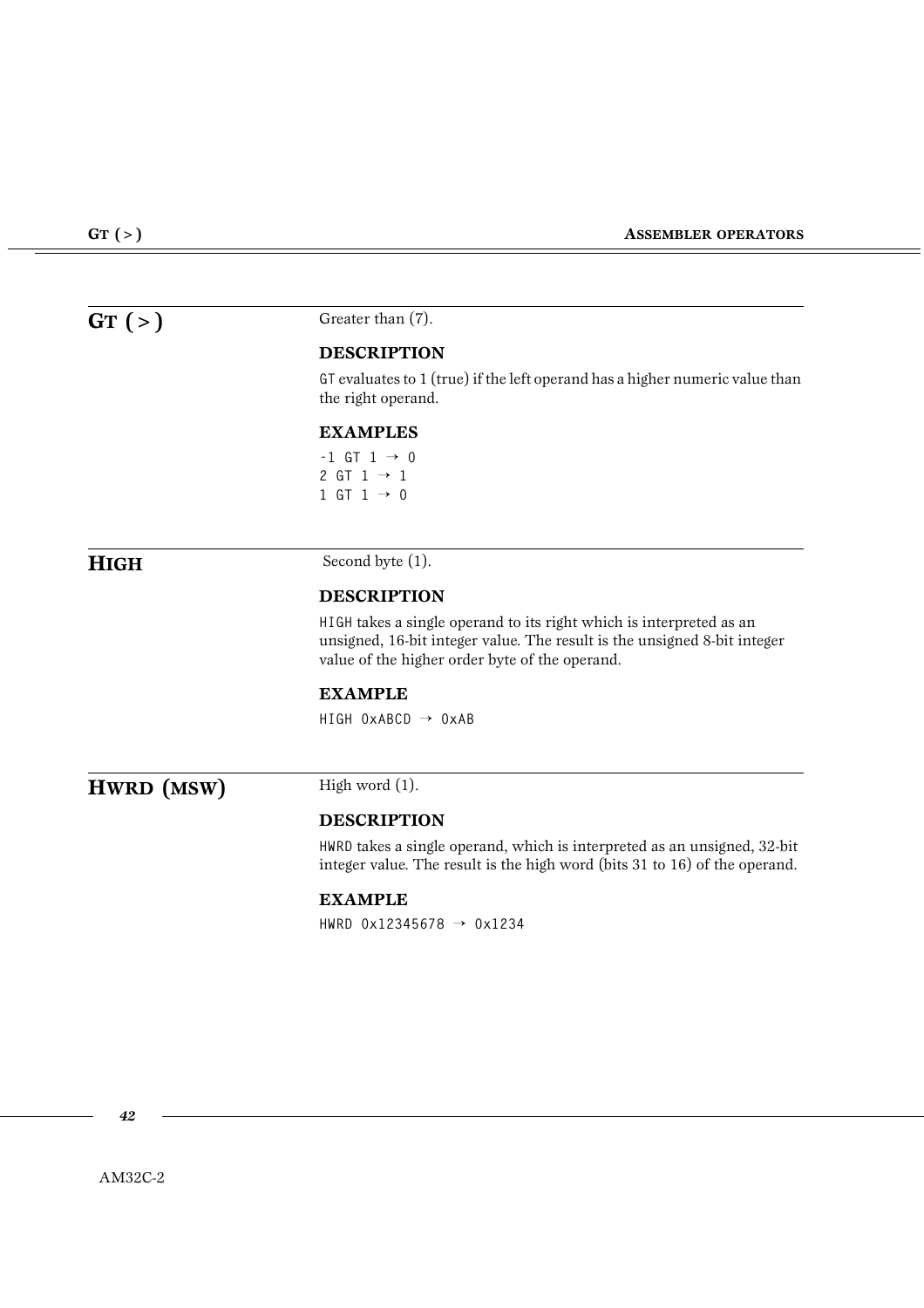**GT** (>) Greater than (7).

#### **DESCRIPTION**

**GT** evaluates to 1 (true) if the left operand has a higher numeric value than the right operand.

#### **EXAMPLES**

 $-1$  GT  $1 \to 0$ **2 GT 1** → **1**  $1 \, 6T \, 1 \rightarrow 0$ 

### **HIGH** Second byte (1).

#### **DESCRIPTION**

**HIGH** takes a single operand to its right which is interpreted as an unsigned, 16-bit integer value. The result is the unsigned 8-bit integer value of the higher order byte of the operand.

#### **EXAMPLE**

**HIGH 0xABCD** → **0xAB**

**HWRD** (MSW) High word (1).

#### **DESCRIPTION**

**HWRD** takes a single operand, which is interpreted as an unsigned, 32-bit integer value. The result is the high word (bits 31 to 16) of the operand.

#### **EXAMPLE**

**HWRD 0x12345678** → **0x1234**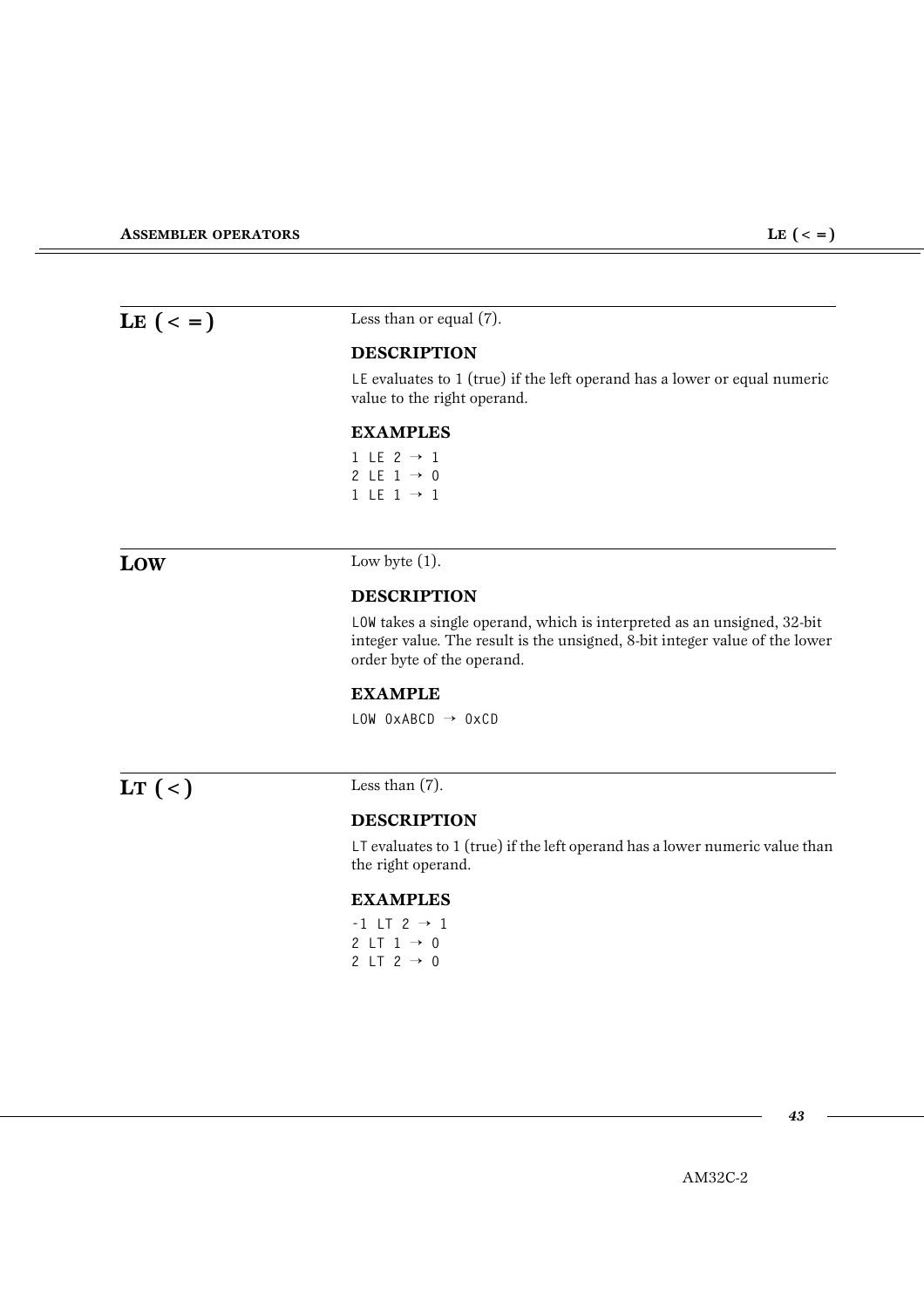**LE**  $(< =)$  Less than or equal (7).

#### **DESCRIPTION**

**LE** evaluates to 1 (true) if the left operand has a lower or equal numeric value to the right operand.

#### **EXAMPLES**

**1 LE 2** → **1 2 LE 1** → **0 1 LE 1** → **1**

### **LOW** Low byte (1).

#### **DESCRIPTION**

**LOW** takes a single operand, which is interpreted as an unsigned, 32-bit integer value. The result is the unsigned, 8-bit integer value of the lower order byte of the operand.

#### **EXAMPLE**

**LOW 0xABCD** → **0xCD**

**LT** (<) Less than (7).

#### **DESCRIPTION**

**LT** evaluates to 1 (true) if the left operand has a lower numeric value than the right operand.

#### **EXAMPLES**

**-1 LT 2** → **1 2 LT 1** → **0 2 LT 2** → **0**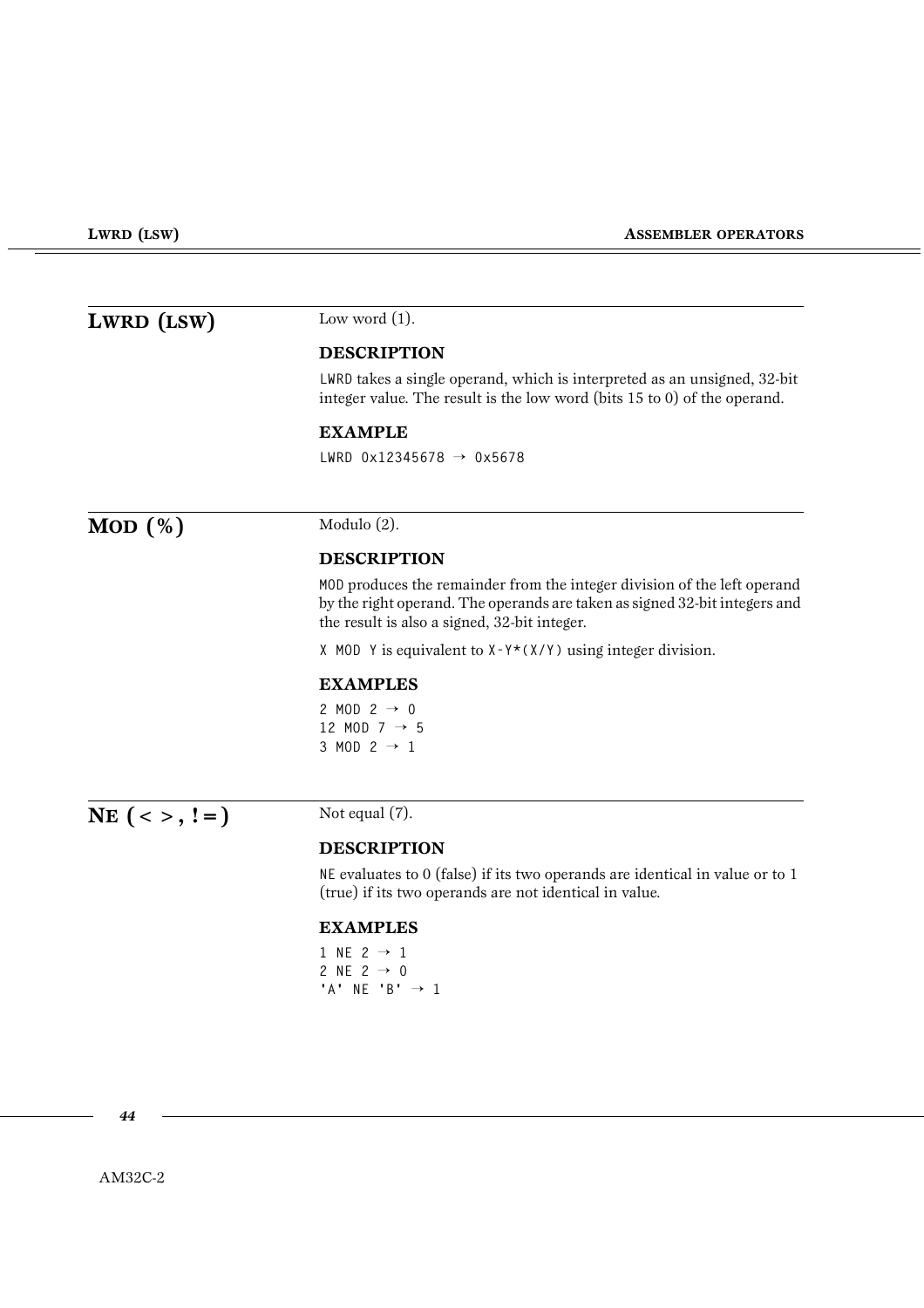# **LWRD (LSW)** Low word (1). **DESCRIPTION LWRD** takes a single operand, which is interpreted as an unsigned, 32-bit integer value. The result is the low word (bits 15 to 0) of the operand. **EXAMPLE LWRD 0x12345678** → **0x5678 MOD**  $(\%)$  Modulo (2). **DESCRIPTION**

**MOD** produces the remainder from the integer division of the left operand by the right operand. The operands are taken as signed 32-bit integers and the result is also a signed, 32-bit integer.

**X MOD Y** is equivalent to **X-Y\*(X/Y)** using integer division.

### **EXAMPLES**

**2 MOD 2** → **0** 12 MOD  $7 \rightarrow 5$ **3 MOD 2** → **1**

**NE**  $(< >, ! =)$  Not equal (7).

#### **DESCRIPTION**

**NE** evaluates to 0 (false) if its two operands are identical in value or to 1 (true) if its two operands are not identical in value.

#### **EXAMPLES**

1 NE  $2 \to 1$ **2 NE 2** → **0 'A' NE 'B'** → **1**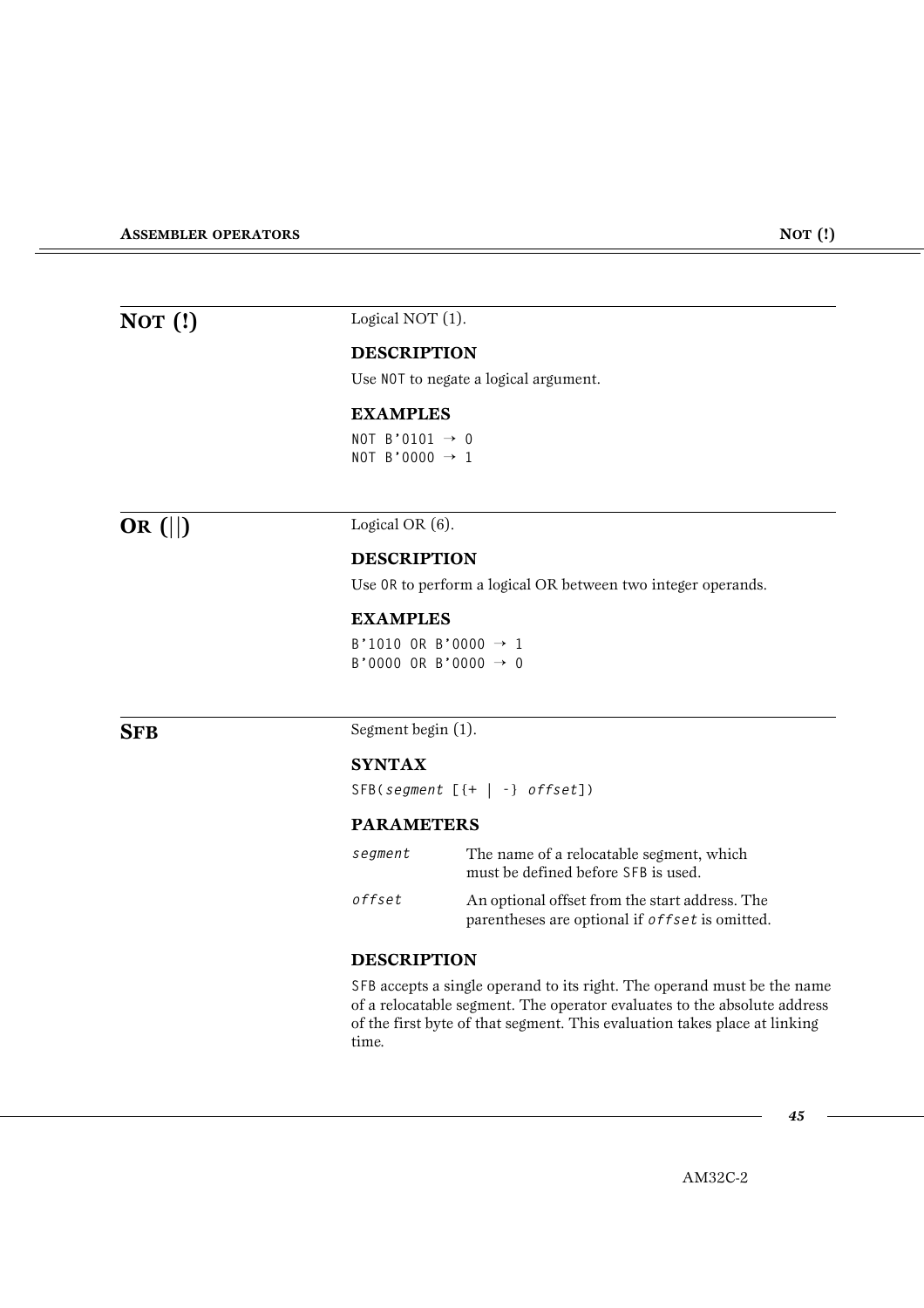**NOT** (!) Logical NOT (1).

#### **DESCRIPTION**

Use **NOT** to negate a logical argument.

#### **EXAMPLES**

**NOT B'0101** → **0 NOT B'0000** → **1**

**OR** (||) Logical OR (6).

#### **DESCRIPTION**

Use **OR** to perform a logical OR between two integer operands.

### **EXAMPLES**

**B'1010 OR B'0000** → **1 B'0000 OR B'0000** → **0**

### **SFB** Segment begin (1).

#### **SYNTAX**

**SFB(***segment* **[{+ | -}** *offset***])**

#### **PARAMETERS**

| segment | The name of a relocatable segment, which<br>must be defined before SFB is used.                         |
|---------|---------------------------------------------------------------------------------------------------------|
| offset  | An optional offset from the start address. The<br>parentheses are optional if <i>offset</i> is omitted. |

#### **DESCRIPTION**

**SFB** accepts a single operand to its right. The operand must be the name of a relocatable segment. The operator evaluates to the absolute address of the first byte of that segment. This evaluation takes place at linking time.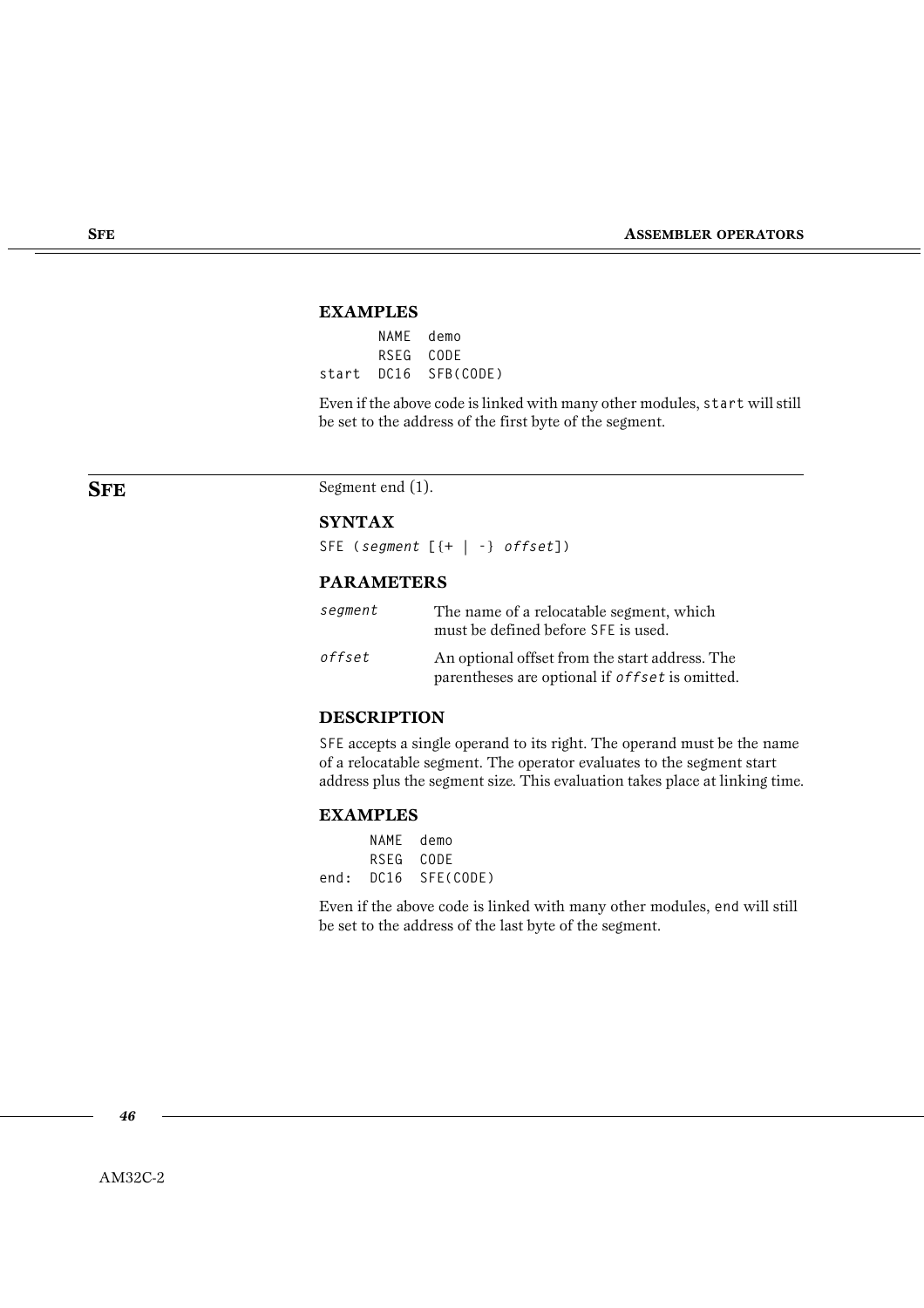#### **EXAMPLES**

 **NAME demo RSEG CODE start DC16 SFB(CODE)**

Even if the above code is linked with many other modules, **start** will still be set to the address of the first byte of the segment.

**SFE** Segment end (1).

### **SYNTAX**

**SFE (***segment* **[{+ | -}** *offset***])**

#### **PARAMETERS**

| segment | The name of a relocatable segment, which<br>must be defined before SFE is used.                         |
|---------|---------------------------------------------------------------------------------------------------------|
| offset  | An optional offset from the start address. The<br>parentheses are optional if <i>offset</i> is omitted. |

#### **DESCRIPTION**

**SFE** accepts a single operand to its right. The operand must be the name of a relocatable segment. The operator evaluates to the segment start address plus the segment size. This evaluation takes place at linking time.

#### **EXAMPLES**

| NAME demo |                     |
|-----------|---------------------|
|           | RSEG CODE           |
|           | end: DC16 SFE(CODE) |

Even if the above code is linked with many other modules, **end** will still be set to the address of the last byte of the segment.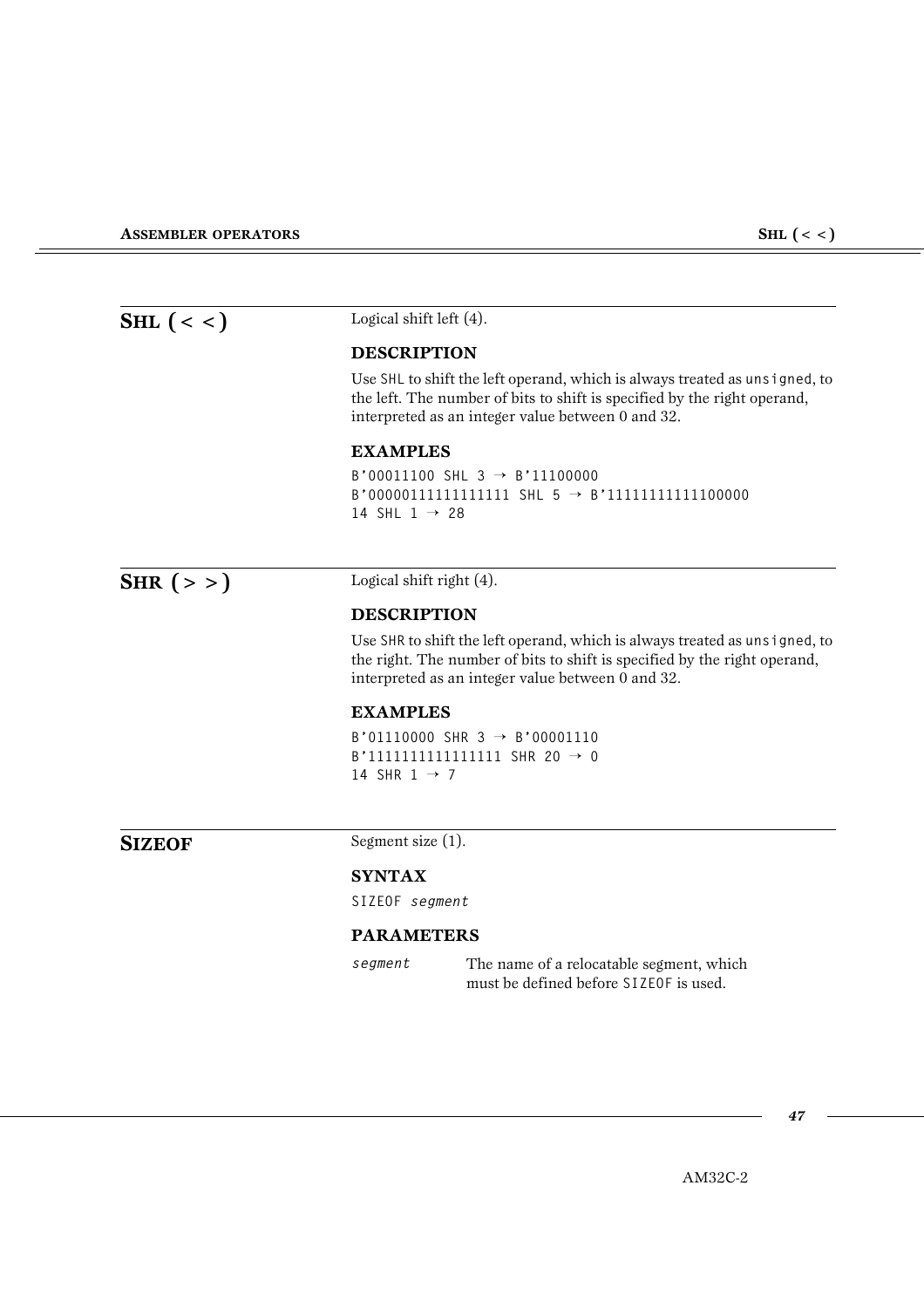# **SHL**  $(<)$  Logical shift left  $(4)$ .

#### **DESCRIPTION**

Use **SHL** to shift the left operand, which is always treated as **unsigned**, to the left. The number of bits to shift is specified by the right operand, interpreted as an integer value between 0 and 32.

#### **EXAMPLES**

**B'00011100 SHL 3** → **B'11100000 B'00000111111111111 SHL 5** → **B'11111111111100000 14 SHL 1** → **28**

**SHR**  $(>)$  **Logical shift right (4).** 

#### **DESCRIPTION**

Use **SHR** to shift the left operand, which is always treated as **unsigned**, to the right. The number of bits to shift is specified by the right operand, interpreted as an integer value between 0 and 32.

#### **EXAMPLES**

**B'01110000 SHR 3** → **B'00001110 B'1111111111111111 SHR 20** → **0** 14 SHR  $1 \rightarrow 7$ 

**SIZEOF** Segment size (1).

#### **SYNTAX**

**SIZEOF** *segment*

#### **PARAMETERS**

*segment* The name of a relocatable segment, which must be defined before **SIZEOF** is used.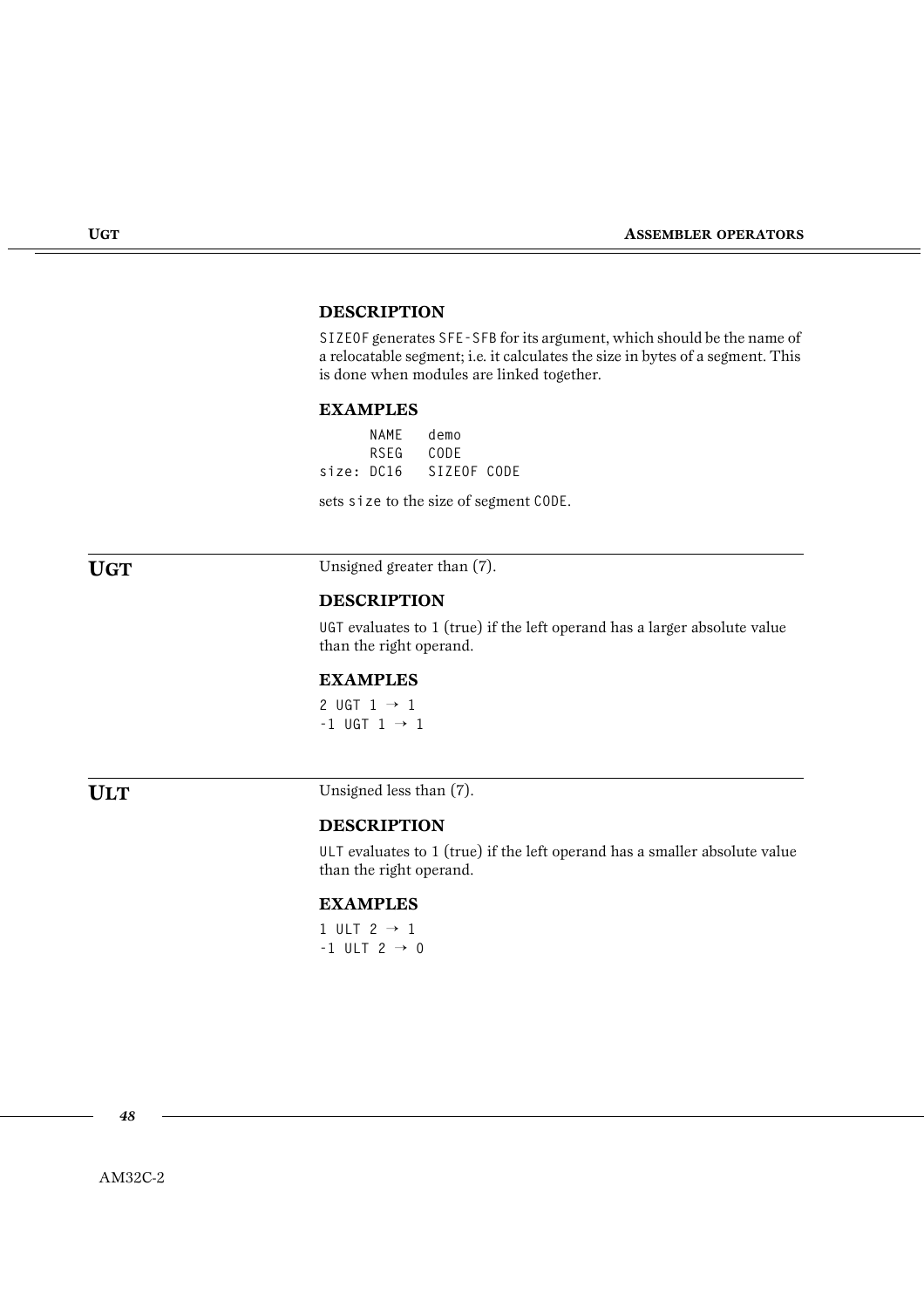#### **DESCRIPTION**

**SIZEOF** generates **SFE-SFB** for its argument, which should be the name of a relocatable segment; i.e. it calculates the size in bytes of a segment. This is done when modules are linked together.

#### **EXAMPLES**

|            | NAMF | demo        |  |
|------------|------|-------------|--|
|            | RSEG | CODE        |  |
| size: DC16 |      | SIZEOF CODE |  |

sets **size** to the size of segment **CODE**.

**UGT** Unsigned greater than (7).

#### **DESCRIPTION**

**UGT** evaluates to 1 (true) if the left operand has a larger absolute value than the right operand.

#### **EXAMPLES**

 $2 \text{ HGT } 1 \rightarrow 1$  $-1$  UGT  $1 \rightarrow 1$ 

**ULT** Unsigned less than (7).

#### **DESCRIPTION**

**ULT** evaluates to 1 (true) if the left operand has a smaller absolute value than the right operand.

#### **EXAMPLES**

1 ULT  $2 \to 1$  $-1$  ULT 2  $\rightarrow$  0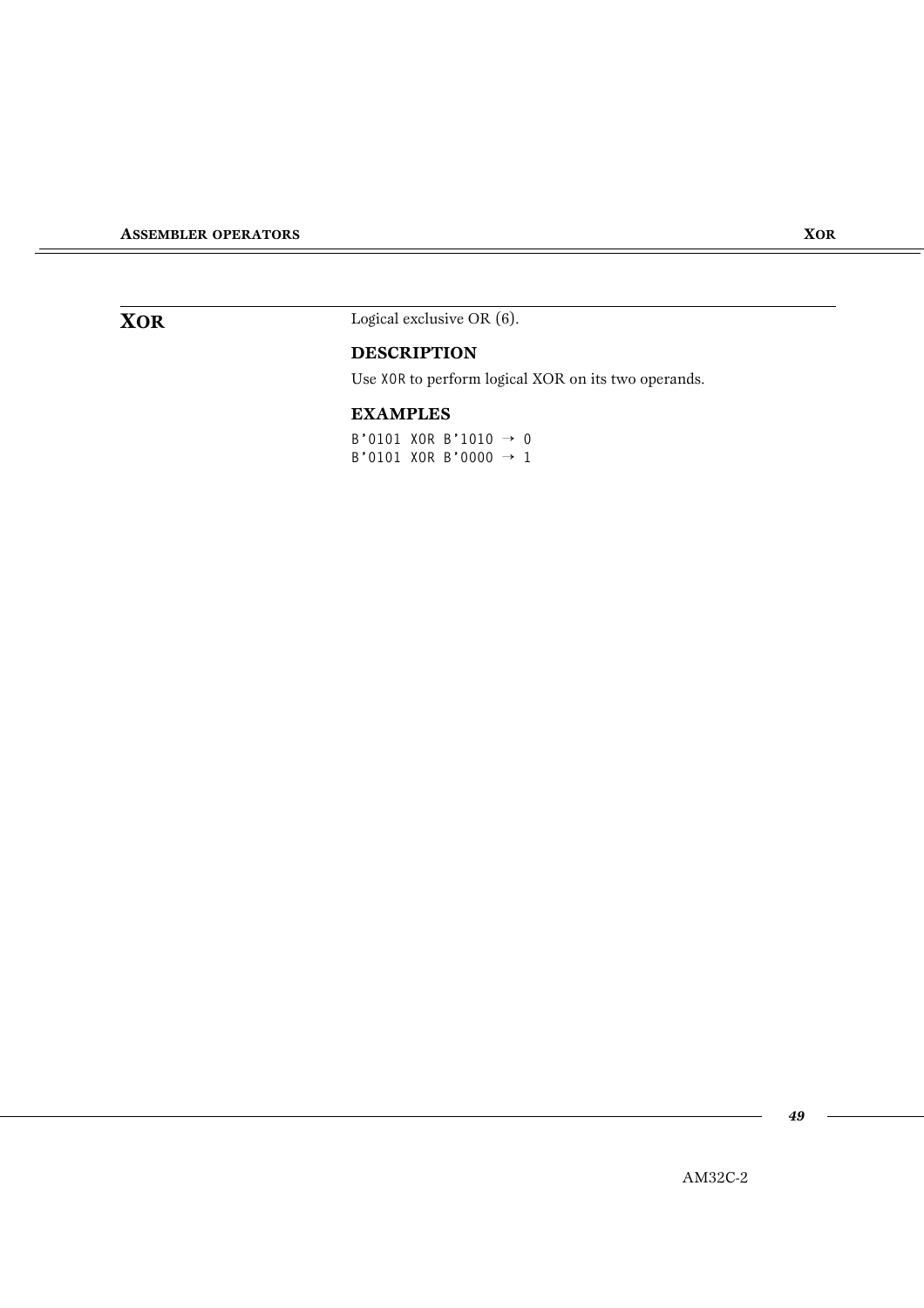**XOR** Logical exclusive OR (6).

### **DESCRIPTION**

Use **XOR** to perform logical XOR on its two operands.

### **EXAMPLES**

**B'0101 XOR B'1010** → **0 B'0101 XOR B'0000** → **1**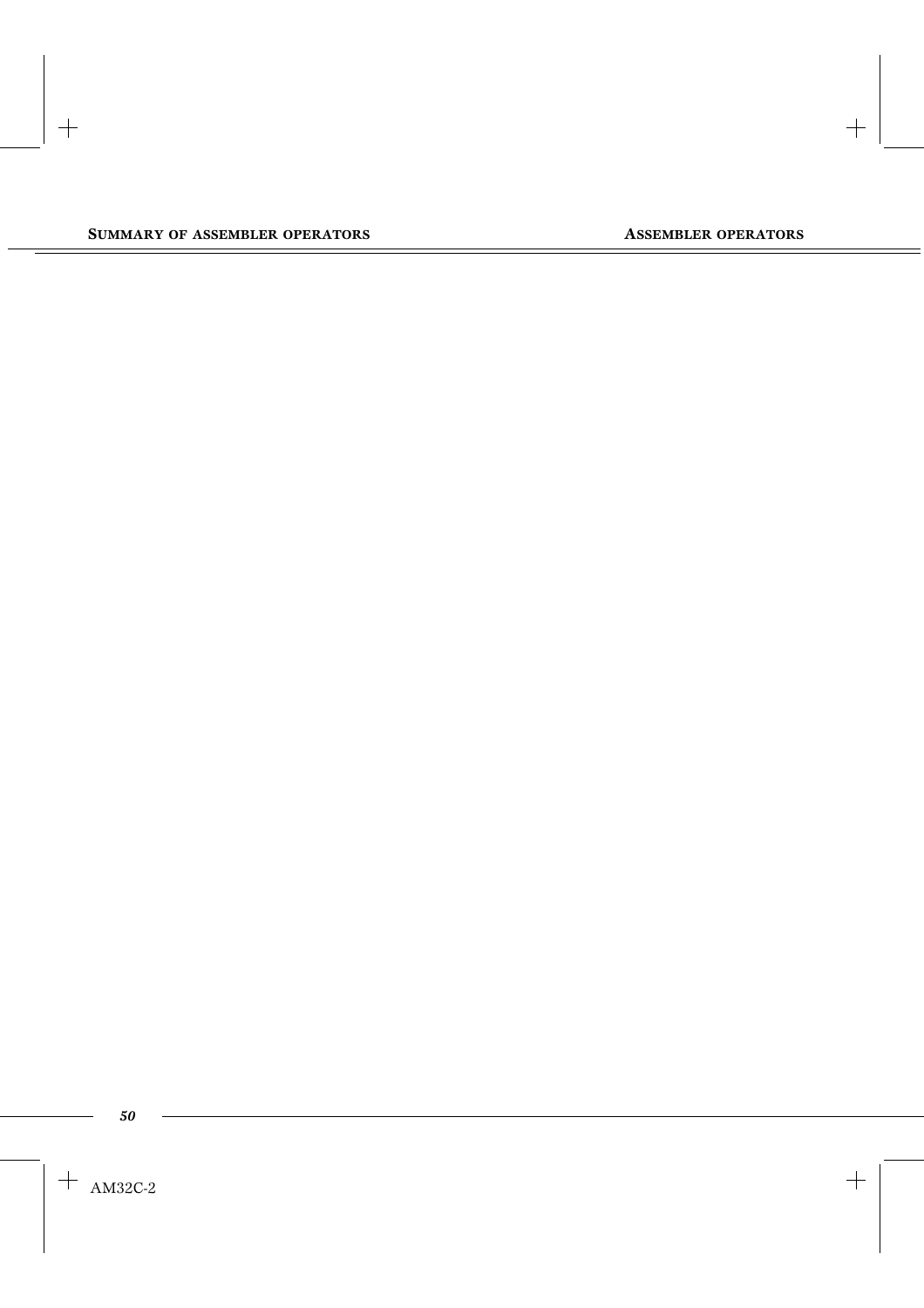L,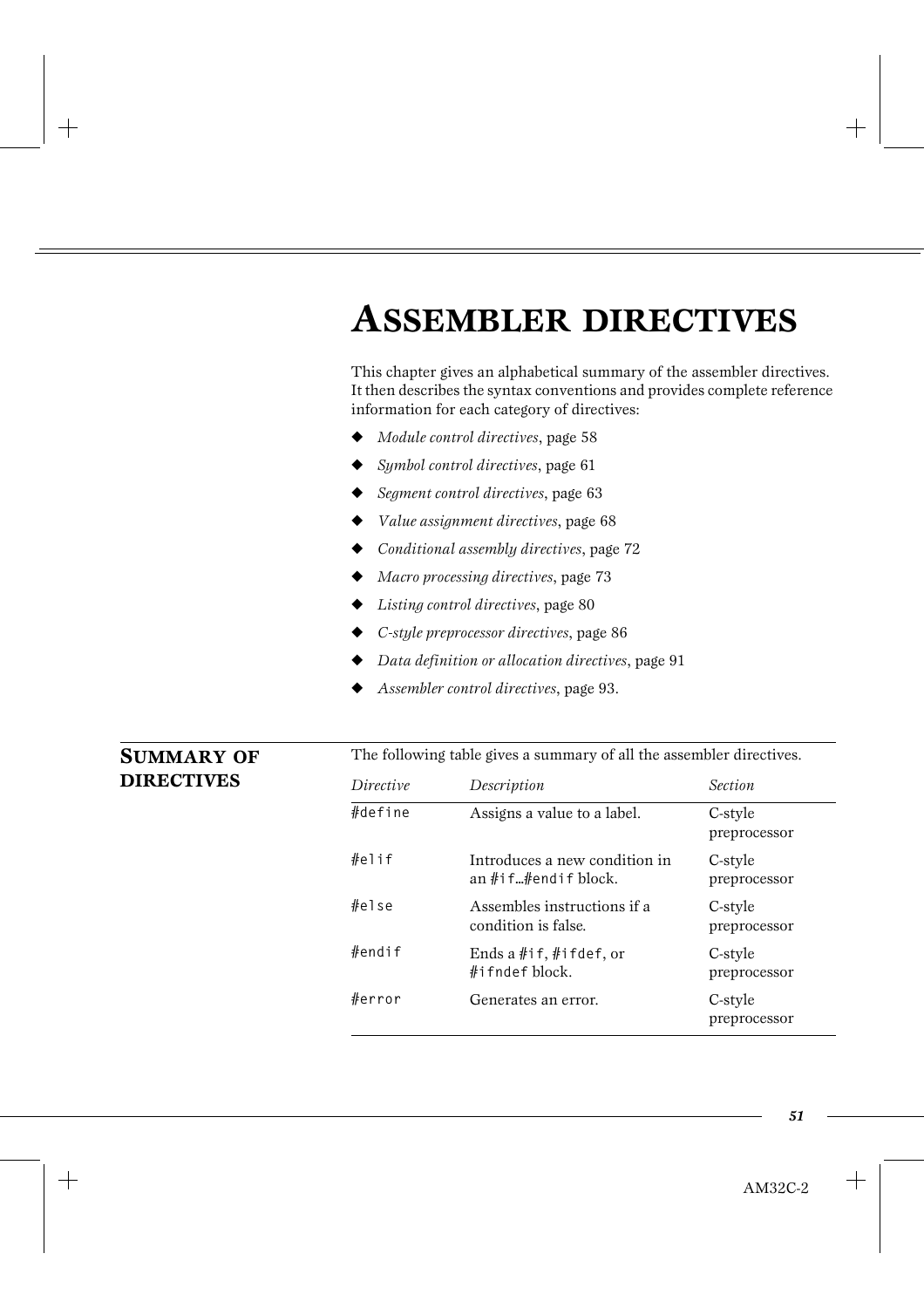# **ASSEMBLER DIRECTIVES**

This chapter gives an alphabetical summary of the assembler directives. It then describes the syntax conventions and provides complete reference information for each category of directives:

- ◆ *[Module control directives](#page-63-0)*, page 58
- ◆ *[Symbol control directives](#page-66-0)*, page 61
- ◆ *[Segment control directives](#page-68-0)*, page 63
- ◆ *[Value assignment directives](#page-73-0)*, page 68
- ◆ *[Conditional assembly directives](#page-77-0)*, page 72
- ◆ *[Macro processing directives](#page-78-0)*, page 73
- ◆ *[Listing control directives](#page-85-0)*, page 80
- ◆ *[C-style preprocessor directives](#page-91-0)*, page 86
- ◆ *[Data definition or allocation directives](#page-96-0)*, page 91
- ◆ *[Assembler control directives](#page-98-0)*, page 93.

## **SUMMARY OF DIRECTIVES**

The following table gives a summary of all the assembler directives.

| Directive | Description                                           | <b>Section</b>          |
|-----------|-------------------------------------------------------|-------------------------|
| #define   | Assigns a value to a label.                           | C-style<br>preprocessor |
| #elif     | Introduces a new condition in<br>an #if…#endif block. | C-style<br>preprocessor |
| #else     | Assembles instructions if a<br>condition is false.    | C-style<br>preprocessor |
| #endif    | Ends a #if, #ifdef, or<br>$#$ i fndef block.          | C-style<br>preprocessor |
| #error    | Generates an error.                                   | C-style<br>preprocessor |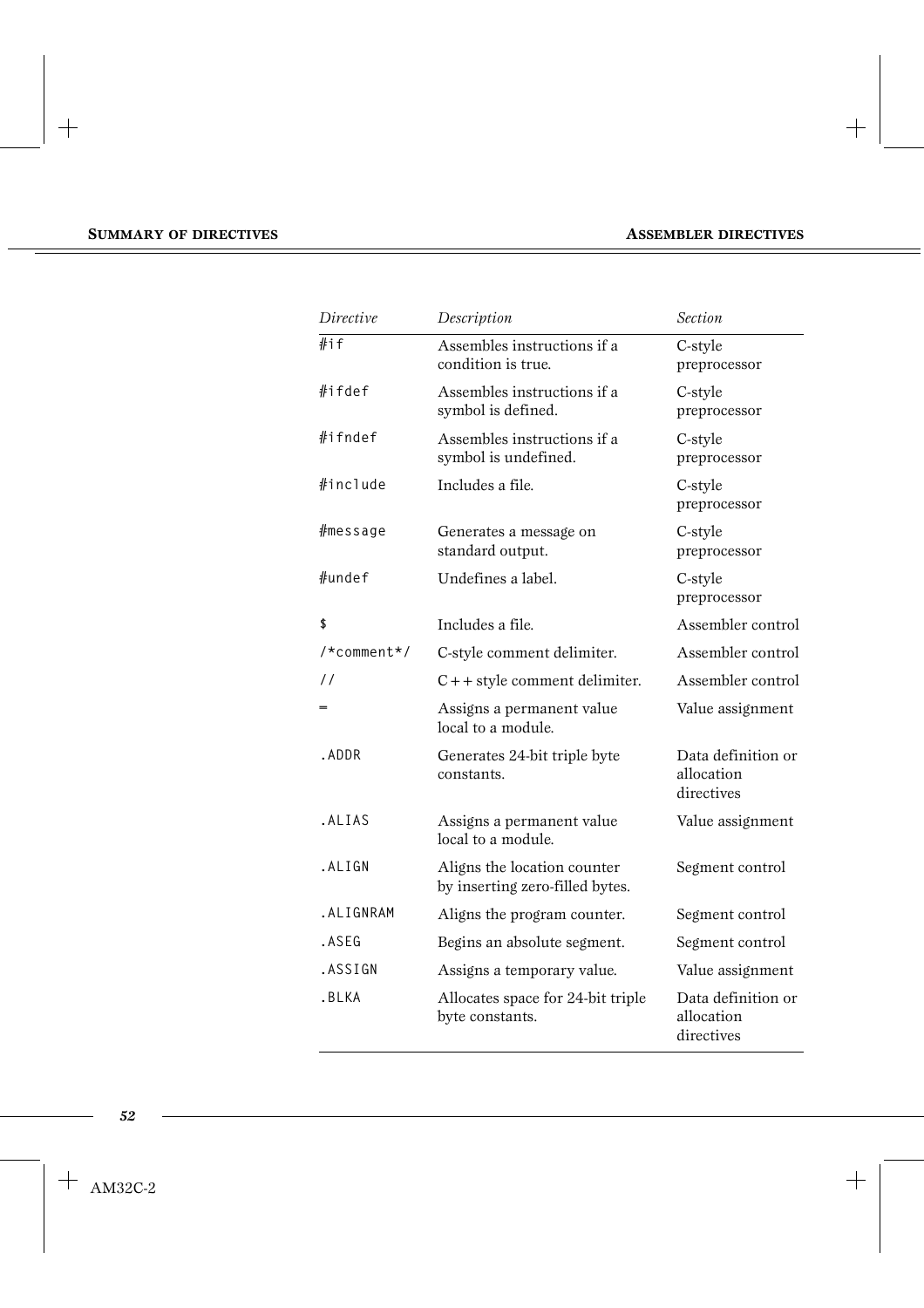| Directive     | Description                                                    | <b>Section</b>                                 |
|---------------|----------------------------------------------------------------|------------------------------------------------|
| $#$ if        | Assembles instructions if a<br>condition is true.              | C-style<br>preprocessor                        |
| $#$ ifdef     | Assembles instructions if a<br>symbol is defined.              | C-style<br>preprocessor                        |
| $\#$ ifndef   | Assembles instructions if a<br>symbol is undefined.            | C-style<br>preprocessor                        |
| #include      | Includes a file.                                               | C-style<br>preprocessor                        |
| #message      | Generates a message on<br>standard output.                     | C-style<br>preprocessor                        |
| #undef        | Undefines a label.                                             | C-style<br>preprocessor                        |
| \$            | Includes a file.                                               | Assembler control                              |
| /*comment*/   | C-style comment delimiter.                                     | Assembler control                              |
| $\frac{1}{2}$ | $C++$ style comment delimiter.                                 | Assembler control                              |
|               | Assigns a permanent value<br>local to a module.                | Value assignment                               |
| .ADDR         | Generates 24-bit triple byte<br>constants.                     | Data definition or<br>allocation<br>directives |
| .ALIAS        | Assigns a permanent value<br>local to a module.                | Value assignment                               |
| .ALIGN        | Aligns the location counter<br>by inserting zero-filled bytes. | Segment control                                |
| .ALIGNRAM     | Aligns the program counter.                                    | Segment control                                |
| .ASEG         | Begins an absolute segment.                                    | Segment control                                |
| .ASSIGN       | Assigns a temporary value.                                     | Value assignment                               |
| .BLKA         | Allocates space for 24-bit triple<br>byte constants.           | Data definition or<br>allocation<br>directives |

 $\overline{\phantom{a}}$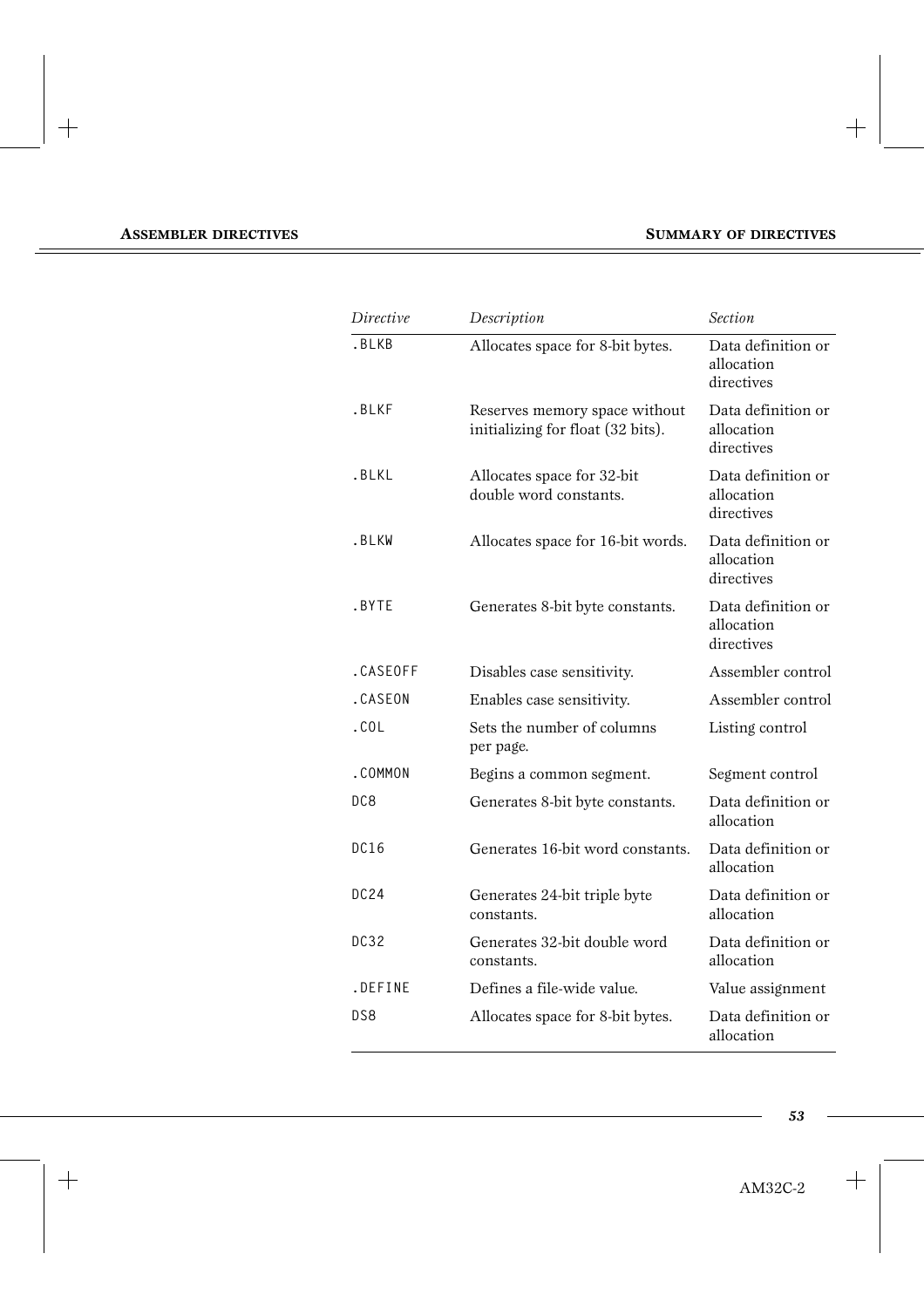| Directive       | Description                                                        | Section                                        |
|-----------------|--------------------------------------------------------------------|------------------------------------------------|
| .BLKB           | Allocates space for 8-bit bytes.                                   | Data definition or<br>allocation<br>directives |
| .BLKF           | Reserves memory space without<br>initializing for float (32 bits). | Data definition or<br>allocation<br>directives |
| .BLKL           | Allocates space for 32-bit<br>double word constants.               | Data definition or<br>allocation<br>directives |
| .BLKW           | Allocates space for 16-bit words.                                  | Data definition or<br>allocation<br>directives |
| .BYTE           | Generates 8-bit byte constants.                                    | Data definition or<br>allocation<br>directives |
| .CASEOFF        | Disables case sensitivity.                                         | Assembler control                              |
| .CASEON         | Enables case sensitivity.                                          | Assembler control                              |
| .COL            | Sets the number of columns<br>per page.                            | Listing control                                |
| .COMMON         | Begins a common segment.                                           | Segment control                                |
| DC <sub>8</sub> | Generates 8-bit byte constants.                                    | Data definition or<br>allocation               |
| DC16            | Generates 16-bit word constants.                                   | Data definition or<br>allocation               |
| DC 24           | Generates 24-bit triple byte<br>constants.                         | Data definition or<br>allocation               |
| DC32            | Generates 32-bit double word<br>constants.                         | Data definition or<br>allocation               |
| .DEFINE         | Defines a file-wide value.                                         | Value assignment                               |
| DS8             | Allocates space for 8-bit bytes.                                   | Data definition or<br>allocation               |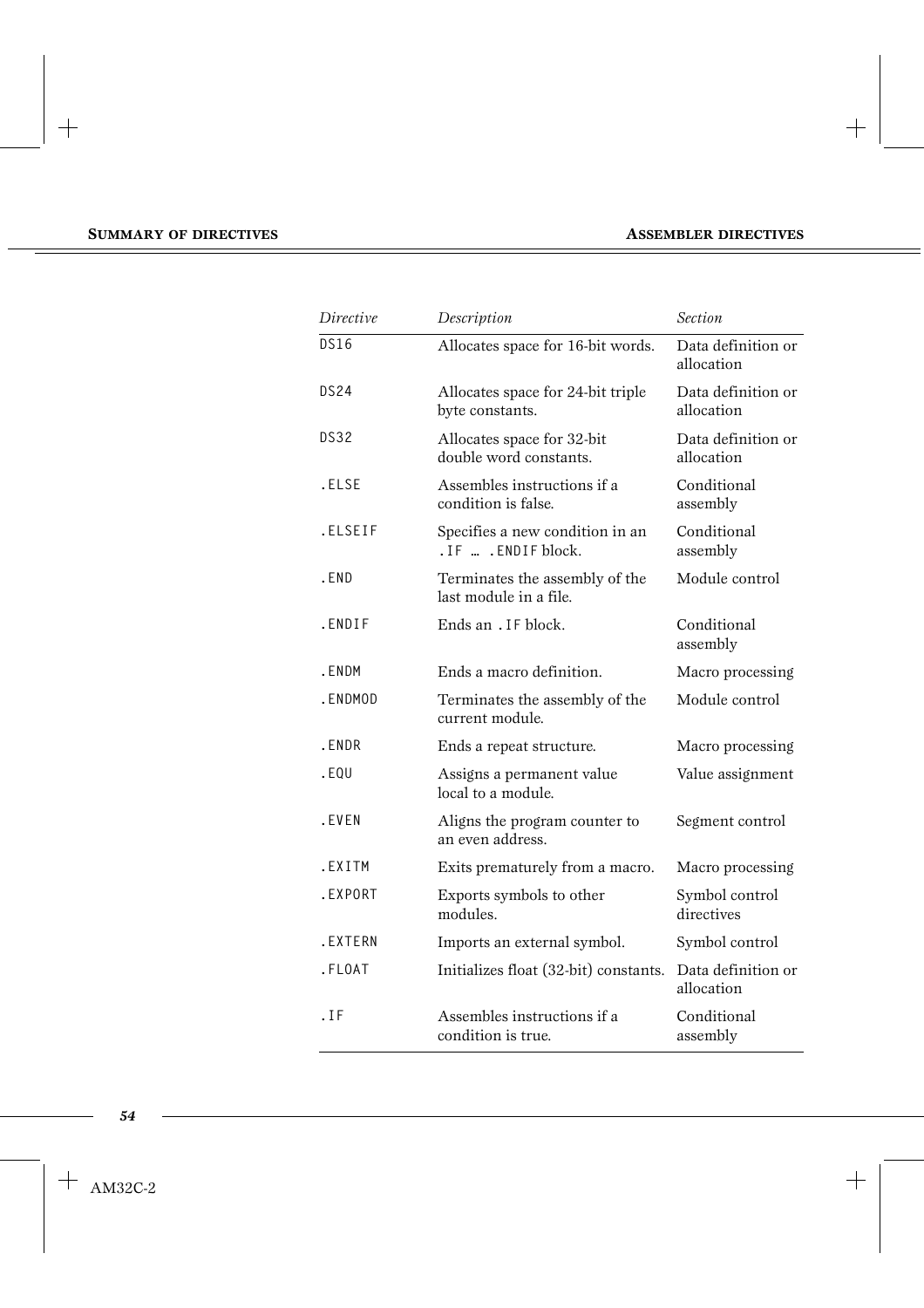| Directive   | Description                                              | <b>Section</b>                   |
|-------------|----------------------------------------------------------|----------------------------------|
| <b>DS16</b> | Allocates space for 16-bit words.                        | Data definition or<br>allocation |
| DS24        | Allocates space for 24-bit triple<br>byte constants.     | Data definition or<br>allocation |
| DS32        | Allocates space for 32-bit<br>double word constants.     | Data definition or<br>allocation |
| .ELSE       | Assembles instructions if a<br>condition is false.       | Conditional<br>assembly          |
| .ELSEIF     | Specifies a new condition in an<br>. IF  . ENDIF block.  | Conditional<br>assembly          |
| .END        | Terminates the assembly of the<br>last module in a file. | Module control                   |
| .ENDIF      | Ends an . IF block.                                      | Conditional<br>assembly          |
| .ENDM       | Ends a macro definition.                                 | Macro processing                 |
| .ENDMOD     | Terminates the assembly of the<br>current module.        | Module control                   |
| .ENDR       | Ends a repeat structure.                                 | Macro processing                 |
| .EOU        | Assigns a permanent value<br>local to a module.          | Value assignment                 |
| .EVEN       | Aligns the program counter to<br>an even address.        | Segment control                  |
| .EXITM      | Exits prematurely from a macro.                          | Macro processing                 |
| .EXPORT     | Exports symbols to other<br>modules.                     | Symbol control<br>directives     |
| .EXTERN     | Imports an external symbol.                              | Symbol control                   |
| .FLOAT      | Initializes float (32-bit) constants.                    | Data definition or<br>allocation |
| $I$ F       | Assembles instructions if a<br>condition is true.        | Conditional<br>assembly          |

 $\overline{\phantom{0}}$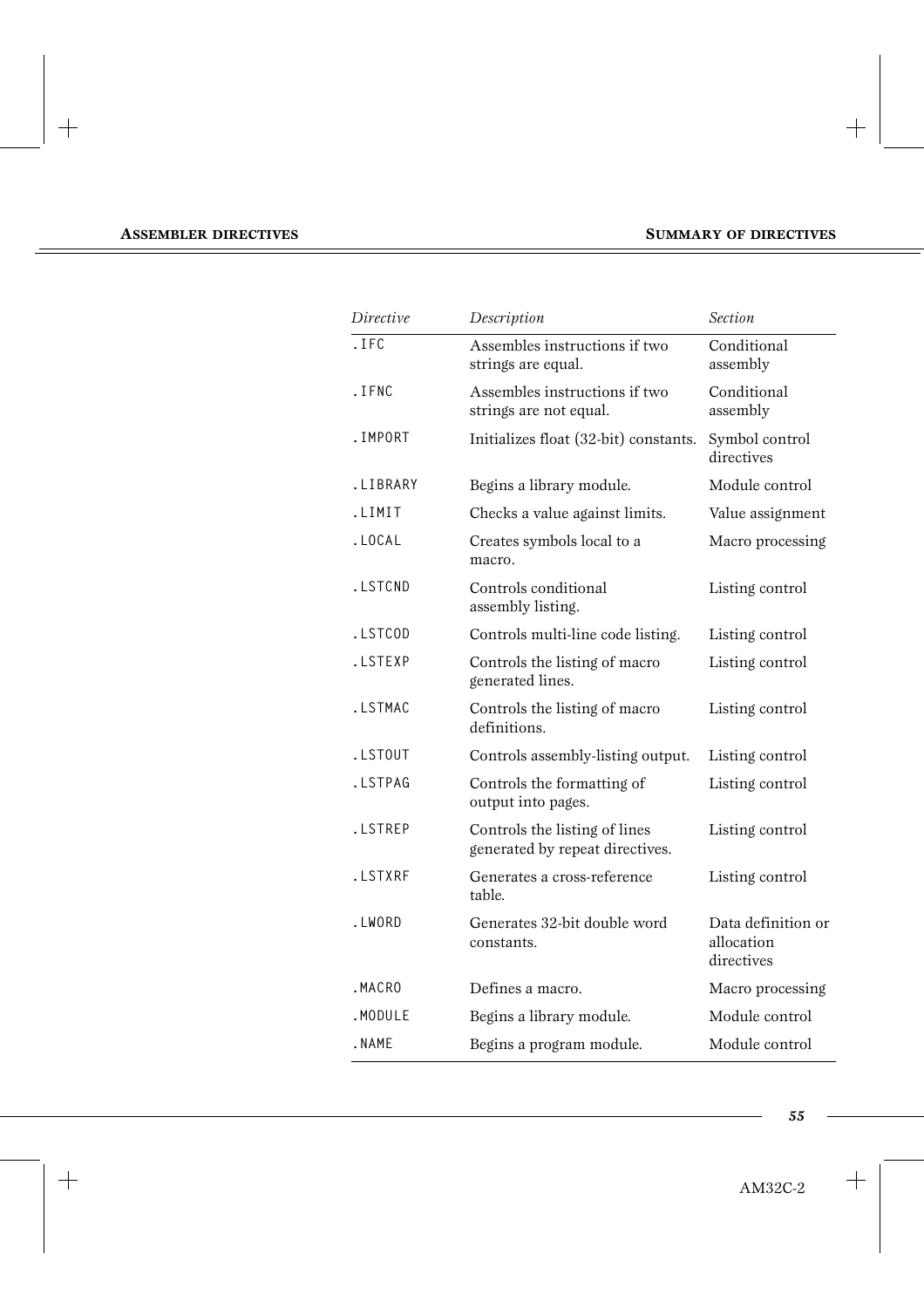| Directive | Description                                                      | <b>Section</b>                                 |
|-----------|------------------------------------------------------------------|------------------------------------------------|
| IFC       | Assembles instructions if two<br>strings are equal.              | Conditional<br>assembly                        |
| .IFNC     | Assembles instructions if two<br>strings are not equal.          | Conditional<br>assembly                        |
| .IMPORT   | Initializes float (32-bit) constants.                            | Symbol control<br>directives                   |
| .LIBRARY  | Begins a library module.                                         | Module control                                 |
| .LIMIT    | Checks a value against limits.                                   | Value assignment                               |
| .LOCAL    | Creates symbols local to a<br>macro.                             | Macro processing                               |
| .LSTCND   | Controls conditional<br>assembly listing.                        | Listing control                                |
| .LSTCOD   | Controls multi-line code listing.                                | Listing control                                |
| .LSTEXP   | Controls the listing of macro<br>generated lines.                | Listing control                                |
| .LSTMAC   | Controls the listing of macro<br>definitions.                    | Listing control                                |
| LSTOUT.   | Controls assembly-listing output.                                | Listing control                                |
| .LSTPAG   | Controls the formatting of<br>output into pages.                 | Listing control                                |
| .LSTREP   | Controls the listing of lines<br>generated by repeat directives. | Listing control                                |
| .LSTXRF   | Generates a cross-reference<br>table.                            | Listing control                                |
| .LWORD    | Generates 32-bit double word<br>constants.                       | Data definition or<br>allocation<br>directives |
| .MACRO    | Defines a macro.                                                 | Macro processing                               |
| .MODULE   | Begins a library module.                                         | Module control                                 |
| .NAME     | Begins a program module.                                         | Module control                                 |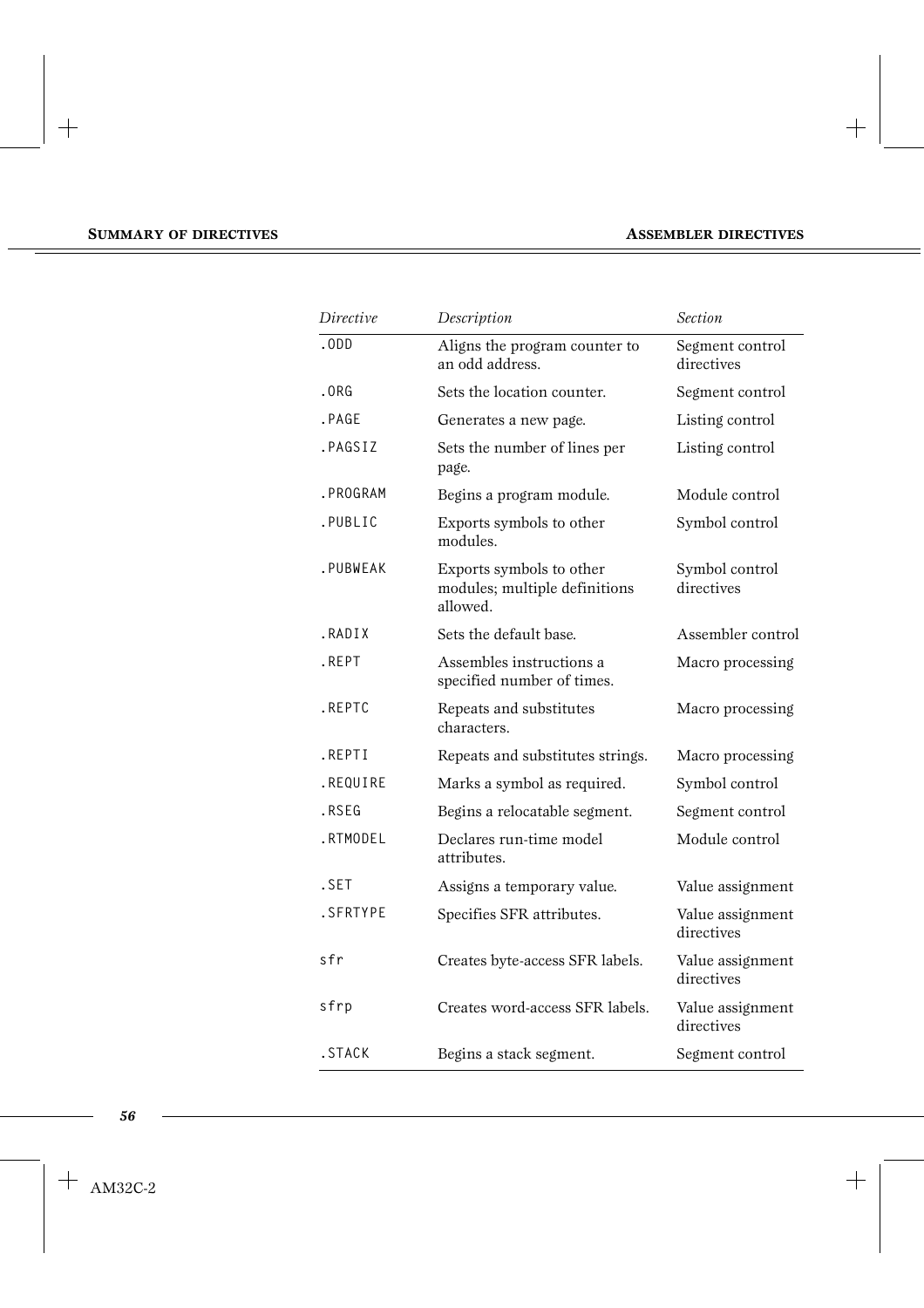| Directive        | Description                                                           | Section                        |
|------------------|-----------------------------------------------------------------------|--------------------------------|
| .0 <sub>DD</sub> | Aligns the program counter to<br>an odd address.                      | Segment control<br>directives  |
| .ORG             | Sets the location counter.                                            | Segment control                |
| .PAGE            | Generates a new page.                                                 | Listing control                |
| .PAGSIZ          | Sets the number of lines per<br>page.                                 | Listing control                |
| .PROGRAM         | Begins a program module.                                              | Module control                 |
| .PUBLIC          | Exports symbols to other<br>modules.                                  | Symbol control                 |
| .PUBWEAK         | Exports symbols to other<br>modules; multiple definitions<br>allowed. | Symbol control<br>directives   |
| .RADIX           | Sets the default base.                                                | Assembler control              |
| .REPT            | Assembles instructions a<br>specified number of times.                | Macro processing               |
| .REPTC           | Repeats and substitutes<br>characters.                                | Macro processing               |
| .REPTI           | Repeats and substitutes strings.                                      | Macro processing               |
| .REQUIRE         | Marks a symbol as required.                                           | Symbol control                 |
| .RSEG            | Begins a relocatable segment.                                         | Segment control                |
| .RTMODEL         | Declares run-time model<br>attributes.                                | Module control                 |
| .SET             | Assigns a temporary value.                                            | Value assignment               |
| .SFRTYPE         | Specifies SFR attributes.                                             | Value assignment<br>directives |
| sfr              | Creates byte-access SFR labels.                                       | Value assignment<br>directives |
| sfrp             | Creates word-access SFR labels.                                       | Value assignment<br>directives |
| .STACK           | Begins a stack segment.                                               | Segment control                |

 $\overline{\phantom{0}}$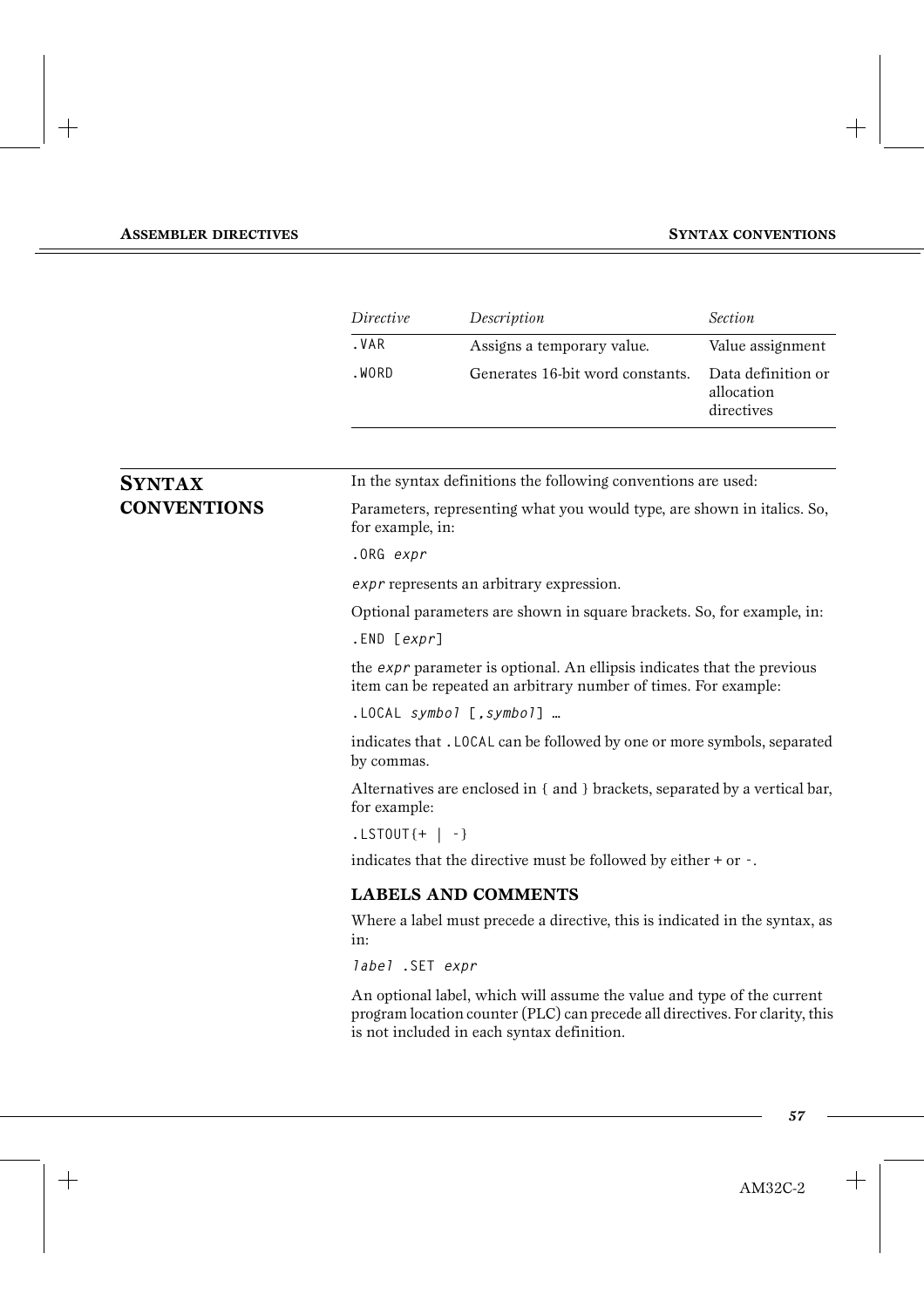| Directive | Description                      | <b>Section</b>                                 |
|-----------|----------------------------------|------------------------------------------------|
| .VAR      | Assigns a temporary value.       | Value assignment                               |
| .WORD     | Generates 16-bit word constants. | Data definition or<br>allocation<br>directives |

| <b>SYNTAX</b>      | In the syntax definitions the following conventions are used:                                                                                                                                        |
|--------------------|------------------------------------------------------------------------------------------------------------------------------------------------------------------------------------------------------|
| <b>CONVENTIONS</b> | Parameters, representing what you would type, are shown in italics. So,<br>for example, in:                                                                                                          |
|                    | $.0RG$ $expr$                                                                                                                                                                                        |
|                    | expr represents an arbitrary expression.                                                                                                                                                             |
|                    | Optional parameters are shown in square brackets. So, for example, in:                                                                                                                               |
|                    | $.$ END [ $expr$ ]                                                                                                                                                                                   |
|                    | the <i>expr</i> parameter is optional. An ellipsis indicates that the previous<br>item can be repeated an arbitrary number of times. For example:                                                    |
|                    | .LOCAL symbol [, symbol]                                                                                                                                                                             |
|                    | indicates that . LOCAL can be followed by one or more symbols, separated<br>by commas.                                                                                                               |
|                    | Alternatives are enclosed in { and } brackets, separated by a vertical bar,<br>for example:                                                                                                          |
|                    | $.LSTOUT+   -$                                                                                                                                                                                       |
|                    | indicates that the directive must be followed by either $+$ or $-$ .                                                                                                                                 |
|                    | <b>LABELS AND COMMENTS</b>                                                                                                                                                                           |
|                    | Where a label must precede a directive, this is indicated in the syntax, as<br>in:                                                                                                                   |
|                    | label .SET expr                                                                                                                                                                                      |
|                    | An optional label, which will assume the value and type of the current<br>program location counter (PLC) can precede all directives. For clarity, this<br>is not included in each syntax definition. |

÷,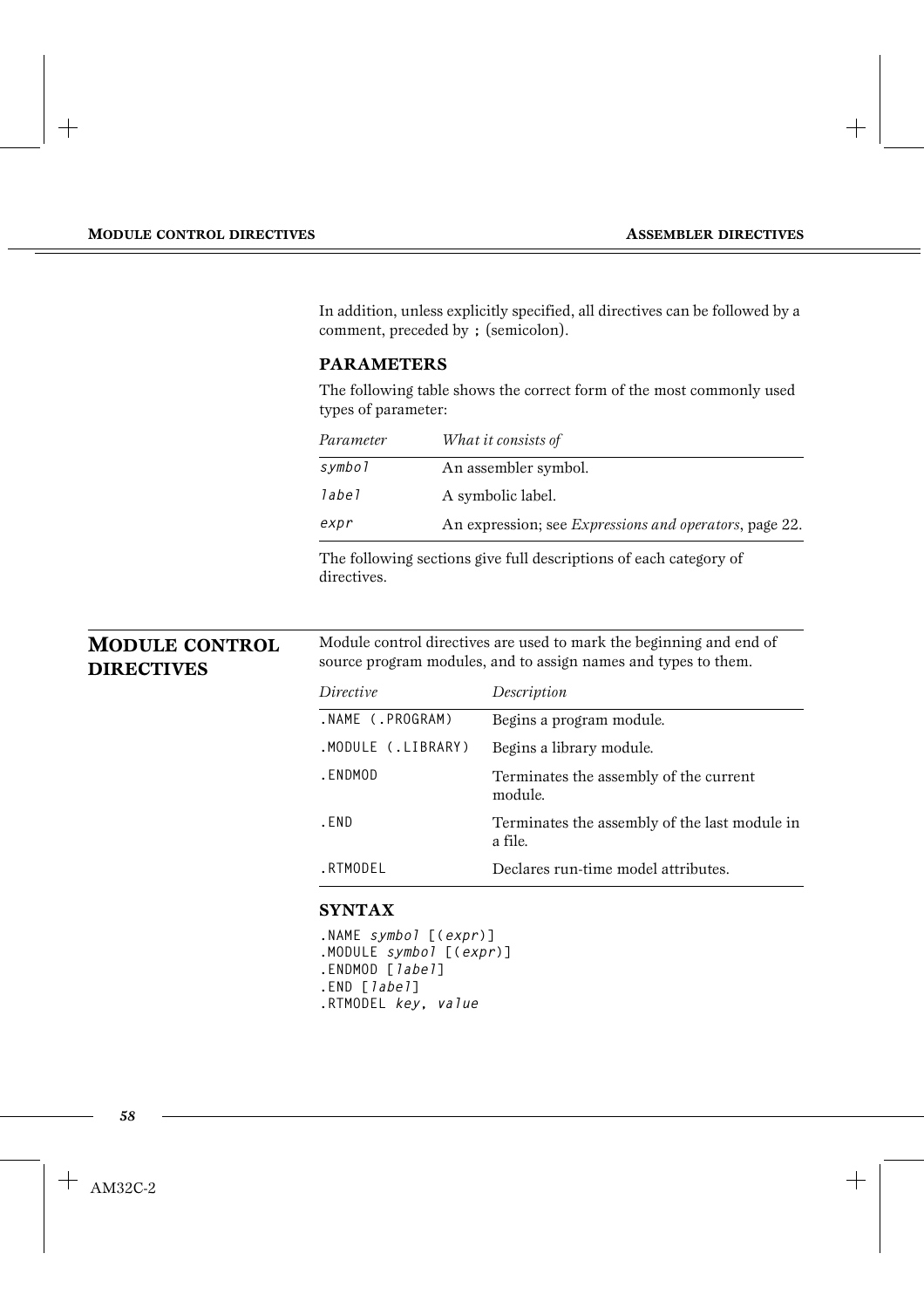In addition, unless explicitly specified, all directives can be followed by a comment, preceded by **;** (semicolon).

### **PARAMETERS**

The following table shows the correct form of the most commonly used types of parameter:

| Parameter | What it consists of                                            |
|-----------|----------------------------------------------------------------|
| symbol    | An assembler symbol.                                           |
| label     | A symbolic label.                                              |
| expr      | An expression; see <i>Expressions and operators</i> , page 22. |
|           |                                                                |

The following sections give full descriptions of each category of directives.

## <span id="page-63-0"></span>**MODULE CONTROL DIRECTIVES**

Module control directives are used to mark the beginning and end of source program modules, and to assign names and types to them.

| Directive          | Description                                              |
|--------------------|----------------------------------------------------------|
| .NAME (.PROGRAM)   | Begins a program module.                                 |
| .MODULE (.LIBRARY) | Begins a library module.                                 |
| .ENDMOD            | Terminates the assembly of the current<br>module.        |
| .END               | Terminates the assembly of the last module in<br>a file. |
| .RTMODEL           | Declares run-time model attributes.                      |

### **SYNTAX**

**.NAME** *symbol* **[(***expr***)] .MODULE** *symbol* **[(***expr***)] .ENDMOD [***label***] .END [***label***] .RTMODEL** *key***,** *value*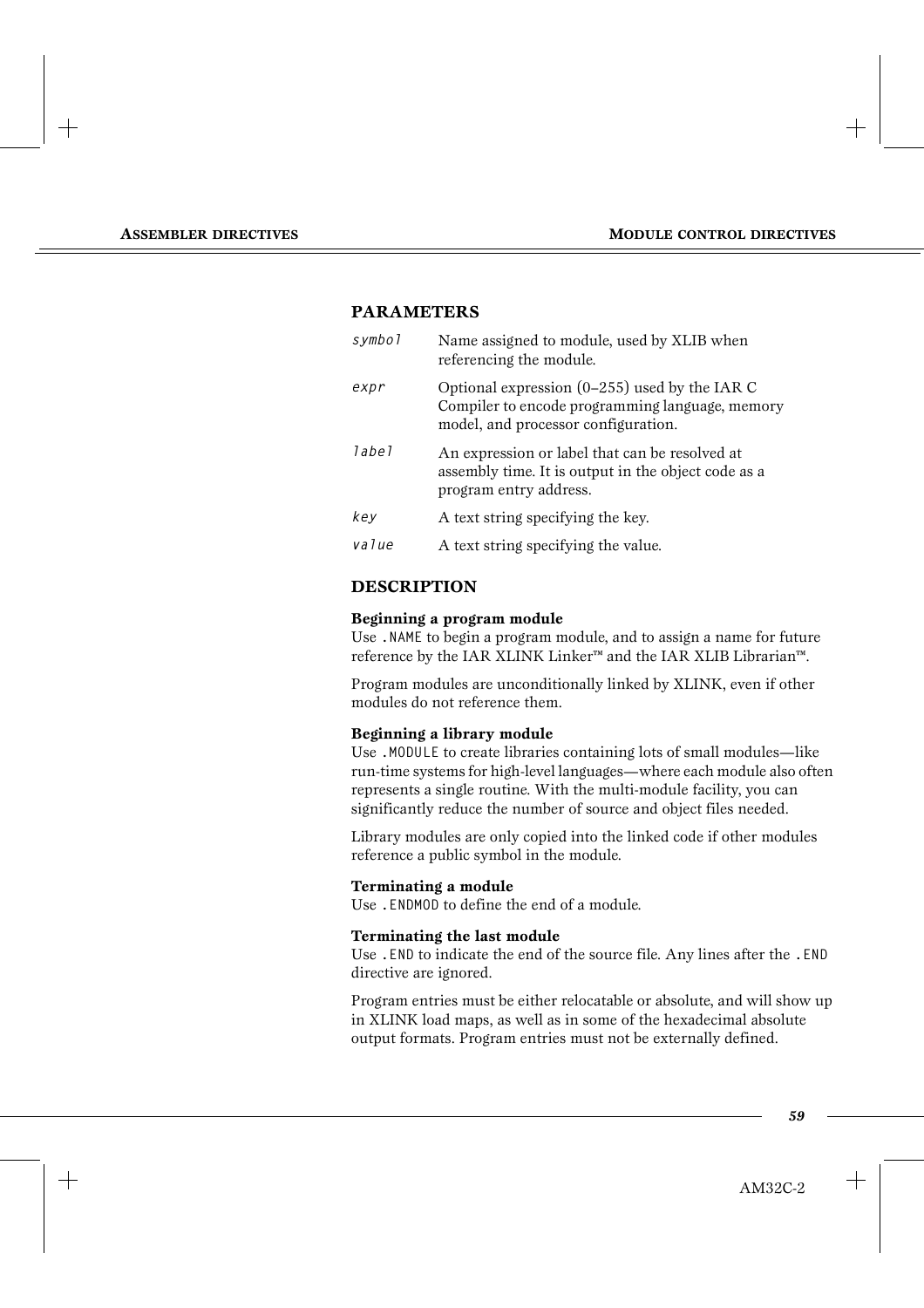#### **PARAMETERS**

| symbol | Name assigned to module, used by XLIB when<br>referencing the module.                                                                     |
|--------|-------------------------------------------------------------------------------------------------------------------------------------------|
| expr   | Optional expression $(0-255)$ used by the IAR C<br>Compiler to encode programming language, memory<br>model, and processor configuration. |
| label  | An expression or label that can be resolved at<br>assembly time. It is output in the object code as a<br>program entry address.           |
| key    | A text string specifying the key.                                                                                                         |
| value  | A text string specifying the value.                                                                                                       |

#### **DESCRIPTION**

#### **Beginning a program module**

Use **.NAME** to begin a program module, and to assign a name for future reference by the IAR XLINK Linker™ and the IAR XLIB Librarian™.

Program modules are unconditionally linked by XLINK, even if other modules do not reference them.

#### **Beginning a library module**

Use **.MODULE** to create libraries containing lots of small modules—like run-time systems for high-level languages—where each module also often represents a single routine. With the multi-module facility, you can significantly reduce the number of source and object files needed.

Library modules are only copied into the linked code if other modules reference a public symbol in the module.

#### **Terminating a module**

Use **.ENDMOD** to define the end of a module.

#### **Terminating the last module**

Use **.END** to indicate the end of the source file. Any lines after the **.END**  directive are ignored.

Program entries must be either relocatable or absolute, and will show up in XLINK load maps, as well as in some of the hexadecimal absolute output formats. Program entries must not be externally defined.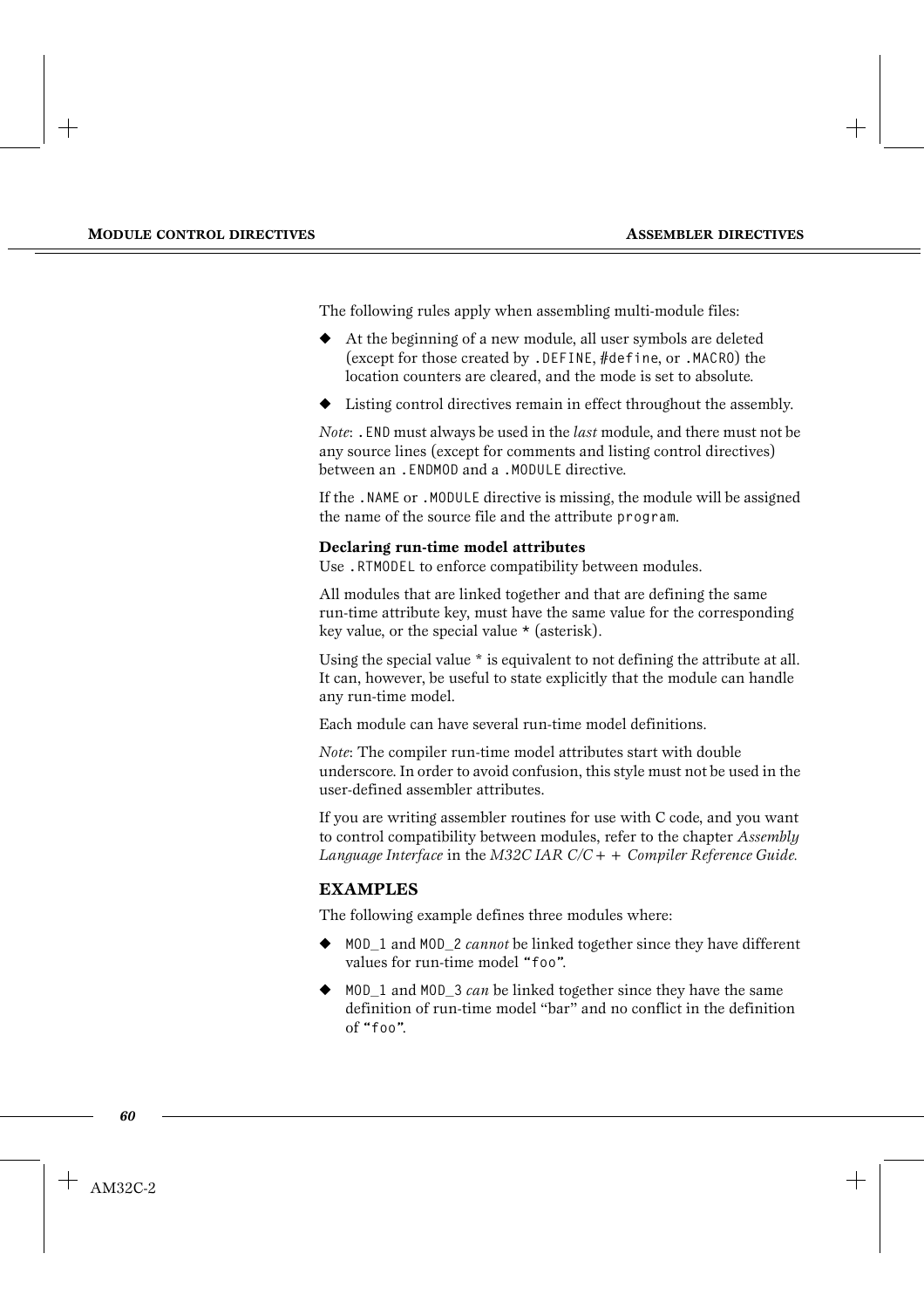The following rules apply when assembling multi-module files:

- ◆ At the beginning of a new module, all user symbols are deleted (except for those created by **.DEFINE**, **#define**, or **.MACRO**) the location counters are cleared, and the mode is set to absolute.
- ◆ Listing control directives remain in effect throughout the assembly.

*Note*: **.END** must always be used in the *last* module, and there must not be any source lines (except for comments and listing control directives) between an **.ENDMOD** and a **.MODULE** directive.

If the **.NAME** or **.MODULE** directive is missing, the module will be assigned the name of the source file and the attribute **program**.

#### **Declaring run-time model attributes**

Use **.RTMODEL** to enforce compatibility between modules.

All modules that are linked together and that are defining the same run-time attribute key, must have the same value for the corresponding key value, or the special value **\*** (asterisk).

Using the special value \* is equivalent to not defining the attribute at all. It can, however, be useful to state explicitly that the module can handle any run-time model.

Each module can have several run-time model definitions.

*Note*: The compiler run-time model attributes start with double underscore. In order to avoid confusion, this style must not be used in the user-defined assembler attributes.

If you are writing assembler routines for use with C code, and you want to control compatibility between modules, refer to the chapter *Assembly Language Interface* in the *M32C IAR C/C++ Compiler Reference Guide.* 

#### **EXAMPLES**

The following example defines three modules where:

- ◆ **MOD** 1 and **MOD** 2 *cannot* be linked together since they have different values for run-time model **"foo"**.
- ◆ MOD 1 and MOD 3 *can* be linked together since they have the same definition of run-time model "bar" and no conflict in the definition of **"foo"**.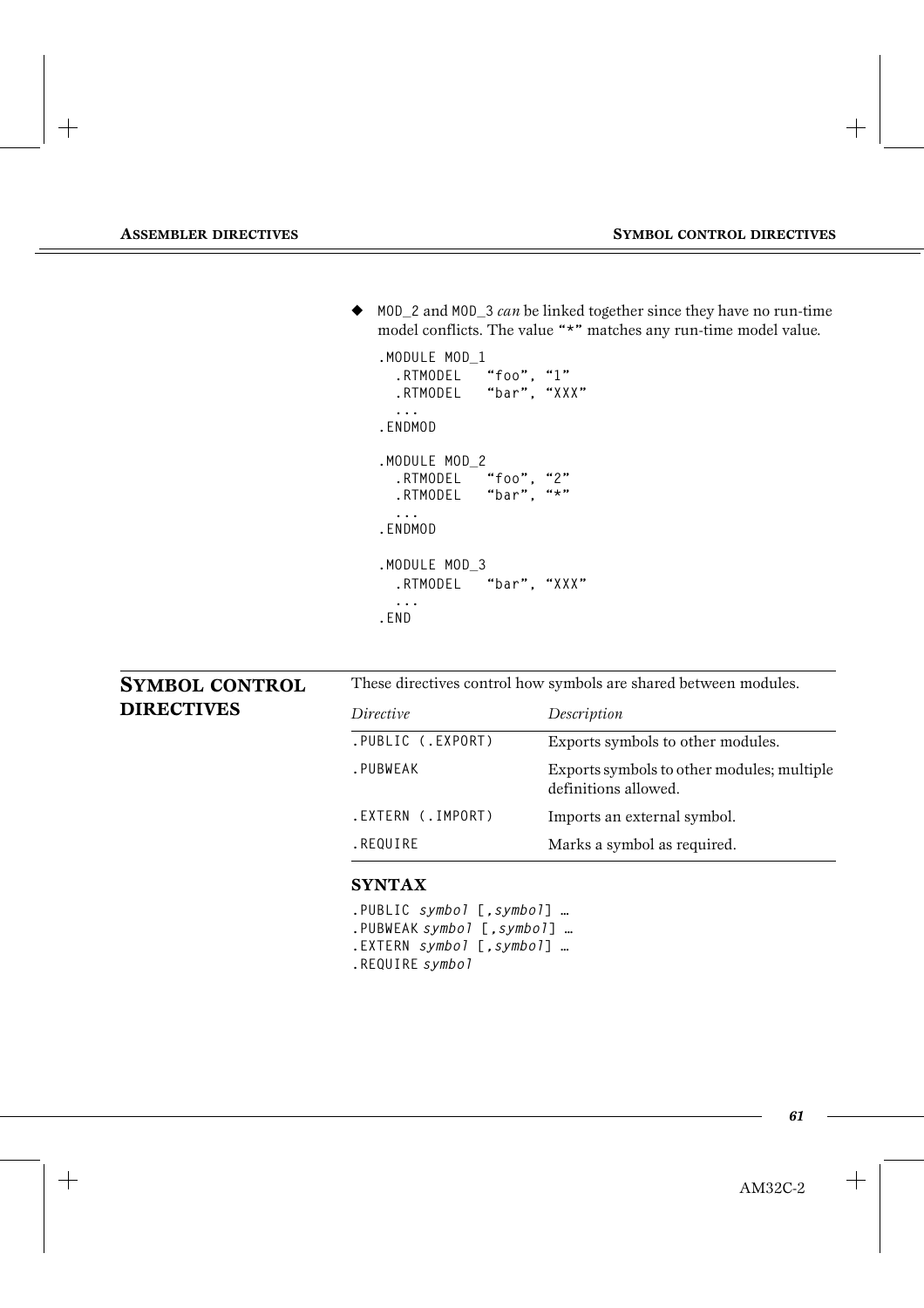◆ **MOD\_2** and **MOD\_3** *can* be linked together since they have no run-time model conflicts. The value **"\*"** matches any run-time model value.

```
.MODULE MOD_1
   .RTMODEL "foo", "1"
   .RTMODEL "bar", "XXX"
   ...
.ENDMOD
.MODULE MOD_2
             "foo", "2"
   .RTMODEL "bar", "*"
   ...
.ENDMOD
.MODULE MOD_3
   .RTMODEL "bar", "XXX"
   ...
.END
```
<span id="page-66-0"></span>

| <b>SYMBOL CONTROL</b> | These directives control how symbols are shared between modules. |                                                                    |
|-----------------------|------------------------------------------------------------------|--------------------------------------------------------------------|
| <b>DIRECTIVES</b>     | Directive                                                        | Description                                                        |
|                       | .PUBLIC (.EXPORT)                                                | Exports symbols to other modules.                                  |
|                       | .PUBWEAK                                                         | Exports symbols to other modules; multiple<br>definitions allowed. |
|                       | .EXTERN (.IMPORT)                                                | Imports an external symbol.                                        |
|                       | .REQUIRE                                                         | Marks a symbol as required.                                        |
|                       | SYNTAX                                                           |                                                                    |

#### **.PUBLIC** *symbol* **[***,symbol***] … .PUBWEAK** *symbol* **[***,symbol***] … .EXTERN** *symbol* **[***,symbol***] … .REQUIRE** *symbol*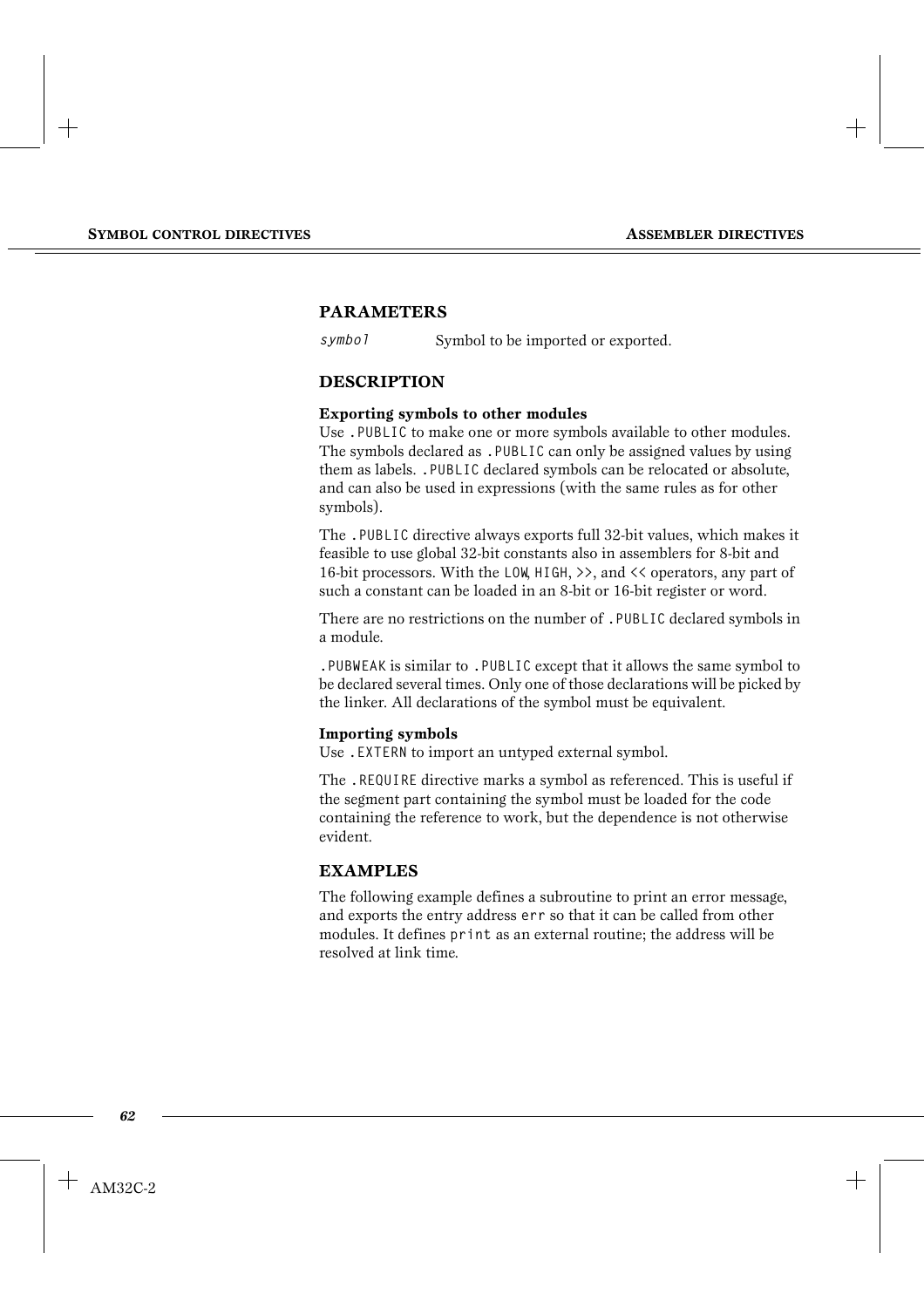#### **PARAMETERS**

*symbol* Symbol to be imported or exported.

#### **DESCRIPTION**

#### **Exporting symbols to other modules**

Use **.PUBLIC** to make one or more symbols available to other modules. The symbols declared as **.PUBLIC** can only be assigned values by using them as labels. **.PUBLIC** declared symbols can be relocated or absolute, and can also be used in expressions (with the same rules as for other symbols).

The **.PUBLIC** directive always exports full 32-bit values, which makes it feasible to use global 32-bit constants also in assemblers for 8-bit and 16-bit processors. With the **LOW**, **HIGH**, **>>**, and **<<** operators, any part of such a constant can be loaded in an 8-bit or 16-bit register or word.

There are no restrictions on the number of **.PUBLIC** declared symbols in a module.

**.PUBWEAK** is similar to **.PUBLIC** except that it allows the same symbol to be declared several times. Only one of those declarations will be picked by the linker. All declarations of the symbol must be equivalent.

#### **Importing symbols**

Use **.EXTERN** to import an untyped external symbol.

The **.REQUIRE** directive marks a symbol as referenced. This is useful if the segment part containing the symbol must be loaded for the code containing the reference to work, but the dependence is not otherwise evident.

#### **EXAMPLES**

The following example defines a subroutine to print an error message, and exports the entry address **err** so that it can be called from other modules. It defines **print** as an external routine; the address will be resolved at link time.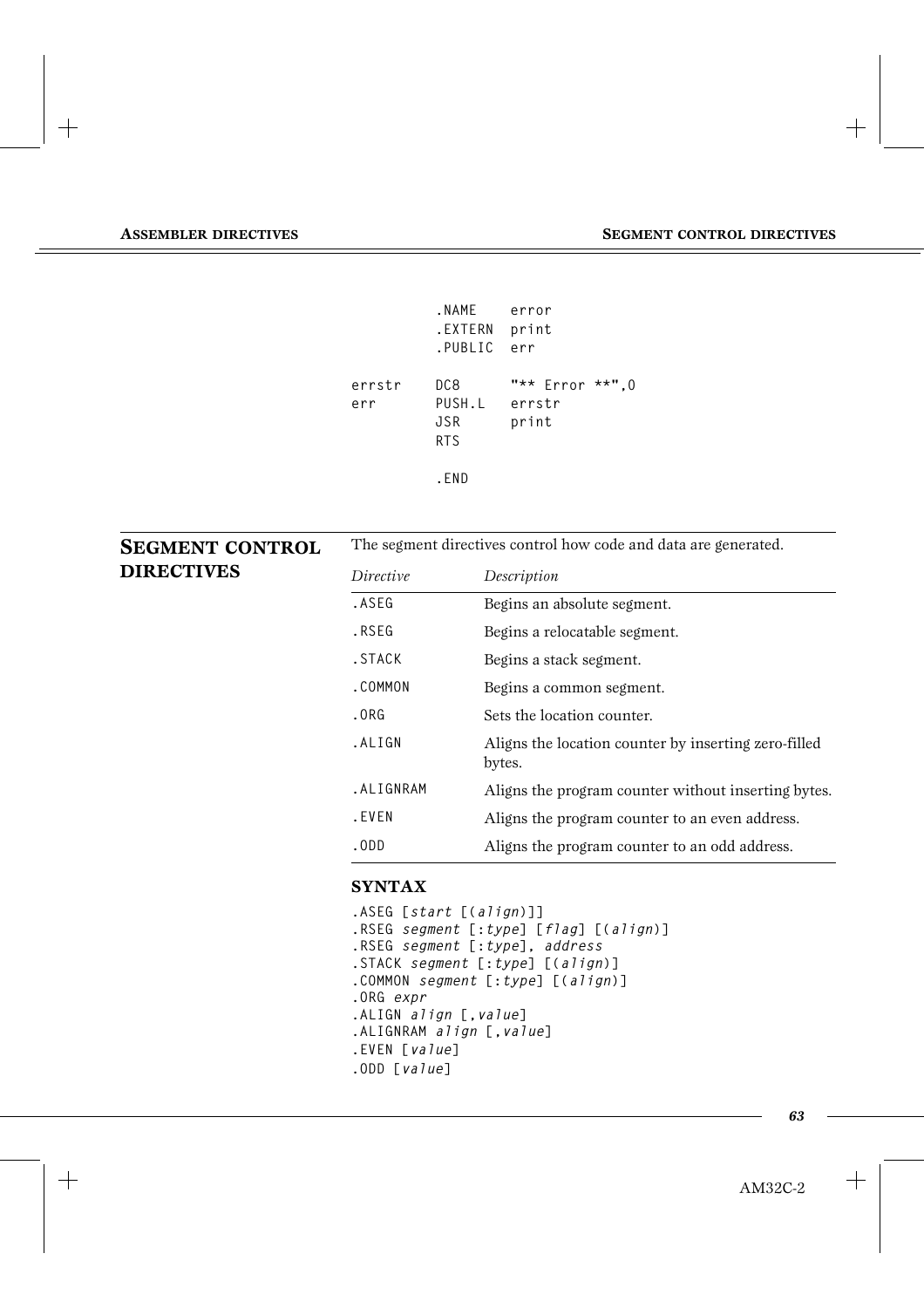|               | .NAME<br>.EXTERN<br>.PUBLIC        | error<br>print<br>err              |
|---------------|------------------------------------|------------------------------------|
| errstr<br>err | DC8<br>PUSH.L<br>JSR<br><b>RTS</b> | "** Error **",0<br>errstr<br>print |
|               | .END                               |                                    |

<span id="page-68-0"></span>**SEGMENT CONTROL DIRECTIVES**

The segment directives control how code and data are generated.

| Directive  | Description                                                    |  |  |
|------------|----------------------------------------------------------------|--|--|
| .ASEG      | Begins an absolute segment.                                    |  |  |
| .RSEG      | Begins a relocatable segment.                                  |  |  |
| .STACK     | Begins a stack segment.                                        |  |  |
| .COMMON    | Begins a common segment.                                       |  |  |
| .0RG       | Sets the location counter.                                     |  |  |
| .ALIGN     | Aligns the location counter by inserting zero-filled<br>bytes. |  |  |
| . ALIGNRAM | Aligns the program counter without inserting bytes.            |  |  |
| .EVEN      | Aligns the program counter to an even address.                 |  |  |
| .0DD       | Aligns the program counter to an odd address.                  |  |  |

#### **SYNTAX**

```
.ASEG [start [(align)]]
.RSEG segment [:type] [flag] [(align)]
.RSEG segment [:type], address
.STACK segment [:type] [(align)]
.COMMON segment [:type] [(align)]
.ORG expr
.ALIGN align [,value]
.ALIGNRAM align [,value]
.EVEN [value]
.ODD [value]
```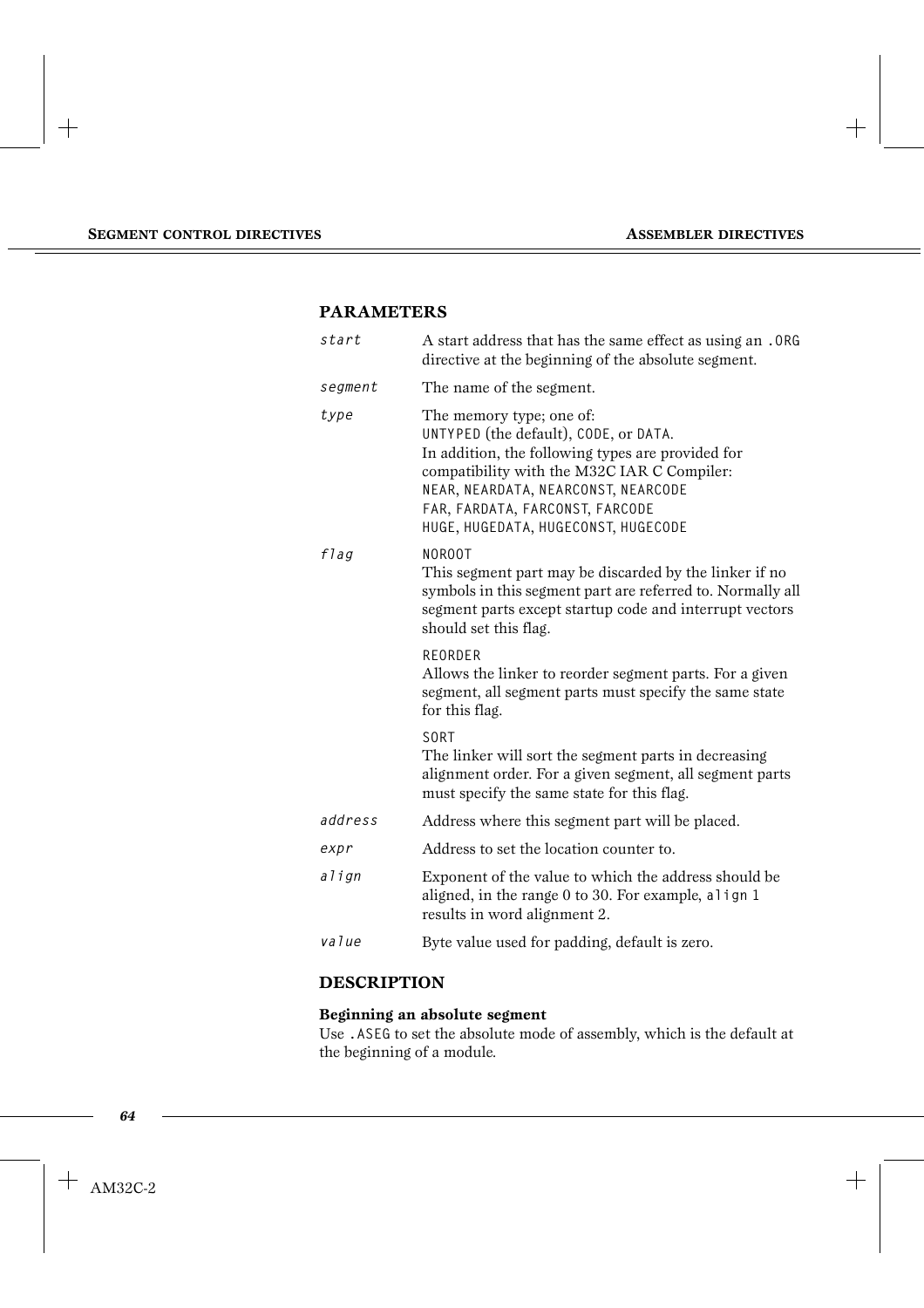#### **PARAMETERS**

| start   | A start address that has the same effect as using an .0RG<br>directive at the beginning of the absolute segment.                                                                                                                                                                       |  |  |
|---------|----------------------------------------------------------------------------------------------------------------------------------------------------------------------------------------------------------------------------------------------------------------------------------------|--|--|
| segment | The name of the segment.                                                                                                                                                                                                                                                               |  |  |
| type    | The memory type; one of:<br>UNTYPED (the default), CODE, or DATA.<br>In addition, the following types are provided for<br>compatibility with the M32C IAR C Compiler:<br>NEAR, NEARDATA, NEARCONST, NEARCODE<br>FAR, FARDATA, FARCONST, FARCODE<br>HUGE, HUGEDATA, HUGECONST, HUGECODE |  |  |
| flag    | NOROOT<br>This segment part may be discarded by the linker if no<br>symbols in this segment part are referred to. Normally all<br>segment parts except startup code and interrupt vectors<br>should set this flag.                                                                     |  |  |
|         | <b>REORDER</b><br>Allows the linker to reorder segment parts. For a given<br>segment, all segment parts must specify the same state<br>for this flag.                                                                                                                                  |  |  |
|         | <b>SORT</b><br>The linker will sort the segment parts in decreasing<br>alignment order. For a given segment, all segment parts<br>must specify the same state for this flag.                                                                                                           |  |  |
| address | Address where this segment part will be placed.                                                                                                                                                                                                                                        |  |  |
| expr    | Address to set the location counter to.                                                                                                                                                                                                                                                |  |  |
| align   | Exponent of the value to which the address should be<br>aligned, in the range 0 to 30. For example, align 1<br>results in word alignment 2.                                                                                                                                            |  |  |
| value   | Byte value used for padding, default is zero.                                                                                                                                                                                                                                          |  |  |

### **DESCRIPTION**

#### **Beginning an absolute segment**

Use **.ASEG** to set the absolute mode of assembly, which is the default at the beginning of a module.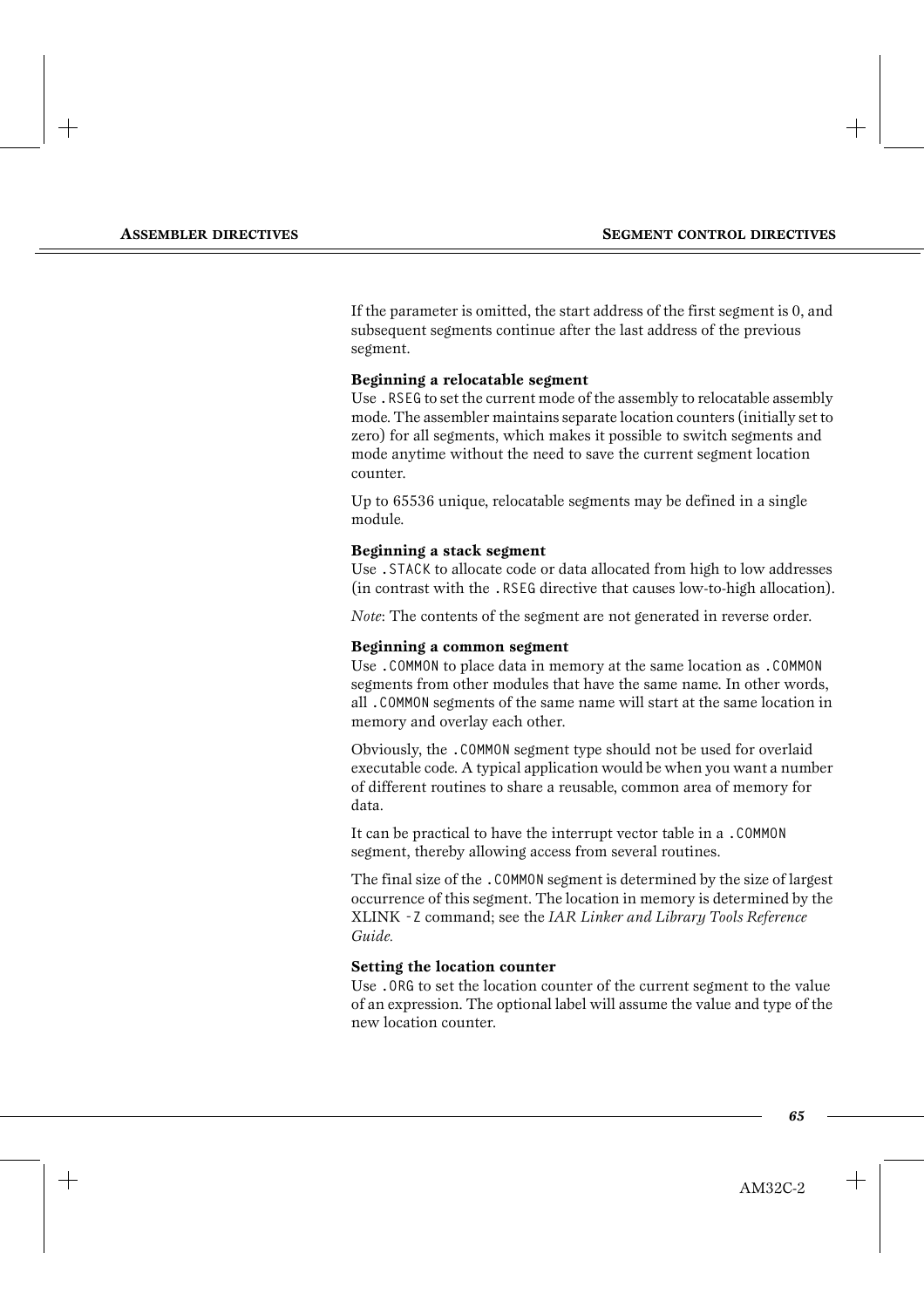If the parameter is omitted, the start address of the first segment is 0, and subsequent segments continue after the last address of the previous segment.

#### **Beginning a relocatable segment**

Use **.RSEG** to set the current mode of the assembly to relocatable assembly mode. The assembler maintains separate location counters (initially set to zero) for all segments, which makes it possible to switch segments and mode anytime without the need to save the current segment location counter.

Up to 65536 unique, relocatable segments may be defined in a single module.

#### **Beginning a stack segment**

Use **.STACK** to allocate code or data allocated from high to low addresses (in contrast with the **.RSEG** directive that causes low-to-high allocation).

*Note*: The contents of the segment are not generated in reverse order.

#### **Beginning a common segment**

Use **.COMMON** to place data in memory at the same location as **.COMMON** segments from other modules that have the same name. In other words, all **.COMMON** segments of the same name will start at the same location in memory and overlay each other.

Obviously, the **.COMMON** segment type should not be used for overlaid executable code. A typical application would be when you want a number of different routines to share a reusable, common area of memory for data.

It can be practical to have the interrupt vector table in a **.COMMON** segment, thereby allowing access from several routines.

The final size of the **.COMMON** segment is determined by the size of largest occurrence of this segment. The location in memory is determined by the XLINK **-Z** command; see the *IAR Linker and Library Tools Reference Guide.*

#### **Setting the location counter**

Use **.ORG** to set the location counter of the current segment to the value of an expression. The optional label will assume the value and type of the new location counter.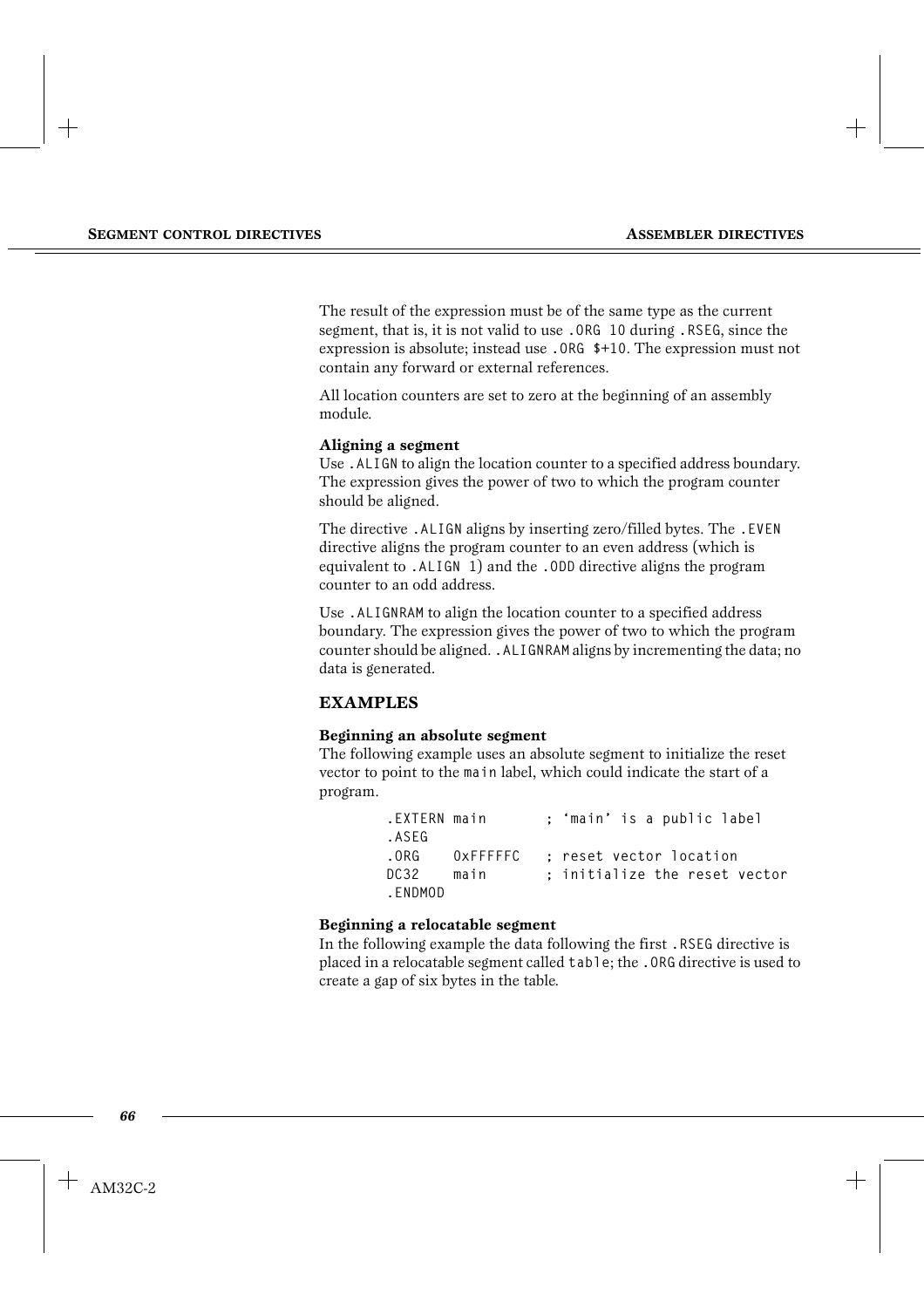The result of the expression must be of the same type as the current segment, that is, it is not valid to use **.ORG 10** during **.RSEG**, since the expression is absolute; instead use **.ORG \$+10**. The expression must not contain any forward or external references.

All location counters are set to zero at the beginning of an assembly module.

#### **Aligning a segment**

Use **.ALIGN** to align the location counter to a specified address boundary. The expression gives the power of two to which the program counter should be aligned.

The directive **.ALIGN** aligns by inserting zero/filled bytes. The **.EVEN** directive aligns the program counter to an even address (which is equivalent to **.ALIGN 1**) and the **.ODD** directive aligns the program counter to an odd address.

Use **.ALIGNRAM** to align the location counter to a specified address boundary. The expression gives the power of two to which the program counter should be aligned. **.ALIGNRAM** aligns by incrementing the data; no data is generated.

#### **EXAMPLES**

#### **Beginning an absolute segment**

The following example uses an absolute segment to initialize the reset vector to point to the **main** label, which could indicate the start of a program.

| .EXTERN main |      | ; 'main' is a public label       |
|--------------|------|----------------------------------|
| .ASEG        |      |                                  |
| . ORG        |      | OxFFFFFC : reset vector location |
| DC32         | main | ; initialize the reset vector    |
| .ENDMOD      |      |                                  |

#### **Beginning a relocatable segment**

In the following example the data following the first **.RSEG** directive is placed in a relocatable segment called **table**; the **.ORG** directive is used to create a gap of six bytes in the table.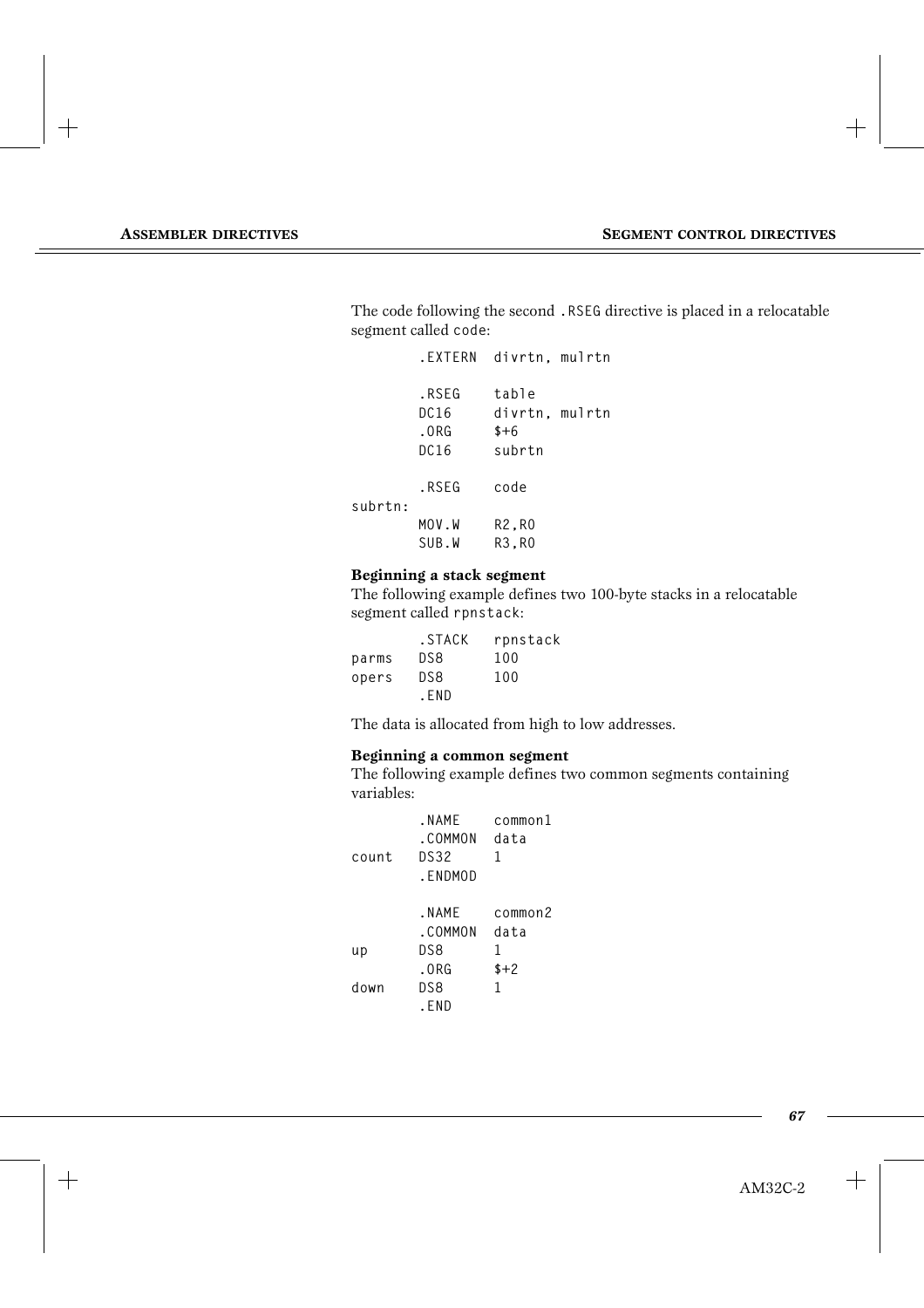The code following the second **.RSEG** directive is placed in a relocatable segment called **code**:

 **.EXTERN divrtn, mulrtn .RSEG table DC16 divrtn, mulrtn .ORG \$+6 DC16 subrtn .RSEG code subrtn: MOV.W R2,R0 SUB.W R3,R0**

## **Beginning a stack segment**

The following example defines two 100-byte stacks in a relocatable segment called **rpnstack**:

|       | .STACK | rpnstack |
|-------|--------|----------|
| parms | DS8    | 100      |
| opers | DS8    | 100      |
|       | .END   |          |

The data is allocated from high to low addresses.

## **Beginning a common segment**

The following example defines two common segments containing variables:

|       | .NAME   | common1 |
|-------|---------|---------|
|       | .COMMON | data    |
| count | DS32    | 1       |
|       | .ENDMOD |         |
|       | .NAME   | common2 |
|       | .COMMON | data    |
| up    | DS8     | 1       |
|       | .ORG    | $$+2$   |
| down  | DS8     | 1       |
|       | . END   |         |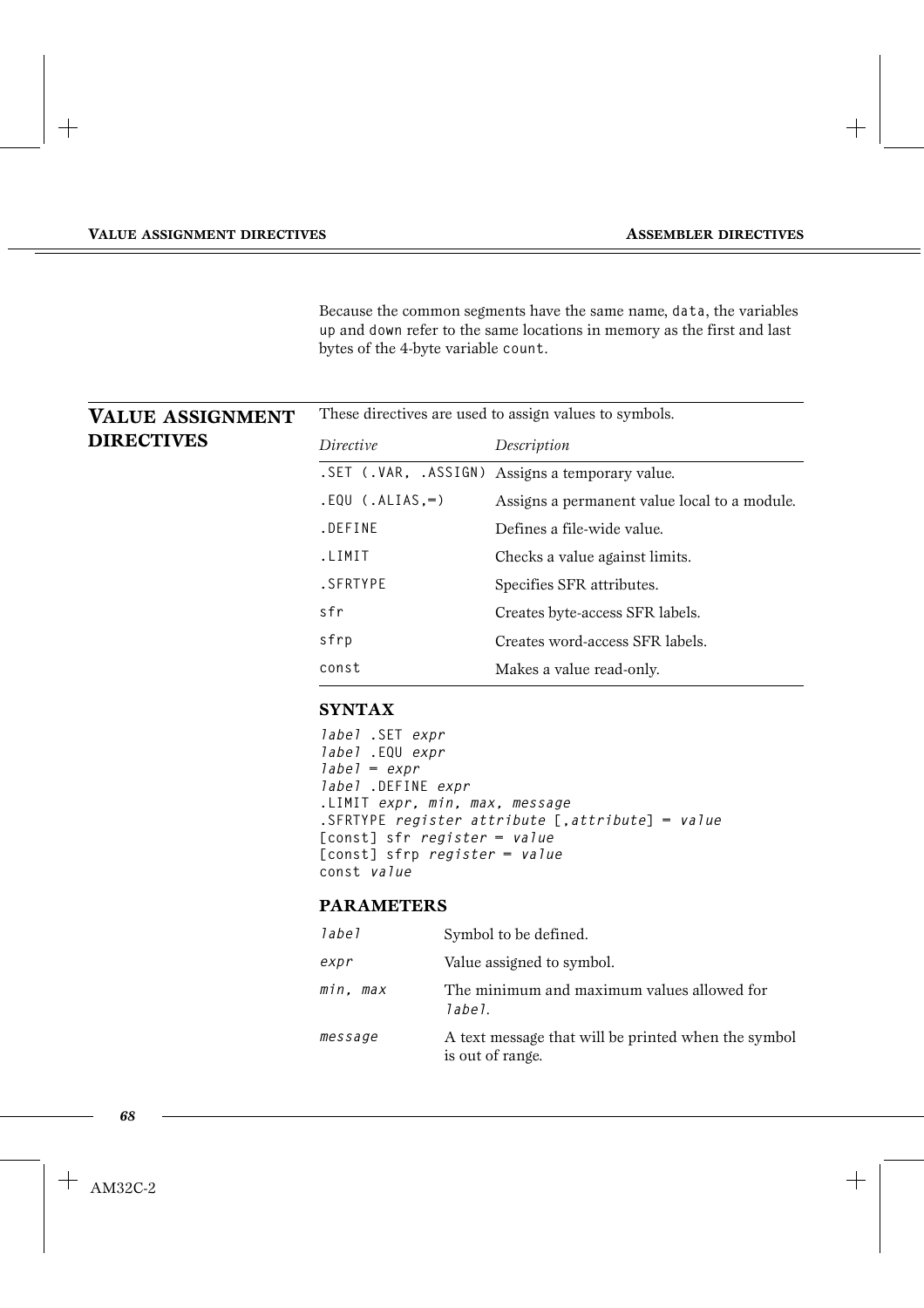Because the common segments have the same name, **data**, the variables **up** and **down** refer to the same locations in memory as the first and last bytes of the 4-byte variable **count**.

| <b>VALUE ASSIGNMENT</b> | These directives are used to assign values to symbols. |                                                 |  |
|-------------------------|--------------------------------------------------------|-------------------------------------------------|--|
| <b>DIRECTIVES</b>       | Directive                                              | Description                                     |  |
|                         |                                                        | .SET (.VAR, .ASSIGN) Assigns a temporary value. |  |
|                         | $EQU$ (.ALIAS, =)                                      | Assigns a permanent value local to a module.    |  |
|                         | .DEFINE                                                | Defines a file-wide value.                      |  |
|                         | .LIMIT                                                 | Checks a value against limits.                  |  |
|                         | .SFRTYPE                                               | Specifies SFR attributes.                       |  |
|                         | sfr                                                    | Creates byte-access SFR labels.                 |  |
|                         | sfrp                                                   | Creates word-access SFR labels.                 |  |
|                         | const                                                  | Makes a value read-only.                        |  |

## **SYNTAX**

| label .SET expr                                                   |
|-------------------------------------------------------------------|
| <i>label</i> .EQU <i>expr</i>                                     |
| $label = expr$                                                    |
| label .DEFINE expr                                                |
| .LIMIT expr, min, max, message                                    |
| .SFRTYPE register attribute $\lceil$ , attribute $\rceil$ = value |
| [const] sfr register = value                                      |
| [const] sfrp register = value                                     |
| const <i>value</i>                                                |

## **PARAMETERS**

| label       | Symbol to be defined.                                                   |
|-------------|-------------------------------------------------------------------------|
| expr        | Value assigned to symbol.                                               |
| min.<br>max | The minimum and maximum values allowed for<br>label.                    |
| message     | A text message that will be printed when the symbol<br>is out of range. |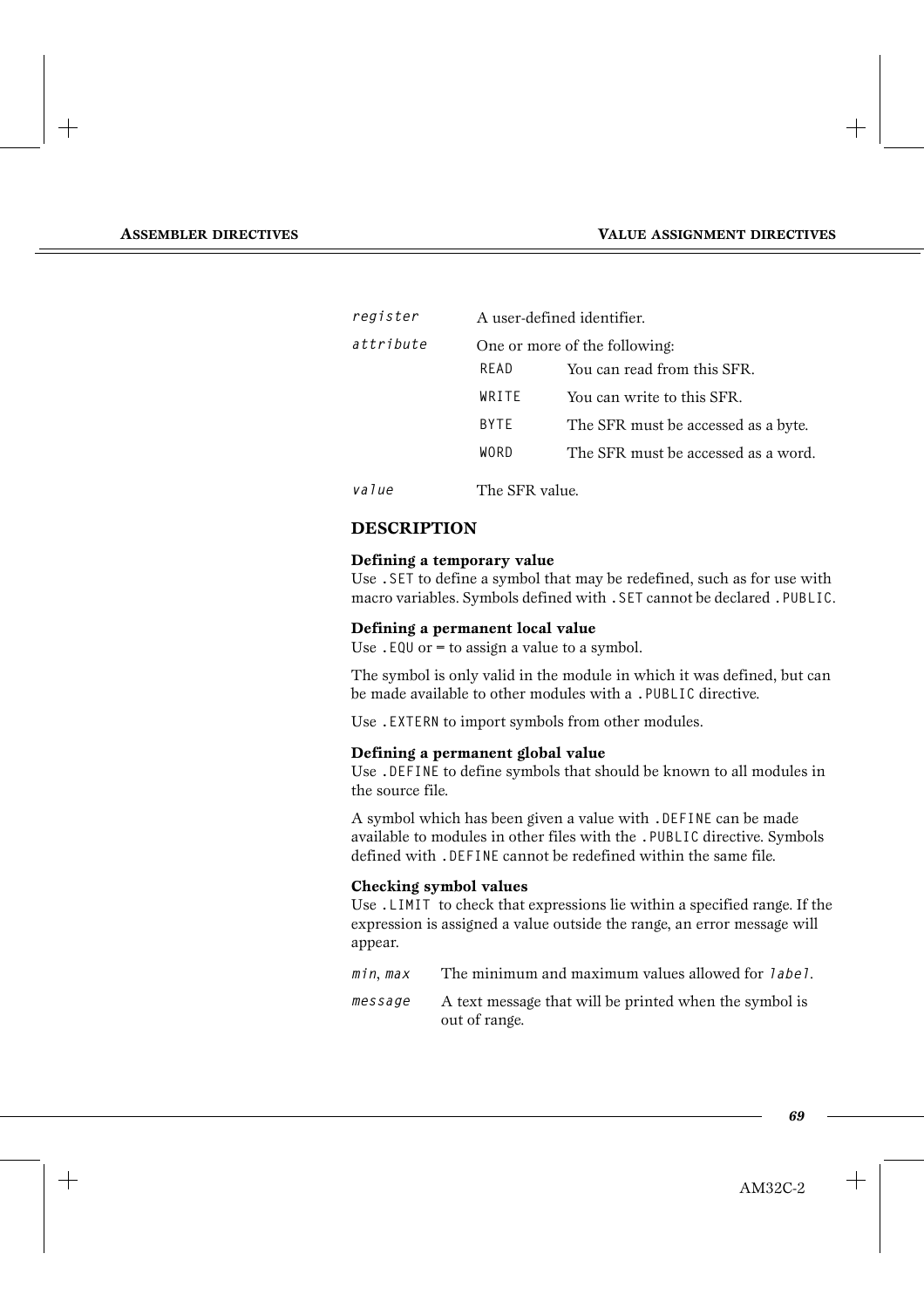| register  | A user-defined identifier.                                           |                                     |  |
|-----------|----------------------------------------------------------------------|-------------------------------------|--|
| attribute | One or more of the following:<br>READ<br>You can read from this SFR. |                                     |  |
|           | WRITE                                                                | You can write to this SFR.          |  |
|           | BYTE                                                                 | The SFR must be accessed as a byte. |  |
|           | WORD                                                                 | The SFR must be accessed as a word. |  |
| value     | The SFR value.                                                       |                                     |  |

**DESCRIPTION**

## **Defining a temporary value**

Use **.SET** to define a symbol that may be redefined, such as for use with macro variables. Symbols defined with **.SET** cannot be declared **.PUBLIC**.

## **Defining a permanent local value**

Use **.EQU** or **=** to assign a value to a symbol.

The symbol is only valid in the module in which it was defined, but can be made available to other modules with a **.PUBLIC** directive.

Use **.EXTERN** to import symbols from other modules.

#### **Defining a permanent global value**

Use **.DEFINE** to define symbols that should be known to all modules in the source file.

A symbol which has been given a value with **.DEFINE** can be made available to modules in other files with the **.PUBLIC** directive. Symbols defined with **.DEFINE** cannot be redefined within the same file.

### **Checking symbol values**

Use **.LIMIT** to check that expressions lie within a specified range. If the expression is assigned a value outside the range, an error message will appear.

- *min*, *max* The minimum and maximum values allowed for *label*.
- *message* A text message that will be printed when the symbol is out of range.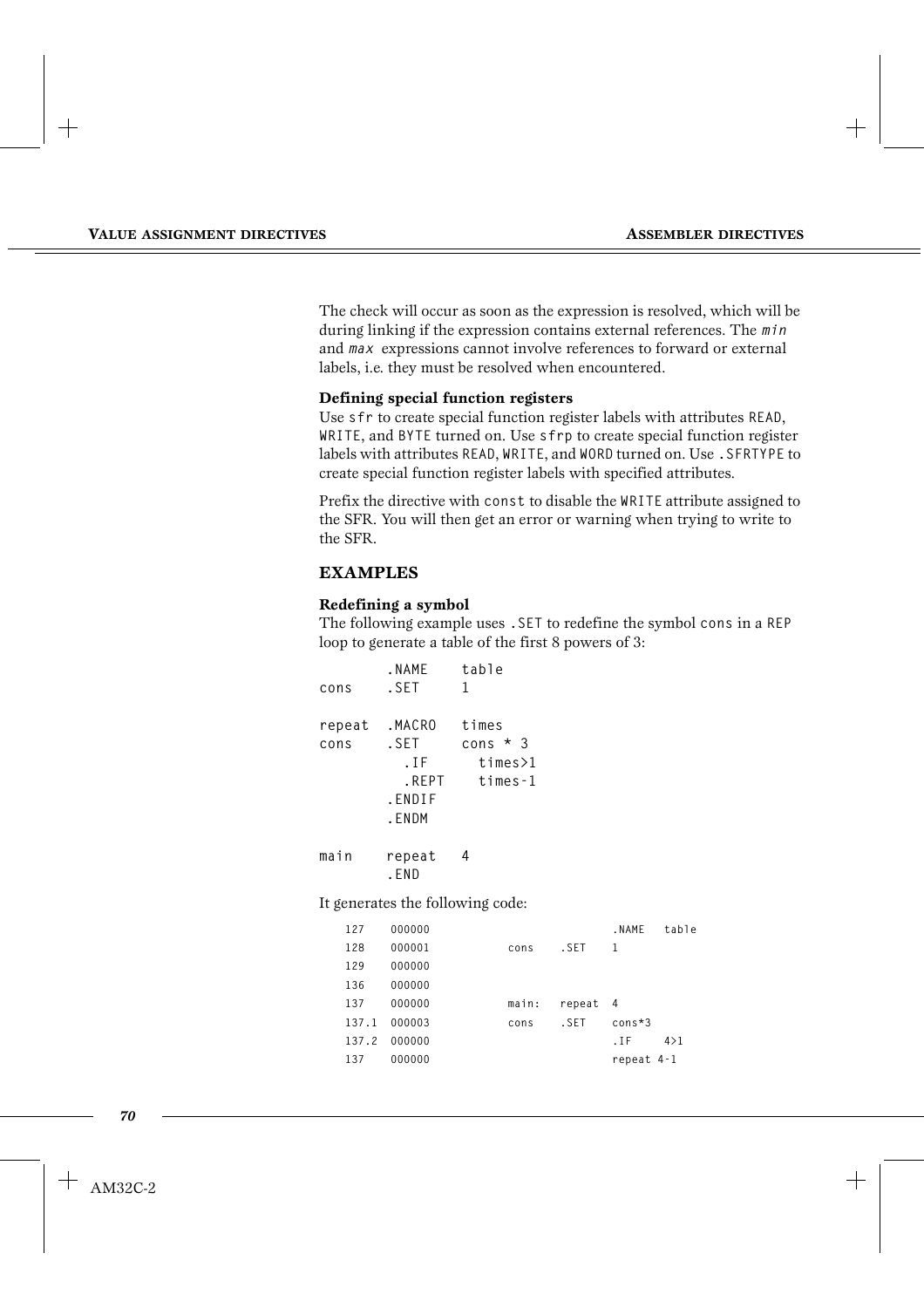The check will occur as soon as the expression is resolved, which will be during linking if the expression contains external references. The *min* and *max* expressions cannot involve references to forward or external labels, i.e. they must be resolved when encountered.

## **Defining special function registers**

Use **sfr** to create special function register labels with attributes **READ**, **WRITE**, and **BYTE** turned on. Use **sfrp** to create special function register labels with attributes **READ**, **WRITE**, and **WORD** turned on. Use **.SFRTYPE** to create special function register labels with specified attributes.

Prefix the directive with **const** to disable the **WRITE** attribute assigned to the SFR. You will then get an error or warning when trying to write to the SFR.

## **EXAMPLES**

#### **Redefining a symbol**

The following example uses **.SET** to redefine the symbol **cons** in a **REP** loop to generate a table of the first 8 powers of 3:

|      | .NAME<br>cons .SET                                              | table<br>1                      |                |              |       |
|------|-----------------------------------------------------------------|---------------------------------|----------------|--------------|-------|
| cons | repeat .MACRO times<br>$SET$ cons $\star$ 3.<br>.ENDIF<br>.ENDM | $IF$ times $>1$<br>REPT times-1 |                |              |       |
| main | repeat<br>.END                                                  | 4                               |                |              |       |
|      | It generates the following code:                                |                                 |                |              |       |
| 127  | 000000                                                          |                                 |                | .NAME        | table |
| 128  | 000001                                                          | cons                            | .SET           | $\mathbf{1}$ |       |
| 129  | 000000                                                          |                                 |                |              |       |
| 136  | 000000                                                          |                                 |                |              |       |
| 137  | 000000                                                          |                                 | main: repeat 4 |              |       |
|      | 137.1 000003                                                    | cons                            | .SET           | $cons*3$     |       |
|      | 137.2 000000                                                    |                                 |                | $I$ $F$      | 4 > 1 |
| 137  | 000000                                                          |                                 |                | repeat 4-1   |       |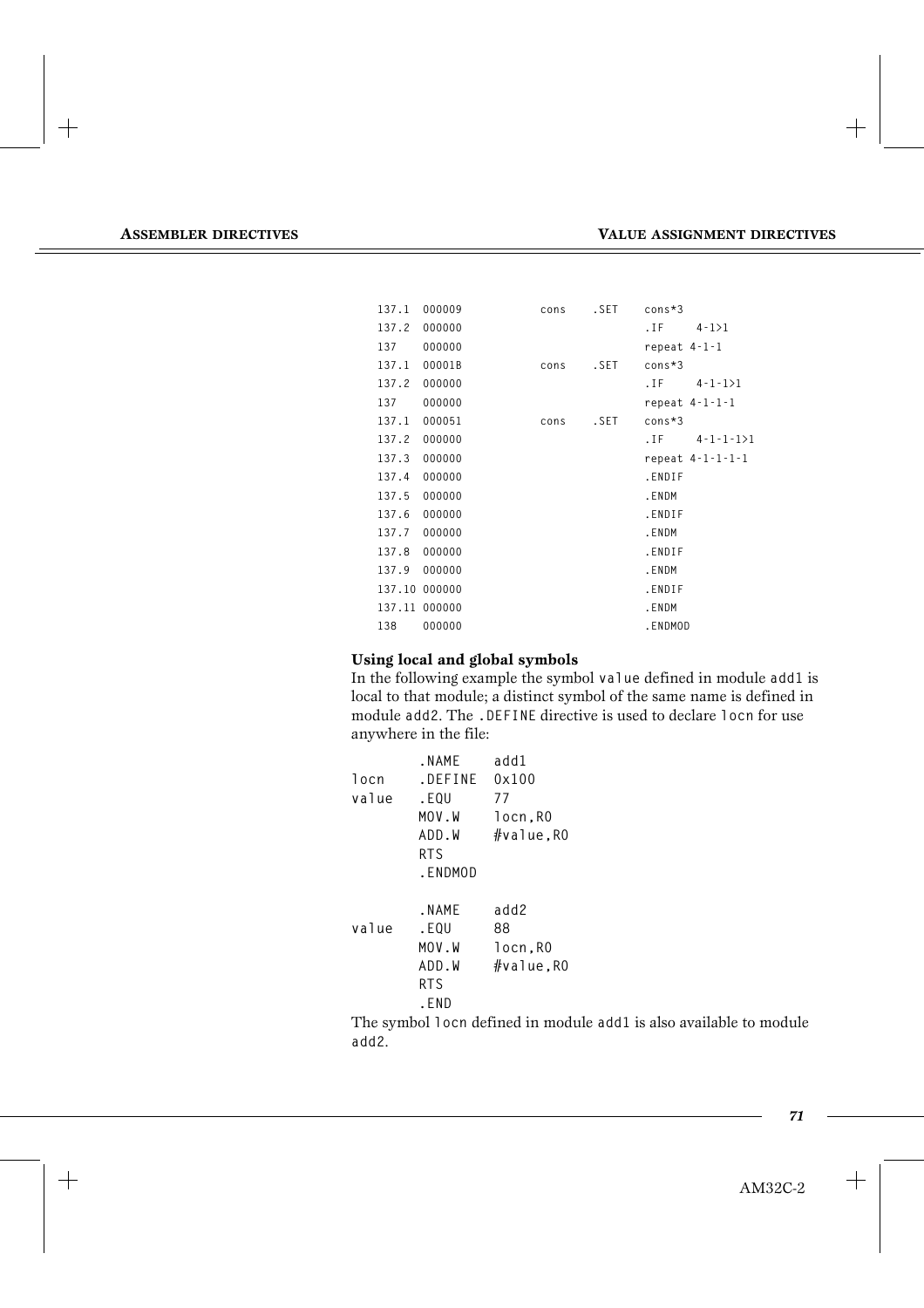| 137.1 | 000009        | cons | .SET | $const*3$      |                            |
|-------|---------------|------|------|----------------|----------------------------|
|       | 137.2 000000  |      |      | $I = 4-1>1$    |                            |
| 137   | 000000        |      |      | repeat $4-1-1$ |                            |
|       | 137.1 00001B  | cons | .SET | $cons*3$       |                            |
|       | 137.2 000000  |      |      |                | $I = 4 - 1 - 1 > 1$        |
| 137   | 000000        |      |      |                | repeat $4-1-1-1$           |
|       | 137.1 000051  | cons | .SET | $cons*3$       |                            |
|       | 137.2 000000  |      |      |                | $I = 4 - 1 - 1 - 1$        |
|       | 137.3 000000  |      |      |                | repeat $4 - 1 - 1 - 1 - 1$ |
|       | 137.4 000000  |      |      | .ENDIF         |                            |
|       | 137.5 000000  |      |      | .ENDM          |                            |
| 137.6 | 000000        |      |      | .ENDIF         |                            |
|       | 137.7 000000  |      |      | .ENDM          |                            |
|       | 137.8 000000  |      |      | .ENDIF         |                            |
|       | 137.9 000000  |      |      | .ENDM          |                            |
|       | 137.10 000000 |      |      | .ENDIF         |                            |
|       | 137.11 000000 |      |      | .ENDM          |                            |
| 138   | 000000        |      |      | .ENDMOD        |                            |

## **Using local and global symbols**

In the following example the symbol **value** defined in module **add1** is local to that module; a distinct symbol of the same name is defined in module **add2**. The **.DEFINE** directive is used to declare **locn** for use anywhere in the file:

|       | .NAME      | add1      |
|-------|------------|-----------|
| locn  | .DEFINE    | 0x100     |
| value | .EOU       | 77        |
|       | MOV.W      | locn.RO   |
|       | ADD.W      | #value.RO |
|       | <b>RTS</b> |           |
|       | .FNDMOD    |           |
|       |            |           |
|       | .NAMF      | add2      |
|       |            |           |
| value | .EOU       | 88        |
|       | MOV.W      | locn.RO   |
|       | ADD.W      | #value.RO |
|       | <b>RTS</b> |           |
|       | . FND      |           |

The symbol **locn** defined in module **add1** is also available to module **add2**.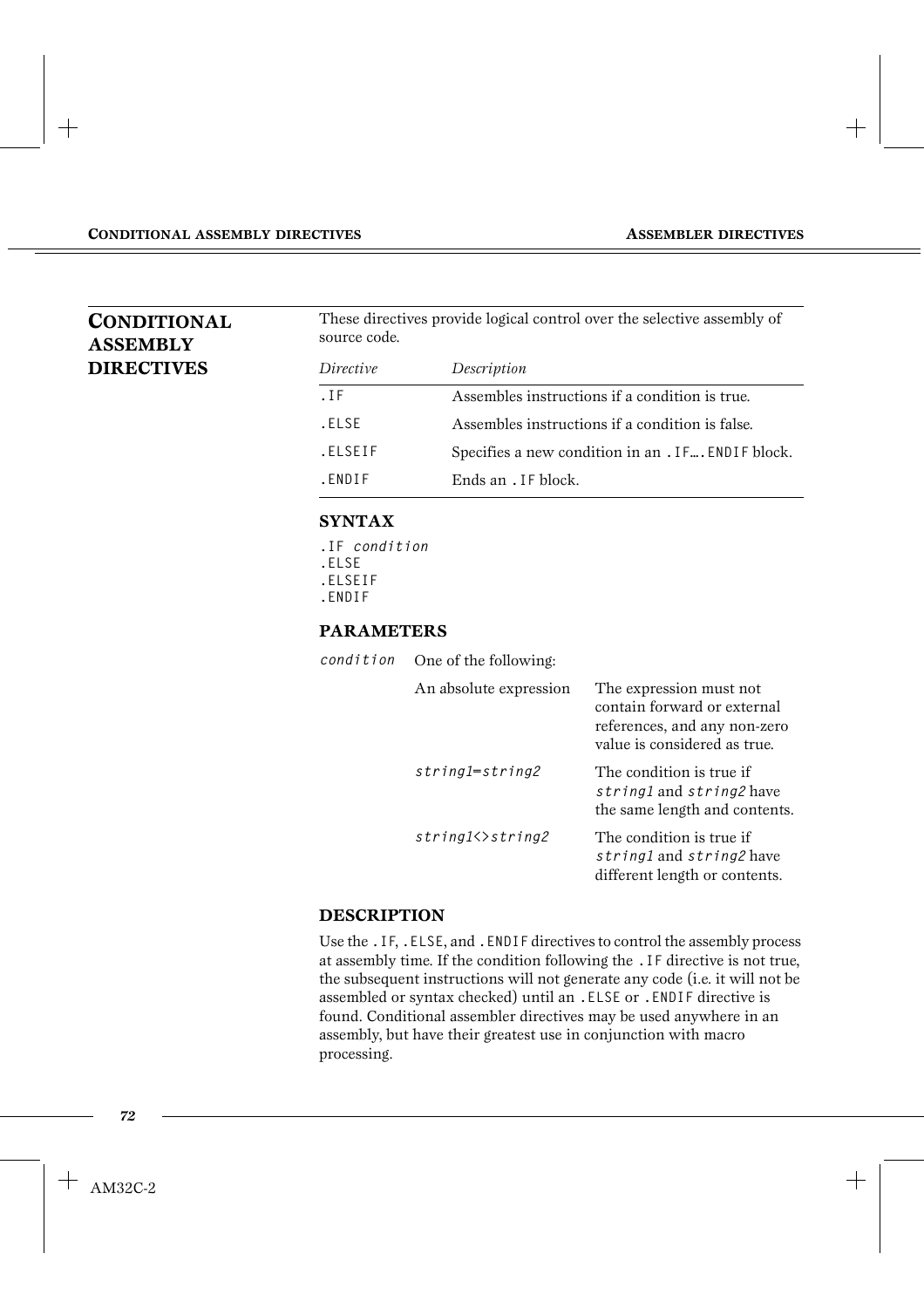# **CONDITIONAL ASSEMBLY DIRECTIVES**

These directives provide logical control over the selective assembly of source code.

| Directive | Description                                       |
|-----------|---------------------------------------------------|
| $I$ F     | Assembles instructions if a condition is true.    |
| .ELSE     | Assembles instructions if a condition is false.   |
| .ELSEIF   | Specifies a new condition in an . IF ENDIF block. |
| .FNDIF    | Ends an . IF block.                               |

## **SYNTAX**

**.IF** *condition* **.ELSE .ELSEIF .ENDIF**

## **PARAMETERS**

| condition | One of the following:                 |                                                                                                                        |  |  |
|-----------|---------------------------------------|------------------------------------------------------------------------------------------------------------------------|--|--|
|           | An absolute expression                | The expression must not<br>contain forward or external<br>references, and any non-zero<br>value is considered as true. |  |  |
|           | $string1 = string2$                   | The condition is true if<br>string1 and string2 have<br>the same length and contents.                                  |  |  |
|           | $string1$ $\leftrightarrow$ $string2$ | The condition is true if<br>string1 and string2 have<br>different length or contents.                                  |  |  |

## **DESCRIPTION**

Use the **.IF**, **.ELSE**, and **.ENDIF** directives to control the assembly process at assembly time. If the condition following the **.IF** directive is not true, the subsequent instructions will not generate any code (i.e. it will not be assembled or syntax checked) until an **.ELSE** or **.ENDIF** directive is found. Conditional assembler directives may be used anywhere in an assembly, but have their greatest use in conjunction with macro processing.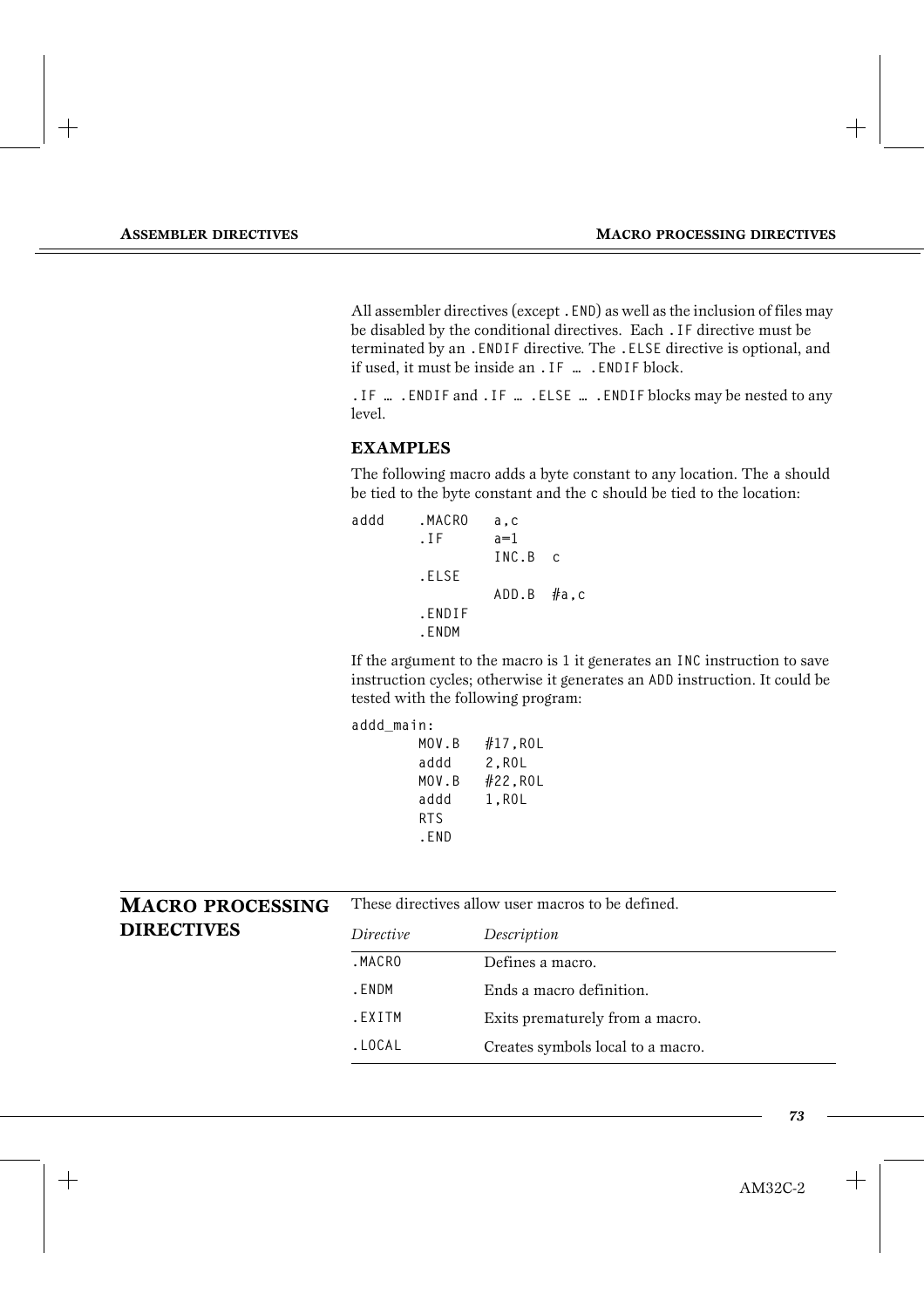All assembler directives (except **.END**) as well as the inclusion of files may be disabled by the conditional directives. Each **.IF** directive must be terminated by an **.ENDIF** directive. The **.ELSE** directive is optional, and if used, it must be inside an **.IF … .ENDIF** block.

**.IF … .ENDIF** and **.IF … .ELSE … .ENDIF** blocks may be nested to any level.

## **EXAMPLES**

The following macro adds a byte constant to any location. The **a** should be tied to the byte constant and the **c** should be tied to the location:

**addd .MACRO a,c .IF a=1 INC.B c .ELSE ADD.B #a,c .ENDIF .ENDM**

If the argument to the macro is **1** it generates an **INC** instruction to save instruction cycles; otherwise it generates an **ADD** instruction. It could be tested with the following program:

| addd main: |  |  |
|------------|--|--|
|            |  |  |

| MOV.B      | #17, R0L |
|------------|----------|
| addd       | 2.ROL    |
| MOV.B      | #22,ROL  |
| addd       | 1.ROL    |
| <b>RTS</b> |          |
| .END       |          |
|            |          |

| <b>MACRO PROCESSING</b> |           | These directives allow user macros to be defined. |  |  |
|-------------------------|-----------|---------------------------------------------------|--|--|
| <b>DIRECTIVES</b>       | Directive | Description                                       |  |  |
|                         | .MACRO    | Defines a macro.                                  |  |  |
|                         | .ENDM     | Ends a macro definition.                          |  |  |
|                         | .EXITM    | Exits prematurely from a macro.                   |  |  |
|                         | .LOCAL    | Creates symbols local to a macro.                 |  |  |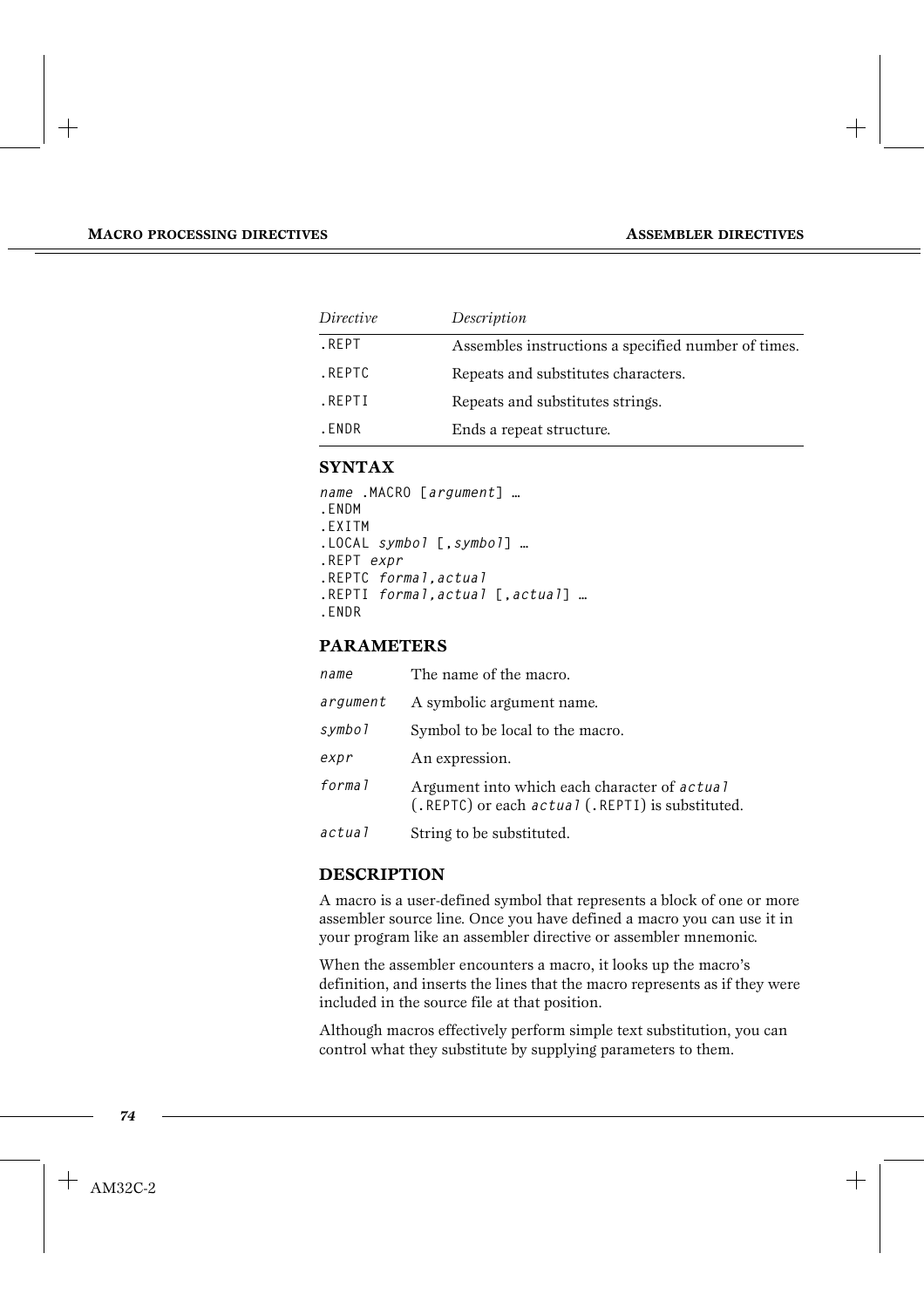| Directive | Description                                         |
|-----------|-----------------------------------------------------|
| .REPT     | Assembles instructions a specified number of times. |
| .REPTC    | Repeats and substitutes characters.                 |
| .REPTI    | Repeats and substitutes strings.                    |
| .ENDR     | Ends a repeat structure.                            |

## **SYNTAX**

```
name .MACRO [argument] …
.ENDM
.EXITM
.LOCAL symbol [,symbol] …
.REPT expr
.REPTC formal,actual
.REPTI formal,actual [,actual] …
.ENDR
```
## **PARAMETERS**

| name     | The name of the macro.                                                                           |
|----------|--------------------------------------------------------------------------------------------------|
| argument | A symbolic argument name.                                                                        |
| symbol   | Symbol to be local to the macro.                                                                 |
| expr     | An expression.                                                                                   |
| formal   | Argument into which each character of actual<br>(.REPTC) or each actual (.REPTI) is substituted. |
| actual   | String to be substituted.                                                                        |

## **DESCRIPTION**

A macro is a user-defined symbol that represents a block of one or more assembler source line. Once you have defined a macro you can use it in your program like an assembler directive or assembler mnemonic.

When the assembler encounters a macro, it looks up the macro's definition, and inserts the lines that the macro represents as if they were included in the source file at that position.

Although macros effectively perform simple text substitution, you can control what they substitute by supplying parameters to them.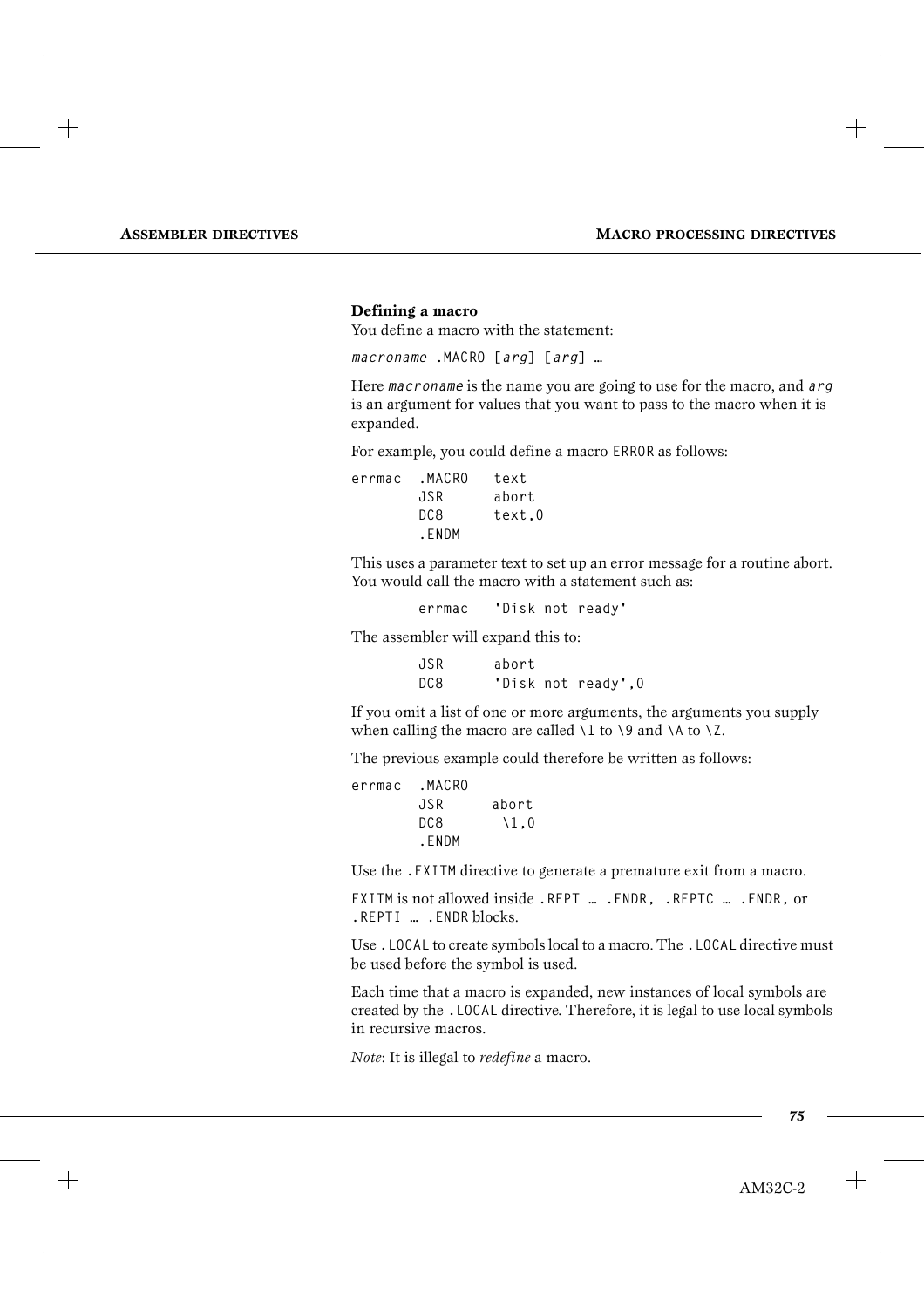## **Defining a macro**

You define a macro with the statement:

*macroname* **.MACRO [***arg***] [***arg***] …**

Here *macroname* is the name you are going to use for the macro, and *arg* is an argument for values that you want to pass to the macro when it is expanded.

For example, you could define a macro **ERROR** as follows:

**errmac .MACRO text JSR abort DC8 text,0 .ENDM**

This uses a parameter text to set up an error message for a routine abort. You would call the macro with a statement such as:

 **errmac 'Disk not ready'**

The assembler will expand this to:

 **JSR abort DC8 'Disk not ready',0**

If you omit a list of one or more arguments, the arguments you supply when calling the macro are called **\1** to **\9** and **\A** to **\Z**.

The previous example could therefore be written as follows:

**errmac .MACRO JSR abort DC8 \1,0 .ENDM**

Use the **.EXITM** directive to generate a premature exit from a macro.

**EXITM** is not allowed inside **.REPT … .ENDR, .REPTC … .ENDR,** or **.REPTI … .ENDR** blocks.

Use **.LOCAL** to create symbols local to a macro. The **.LOCAL** directive must be used before the symbol is used.

Each time that a macro is expanded, new instances of local symbols are created by the **.LOCAL** directive. Therefore, it is legal to use local symbols in recursive macros.

*Note*: It is illegal to *redefine* a macro.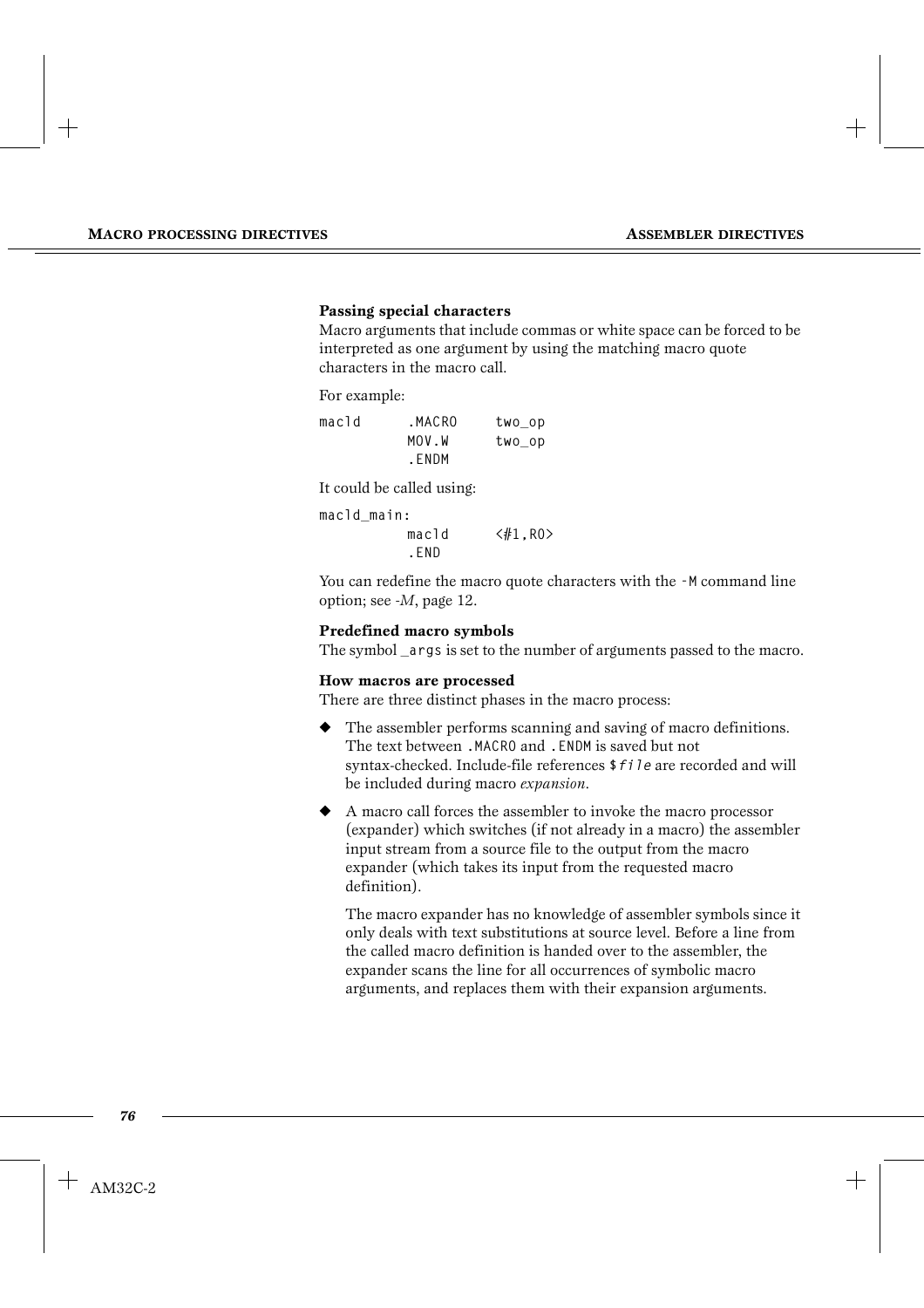## **Passing special characters**

Macro arguments that include commas or white space can be forced to be interpreted as one argument by using the matching macro quote characters in the macro call.

For example:

| macld | .MACRO | two_op |
|-------|--------|--------|
|       | MOV.W  | two_op |
|       | .ENDM  |        |

It could be called using:

**macld\_main: macld <#1,R0> .END**

You can redefine the macro quote characters with the **-M** command line option; see *-M*[, page 12.](#page-17-0)

## **Predefined macro symbols**

The symbol **\_args** is set to the number of arguments passed to the macro.

## **How macros are processed**

There are three distinct phases in the macro process:

- ◆ The assembler performs scanning and saving of macro definitions. The text between **.MACRO** and **.ENDM** is saved but not syntax-checked. Include-file references **\$***file* are recorded and will be included during macro *expansion*.
- ◆ A macro call forces the assembler to invoke the macro processor (expander) which switches (if not already in a macro) the assembler input stream from a source file to the output from the macro expander (which takes its input from the requested macro definition).

The macro expander has no knowledge of assembler symbols since it only deals with text substitutions at source level. Before a line from the called macro definition is handed over to the assembler, the expander scans the line for all occurrences of symbolic macro arguments, and replaces them with their expansion arguments.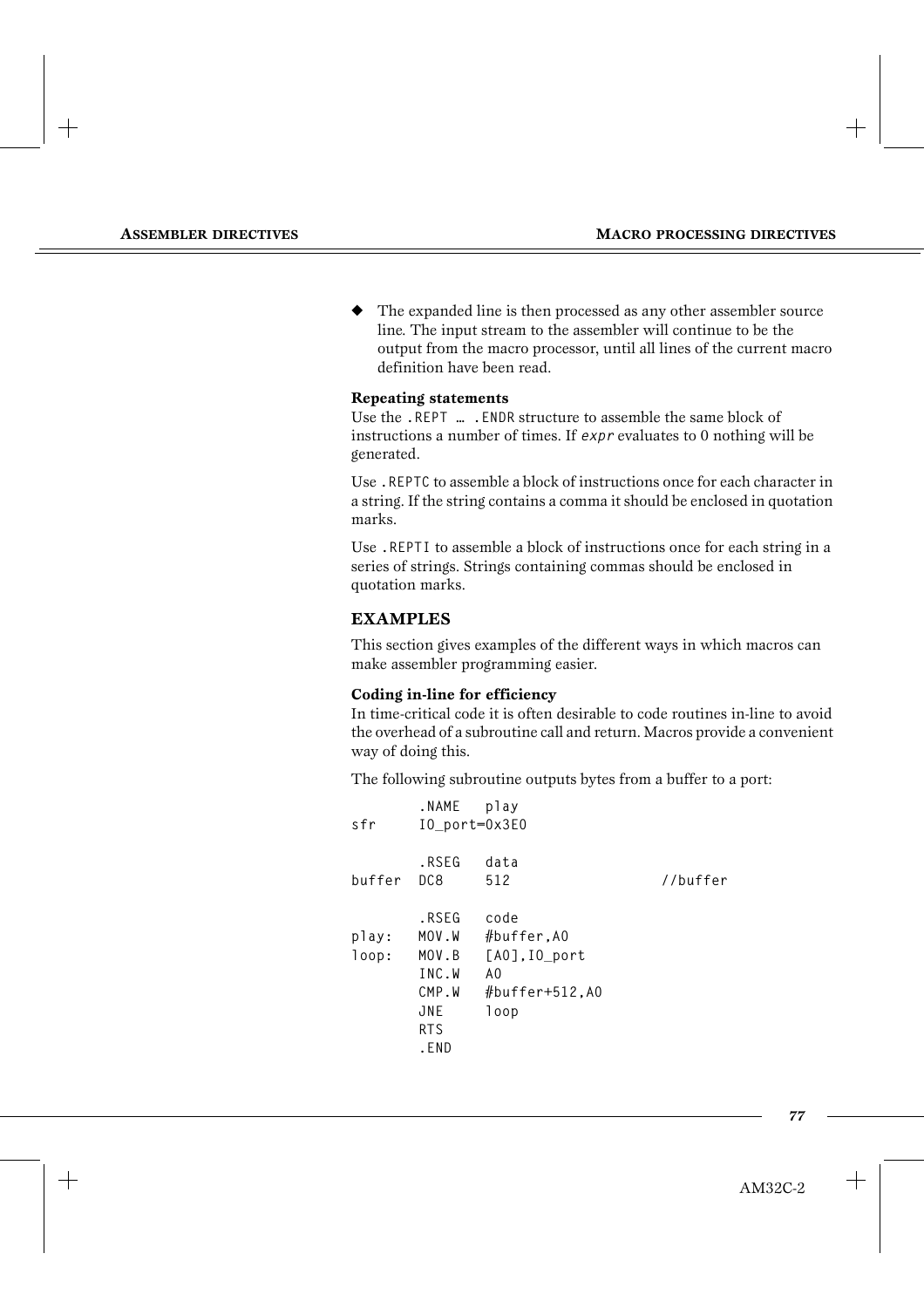The expanded line is then processed as any other assembler source line. The input stream to the assembler will continue to be the output from the macro processor, until all lines of the current macro definition have been read.

#### **Repeating statements**

Use the **.REPT … .ENDR** structure to assemble the same block of instructions a number of times. If *expr* evaluates to 0 nothing will be generated.

Use **.REPTC** to assemble a block of instructions once for each character in a string. If the string contains a comma it should be enclosed in quotation marks.

Use **.REPTI** to assemble a block of instructions once for each string in a series of strings. Strings containing commas should be enclosed in quotation marks.

## **EXAMPLES**

This section gives examples of the different ways in which macros can make assembler programming easier.

## **Coding in-line for efficiency**

In time-critical code it is often desirable to code routines in-line to avoid the overhead of a subroutine call and return. Macros provide a convenient way of doing this.

The following subroutine outputs bytes from a buffer to a port:

| sfr                                     | NAME play.<br>IO_port=0x3E0                                            |                                                                                              |          |
|-----------------------------------------|------------------------------------------------------------------------|----------------------------------------------------------------------------------------------|----------|
| buffer                                  | .RSEG<br>DC8                                                           | data<br>512                                                                                  | //buffer |
| $p$ $\exists$ $a$ $y$ $\colon$<br>loop: | .RSEG<br>MOV.W<br>MOV.B<br>INC.W<br>CMP.W<br>JNE<br><b>RTS</b><br>.END | code<br>#buffer.A0<br>$[A0]$ , $I0$ _port<br>A <sub>0</sub><br>$#$ buffer $+512$ .AO<br>loop |          |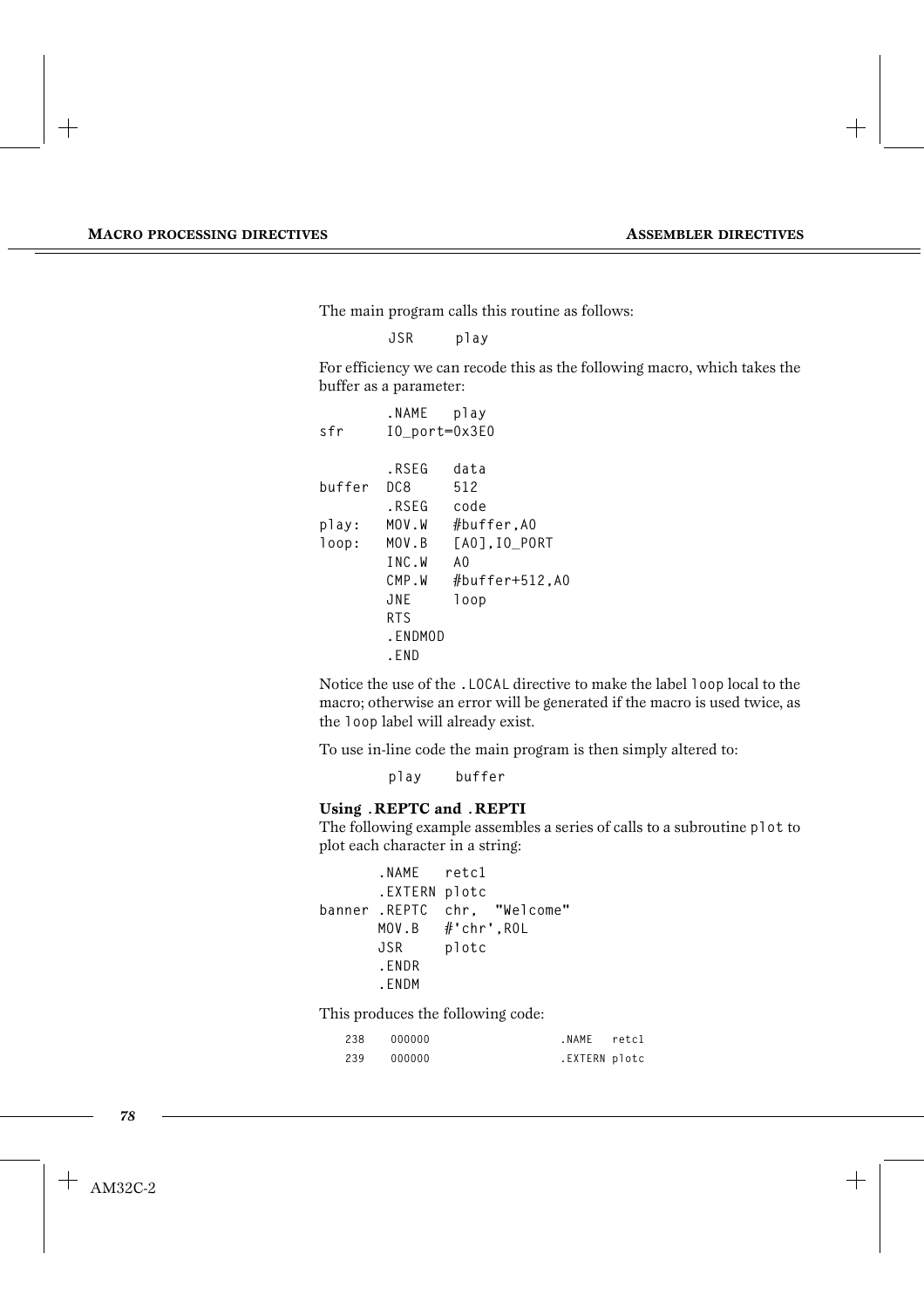The main program calls this routine as follows:

 **JSR play**

For efficiency we can recode this as the following macro, which takes the buffer as a parameter:

|          | .NAME         | play                  |
|----------|---------------|-----------------------|
| sfr      | IO_port=0x3E0 |                       |
|          |               |                       |
|          | .RSEG         | data                  |
| buffer   | DC8           | 512                   |
|          | .RSEG         | code                  |
| $p$ lay: | MOV.W         | #buffer.A0            |
| loop:    | MOV.B         | [AO].IO PORT          |
|          | INC.W         | A <sub>0</sub>        |
|          | CMP.W         | $#$ buffer $+512$ .AO |
|          | JNE           | loop                  |
|          | <b>RTS</b>    |                       |
|          | .ENDMOD       |                       |
|          | FND           |                       |

Notice the use of the **.LOCAL** directive to make the label **loop** local to the macro; otherwise an error will be generated if the macro is used twice, as the **loop** label will already exist.

To use in-line code the main program is then simply altered to:

 **play buffer**

## **Using .REPTC and .REPTI**

The following example assembles a series of calls to a subroutine **plot** to plot each character in a string:

```
 .NAME retc1
       .EXTERN plotc
banner .REPTC chr, "Welcome"
       MOV.B #'chr',R0L
       JSR plotc
        .ENDR
        .ENDM
```
This produces the following code:

| 238 | 000000 | NAME retc1    |  |
|-----|--------|---------------|--|
| 239 | 000000 | .EXTERN plotc |  |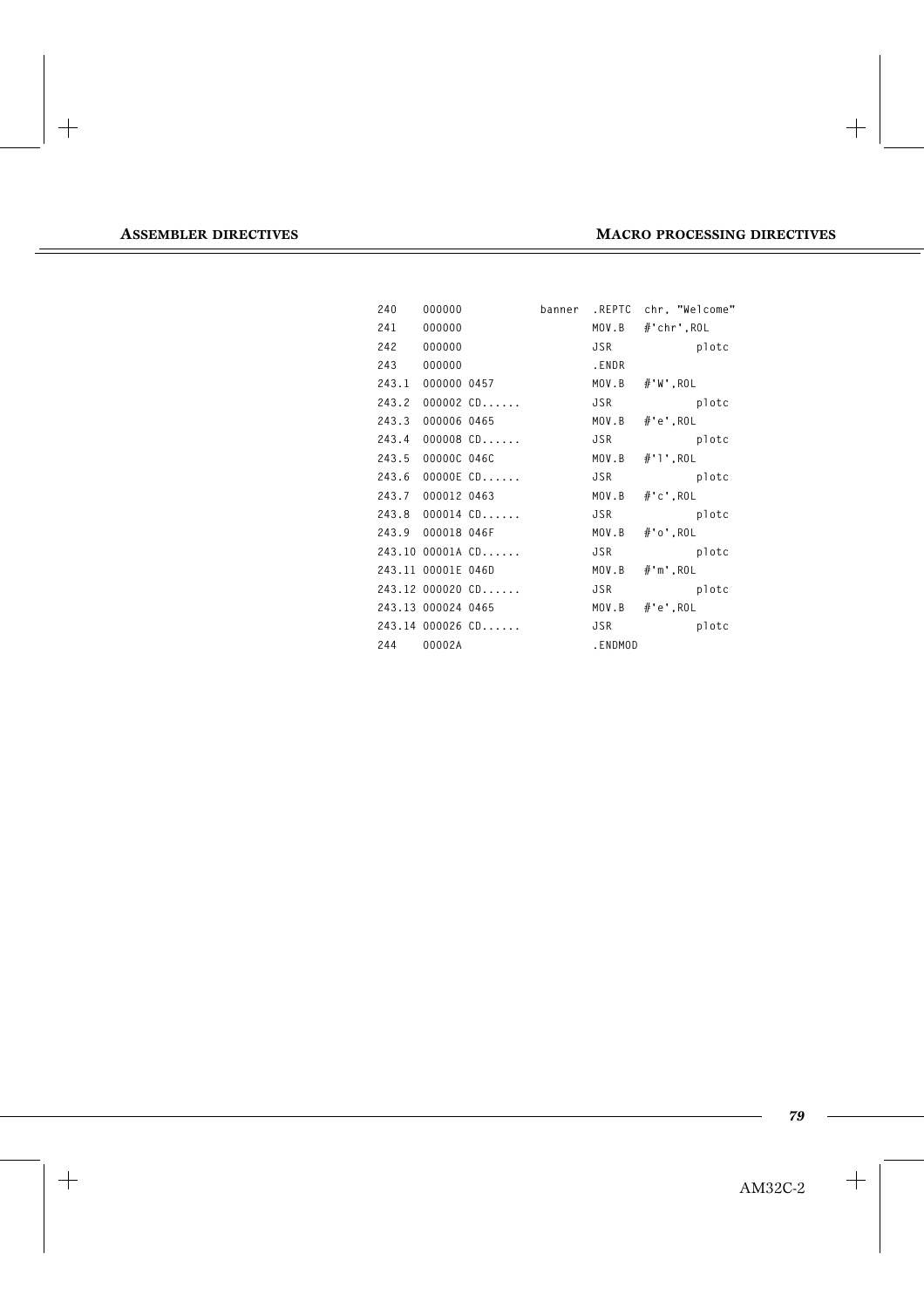| 240   | 000000             |                   |         | banner .REPTC chr. "Welcome" |  |
|-------|--------------------|-------------------|---------|------------------------------|--|
| 241   | 000000             |                   |         | $MOV.B$ #'chr', ROL          |  |
| 242   | 000000             |                   | JSR     | plotc                        |  |
| 243   | 000000             |                   | .ENDR   |                              |  |
|       | 243.1 000000 0457  |                   |         | $MOV.B$ $#V$ $ROL$           |  |
| 243.2 |                    | $000002$ $CD$     | JSR     | plotc                        |  |
| 243.3 | 000006 0465        |                   |         | $MOV.B$ #'e', ROL            |  |
|       |                    | 243.4 000008 CD   | JSR     | plotc                        |  |
|       | 243.5 00000C 046C  |                   | MOV.B   | #'1',ROL                     |  |
|       |                    | 243.6 00000E CD   | JSR     | plotc                        |  |
|       | 243.7 000012 0463  |                   | MOV.B   | ∦'c',ROL                     |  |
|       |                    | $243.8$ 000014 CD | JSR     | plotc                        |  |
|       | 243.9 000018 046F  |                   | MOV.B   | #'o',ROL                     |  |
|       |                    | 243.10 00001A CD  | JSR     | plotc                        |  |
|       | 243.11 00001E 046D |                   | MOV.B   | ∦'m',ROL                     |  |
|       |                    | 243.12 000020 CD  | JSR     | plotc                        |  |
|       | 243.13 000024 0465 |                   |         | $MOV.B$ #'e', ROL            |  |
|       |                    | 243.14 000026 CD  | JSR     | plotc                        |  |
|       | 244 00002A         |                   | .ENDMOD |                              |  |

 $\overline{\phantom{0}}$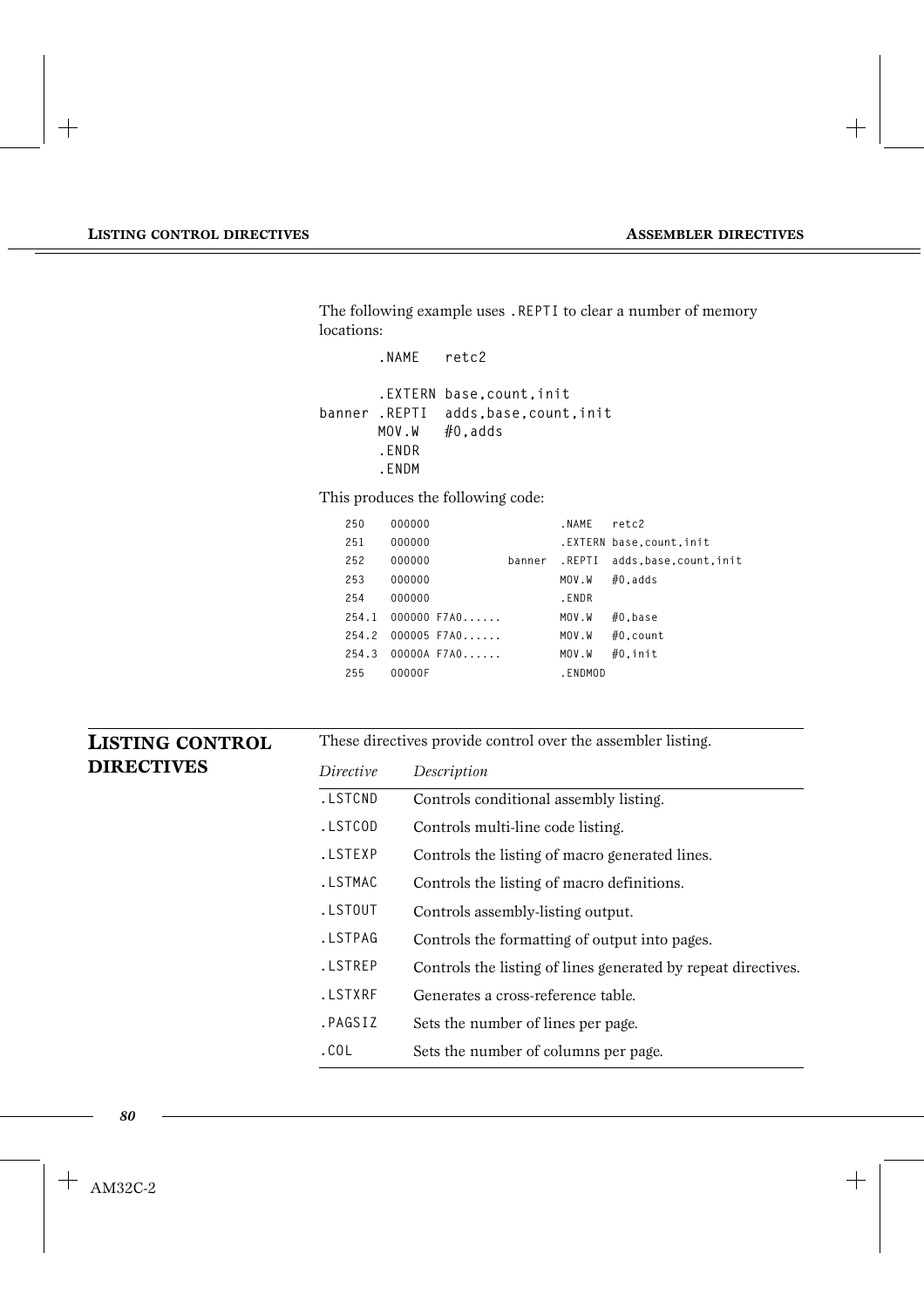The following example uses **.REPTI** to clear a number of memory locations:

| NAME retc2.                       |                                                                 |
|-----------------------------------|-----------------------------------------------------------------|
| $MOV.W$ #0.adds<br>.ENDR<br>.ENDM | .EXTERN base, count, init<br>banner .REPTI adds.base.count.init |
|                                   |                                                                 |

This produces the following code:

| 250   | 000000 |               |        | . NAME  | retc2                     |
|-------|--------|---------------|--------|---------|---------------------------|
| 251   | 000000 |               |        |         | .EXTERN base, count, init |
| 252   | 000000 |               | banner | .REPTI  | adds.base.count.init      |
| 253   | 000000 |               |        | MOV.W   | #0.adds                   |
| 254   | 000000 |               |        | .ENDR   |                           |
| 254.1 |        | 000000 F7A0   |        | MOV.W   | #0.base                   |
| 254.2 |        | $000005$ F7A0 |        | MOV.W   | #0.count                  |
| 254.3 |        | 00000A F7A0   |        | MOV.W   | $#0.$ init                |
| 255   | 00000F |               |        | .ENDMOD |                           |
|       |        |               |        |         |                           |

| <b>LISTING CONTROL</b> |           | These directives provide control over the assembler listing.  |
|------------------------|-----------|---------------------------------------------------------------|
| <b>DIRECTIVES</b>      | Directive | Description                                                   |
|                        | .LSTCND   | Controls conditional assembly listing.                        |
|                        | .LSTCOD   | Controls multi-line code listing.                             |
|                        | .LSTEXP   | Controls the listing of macro generated lines.                |
|                        | .LSTMAC   | Controls the listing of macro definitions.                    |
|                        | .LSTOUT   | Controls assembly-listing output.                             |
|                        | .LSTPAG   | Controls the formatting of output into pages.                 |
|                        | .LSTREP   | Controls the listing of lines generated by repeat directives. |
|                        | .LSTXRF   | Generates a cross-reference table.                            |
|                        | .PAGSIZ   | Sets the number of lines per page.                            |
|                        | .COL      | Sets the number of columns per page.                          |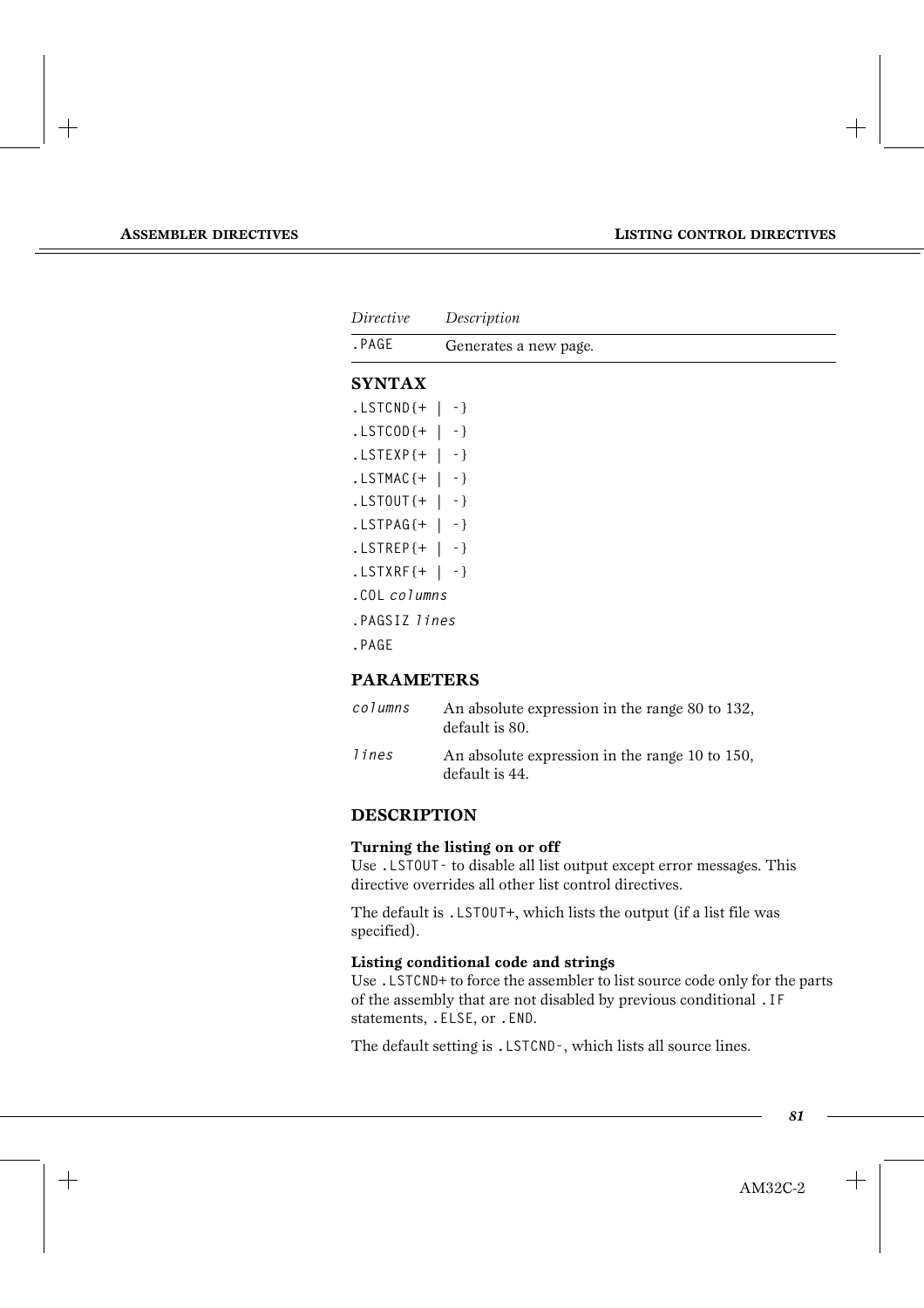| Directive         | Description           |
|-------------------|-----------------------|
| .PAGE             | Generates a new page. |
| <b>SYNTAX</b>     |                       |
| $.LSTCND{+   -}$  |                       |
| $.LSTCOD+   -$ }  |                       |
| $.LSTEXP{+   -}$  |                       |
| $.LSTMAC{+}$   -} |                       |
| $.LSTOUT+   -$    |                       |
| $.LSTPAG{+   -}$  |                       |
| $.LSTREP{+   -}$  |                       |
| $.LSTXRF+   -$ }  |                       |
| .COL columns      |                       |
| PAGSIZ lines      |                       |
| .PAGE             |                       |

## **PARAMETERS**

| columns | An absolute expression in the range 80 to 132,<br>default is 80. |
|---------|------------------------------------------------------------------|
| lines   | An absolute expression in the range 10 to 150,<br>default is 44. |

## **DESCRIPTION**

## **Turning the listing on or off**

Use **.LSTOUT-** to disable all list output except error messages. This directive overrides all other list control directives.

The default is **.LSTOUT+**, which lists the output (if a list file was specified).

## **Listing conditional code and strings**

Use **.LSTCND+** to force the assembler to list source code only for the parts of the assembly that are not disabled by previous conditional **.IF** statements, **.ELSE**, or **.END**.

The default setting is **.LSTCND-**, which lists all source lines.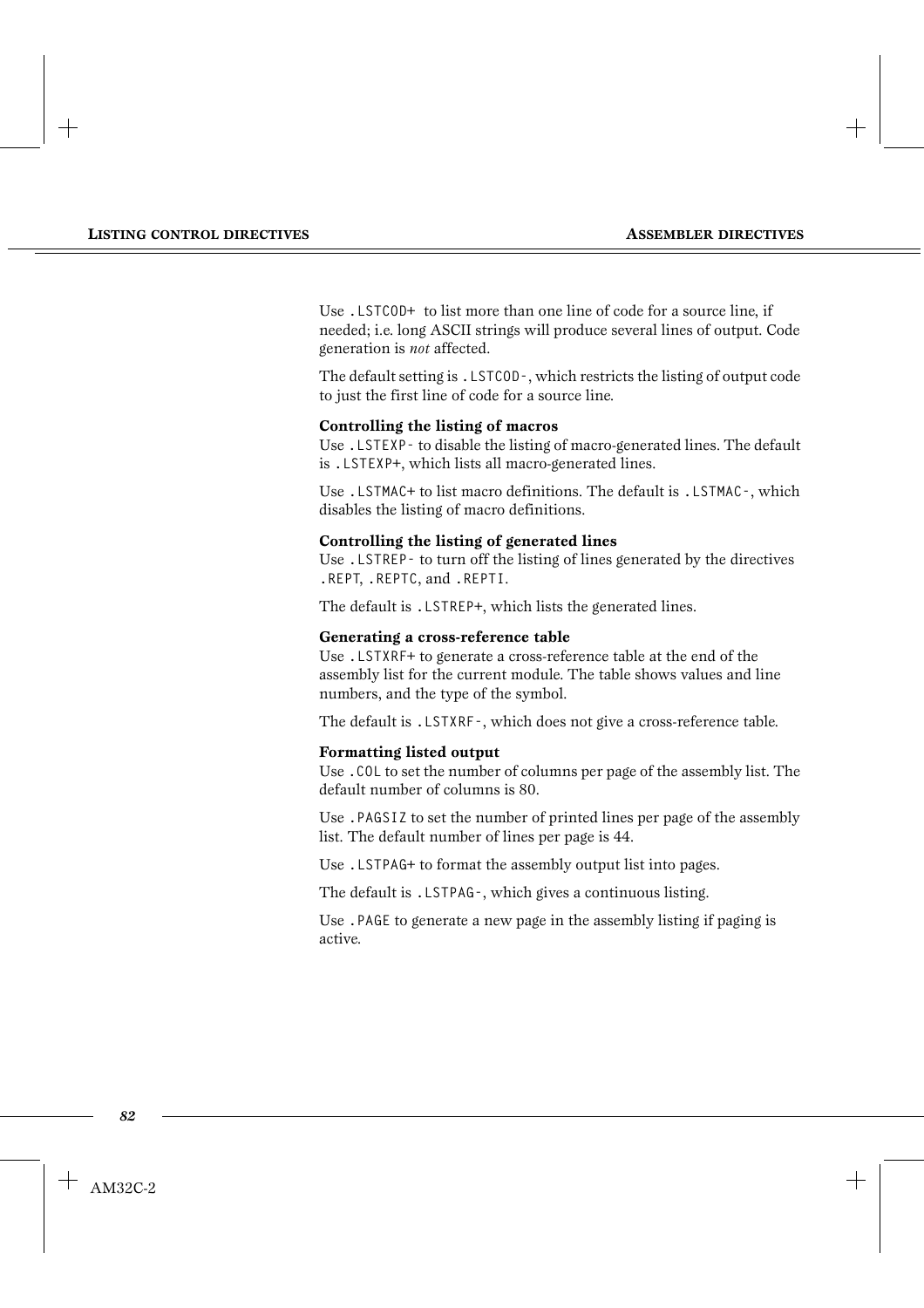Use **.LSTCOD+** to list more than one line of code for a source line, if needed; i.e. long ASCII strings will produce several lines of output. Code generation is *not* affected.

The default setting is **.LSTCOD-**, which restricts the listing of output code to just the first line of code for a source line.

## **Controlling the listing of macros**

Use **.LSTEXP-** to disable the listing of macro-generated lines. The default is **.LSTEXP+**, which lists all macro-generated lines.

Use **.LSTMAC+** to list macro definitions. The default is **.LSTMAC-**, which disables the listing of macro definitions.

#### **Controlling the listing of generated lines**

Use **.LSTREP-** to turn off the listing of lines generated by the directives **.REPT**, **.REPTC**, and **.REPTI**.

The default is **.LSTREP+**, which lists the generated lines.

#### **Generating a cross-reference table**

Use **.LSTXRF+** to generate a cross-reference table at the end of the assembly list for the current module. The table shows values and line numbers, and the type of the symbol.

The default is **.LSTXRF-**, which does not give a cross-reference table.

#### **Formatting listed output**

Use **.COL** to set the number of columns per page of the assembly list. The default number of columns is 80.

Use **.PAGSIZ** to set the number of printed lines per page of the assembly list. The default number of lines per page is 44.

Use **.LSTPAG+** to format the assembly output list into pages.

The default is **.LSTPAG-**, which gives a continuous listing.

Use **.PAGE** to generate a new page in the assembly listing if paging is active.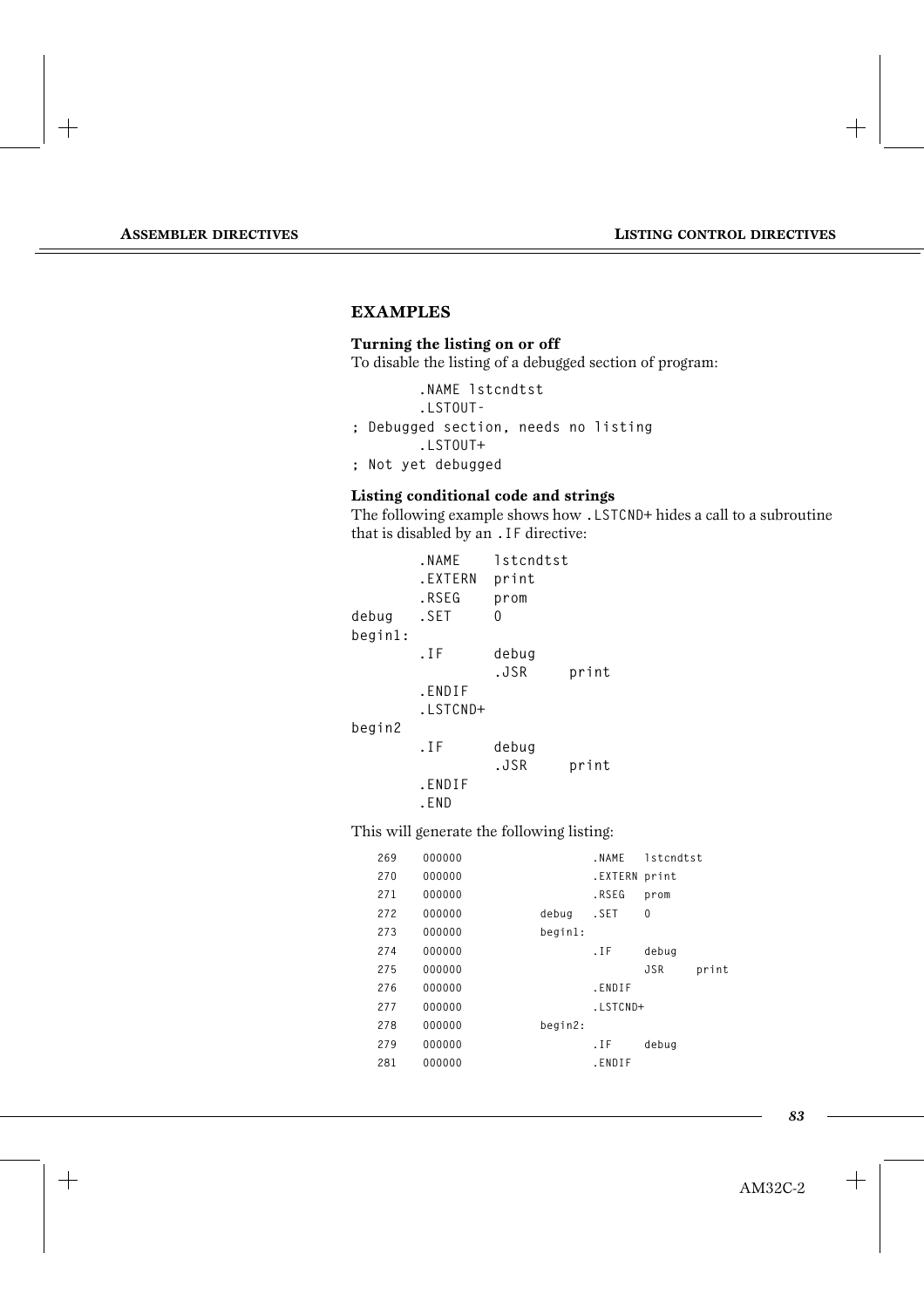## **EXAMPLES**

## **Turning the listing on or off**

To disable the listing of a debugged section of program:

 **.NAME lstcndtst .LSTOUT- ; Debugged section, needs no listing .LSTOUT+ ; Not yet debugged**

## **Listing conditional code and strings**

The following example shows how **.LSTCND+** hides a call to a subroutine that is disabled by an **.IF** directive:

| debug<br>begin1: | .NAMF<br>.EXTERN<br>.RSEG<br>.SET | lstcndtst<br>print<br>prom<br>0 |       |
|------------------|-----------------------------------|---------------------------------|-------|
|                  | . I F                             | debug                           |       |
|                  |                                   | .JSR                            | print |
|                  | .FNDIF                            |                                 |       |
|                  | $.1$ STCND+                       |                                 |       |
| begin2           |                                   |                                 |       |
|                  | . I F                             | debug                           |       |
|                  |                                   | .JSR                            | print |
|                  | .ENDIF                            |                                 |       |
|                  | . FND                             |                                 |       |

This will generate the following listing:

| 269 | 000000 |            | . NAME   | lstcndtst  |       |
|-----|--------|------------|----------|------------|-------|
| 270 | 000000 |            | .EXTERN  | print      |       |
| 271 | 000000 |            | .RSEG    | prom       |       |
| 272 | 000000 | debug      | .SET     | 0          |       |
| 273 | 000000 | begin 1: 1 |          |            |       |
| 274 | 000000 |            | $I$ $F$  | debug      |       |
| 275 | 000000 |            |          | <b>JSR</b> | print |
| 276 | 000000 |            | .ENDIF   |            |       |
| 277 | 000000 |            | .LSTCND+ |            |       |
| 278 | 000000 | begin2:    |          |            |       |
| 279 | 000000 |            | $I$ F    | debug      |       |
| 281 | 000000 |            | .ENDIF   |            |       |
|     |        |            |          |            |       |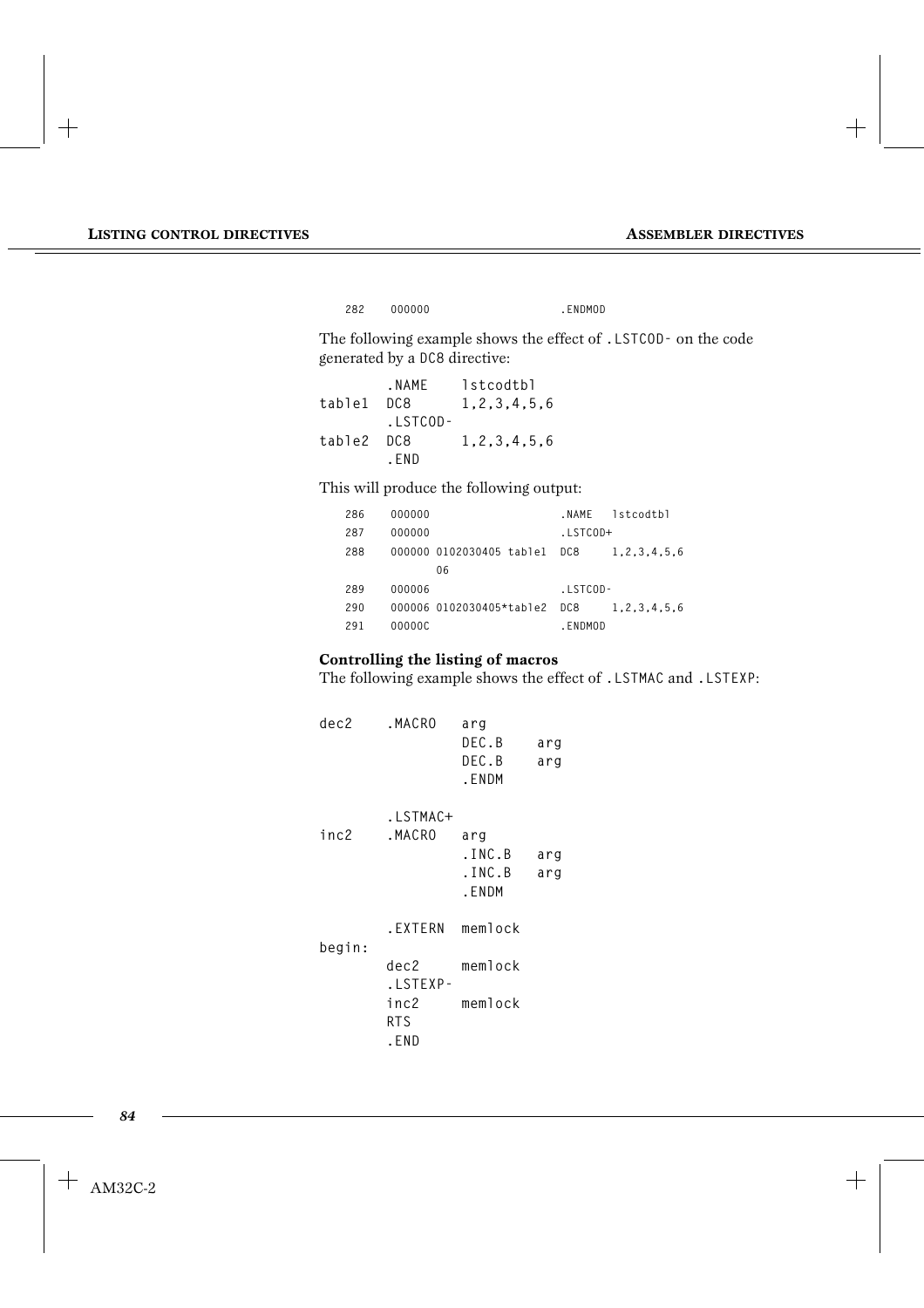**282 000000 .ENDMOD**

The following example shows the effect of **.LSTCOD-** on the code generated by a **DC8** directive:

 **.NAME lstcodtbl table1 DC8 1,2,3,4,5,6 .LSTCODtable2 DC8 1,2,3,4,5,6 .END**

This will produce the following output:

| 286 | 000000 |                          | . NAMF     | lstcodtbl   |
|-----|--------|--------------------------|------------|-------------|
| 287 | 000000 |                          | $.LSTCOD+$ |             |
| 288 |        | 000000 0102030405 table1 | DC8        | 1.2.3.4.5.6 |
|     |        | 06                       |            |             |
| 289 | 000006 |                          | $.LSTCOD-$ |             |
| 290 |        | 000006 0102030405*table2 | DC8        | 1.2.3.4.5.6 |
| 291 | 000000 |                          | .ENDMOD    |             |

## **Controlling the listing of macros**

The following example shows the effect of **.LSTMAC** and **.LSTEXP**:

| dec2   | .MACRO     | arg<br>DEC.B<br>DEC.B<br>.ENDM | arg<br>arg |
|--------|------------|--------------------------------|------------|
|        | .LSTMAC+   |                                |            |
| inc2   | .MACRO     | arg                            |            |
|        |            | .INC.B                         | arg        |
|        |            | .INC.B                         | arg        |
|        |            | .ENDM                          |            |
| begin: | .EXTERN    | memlock                        |            |
|        | dec2       | memlock                        |            |
|        | .LSTEXP-   |                                |            |
|        | inc2       | memlock                        |            |
|        | <b>RTS</b> |                                |            |
|        | .END       |                                |            |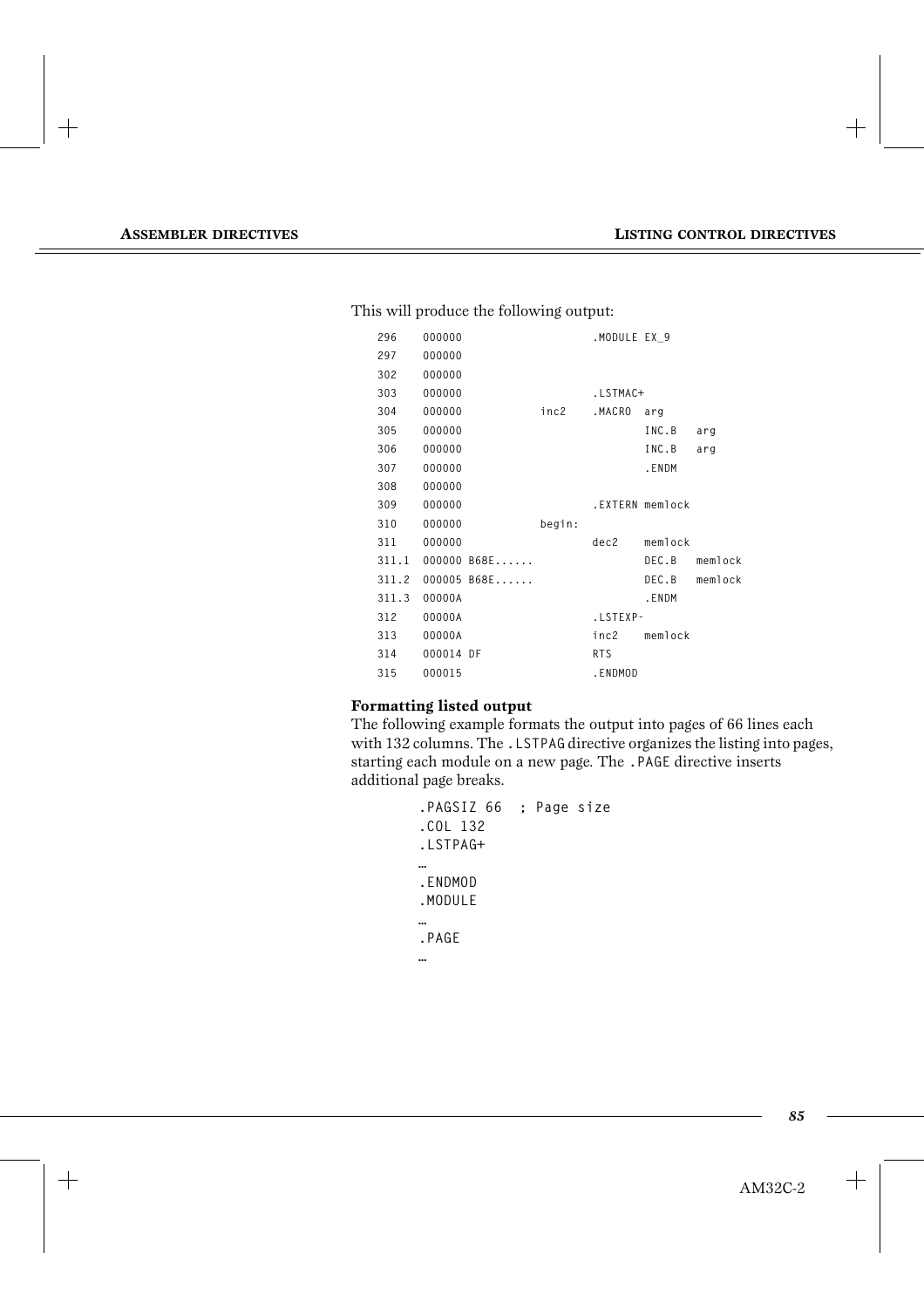| 296   | 000000    |                   |        | .MODULE EX_9 |                 |         |
|-------|-----------|-------------------|--------|--------------|-----------------|---------|
| 297   | 000000    |                   |        |              |                 |         |
| 302   | 000000    |                   |        |              |                 |         |
| 303   | 000000    |                   |        | .LSTMAC+     |                 |         |
| 304   | 000000    |                   | inc2   | .MACRO       | arg             |         |
| 305   | 000000    |                   |        |              | INC.B           | arg     |
| 306   | 000000    |                   |        |              | INC.B           | arg     |
| 307   | 000000    |                   |        |              | .ENDM           |         |
| 308   | 000000    |                   |        |              |                 |         |
| 309   | 000000    |                   |        |              | .EXTERN memlock |         |
| 310   | 000000    |                   | begin: |              |                 |         |
| 311   | 000000    |                   |        | dec2         | memlock         |         |
|       |           | 311.1 000000 B68E |        |              | DEC.B           | memlock |
| 311.2 |           | 000005 B68E       |        |              | DEC.B           | memlock |
| 311.3 | 00000A    |                   |        |              | .ENDM           |         |
| 312   | 00000A    |                   |        | .LSTEXP-     |                 |         |
| 313   | 00000A    |                   |        | inc2         | $m$ emlock      |         |
| 314   | 000014 DF |                   |        | <b>RTS</b>   |                 |         |
| 315   | 000015    |                   |        | .ENDMOD      |                 |         |

This will produce the following output:

## **Formatting listed output**

The following example formats the output into pages of 66 lines each with 132 columns. The **.LSTPAG** directive organizes the listing into pages, starting each module on a new page. The **.PAGE** directive inserts additional page breaks.

```
 .PAGSIZ 66 ; Page size
        .COL 132
        .LSTPAG+
        …
        .ENDMOD
        .MODULE
        …
        .PAGE
 …
```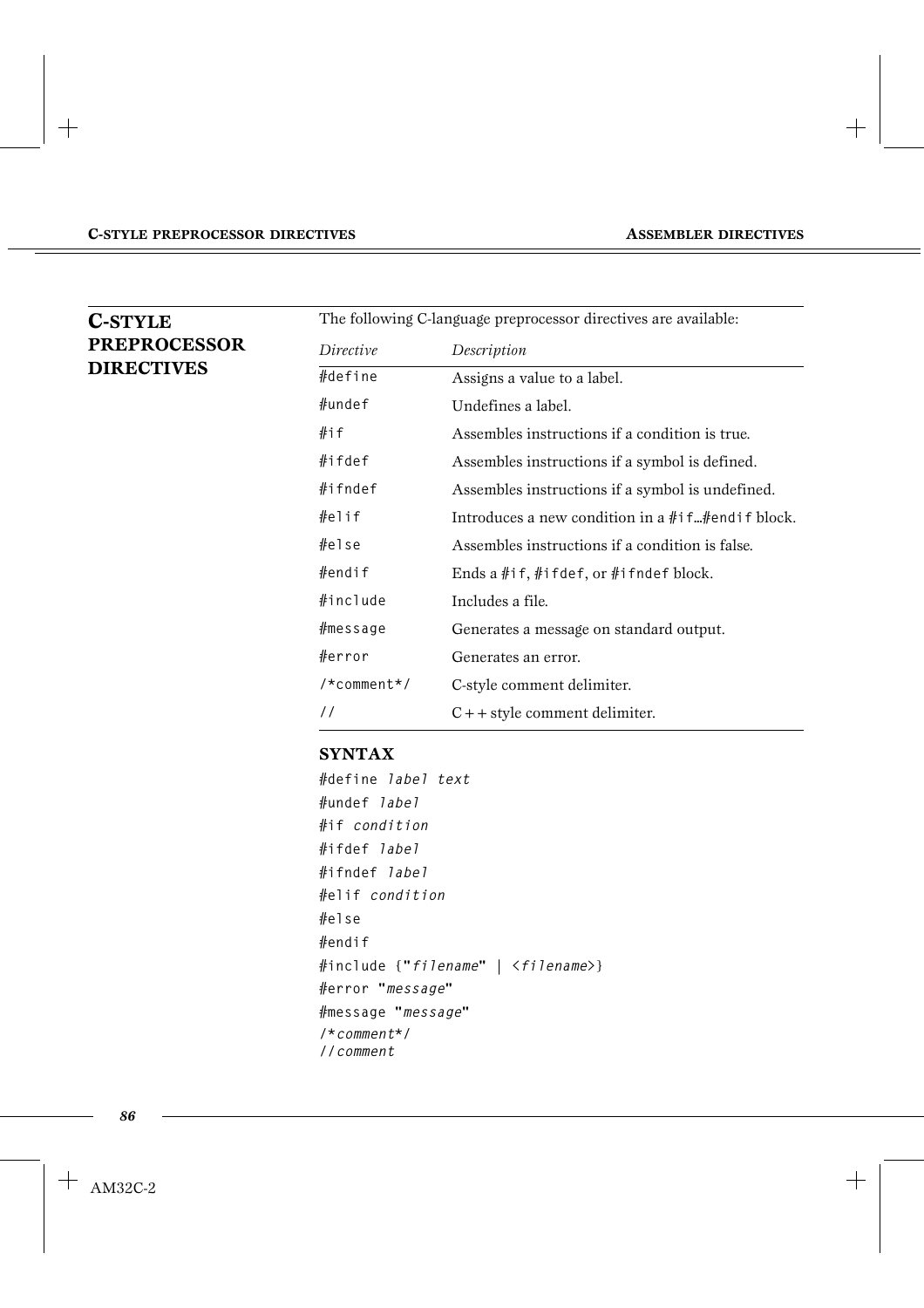# **C-STYLE PREPROCESSOR DIRECTIVES**

|               | The following C-language preprocessor directives are available: |
|---------------|-----------------------------------------------------------------|
| Directive     | Description                                                     |
| #define       | Assigns a value to a label.                                     |
| #undef        | Undefines a label.                                              |
| ∦∤if          | Assembles instructions if a condition is true.                  |
| #ifdef        | Assembles instructions if a symbol is defined.                  |
| #ifndef       | Assembles instructions if a symbol is undefined.                |
| #elif         | Introduces a new condition in a $\#$ if $\#$ endif block.       |
| #else         | Assembles instructions if a condition is false.                 |
| #endif        | Ends a $#$ if, $#$ ifdef, or $#$ ifndef block.                  |
| #include      | Includes a file.                                                |
| #message      | Generates a message on standard output.                         |
| #error        | Generates an error.                                             |
| /*comment*/   | C-style comment delimiter.                                      |
| $\frac{1}{2}$ | $C++$ style comment delimiter.                                  |

## **SYNTAX**

```
#define label text
#undef label
#if condition
#ifdef label
#ifndef label
#elif condition
#else
#endif
#include {"filename" | <filename>}
#error "message"
#message "message"
/*comment*/
//comment
```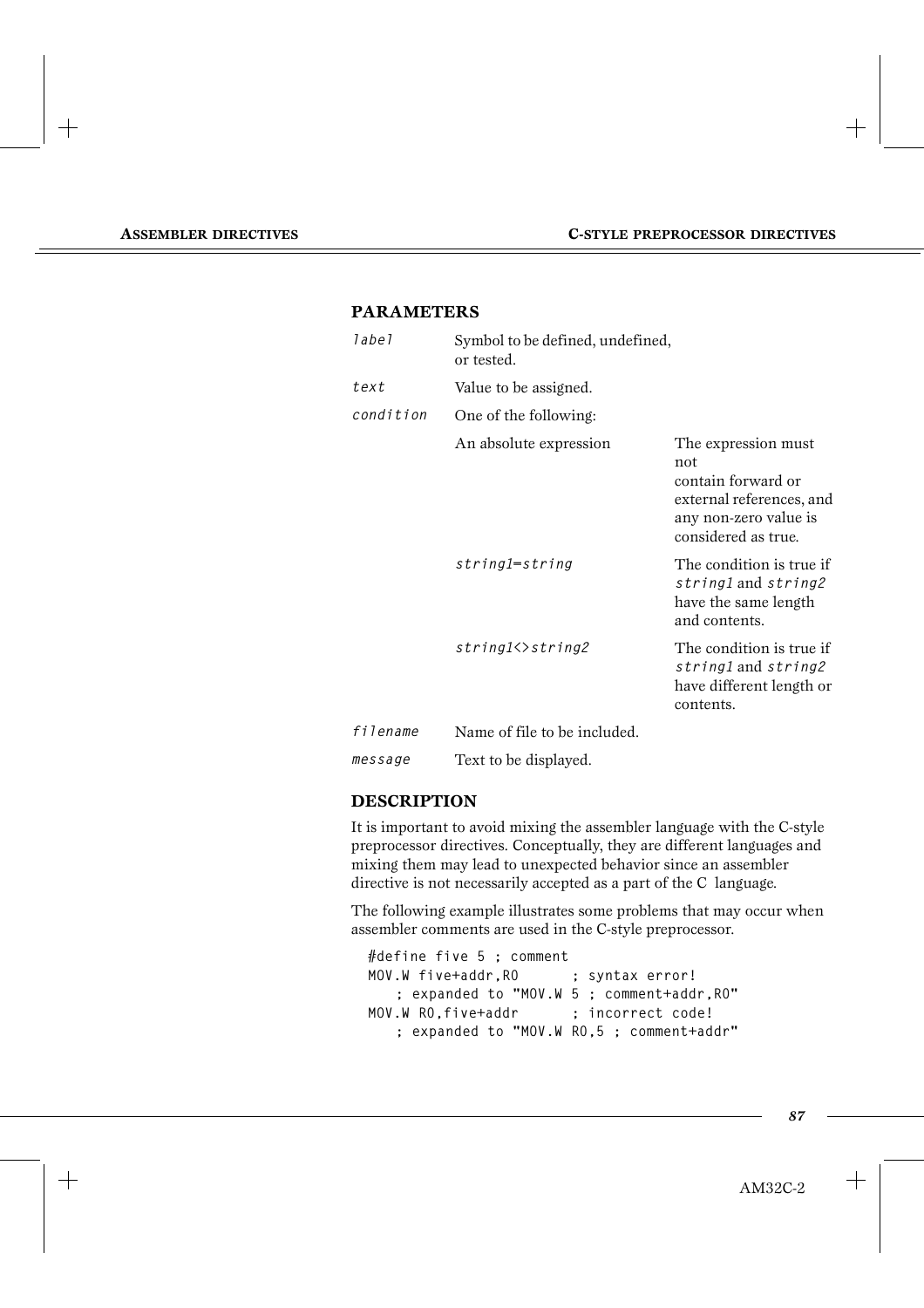## **PARAMETERS**

| label     | Symbol to be defined, undefined,<br>or tested. |                                                                                                                              |
|-----------|------------------------------------------------|------------------------------------------------------------------------------------------------------------------------------|
| text      | Value to be assigned.                          |                                                                                                                              |
| condition | One of the following:                          |                                                                                                                              |
|           | An absolute expression                         | The expression must<br>not<br>contain forward or<br>external references, and<br>any non-zero value is<br>considered as true. |
|           | string1=string                                 | The condition is true if<br>string1 and string2<br>have the same length<br>and contents.                                     |
|           | $string1 \leftrightarrow string2$              | The condition is true if<br>string1 and string2<br>have different length or<br>contents.                                     |
| filename  | Name of file to be included.                   |                                                                                                                              |
| message   | Text to be displayed.                          |                                                                                                                              |

## **DESCRIPTION**

It is important to avoid mixing the assembler language with the C-style preprocessor directives. Conceptually, they are different languages and mixing them may lead to unexpected behavior since an assembler directive is not necessarily accepted as a part of the C language.

The following example illustrates some problems that may occur when assembler comments are used in the C-style preprocessor.

| #define five $5$ ; comment                  |  |
|---------------------------------------------|--|
| MOV.W five+addr.RO<br>: syntax error!       |  |
| ; expanded to "MOV.W 5 ; comment+addr, RO"  |  |
| MOV.W RO, five+addr<br>: incorrect code!    |  |
| : expanded to "MOV.W $RO.5$ : comment+addr" |  |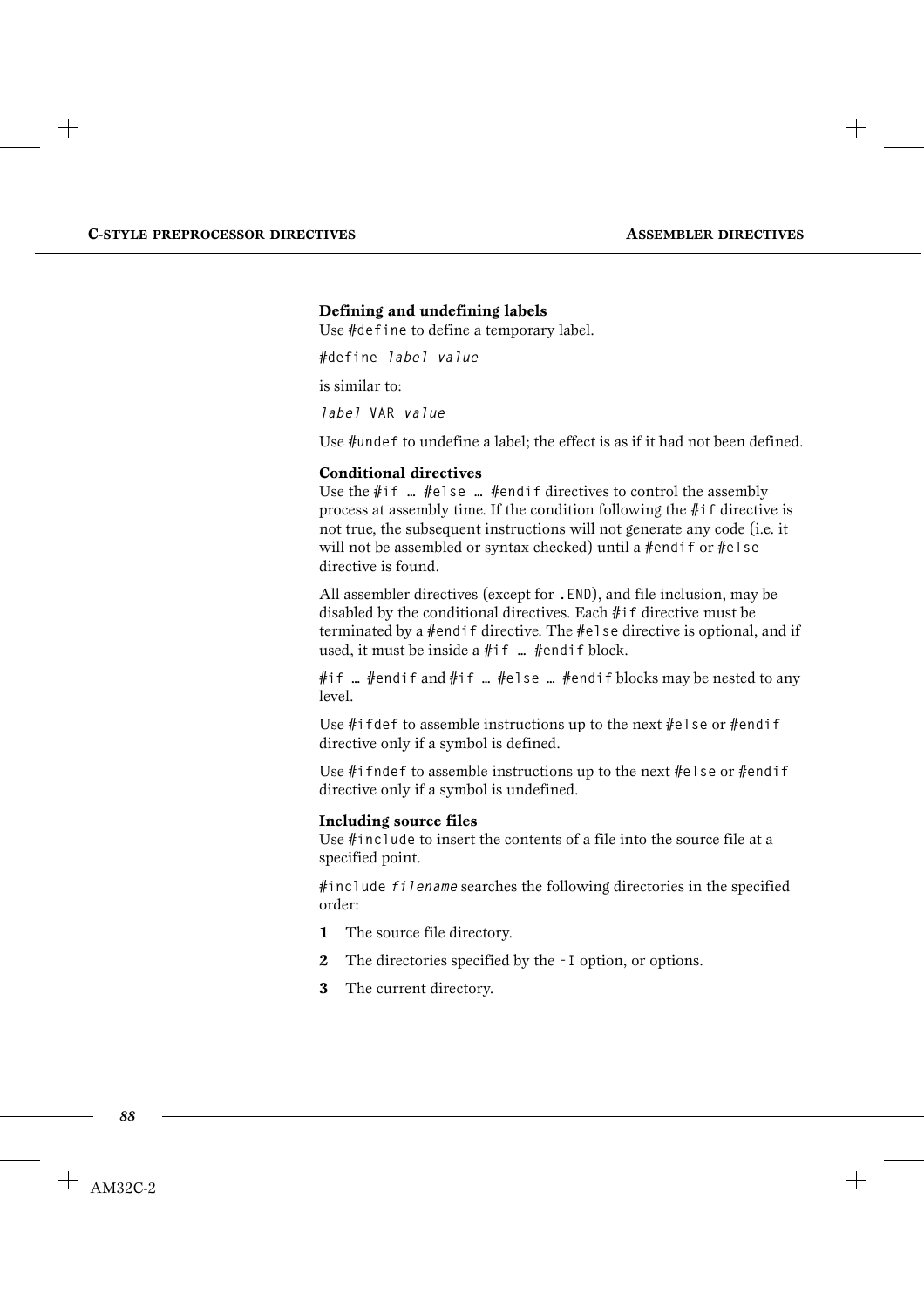## **Defining and undefining labels**

Use **#define** to define a temporary label.

**#define** *label value*

is similar to:

*label* **VAR** *value*

Use **#undef** to undefine a label; the effect is as if it had not been defined.

## **Conditional directives**

Use the **#if … #else … #endif** directives to control the assembly process at assembly time. If the condition following the **#if** directive is not true, the subsequent instructions will not generate any code (i.e. it will not be assembled or syntax checked) until a **#endif** or **#else** directive is found.

All assembler directives (except for **.END**), and file inclusion, may be disabled by the conditional directives. Each **#if** directive must be terminated by a **#endif** directive. The **#else** directive is optional, and if used, it must be inside a **#if … #endif** block.

**#if … #endif** and **#if … #else … #endif** blocks may be nested to any level.

Use **#ifdef** to assemble instructions up to the next **#else** or **#endif** directive only if a symbol is defined.

Use **#ifndef** to assemble instructions up to the next **#else** or **#endif** directive only if a symbol is undefined.

#### **Including source files**

Use **#include** to insert the contents of a file into the source file at a specified point.

**#include** *filename* searches the following directories in the specified order:

- **1** The source file directory.
- **2** The directories specified by the **-I** option, or options.
- **3** The current directory.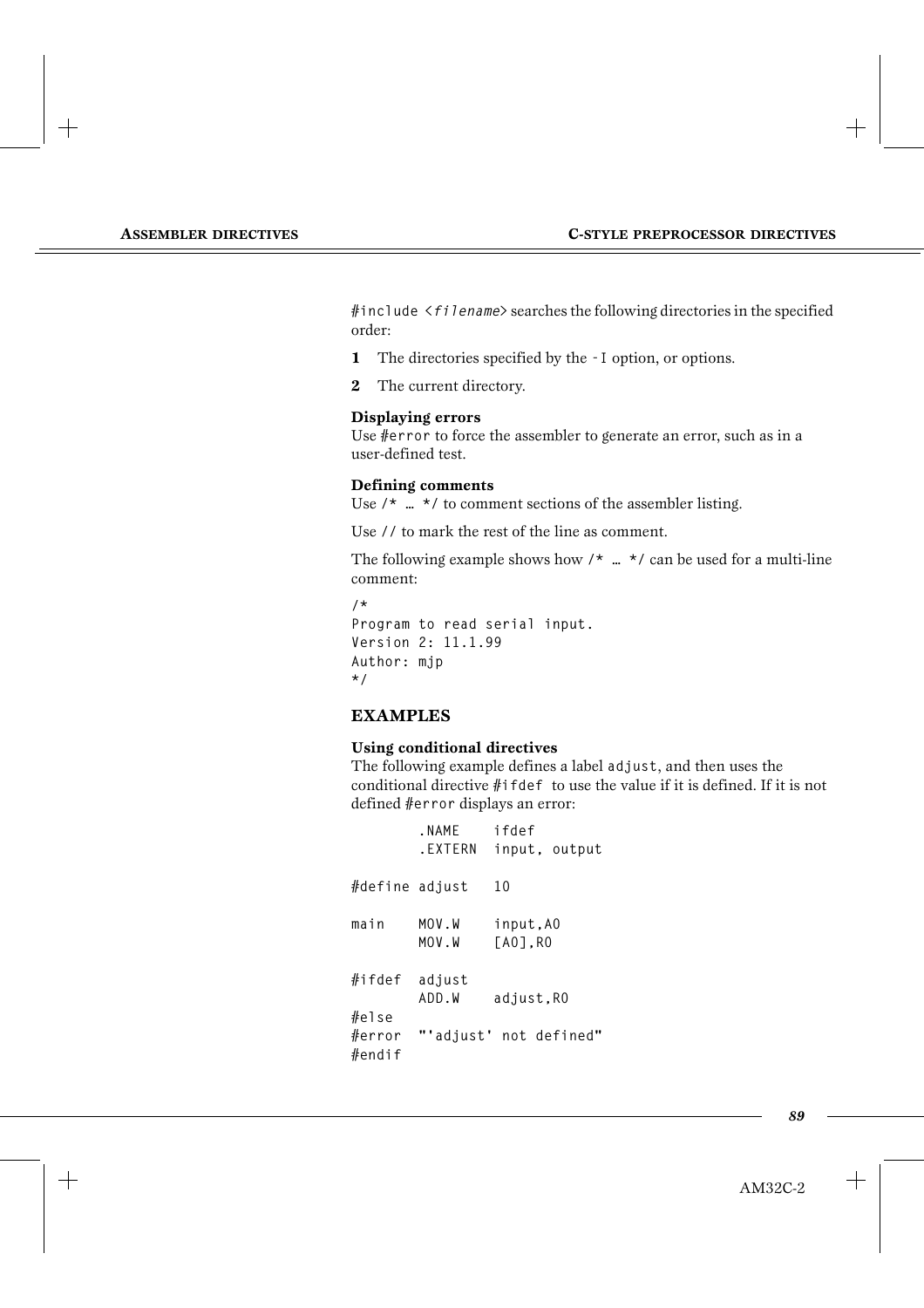**#include <***filename***>** searches the following directories in the specified order:

- **1** The directories specified by the **-I** option, or options.
- **2** The current directory.

#### **Displaying errors**

Use **#error** to force the assembler to generate an error, such as in a user-defined test.

#### **Defining comments**

Use  $\prime$ \* ... \*/ to comment sections of the assembler listing.

Use **//** to mark the rest of the line as comment.

The following example shows how **/\* … \*/** can be used for a multi-line comment:

```
/*
Program to read serial input.
Version 2: 11.1.99
Author: mjp
*/
```
## **EXAMPLES**

#### **Using conditional directives**

The following example defines a label **adjust**, and then uses the conditional directive **#ifdef** to use the value if it is defined. If it is not defined **#error** displays an error:

|                           | .NAME<br>.EXTERN | ifdef<br>input, output |
|---------------------------|------------------|------------------------|
| #define adjust            |                  | 10                     |
| main                      | MOV.W<br>MOV.W   | input.AO<br>[AO].RO    |
| #ifdef                    | adjust<br>ADD.W  | adjust.RO              |
| ∦else<br>#error<br>∦endif |                  | "'adjust' not defined" |
|                           |                  |                        |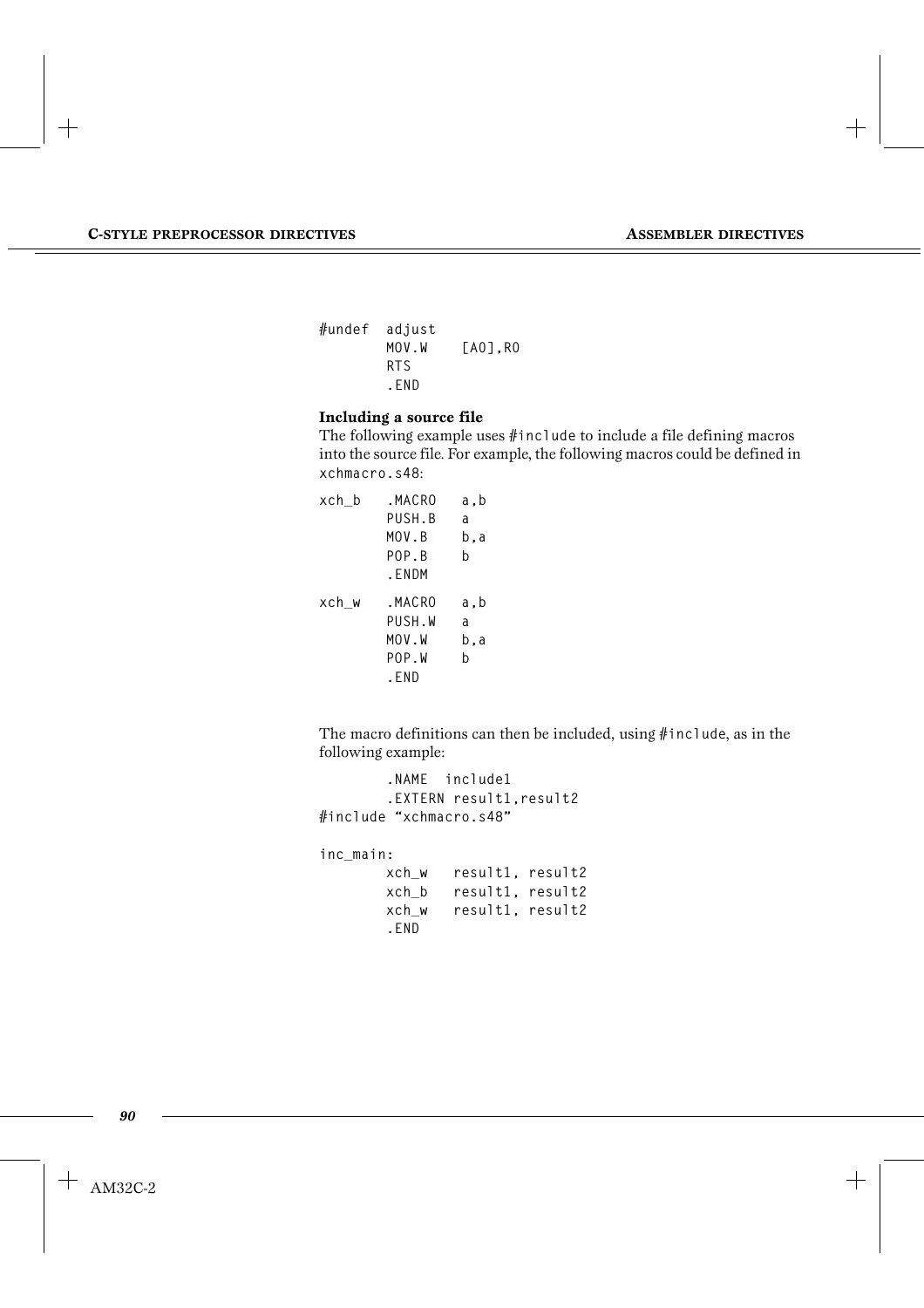```
#undef adjust
        MOV.W [A0],R0
         RTS
         .END
```
## **Including a source file**

The following example uses **#include** to include a file defining macros into the source file. For example, the following macros could be defined in **xchmacro.s48**:

| xch b | .MACRO | a,b |
|-------|--------|-----|
|       | PUSH.B | a   |
|       | MOV.B  | b,a |
|       | POP.B  | b   |
|       | .ENDM  |     |
| xch w | .MACRO | a,b |
|       | PUSH.W | a   |
|       | MOV.W  | b,a |
|       | POP.W  | h   |
|       | .END   |     |

The macro definitions can then be included, using **#include**, as in the following example:

```
 .NAME include1
         .EXTERN result1,result2
#include "xchmacro.s48"
```
**inc\_main:**

|      | xch_w result1, result2 |  |
|------|------------------------|--|
|      | xch b result1, result2 |  |
|      | xch w result1. result2 |  |
| .END |                        |  |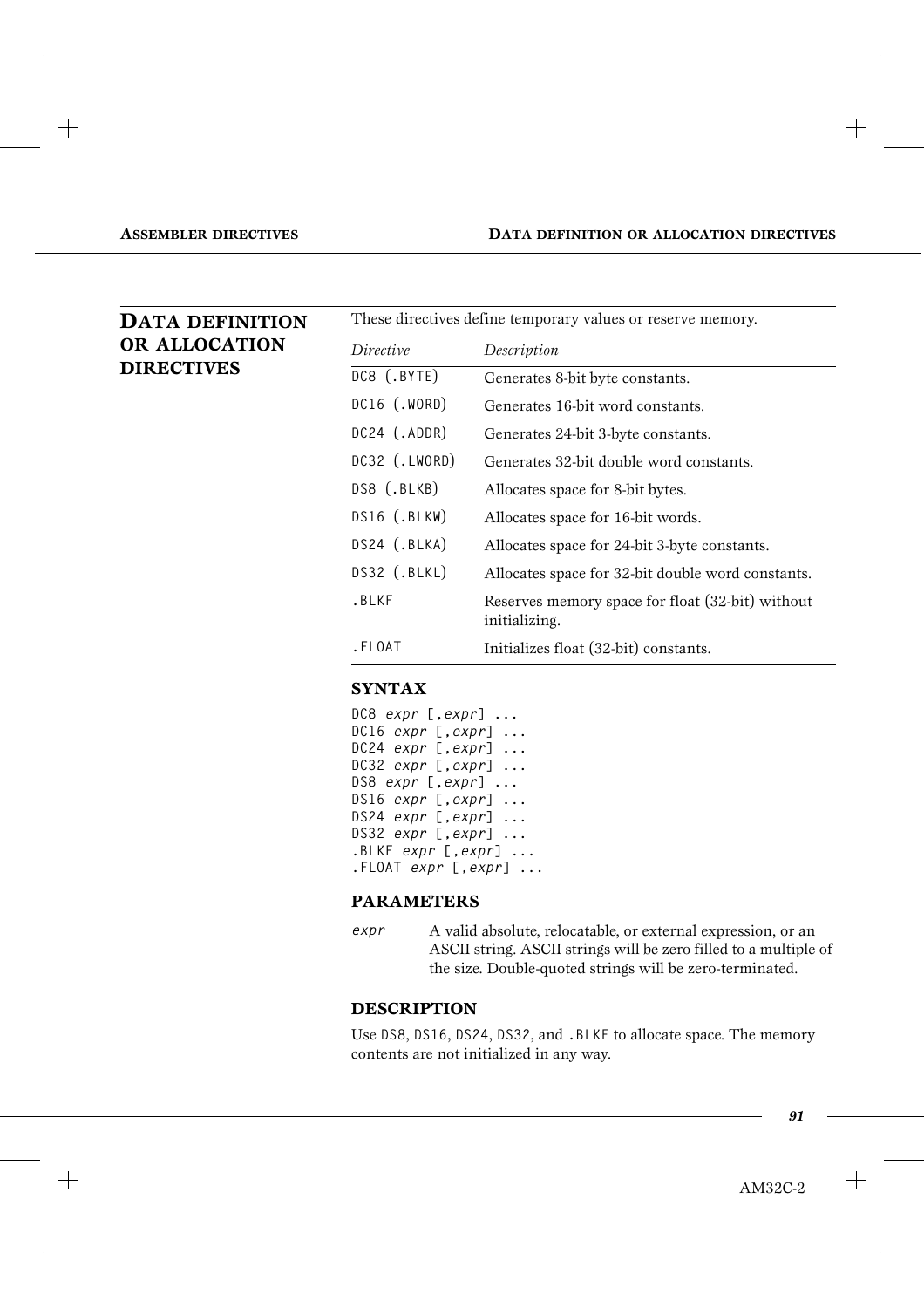# **DATA DEFINITION OR ALLOCATION DIRECTIVES**

| These directives define temporary values or reserve memory. |                                                                   |  |
|-------------------------------------------------------------|-------------------------------------------------------------------|--|
| Directive                                                   | Description                                                       |  |
| DC8 (.BYTE)                                                 | Generates 8-bit byte constants.                                   |  |
| DC16 (.WORD)                                                | Generates 16-bit word constants.                                  |  |
| $DC24$ $(ADDR)$                                             | Generates 24-bit 3-byte constants.                                |  |
| DC32 (.LWORD)                                               | Generates 32-bit double word constants.                           |  |
| DS8 (.BLKB)                                                 | Allocates space for 8-bit bytes.                                  |  |
| DS16 (.BLKW)                                                | Allocates space for 16-bit words.                                 |  |
| DS24 (.BLKA)                                                | Allocates space for 24-bit 3-byte constants.                      |  |
| DS32 (.BLKL)                                                | Allocates space for 32-bit double word constants.                 |  |
| .BLKF                                                       | Reserves memory space for float (32-bit) without<br>initializing. |  |
| .FLOAT                                                      | Initializes float (32-bit) constants.                             |  |

## **SYNTAX**

**DC8** *expr* **[,***expr***] ... DC16** *expr* **[,***expr***] ... DC24** *expr* **[,***expr***] ... DC32** *expr* **[,***expr***] ... DS8** *expr* **[,***expr***] ... DS16** *expr* **[,***expr***] ... DS24** *expr* **[,***expr***] ... DS32** *expr* **[,***expr***] ... .BLKF** *expr* **[,***expr***] ... .FLOAT** *expr* **[,***expr***] ...**

## **PARAMETERS**

*expr* A valid absolute, relocatable, or external expression, or an ASCII string. ASCII strings will be zero filled to a multiple of the size. Double-quoted strings will be zero-terminated.

## **DESCRIPTION**

Use **DS8**, **DS16**, **DS24**, **DS32**, and **.BLKF** to allocate space. The memory contents are not initialized in any way.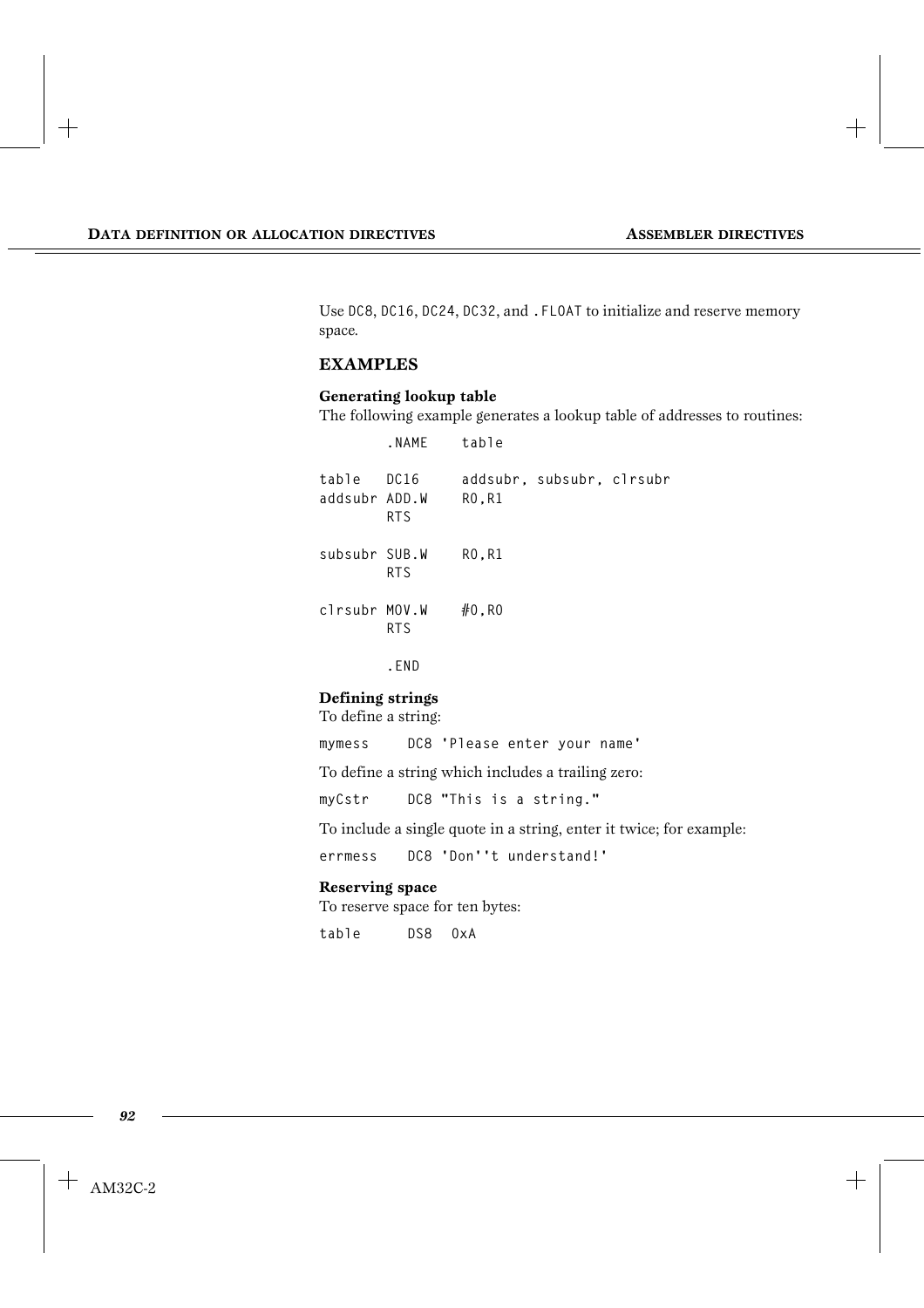Use **DC8**, **DC16**, **DC24**, **DC32**, and **.FLOAT** to initialize and reserve memory space.

## **EXAMPLES**

#### **Generating lookup table**

The following example generates a lookup table of addresses to routines:

|                        | .NAME              | table |                           |  |
|------------------------|--------------------|-------|---------------------------|--|
| table<br>addsubr ADD.W | DC16<br><b>RTS</b> | RO.R1 | addsubr, subsubr, clrsubr |  |
| subsubr SUB.W          | <b>RTS</b>         | RO.R1 |                           |  |
| clrsubr MOV.W          | <b>RTS</b>         | #0,R0 |                           |  |
|                        |                    |       |                           |  |

 **.END**

## **Defining strings**

To define a string:

**mymess DC8 'Please enter your name'**

To define a string which includes a trailing zero:

**myCstr DC8 "This is a string."**

To include a single quote in a string, enter it twice; for example:

**errmess DC8 'Don''t understand!'**

#### **Reserving space**

To reserve space for ten bytes:

**table DS8 0xA**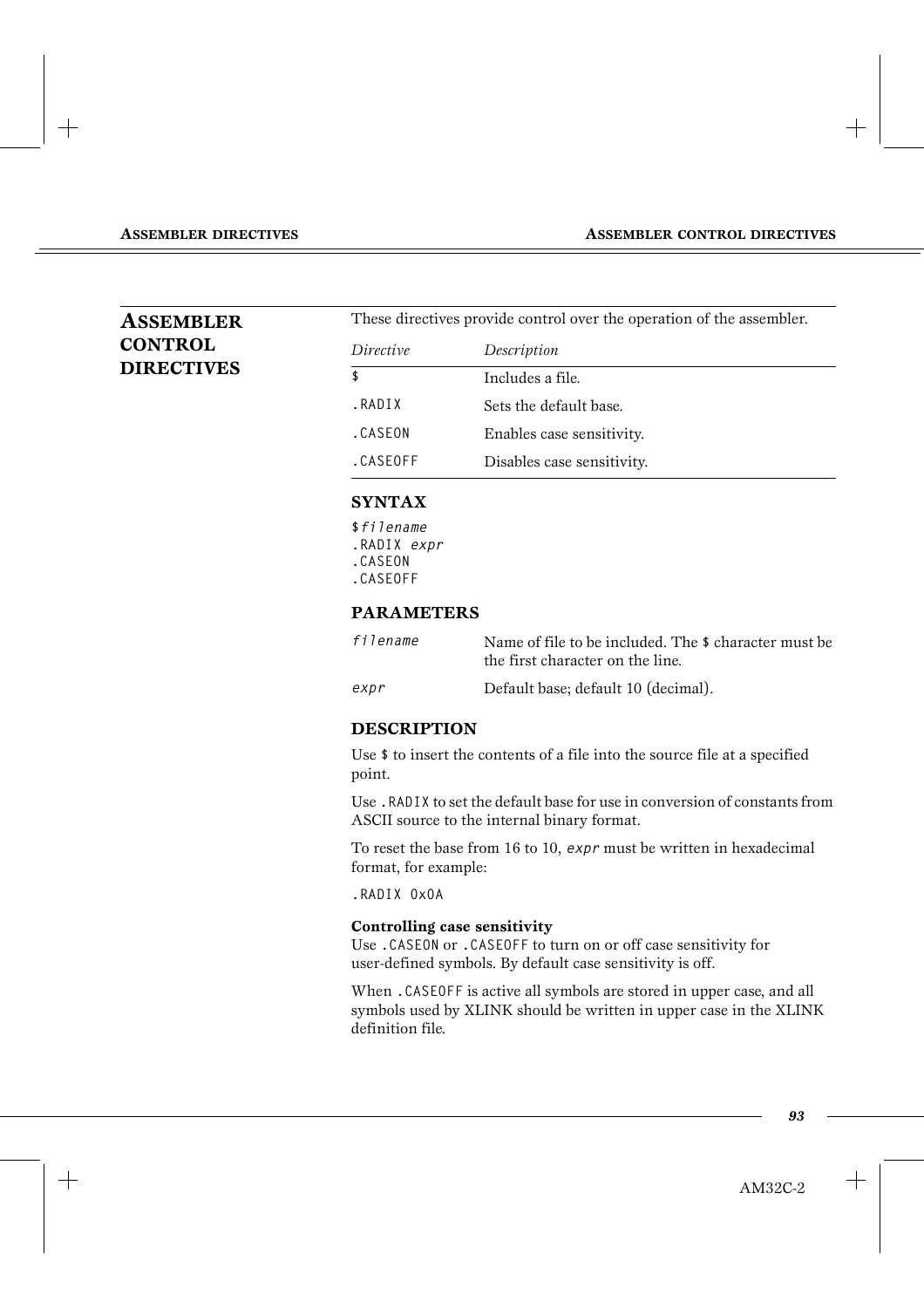# **ASSEMBLER CONTROL DIRECTIVES**

These directives provide control over the operation of the assembler.

| Directive | Description                |
|-----------|----------------------------|
| \$        | Includes a file.           |
| .RADIX    | Sets the default base.     |
| .CASEON   | Enables case sensitivity.  |
| .CASEOFF  | Disables case sensitivity. |

## **SYNTAX**

**\$***filename* **.RADIX** *expr* **.CASEON .CASEOFF**

## **PARAMETERS**

*filename* Name of file to be included. The **\$** character must be the first character on the line.

*expr* Default base; default 10 (decimal).

## **DESCRIPTION**

Use **\$** to insert the contents of a file into the source file at a specified point.

Use **.RADIX** to set the default base for use in conversion of constants from ASCII source to the internal binary format.

To reset the base from 16 to 10, *expr* must be written in hexadecimal format, for example:

**.RADIX 0x0A**

## **Controlling case sensitivity**

Use **.CASEON** or **.CASEOFF** to turn on or off case sensitivity for user-defined symbols. By default case sensitivity is off.

When **.CASEOFF** is active all symbols are stored in upper case, and all symbols used by XLINK should be written in upper case in the XLINK definition file.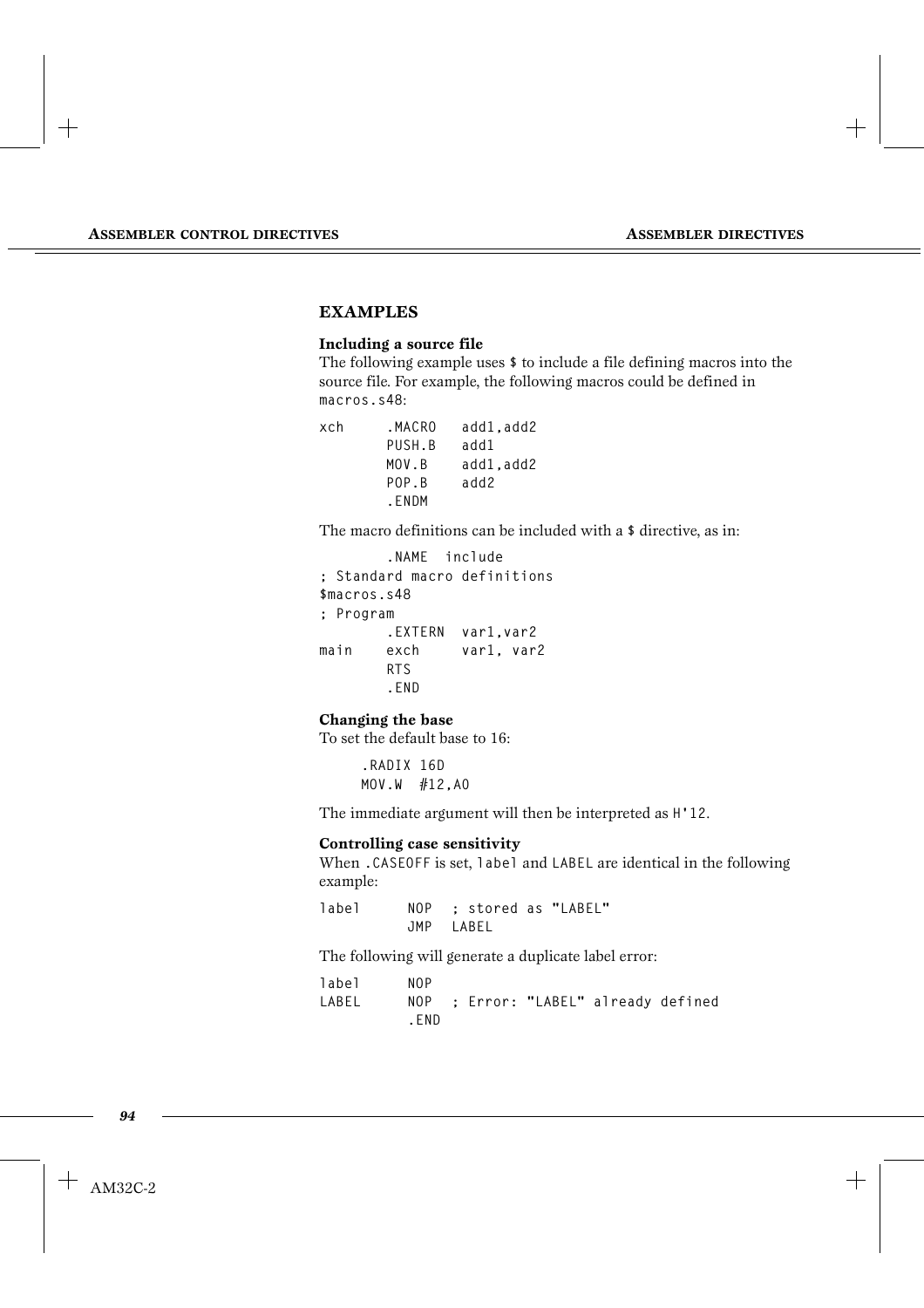## **EXAMPLES**

## **Including a source file**

The following example uses **\$** to include a file defining macros into the source file. For example, the following macros could be defined in **macros.s48**:

**xch .MACRO add1,add2 PUSH.B add1 MOV.B add1,add2 POP.B add2 .ENDM**

The macro definitions can be included with a **\$** directive, as in:

```
 .NAME include
; Standard macro definitions
$macros.s48
; Program
         .EXTERN var1,var2
main exch var1, var2
         RTS
         .END
```
## **Changing the base**

To set the default base to 16:

 **.RADIX 16D MOV.W #12,A0**

The immediate argument will then be interpreted as **H'12**.

#### **Controlling case sensitivity**

When **.CASEOFF** is set, **label** and **LABEL** are identical in the following example:

**label NOP ; stored as "LABEL" JMP LABEL**

The following will generate a duplicate label error:

**label NOP LABEL NOP ; Error: "LABEL" already defined .END**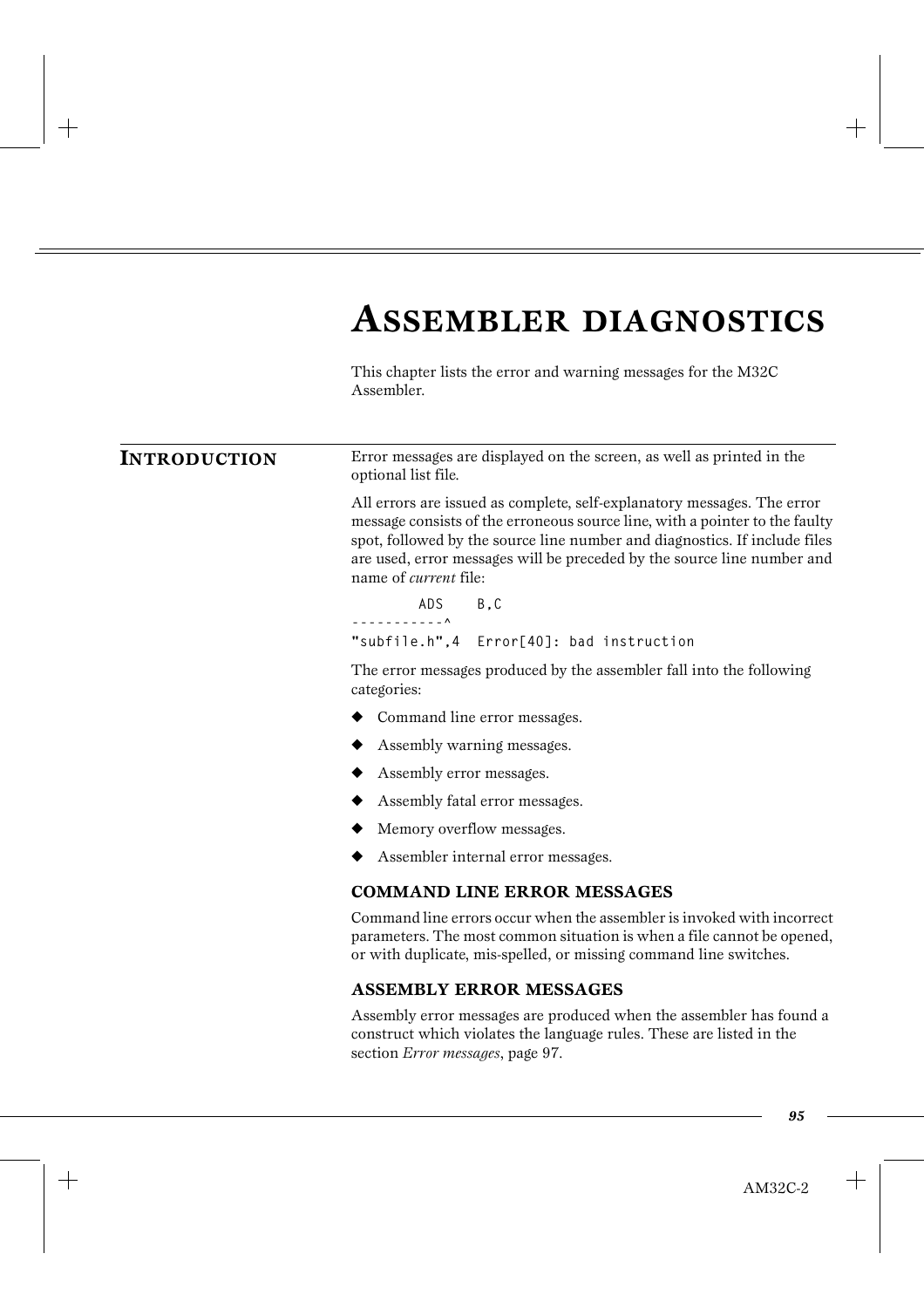# **ASSEMBLER DIAGNOSTICS**

This chapter lists the error and warning messages for the M32C Assembler.

**INTRODUCTION** Error messages are displayed on the screen, as well as printed in the optional list file. All errors are issued as complete, self-explanatory messages. The error message consists of the erroneous source line, with a pointer to the faulty spot, followed by the source line number and diagnostics. If include files are used, error messages will be preceded by the source line number and name of *current* file:  **ADS B,C -----------^ "subfile.h",4 Error[40]: bad instruction** The error messages produced by the assembler fall into the following categories: ◆ [Command line error messages.](#page-100-0) ◆ [Assembly warning messages.](#page-101-0) ◆ [Assembly error messages](#page-100-1). [Assembly fatal error messages](#page-101-1). [Memory overflow messages.](#page-101-2) [Assembler internal error messages.](#page-101-3) **COMMAND LINE ERROR MESSAGES** Command line errors occur when the assembler is invoked with incorrect parameters. The most common situation is when a file cannot be opened, or with duplicate, mis-spelled, or missing command line switches. **ASSEMBLY ERROR MESSAGES**

> <span id="page-100-1"></span><span id="page-100-0"></span>Assembly error messages are produced when the assembler has found a construct which violates the language rules. These are listed in the section *[Error messages](#page-102-0)*, page 97.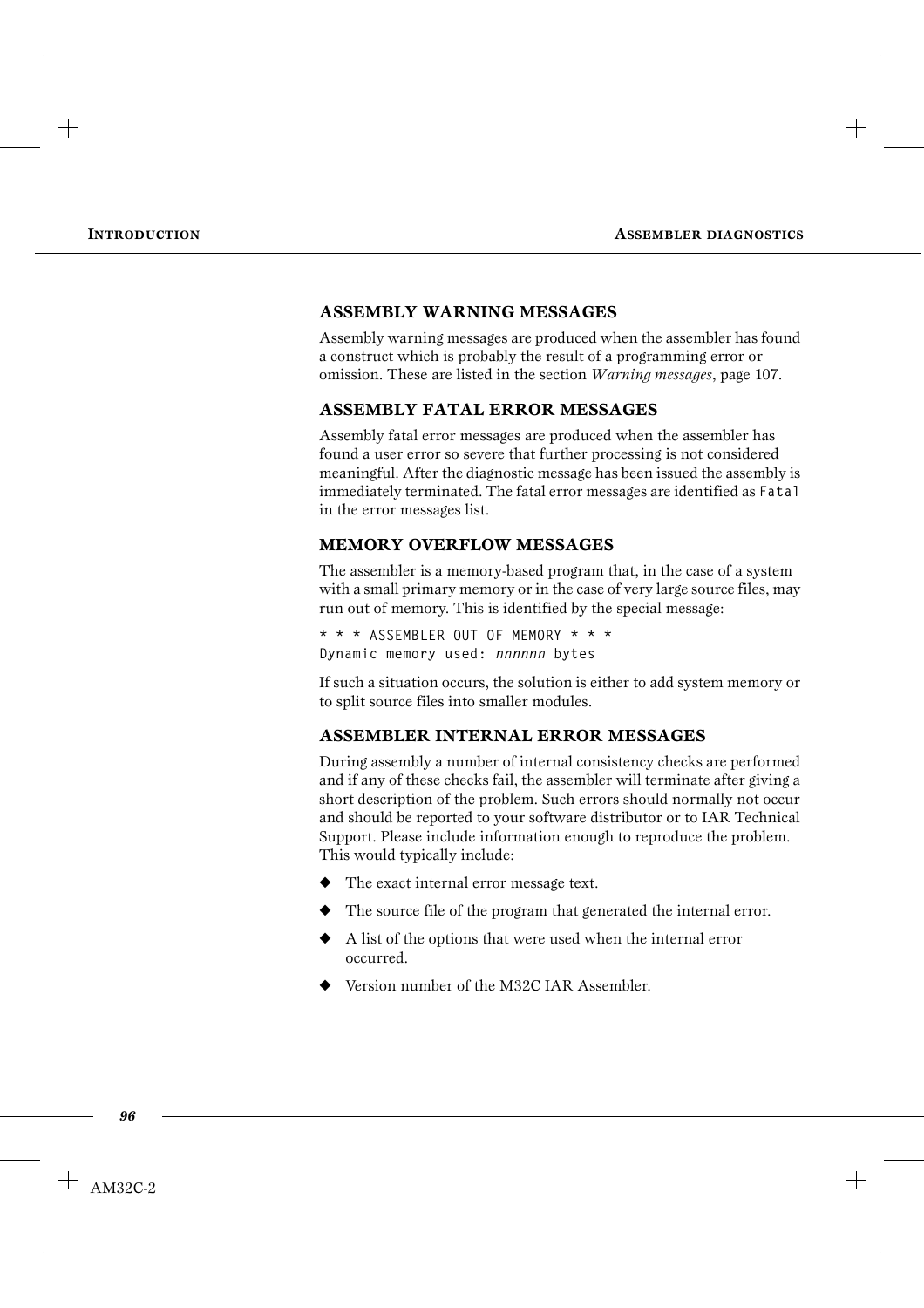## <span id="page-101-0"></span>**ASSEMBLY WARNING MESSAGES**

Assembly warning messages are produced when the assembler has found a construct which is probably the result of a programming error or omission. These are listed in the section *[Warning messages](#page-112-0)*, page 107.

## <span id="page-101-1"></span>**ASSEMBLY FATAL ERROR MESSAGES**

Assembly fatal error messages are produced when the assembler has found a user error so severe that further processing is not considered meaningful. After the diagnostic message has been issued the assembly is immediately terminated. The fatal error messages are identified as **Fatal** in the error messages list.

## <span id="page-101-2"></span>**MEMORY OVERFLOW MESSAGES**

The assembler is a memory-based program that, in the case of a system with a small primary memory or in the case of very large source files, may run out of memory. This is identified by the special message:

**\* \* \* ASSEMBLER OUT OF MEMORY \* \* \* Dynamic memory used:** *nnnnnn* **bytes**

If such a situation occurs, the solution is either to add system memory or to split source files into smaller modules.

## <span id="page-101-3"></span>**ASSEMBLER INTERNAL ERROR MESSAGES**

During assembly a number of internal consistency checks are performed and if any of these checks fail, the assembler will terminate after giving a short description of the problem. Such errors should normally not occur and should be reported to your software distributor or to IAR Technical Support. Please include information enough to reproduce the problem. This would typically include:

- ◆ The exact internal error message text.
- ◆ The source file of the program that generated the internal error.
- ◆ A list of the options that were used when the internal error occurred.
- ◆ Version number of the M32C IAR Assembler.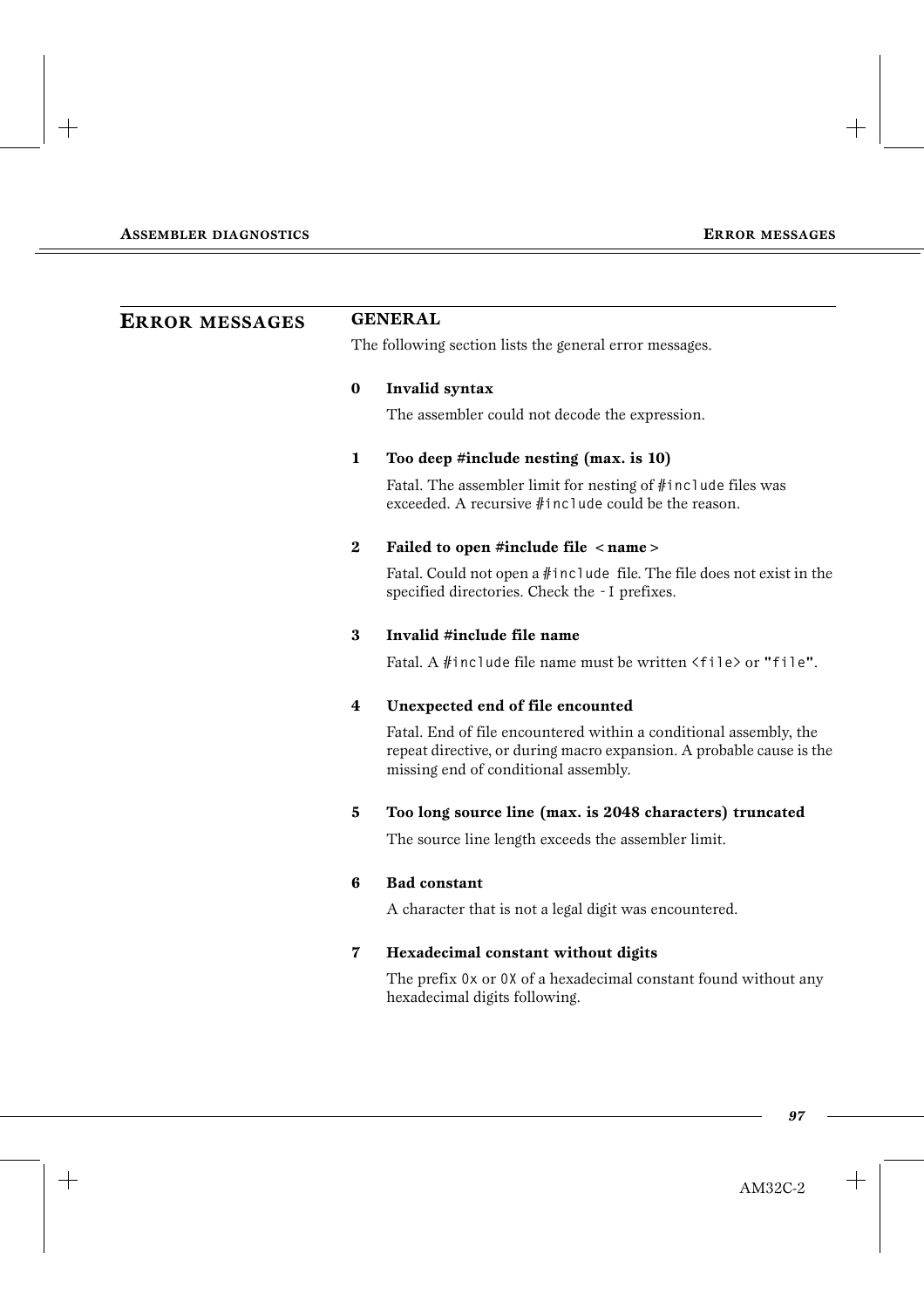<span id="page-102-0"></span>

| <b>ERROR MESSAGES</b> | <b>GENERAL</b>   |                                                                                                                                                                                   |  |
|-----------------------|------------------|-----------------------------------------------------------------------------------------------------------------------------------------------------------------------------------|--|
|                       |                  | The following section lists the general error messages.                                                                                                                           |  |
|                       | $\bf{0}$         | Invalid syntax                                                                                                                                                                    |  |
|                       |                  | The assembler could not decode the expression.                                                                                                                                    |  |
|                       | 1                | Too deep #include nesting (max. is 10)                                                                                                                                            |  |
|                       |                  | Fatal. The assembler limit for nesting of #include files was<br>exceeded. A recursive #include could be the reason.                                                               |  |
|                       | $\boldsymbol{2}$ | Failed to open #include file < name >                                                                                                                                             |  |
|                       |                  | Fatal. Could not open a $#$ include file. The file does not exist in the<br>specified directories. Check the - I prefixes.                                                        |  |
|                       | 3                | Invalid #include file name                                                                                                                                                        |  |
|                       |                  | Fatal. A #include file name must be written <file> or "file".</file>                                                                                                              |  |
|                       | 4                | Unexpected end of file encounted                                                                                                                                                  |  |
|                       |                  | Fatal. End of file encountered within a conditional assembly, the<br>repeat directive, or during macro expansion. A probable cause is the<br>missing end of conditional assembly. |  |
|                       | 5                | Too long source line (max. is 2048 characters) truncated                                                                                                                          |  |
|                       |                  | The source line length exceeds the assembler limit.                                                                                                                               |  |
|                       | 6                | <b>Bad constant</b>                                                                                                                                                               |  |
|                       |                  | A character that is not a legal digit was encountered.                                                                                                                            |  |
|                       | 7                | Hexadecimal constant without digits                                                                                                                                               |  |
|                       |                  | The prefix 0x or 0X of a hexadecimal constant found without any                                                                                                                   |  |

hexadecimal digits following.

*97*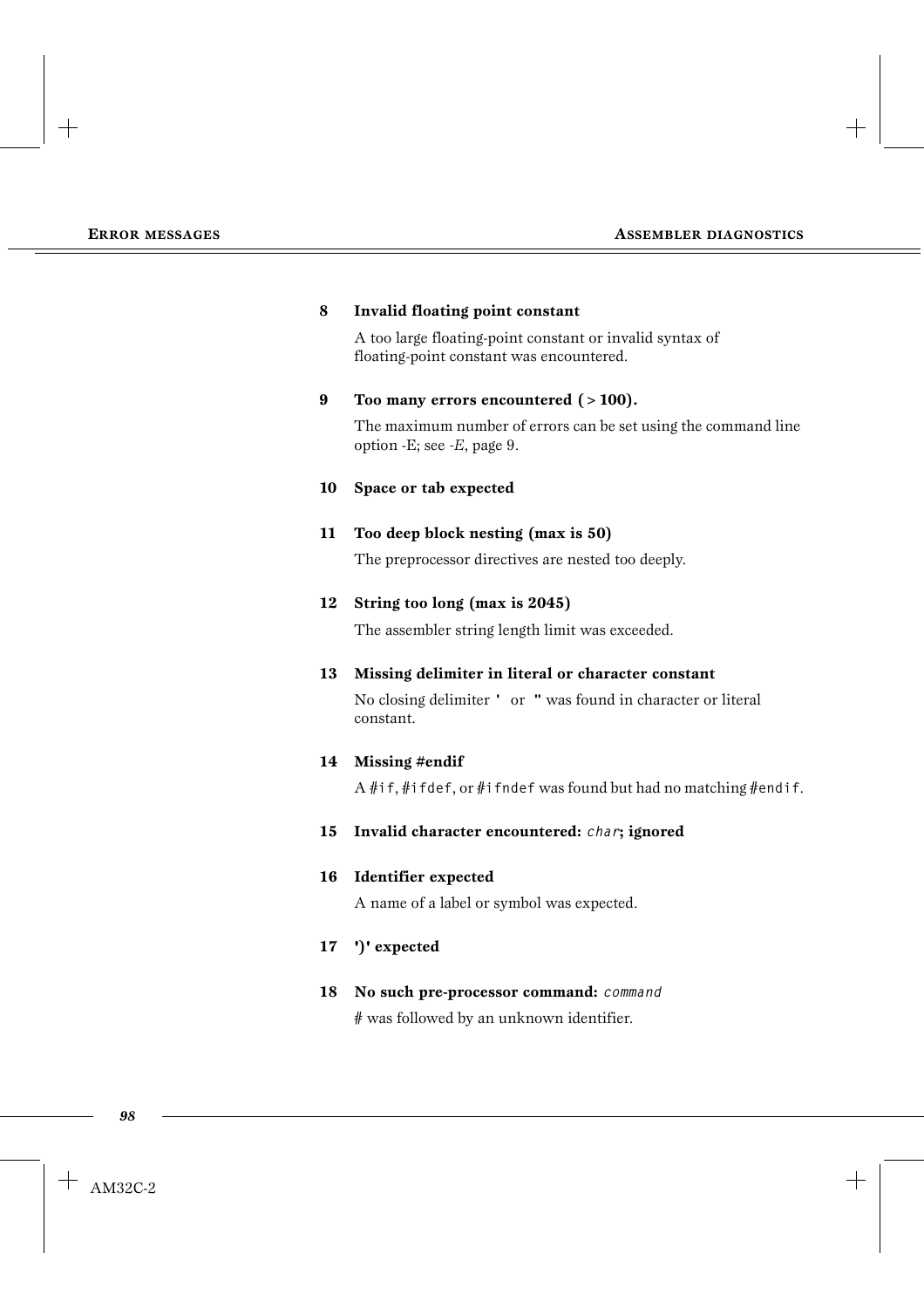#### **8 Invalid floating point constant**

A too large floating-point constant or invalid syntax of floating-point constant was encountered.

## **9 Too many errors encountered (>100).**

The maximum number of errors can be set using the command line option -E; see *-E*[, page 9.](#page-14-0)

#### **10 Space or tab expected**

## **11 Too deep block nesting (max is 50)**

The preprocessor directives are nested too deeply.

## **12 String too long (max is 2045)**

The assembler string length limit was exceeded.

#### **13 Missing delimiter in literal or character constant**

No closing delimiter **'** or **"** was found in character or literal constant.

#### **14 Missing #endif**

A **#if**, **#ifdef**, or **#ifndef** was found but had no matching **#endif**.

## **15 Invalid character encountered:** *char***; ignored**

#### **16 Identifier expected**

A name of a label or symbol was expected.

#### **17 ')' expected**

# **18 No such pre-processor command:** *command*

**#** was followed by an unknown identifier.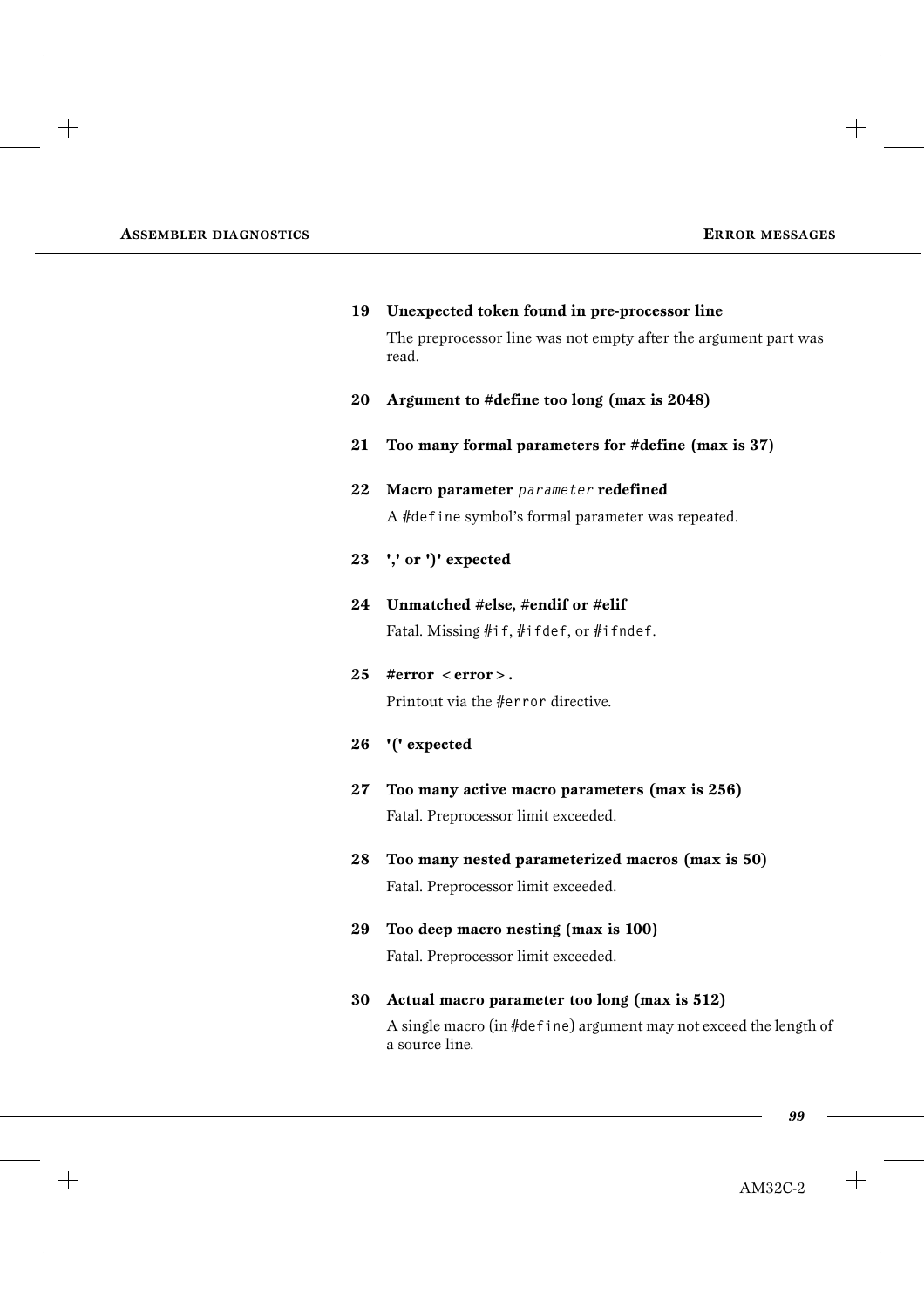| 19 | Unexpected token found in pre-processor line                                        |
|----|-------------------------------------------------------------------------------------|
|    | The preprocessor line was not empty after the argument part was<br>read.            |
| 20 | Argument to #define too long (max is 2048)                                          |
| 21 | Too many formal parameters for #define (max is 37)                                  |
| 22 | Macro parameter parameter redefined                                                 |
|    | A #define symbol's formal parameter was repeated.                                   |
| 23 | ',' or ')' expected                                                                 |
| 24 | Unmatched #else, #endif or #elif                                                    |
|    | Fatal. Missing $#$ if, $#$ ifdef, or $#$ ifndef.                                    |
| 25 | #error $\le$ error $>$ .                                                            |
|    | Printout via the #error directive.                                                  |
| 26 | '('expected                                                                         |
| 27 | Too many active macro parameters (max is 256)                                       |
|    | Fatal. Preprocessor limit exceeded.                                                 |
| 28 | Too many nested parameterized macros (max is 50)                                    |
|    | Fatal. Preprocessor limit exceeded.                                                 |
| 29 | Too deep macro nesting (max is 100)                                                 |
|    | Fatal. Preprocessor limit exceeded.                                                 |
| 30 | Actual macro parameter too long (max is 512)                                        |
|    | A single macro (in #define) argument may not exceed the length of<br>a source line. |

## *99*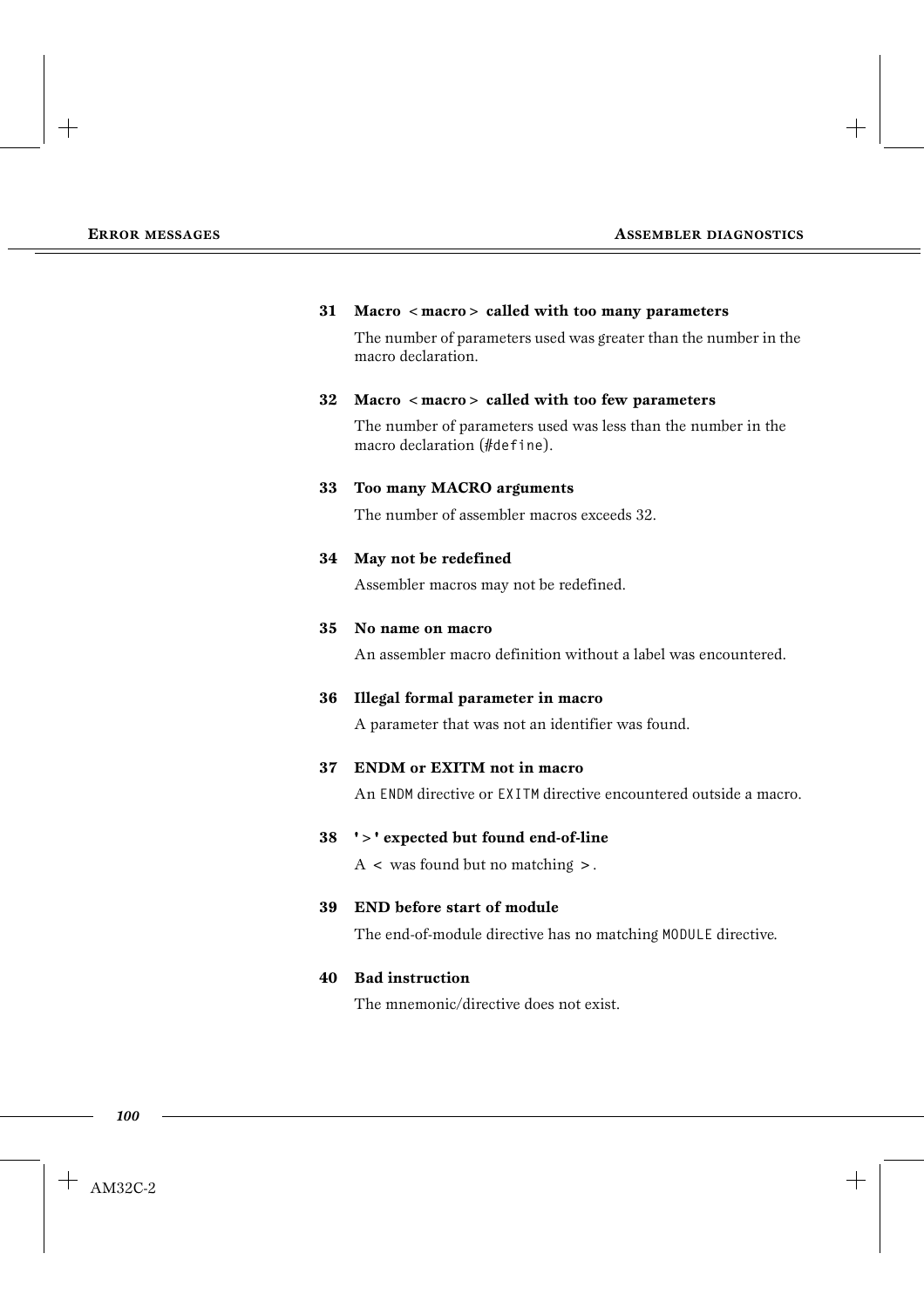#### **31 Macro <macro> called with too many parameters**

The number of parameters used was greater than the number in the macro declaration.

### **32 Macro <macro> called with too few parameters**

The number of parameters used was less than the number in the macro declaration (**#define**).

## **33 Too many MACRO arguments**

The number of assembler macros exceeds 32.

#### **34 May not be redefined**

Assembler macros may not be redefined.

#### **35 No name on macro**

An assembler macro definition without a label was encountered.

#### **36 Illegal formal parameter in macro**

A parameter that was not an identifier was found.

## **37 ENDM or EXITM not in macro**

An **ENDM** directive or **EXITM** directive encountered outside a macro.

#### **38 '>' expected but found end-of-line**

 $A \lt \text{was found but no matching } >$ .

## **39 END before start of module**

The end-of-module directive has no matching **MODULE** directive.

## **40 Bad instruction**

The mnemonic/directive does not exist.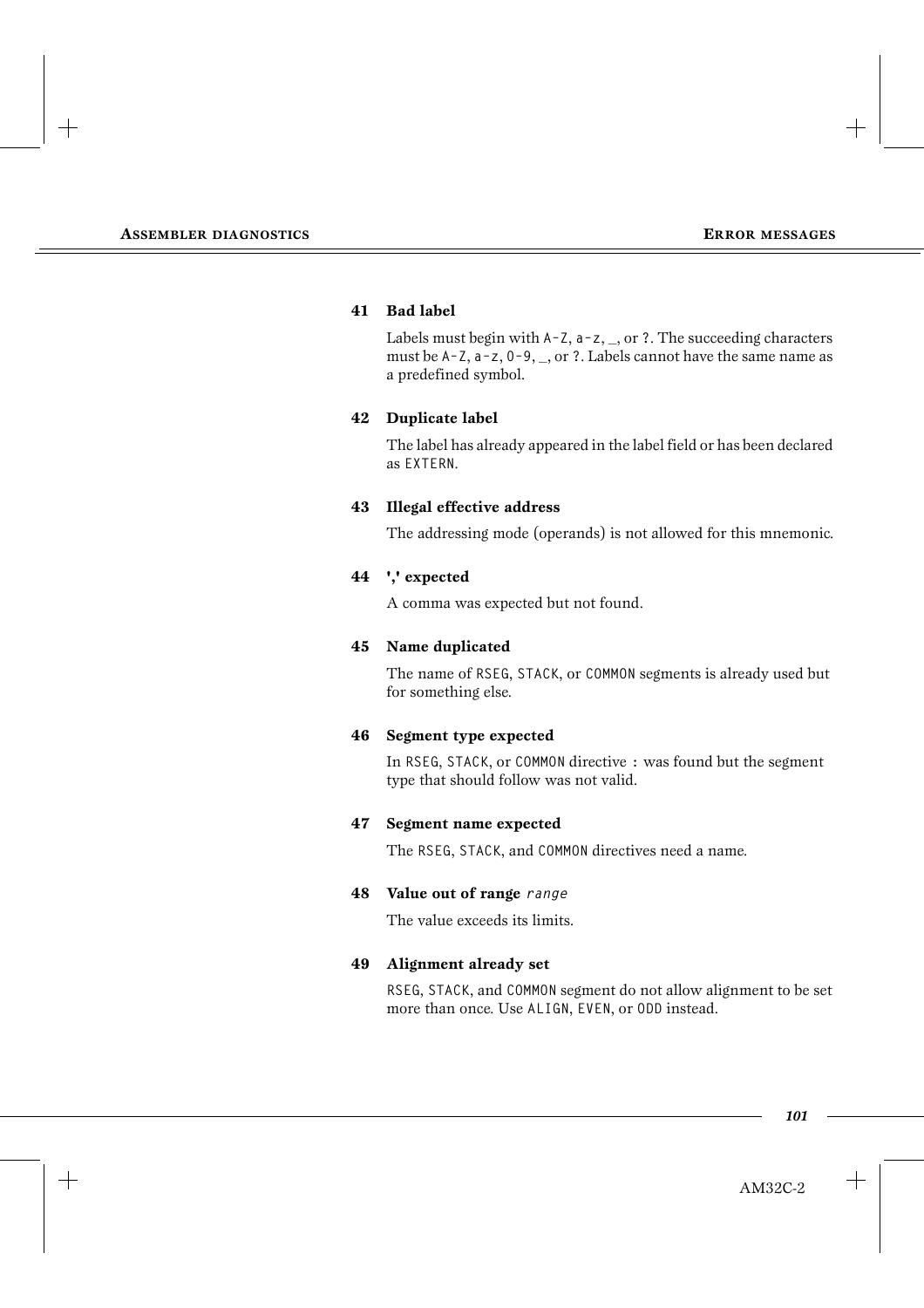## **41 Bad label**

Labels must begin with **A–Z**, **a–z**, **\_**, or **?**. The succeeding characters must be **A–Z**, **a–z**, **0–9**, **\_**, or **?**. Labels cannot have the same name as a predefined symbol.

#### **42 Duplicate label**

The label has already appeared in the label field or has been declared as **EXTERN**.

#### **43 Illegal effective address**

The addressing mode (operands) is not allowed for this mnemonic.

## **44 ',' expected**

A comma was expected but not found.

#### **45 Name duplicated**

The name of **RSEG**, **STACK**, or **COMMON** segments is already used but for something else.

## **46 Segment type expected**

In **RSEG**, **STACK**, or **COMMON** directive **:** was found but the segment type that should follow was not valid.

## **47 Segment name expected**

The **RSEG**, **STACK**, and **COMMON** directives need a name.

## **48 Value out of range** *range*

The value exceeds its limits.

#### **49 Alignment already set**

**RSEG**, **STACK**, and **COMMON** segment do not allow alignment to be set more than once. Use **ALIGN**, **EVEN**, or **ODD** instead.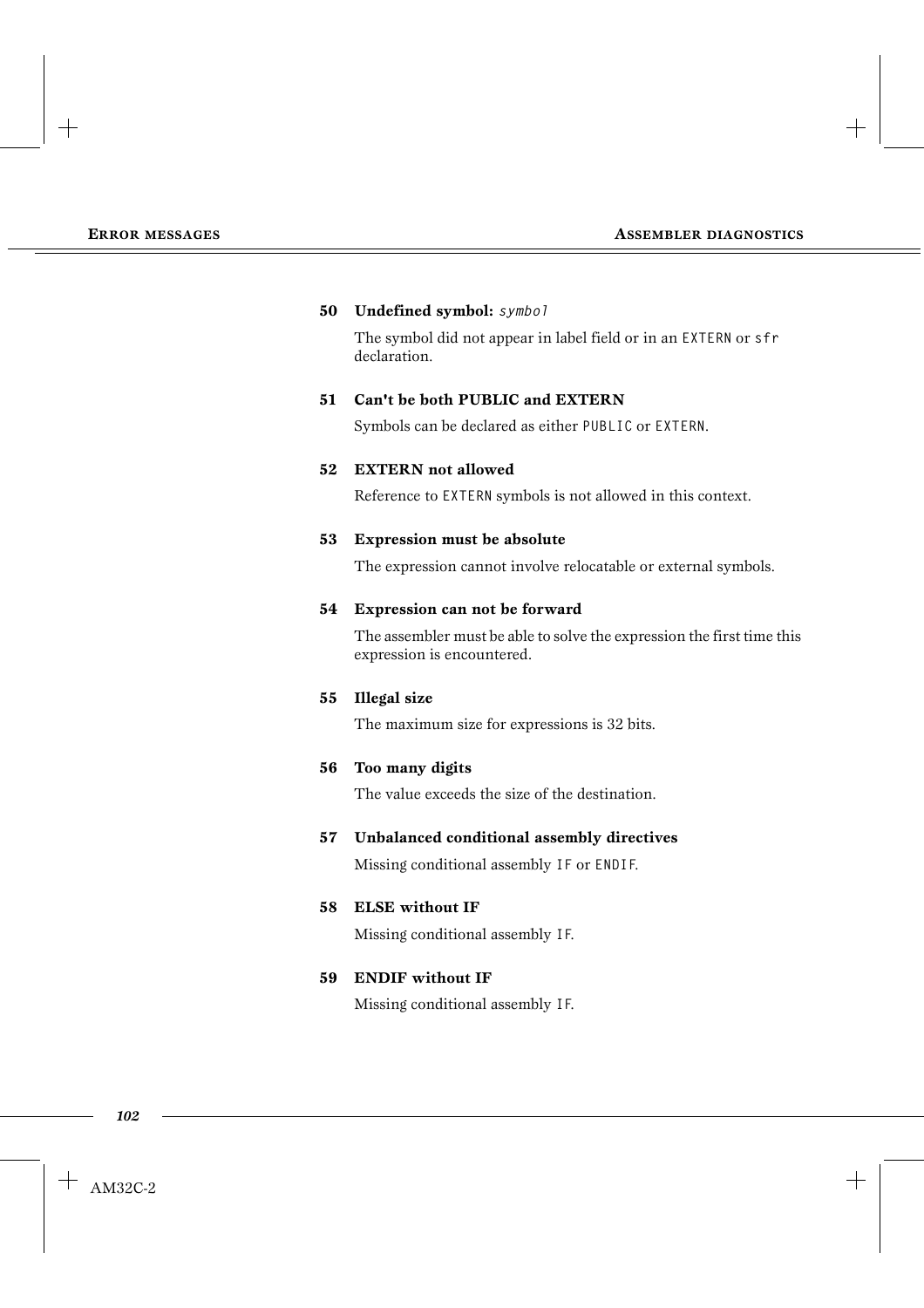#### **50 Undefined symbol:** *symbol*

The symbol did not appear in label field or in an **EXTERN** or **sfr** declaration.

## **51 Can't be both PUBLIC and EXTERN**

Symbols can be declared as either **PUBLIC** or **EXTERN**.

#### **52 EXTERN not allowed**

Reference to **EXTERN** symbols is not allowed in this context.

#### **53 Expression must be absolute**

The expression cannot involve relocatable or external symbols.

#### **54 Expression can not be forward**

The assembler must be able to solve the expression the first time this expression is encountered.

## **55 Illegal size**

The maximum size for expressions is 32 bits.

## **56 Too many digits**

The value exceeds the size of the destination.

#### **57 Unbalanced conditional assembly directives**

Missing conditional assembly **IF** or **ENDIF**.

## **58 ELSE without IF**

Missing conditional assembly **IF**.

## **59 ENDIF without IF**

Missing conditional assembly **IF**.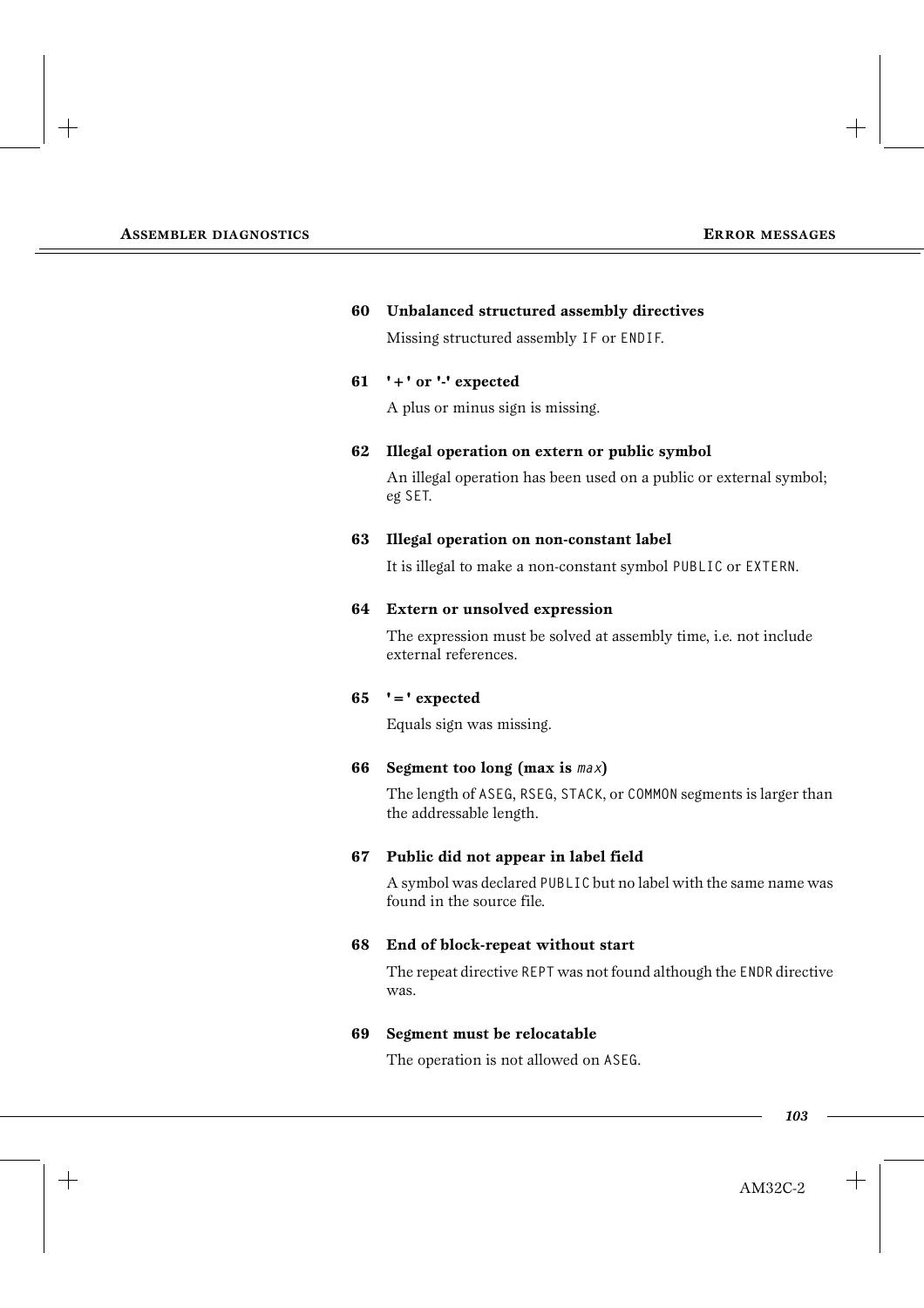### **60 Unbalanced structured assembly directives**

Missing structured assembly **IF** or **ENDIF**.

#### **61 '+' or '-' expected**

A plus or minus sign is missing.

### **62 Illegal operation on extern or public symbol**

An illegal operation has been used on a public or external symbol; eg **SET**.

#### **63 Illegal operation on non-constant label**

It is illegal to make a non-constant symbol **PUBLIC** or **EXTERN**.

#### **64 Extern or unsolved expression**

The expression must be solved at assembly time, i.e. not include external references.

#### **65 '=' expected**

Equals sign was missing.

# **66 Segment too long (max is** *max***)**

The length of **ASEG**, **RSEG**, **STACK**, or **COMMON** segments is larger than the addressable length.

# **67 Public did not appear in label field**

A symbol was declared **PUBLIC** but no label with the same name was found in the source file.

#### **68 End of block-repeat without start**

The repeat directive **REPT** was not found although the **ENDR** directive was.

# **69 Segment must be relocatable**

The operation is not allowed on **ASEG**.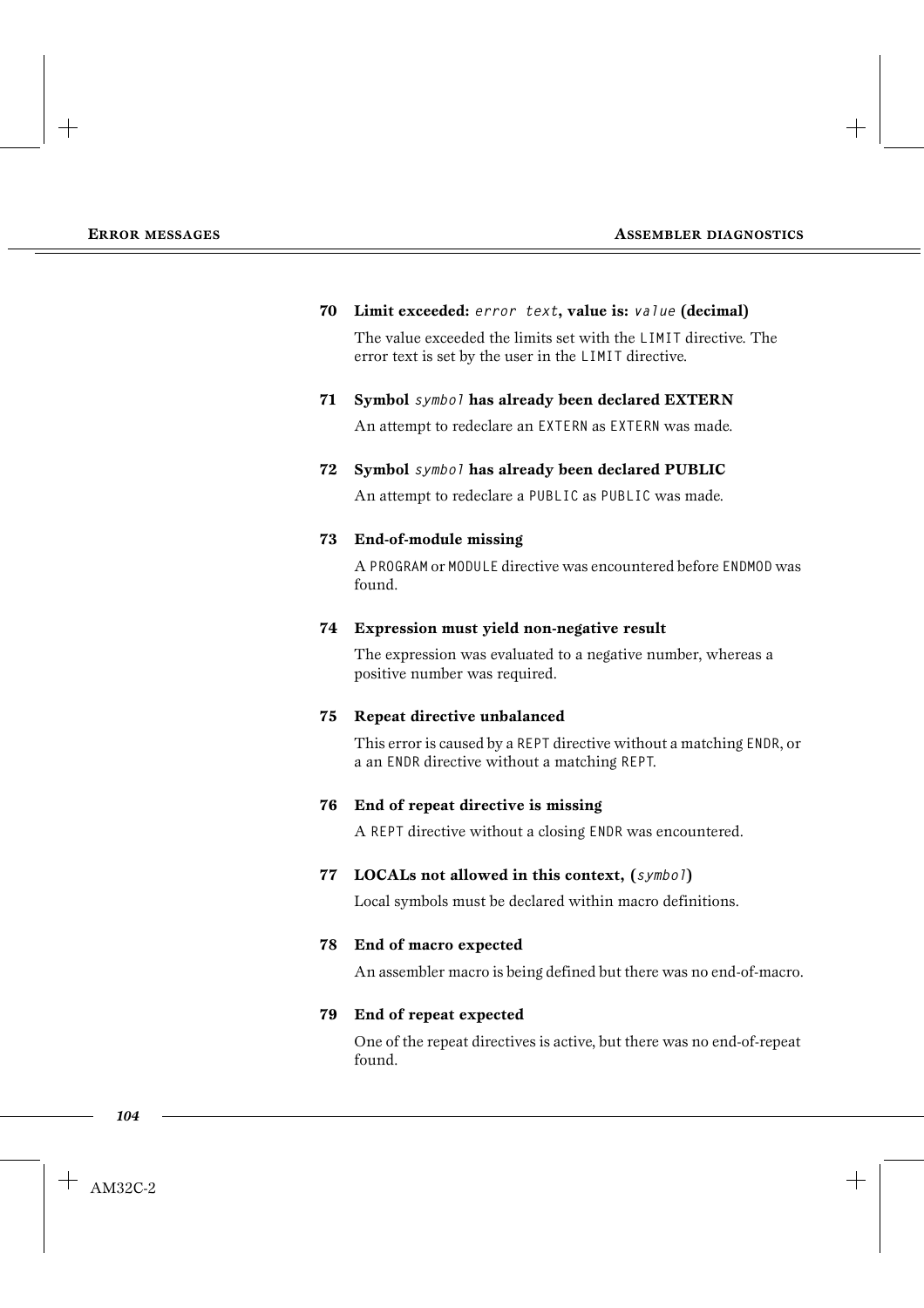# **70 Limit exceeded:** *error text***, value is:** *value* **(decimal)**

The value exceeded the limits set with the **LIMIT** directive. The error text is set by the user in the **LIMIT** directive.

# **71 Symbol** *symbol* **has already been declared EXTERN**

An attempt to redeclare an **EXTERN** as **EXTERN** was made.

# **72 Symbol** *symbol* **has already been declared PUBLIC**

An attempt to redeclare a **PUBLIC** as **PUBLIC** was made.

# **73 End-of-module missing**

A **PROGRAM** or **MODULE** directive was encountered before **ENDMOD** was found.

# **74 Expression must yield non-negative result**

The expression was evaluated to a negative number, whereas a positive number was required.

## **75 Repeat directive unbalanced**

This error is caused by a **REPT** directive without a matching **ENDR**, or a an **ENDR** directive without a matching **REPT**.

## **76 End of repeat directive is missing**

A **REPT** directive without a closing **ENDR** was encountered.

### **77 LOCALs not allowed in this context, (***symbol***)**

Local symbols must be declared within macro definitions.

#### **78 End of macro expected**

An assembler macro is being defined but there was no end-of-macro.

### **79 End of repeat expected**

One of the repeat directives is active, but there was no end-of-repeat found.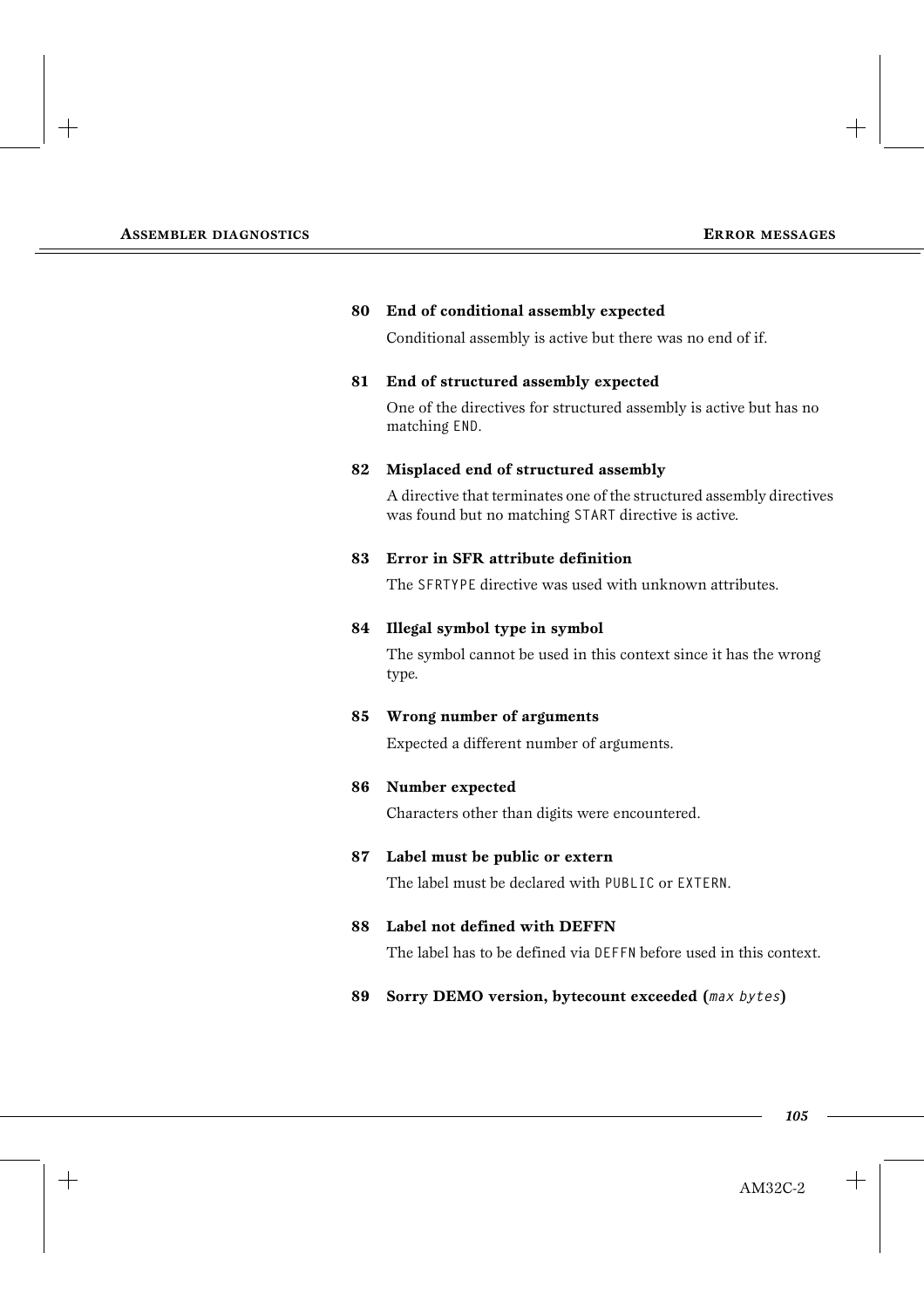### **80 End of conditional assembly expected**

Conditional assembly is active but there was no end of if.

### **81 End of structured assembly expected**

One of the directives for structured assembly is active but has no matching **END**.

### **82 Misplaced end of structured assembly**

A directive that terminates one of the structured assembly directives was found but no matching **START** directive is active.

# **83 Error in SFR attribute definition**

The **SFRTYPE** directive was used with unknown attributes.

## **84 Illegal symbol type in symbol**

The symbol cannot be used in this context since it has the wrong type.

### **85 Wrong number of arguments**

Expected a different number of arguments.

# **86 Number expected**

Characters other than digits were encountered.

### **87 Label must be public or extern**

The label must be declared with **PUBLIC** or **EXTERN**.

# **88 Label not defined with DEFFN**

The label has to be defined via **DEFFN** before used in this context.

### **89 Sorry DEMO version, bytecount exceeded (***max bytes***)**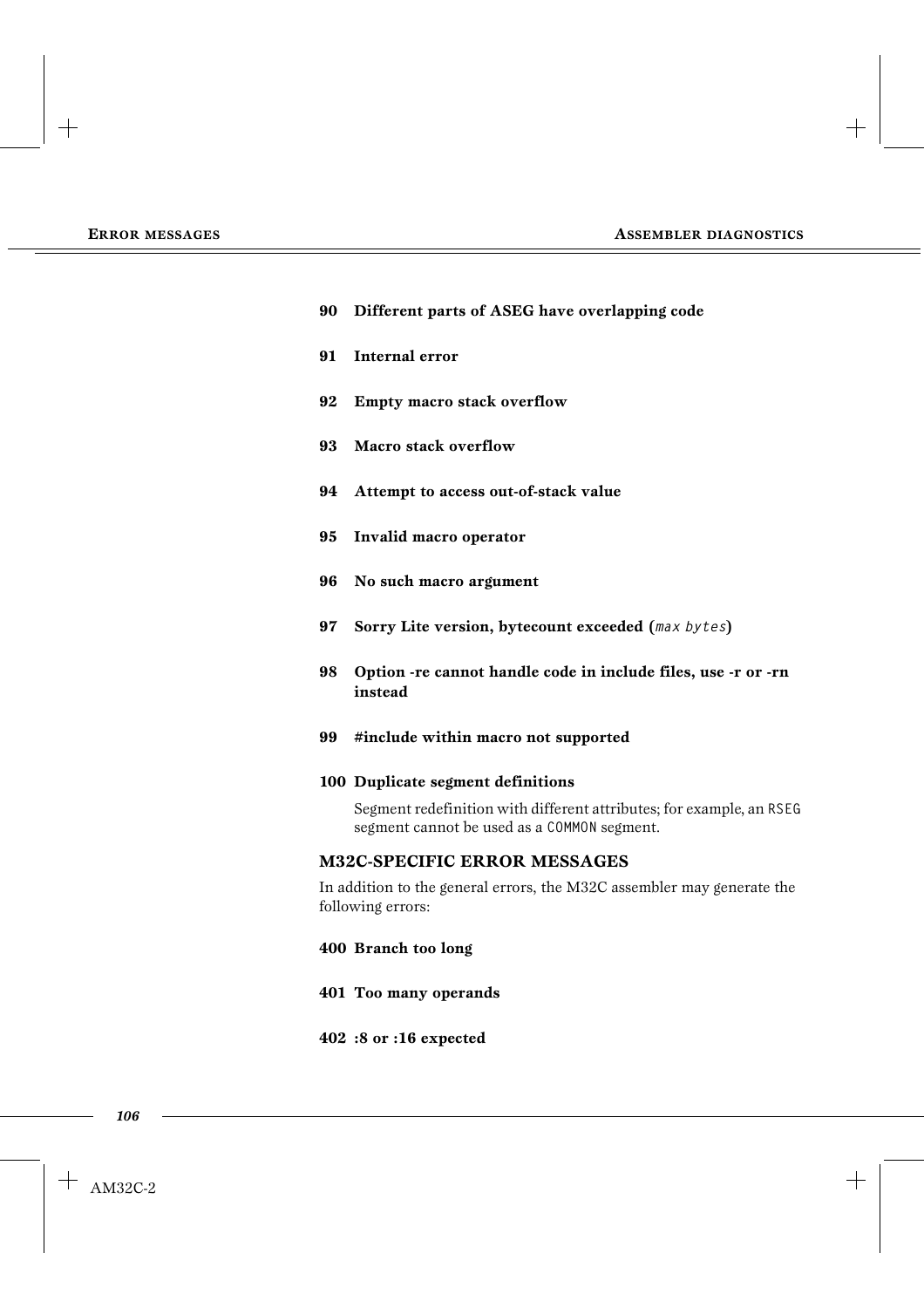|    | 90 Different parts of ASEG have overlapping code                              |
|----|-------------------------------------------------------------------------------|
| 91 | Internal error                                                                |
|    | 92 Empty macro stack overflow                                                 |
|    | 93 Macro stack overflow                                                       |
|    | 94 Attempt to access out-of-stack value                                       |
|    | 95 Invalid macro operator                                                     |
|    | 96 No such macro argument                                                     |
|    | 97 Sorry Lite version, bytecount exceeded (max bytes)                         |
|    | 98 Option - re cannot handle code in include files, use -r or - rn<br>instead |
|    | 99 #include within macro not supported                                        |
|    | 100 Duplicate segment definitions                                             |
|    | $\alpha$ , the state of the state $\alpha$<br>$\sim$ $\sim$ $\sim$            |

Segment redefinition with different attributes; for example, an **RSEG** segment cannot be used as a **COMMON** segment.

# **M32C-SPECIFIC ERROR MESSAGES**

In addition to the general errors, the M32C assembler may generate the following errors:

- **400 Branch too long**
- **401 Too many operands**
- **402 :8 or :16 expected**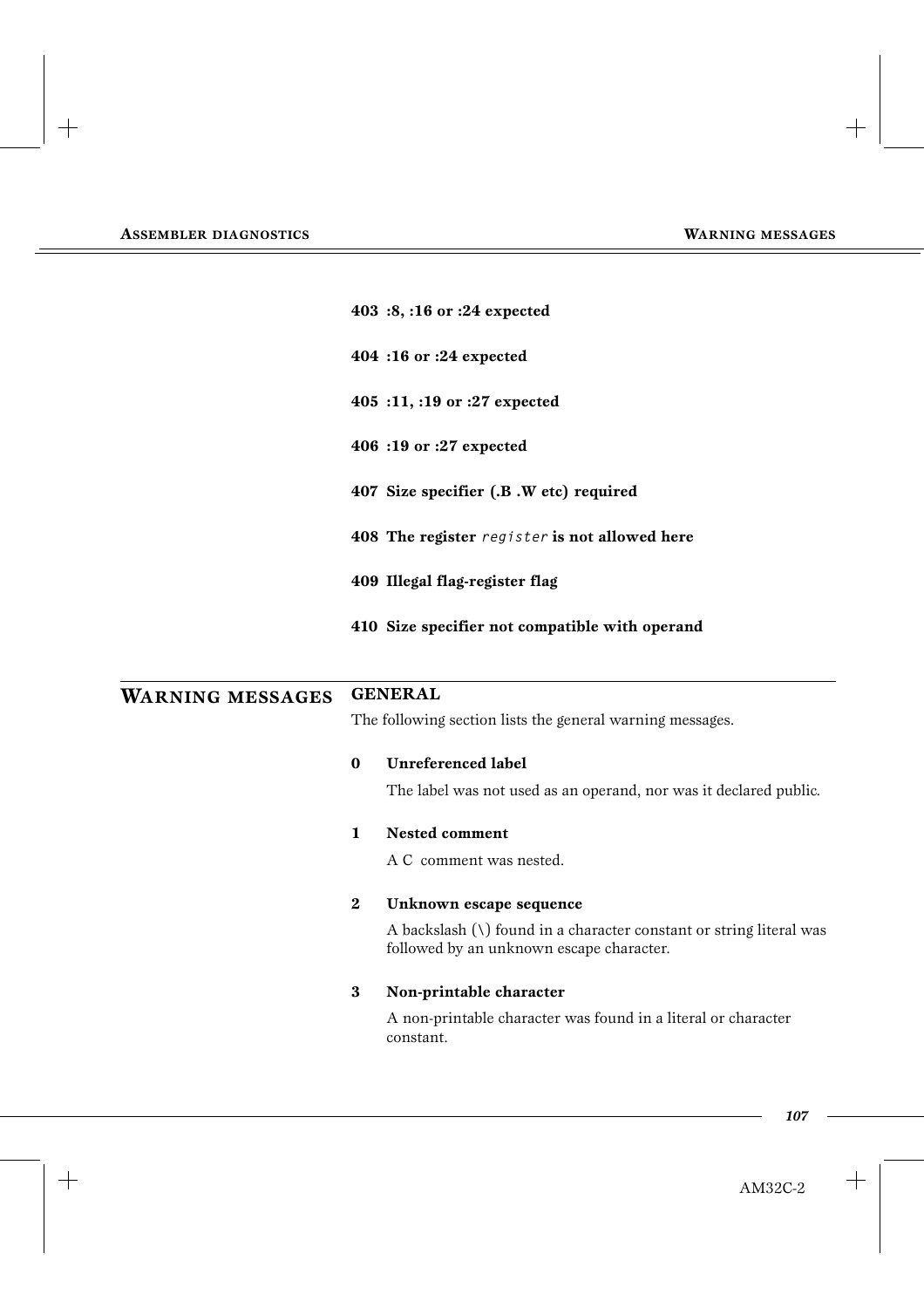- **403 :8, :16 or :24 expected**
- **404 :16 or :24 expected**
- **405 :11, :19 or :27 expected**
- **406 :19 or :27 expected**
- **407 Size specifier (.B .W etc) required**
- **408 The register** *register* **is not allowed here**
- **409 Illegal flag-register flag**
- **410 Size specifier not compatible with operand**

# **WARNING MESSAGES GENERAL**

<span id="page-112-0"></span>The following section lists the general warning messages.

# **0 Unreferenced label**

The label was not used as an operand, nor was it declared public.

# **1 Nested comment**

A C comment was nested.

# **2 Unknown escape sequence**

A backslash (**\**) found in a character constant or string literal was followed by an unknown escape character.

# **3 Non-printable character**

A non-printable character was found in a literal or character constant.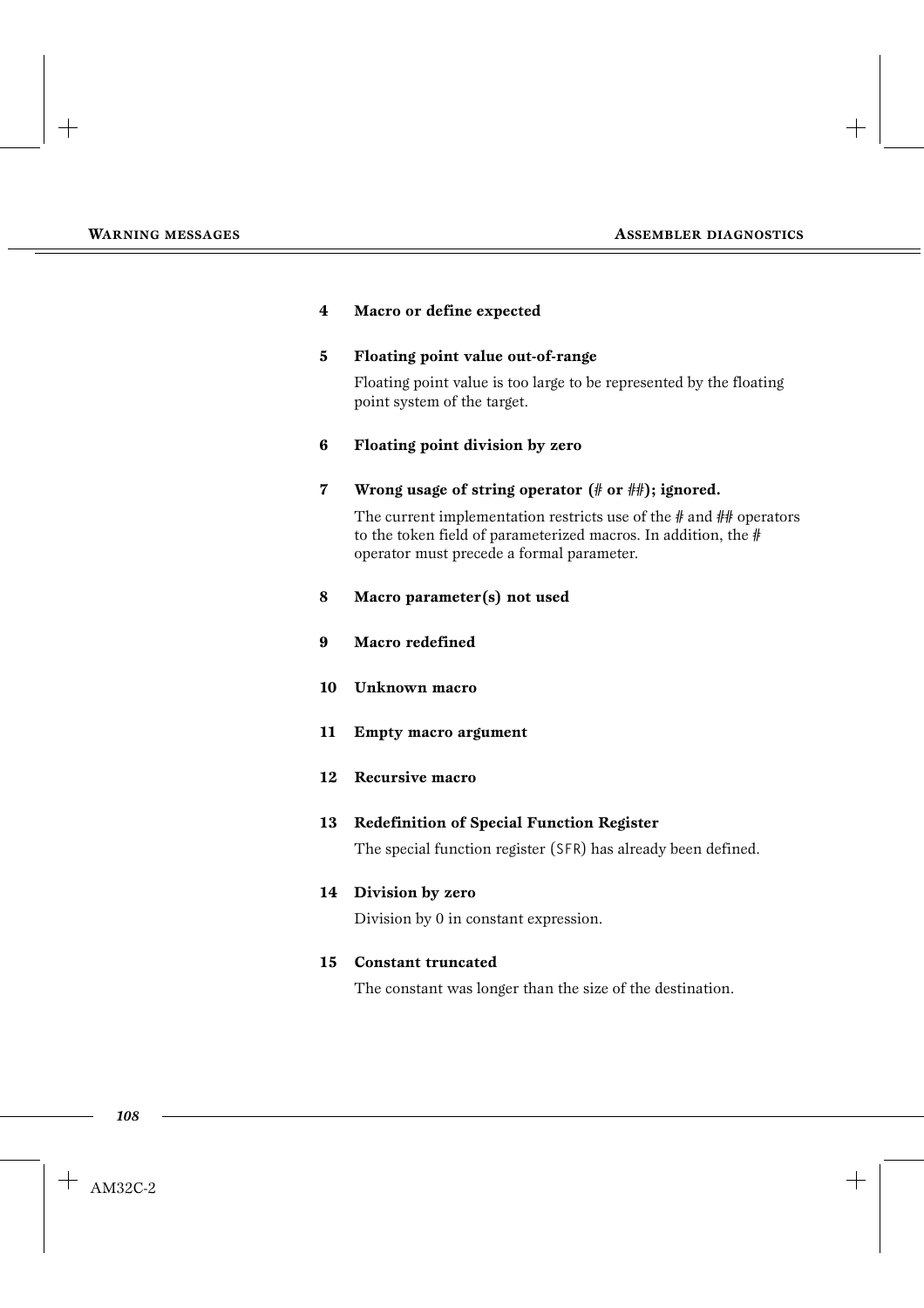# **4 Macro or define expected**

# **5 Floating point value out-of-range**

Floating point value is too large to be represented by the floating point system of the target.

- **6 Floating point division by zero**
- **7 Wrong usage of string operator (# or ##); ignored.**

The current implementation restricts use of the **#** and **##** operators to the token field of parameterized macros. In addition, the **#** operator must precede a formal parameter.

# **8 Macro parameter(s) not used**

- **9 Macro redefined**
- **10 Unknown macro**
- **11 Empty macro argument**

# **12 Recursive macro**

#### **13 Redefinition of Special Function Register**

The special function register (**SFR**) has already been defined.

# **14 Division by zero**

Division by 0 in constant expression.

### **15 Constant truncated**

The constant was longer than the size of the destination.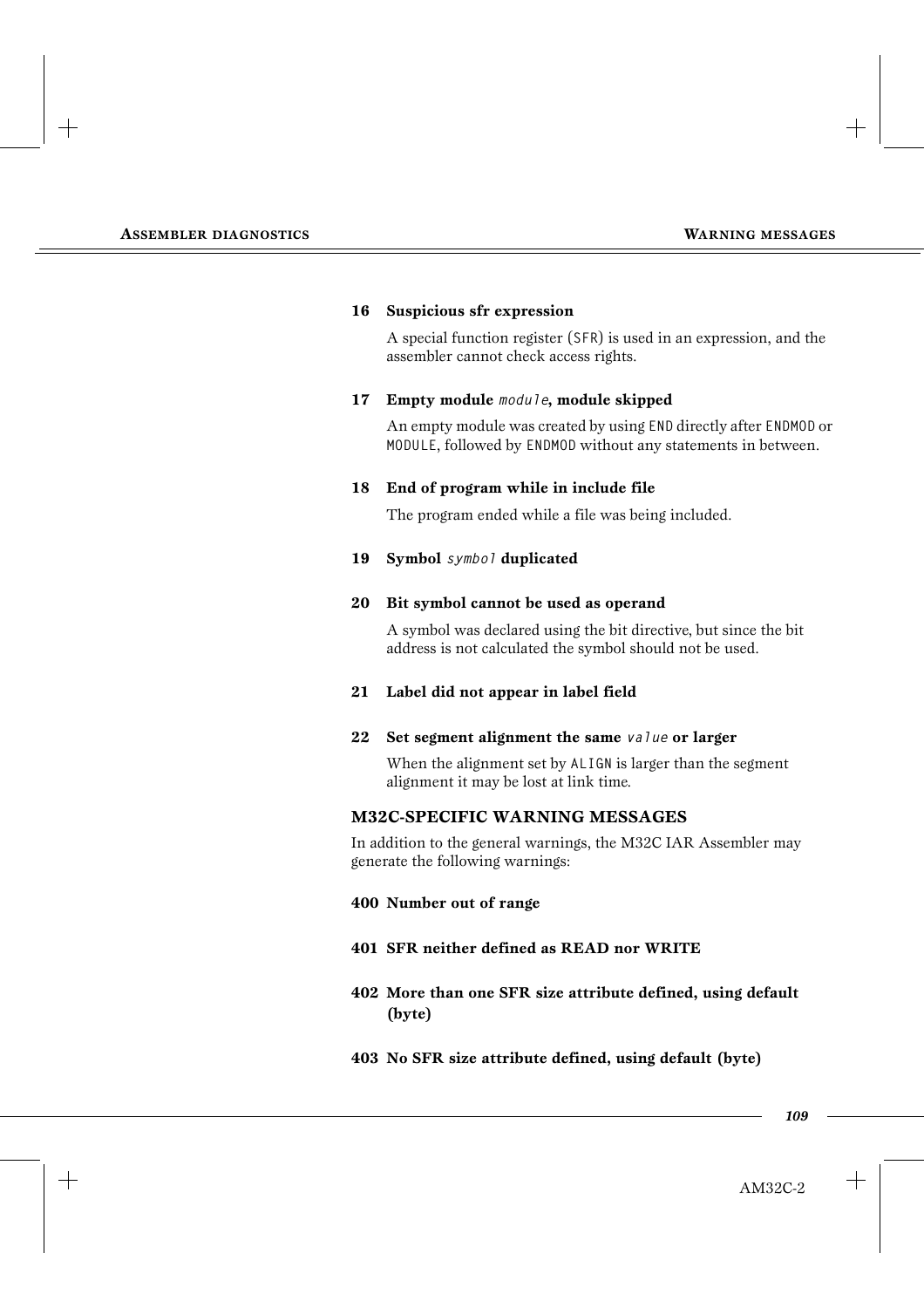### **16 Suspicious sfr expression**

A special function register (**SFR**) is used in an expression, and the assembler cannot check access rights.

# **17 Empty module** *module***, module skipped**

An empty module was created by using **END** directly after **ENDMOD** or **MODULE**, followed by **ENDMOD** without any statements in between.

## **18 End of program while in include file**

The program ended while a file was being included.

# **19 Symbol** *symbol* **duplicated**

#### **20 Bit symbol cannot be used as operand**

A symbol was declared using the bit directive, but since the bit address is not calculated the symbol should not be used.

# **21 Label did not appear in label field**

# **22 Set segment alignment the same** *value* **or larger**

When the alignment set by **ALIGN** is larger than the segment alignment it may be lost at link time.

# **M32C-SPECIFIC WARNING MESSAGES**

In addition to the general warnings, the M32C IAR Assembler may generate the following warnings:

# **400 Number out of range**

- **401 SFR neither defined as READ nor WRITE**
- **402 More than one SFR size attribute defined, using default (byte)**
- **403 No SFR size attribute defined, using default (byte)**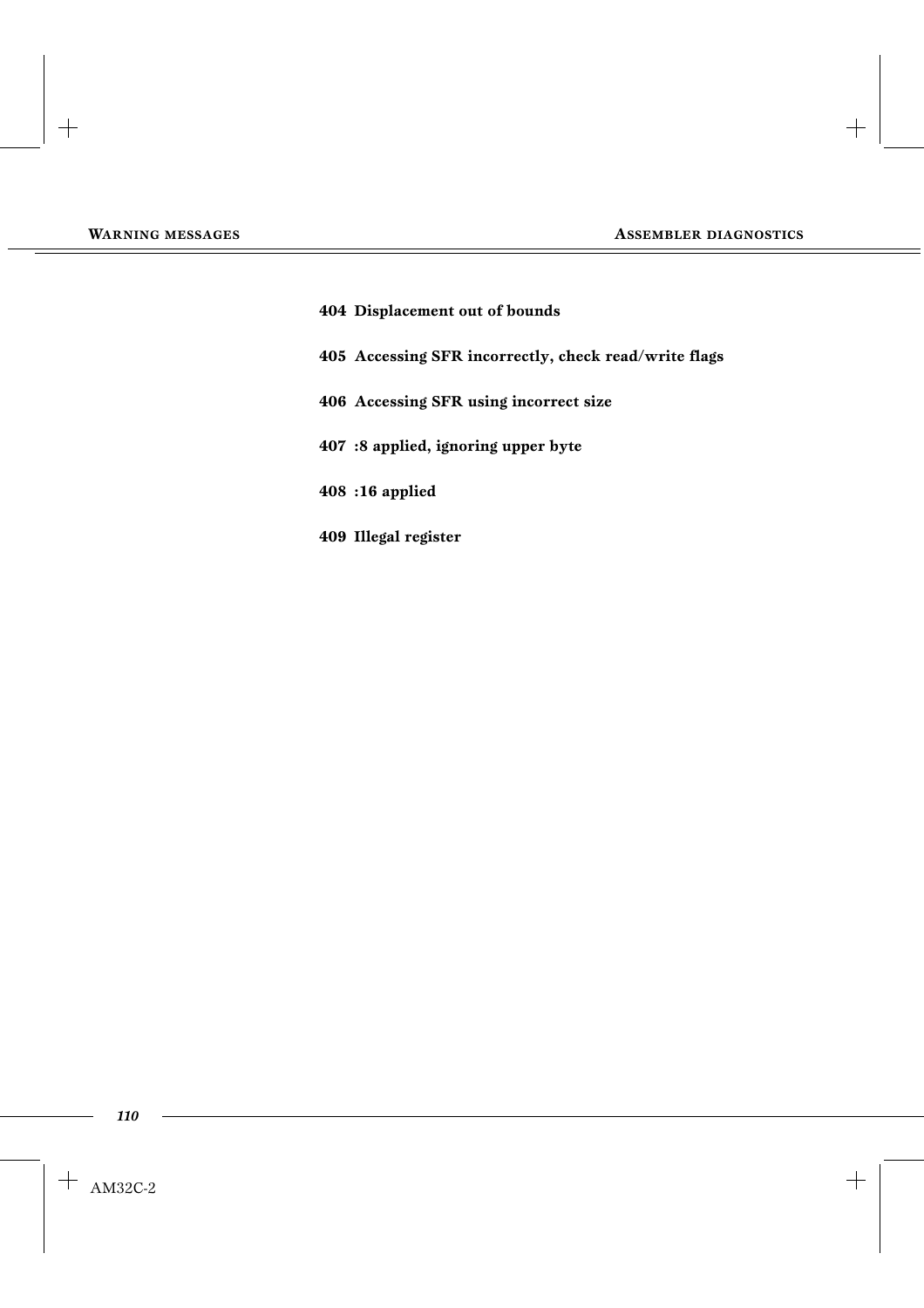- **404 Displacement out of bounds**
- **405 Accessing SFR incorrectly, check read/write flags**
- **406 Accessing SFR using incorrect size**
- **407 :8 applied, ignoring upper byte**
- **408 :16 applied**
- **409 Illegal register**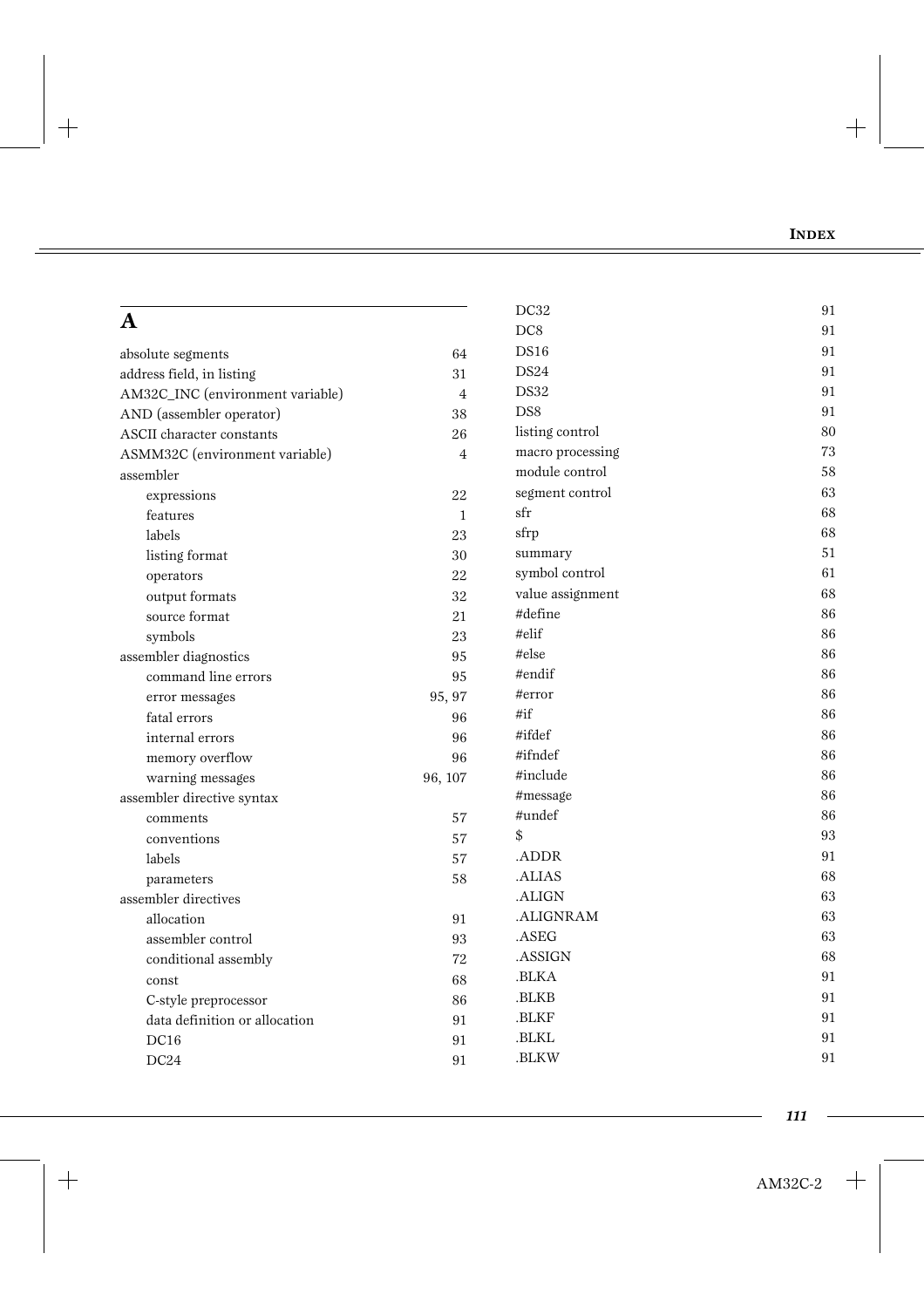**INDEX**

|                                  |                | DC32             | 91                |
|----------------------------------|----------------|------------------|-------------------|
| A                                |                | DC8              | 91                |
| absolute segments                | 64             | <b>DS16</b>      | 91                |
| address field, in listing        | 31             | <b>DS24</b>      | 91                |
| AM32C_INC (environment variable) | $\overline{4}$ | <b>DS32</b>      | 91                |
| AND (assembler operator)         | 38             | DS8              | 91                |
| ASCII character constants        | 26             | listing control  | 80                |
| ASMM32C (environment variable)   | $\overline{4}$ | macro processing | 73                |
| assembler                        |                | module control   | 58                |
| expressions                      | 22             | segment control  | 63                |
| features                         | $\mathbf{1}$   | sfr              | 68                |
| labels                           | 23             | sfrp             | 68                |
| listing format                   | 30             | summary          | 51                |
| operators                        | 22             | symbol control   | 61                |
| output formats                   | 32             | value assignment | 68                |
| source format                    | 21             | #define          | 86                |
| symbols                          | 23             | #elif            | 86                |
| assembler diagnostics            | 95             | #else            | 86                |
| command line errors              | 95             | #endif           | 86                |
| error messages                   | 95, 97         | #error           | 86                |
| fatal errors                     | 96             | #if              | 86                |
| internal errors                  | 96             | #ifdef           | 86                |
| memory overflow                  | 96             | #ifndef          | 86                |
| warning messages                 | 96, 107        | #include         | 86                |
| assembler directive syntax       |                | #message         | 86                |
| comments                         | 57             | #undef           | 86                |
| conventions                      | 57             | \$               | $\boldsymbol{93}$ |
| labels                           | 57             | .ADDR            | 91                |
| parameters                       | 58             | .ALIAS           | 68                |
| assembler directives             |                | .ALIGN           | 63                |
| allocation                       | 91             | .ALIGNRAM        | 63                |
| assembler control                | 93             | .ASEG            | 63                |
| conditional assembly             | $\rm 72$       | .ASSIGN          | 68                |
| const                            | 68             | .BLKA            | 91                |
| C-style preprocessor             | 86             | .BLKB            | 91                |
| data definition or allocation    | 91             | .BLKF            | 91                |
| DC16                             | 91             | .BLKL            | 91                |
| DC <sub>24</sub>                 | 91             | .BLKW            | 91                |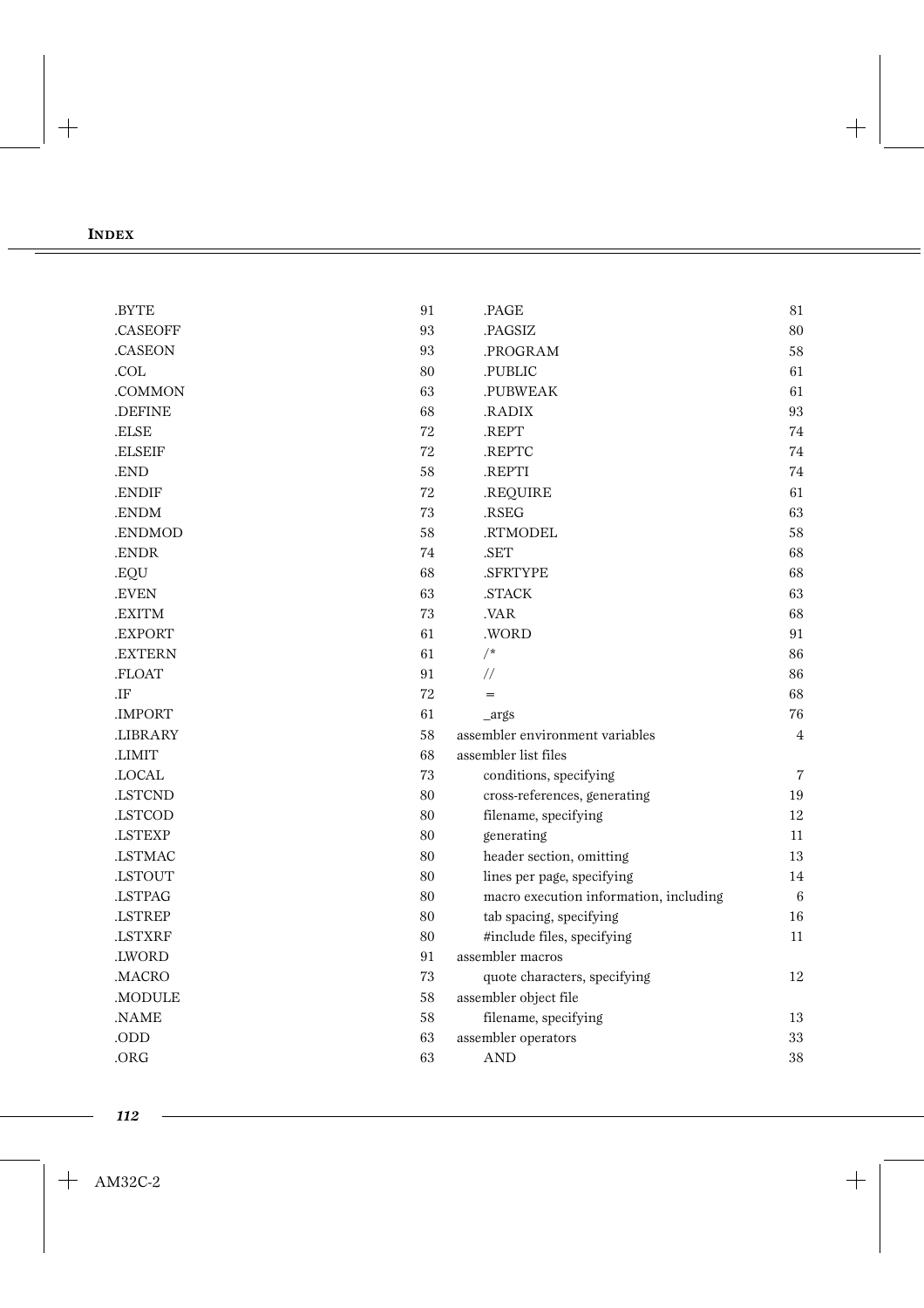| .PAGE                                  | 81             |
|----------------------------------------|----------------|
| .PAGSIZ                                | 80             |
| .PROGRAM                               | 58             |
| .PUBLIC                                | 61             |
| .PUBWEAK                               | 61             |
| <b>RADIX</b>                           | 93             |
| .REPT                                  | 74             |
| .REPTC                                 | 74             |
| .REPTI                                 | 74             |
| .REQUIRE                               | 61             |
| RSEG                                   | 63             |
| .RTMODEL                               | 58             |
| SET                                    | 68             |
| .SFRTYPE                               | 68             |
| .STACK                                 | 63             |
| .VAR                                   | 68             |
| .WORD                                  | 91             |
| $/$ *                                  | 86             |
| $\frac{1}{2}$                          | 86             |
| $=$                                    | 68             |
| _args                                  | ${\bf 76}$     |
| assembler environment variables        | $\overline{4}$ |
| assembler list files                   |                |
| conditions, specifying                 | $\overline{7}$ |
| cross-references, generating           | $19\,$         |
| filename, specifying                   | $12\,$         |
| generating                             | 11             |
| header section, omitting               | 13             |
| lines per page, specifying             | 14             |
| macro execution information, including | 6              |
| tab spacing, specifying                | 16             |
| #include files, specifying             | 11             |
| assembler macros                       |                |
| quote characters, specifying           | 12             |
| assembler object file                  |                |
| filename, specifying                   | 13             |
| assembler operators                    | 33             |
| <b>AND</b>                             | 38             |
|                                        |                |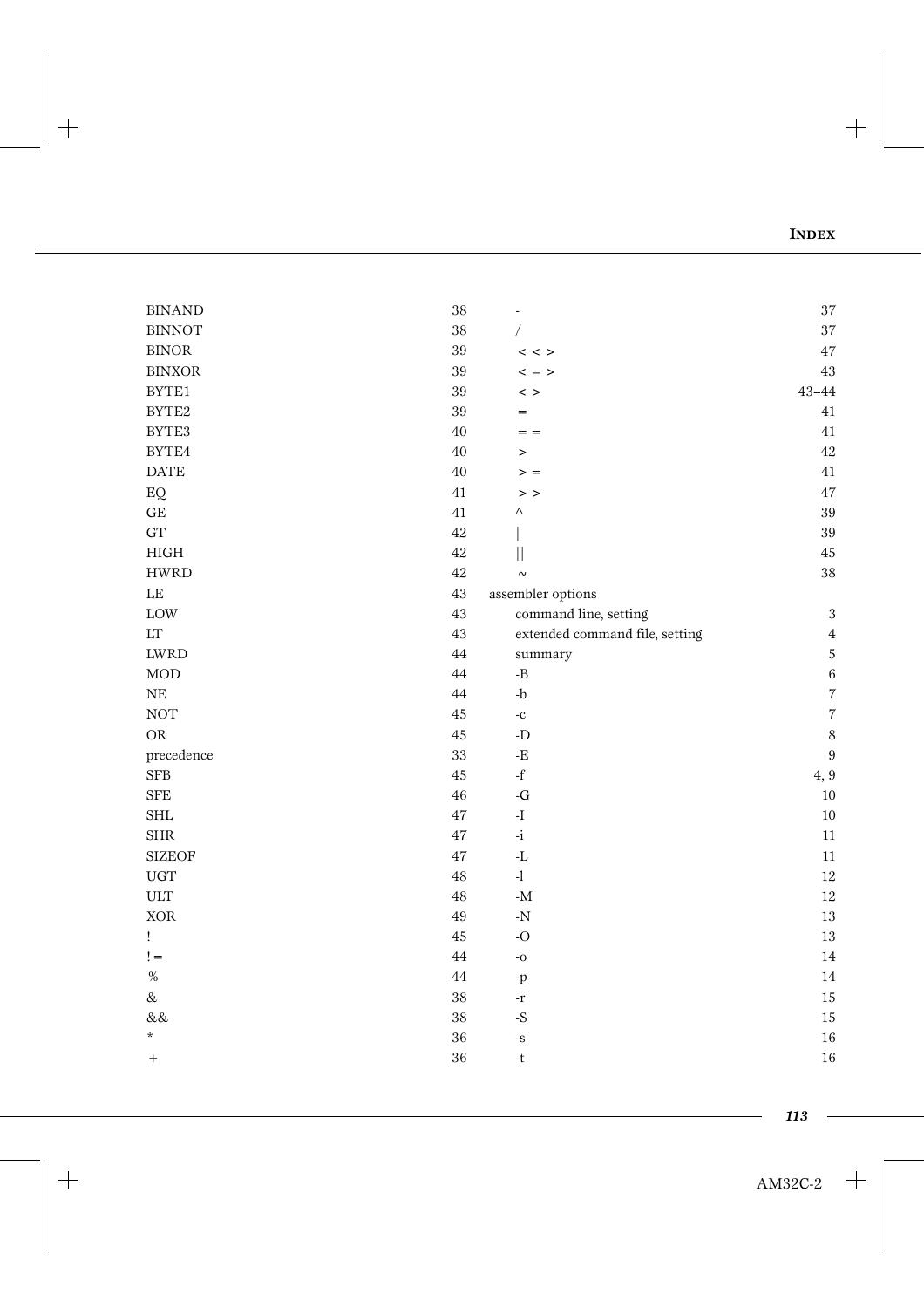| <b>BINAND</b>               | 38          | $\overline{a}$                 | 37               |
|-----------------------------|-------------|--------------------------------|------------------|
| <b>BINNOT</b>               | 38          | /                              | $37\,$           |
| $\operatorname{BINOR}$      | $39\,$      | $\lt$ $\lt$ $>$                | 47               |
| <b>BINXOR</b>               | 39          | $\lt$ = $>$                    | $43\,$           |
| $\rm BYTE1$                 | 39          | $\langle$ $>$                  | $43 - 44$        |
| BYTE2                       | $39\,$      | $=$                            | $41\,$           |
| $\rm BYTE3$                 | $40\,$      | $=$ $=$                        | 41               |
| $\rm BYTE4$                 | 40          | $\geq$                         | $42\,$           |
| <b>DATE</b>                 | 40          | $\geq$ =                       | $41\,$           |
| ${\rm EQ}$                  | $41\,$      | $>$ $>$                        | $47\,$           |
| $\operatorname{GE}$         | $41\,$      | $\wedge$                       | $39\,$           |
| $\operatorname{GT}$         | 42          |                                | $39\,$           |
| $_{\rm HIGH}$               | $42\,$      | $\mathop{  }$                  | $\rm 45$         |
| <b>HWRD</b>                 | 42          | $\sim$                         | $38\,$           |
| $\operatorname{LE}$         | $43\,$      | assembler options              |                  |
| ${\rm Low}$                 | $43\,$      | command line, setting          | $\,3$            |
| $\mathop{\rm LT}\nolimits$  | 43          | extended command file, setting | $\,4\,$          |
| ${\rm LWRD}$                | 44          | summary                        | $\overline{5}$   |
| $\rm MOD$                   | 44          | $\mbox{-}\mathbf{B}$           | $\overline{6}$   |
| $\rm NE$                    | 44          | $-b$                           | $\boldsymbol{7}$ |
| $\operatorname{NOT}$        | $\rm 45$    | $\textnormal{\textsf{-C}}$     | $\overline{7}$   |
| OR                          | $\rm 45$    | $\mbox{-}\mathrm{D}$           | $\,8\,$          |
| $\operatorname{precedence}$ | 33          | $\mathbf{-E}$                  | $\boldsymbol{9}$ |
| ${\rm SFB}$                 | $\rm 45$    | -f $\,$                        | 4, 9             |
| ${\rm SFE}$                 | $\sqrt{46}$ | $\mbox{-}\mathbf{G}$           | $10\,$           |
| $\operatorname{SHL}$        | 47          | $\mathbf{I}$                   | $10\,$           |
| <b>SHR</b>                  | $47\,$      | $\cdot \mathrm{i}$             | 11               |
| <b>SIZEOF</b>               | 47          | $\mathbf{-L}$                  | 11               |
| $_{\rm UGT}$                | 48          | $\textnormal{-}1$              | 12               |
| ${\rm ULT}$                 | 48          | $\mbox{-}\mathbf{M}$           | $12\,$           |
| <b>XOR</b>                  | $\rm 49$    | $\mathbf{\cdot N}$             | $13\,$           |
| $\mathfrak l$               | 45          | $-{\cal O}$                    | 13               |
| $!=$                        | 44          | $\hbox{-} \mathrm{O}$          | $14\,$           |
| $\%$                        | 44          | $\mathbf{\text{-}p}$           | 14               |
| &                           | 38          | $\mathbf{r}$                   | $15\,$           |
| $\&\&$                      | 38          | $\text{-}\mathbf{S}$           | $15\,$           |
| $\star$                     | $36\,$      | $\textnormal{\textbf{-S}}$     | $16\,$           |
| $^+$                        | $36\,$      | $\mbox{-}t$                    | $16\,$           |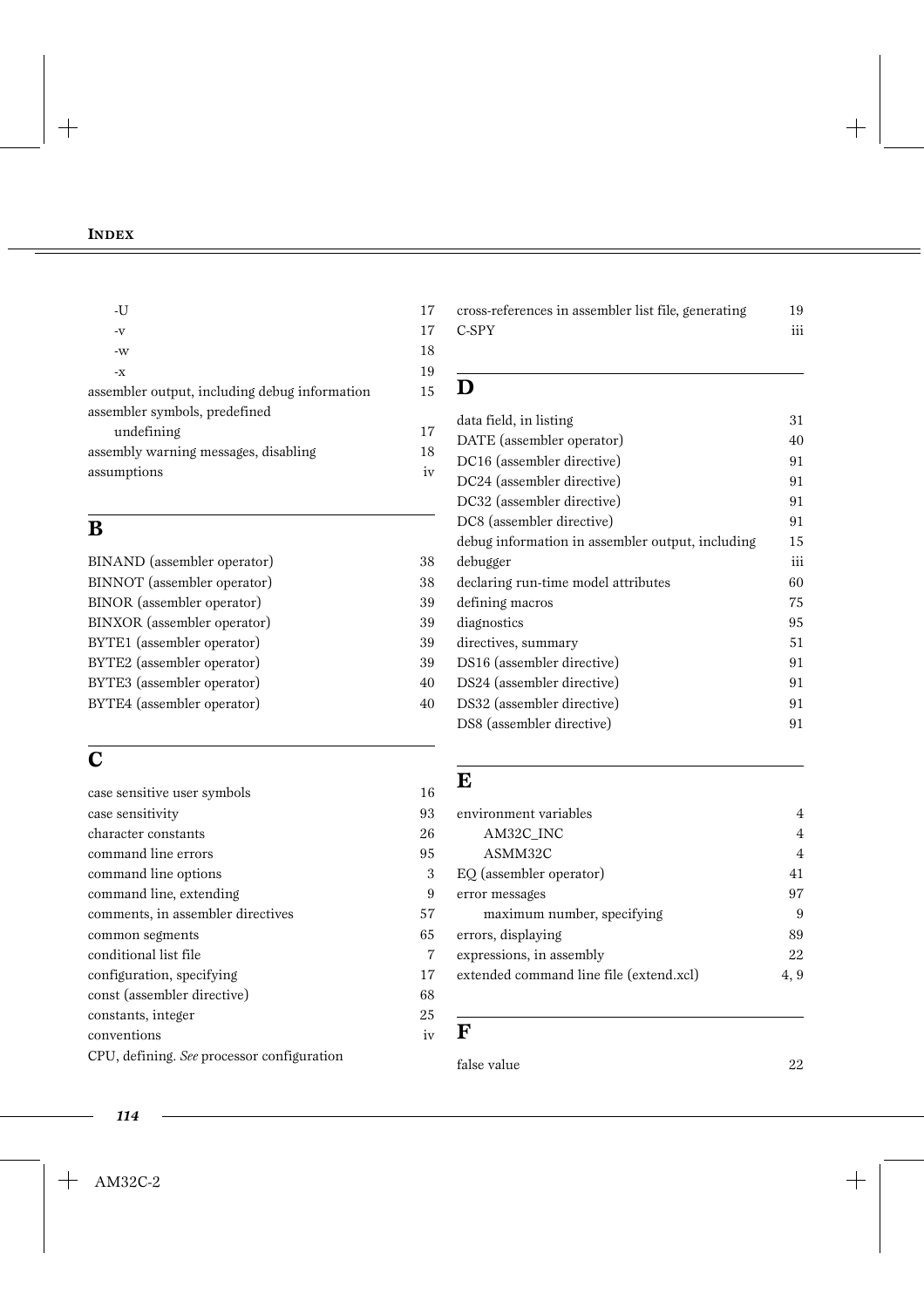| $-IJ$                                         | 17 |
|-----------------------------------------------|----|
| $-V$                                          | 17 |
| $-W$                                          | 18 |
| -X                                            | 19 |
| assembler output, including debug information | 15 |
| assembler symbols, predefined                 |    |
| undefining                                    | 17 |
| assembly warning messages, disabling          | 18 |

# **B**

| BINAND (assembler operator) | 38 |
|-----------------------------|----|
| BINNOT (assembler operator) | 38 |
| BINOR (assembler operator)  | 39 |
| BINXOR (assembler operator) | 39 |
| BYTE1 (assembler operator)  | 39 |
| BYTE2 (assembler operator)  | 39 |
| BYTE3 (assembler operator)  | 40 |
| BYTE4 (assembler operator)  | 40 |
|                             |    |

# **C**

| case sensitive user symbols                | 16 |
|--------------------------------------------|----|
| case sensitivity                           | 93 |
| character constants                        | 26 |
| command line errors                        | 95 |
| command line options                       | 3  |
| command line, extending                    | 9  |
| comments, in assembler directives          | 57 |
| common segments                            | 65 |
| conditional list file                      | 7  |
| configuration, specifying                  | 17 |
| const (assembler directive)                | 68 |
| constants, integer                         | 25 |
| conventions                                | iv |
| CPU, defining. See processor configuration |    |

| cross-references in assembler list file, generating | 19              |
|-----------------------------------------------------|-----------------|
| C-SPY                                               | $\cdots$<br>111 |
|                                                     |                 |

# **D**

| assembler symbols, predefined<br>undefining<br>assembly warning messages, disabling<br>assumptions | 17<br>18<br>iv | data field, in listing<br>DATE (assembler operator)<br>DC16 (assembler directive)<br>DC24 (assembler directive)<br>DC32 (assembler directive) | 31<br>40<br>91<br>91<br>91 |
|----------------------------------------------------------------------------------------------------|----------------|-----------------------------------------------------------------------------------------------------------------------------------------------|----------------------------|
| В                                                                                                  |                | DC8 (assembler directive)<br>debug information in assembler output, including                                                                 | 91<br>15                   |
| BINAND (assembler operator)                                                                        | 38             | debugger                                                                                                                                      | iii                        |
| BINNOT (assembler operator)                                                                        | 38             | declaring run-time model attributes                                                                                                           | 60                         |
| BINOR (assembler operator)                                                                         | 39             | defining macros                                                                                                                               | 75                         |
| BINXOR (assembler operator)                                                                        | 39             | diagnostics                                                                                                                                   | 95                         |
| BYTE1 (assembler operator)                                                                         | 39             | directives, summary                                                                                                                           | 51                         |
| BYTE2 (assembler operator)                                                                         | 39             | DS16 (assembler directive)                                                                                                                    | 91                         |
| BYTE3 (assembler operator)                                                                         | 40             | DS24 (assembler directive)                                                                                                                    | 91                         |
| BYTE4 (assembler operator)                                                                         | 40             | DS32 (assembler directive)                                                                                                                    | 91                         |
|                                                                                                    |                | DS8 (assembler directive)                                                                                                                     | 91                         |
|                                                                                                    |                |                                                                                                                                               |                            |

# **E**

| environment variables                   |     |
|-----------------------------------------|-----|
| AM32C INC                               | 4   |
| ASMM32C                                 | 4   |
| EQ (assembler operator)                 | 41  |
| error messages                          | 97  |
| maximum number, specifying              | 9   |
| errors, displaying                      | 89  |
| expressions, in assembly                | 22  |
| extended command line file (extend.xcl) | 4.9 |
|                                         |     |

**F**

```
false value 22
```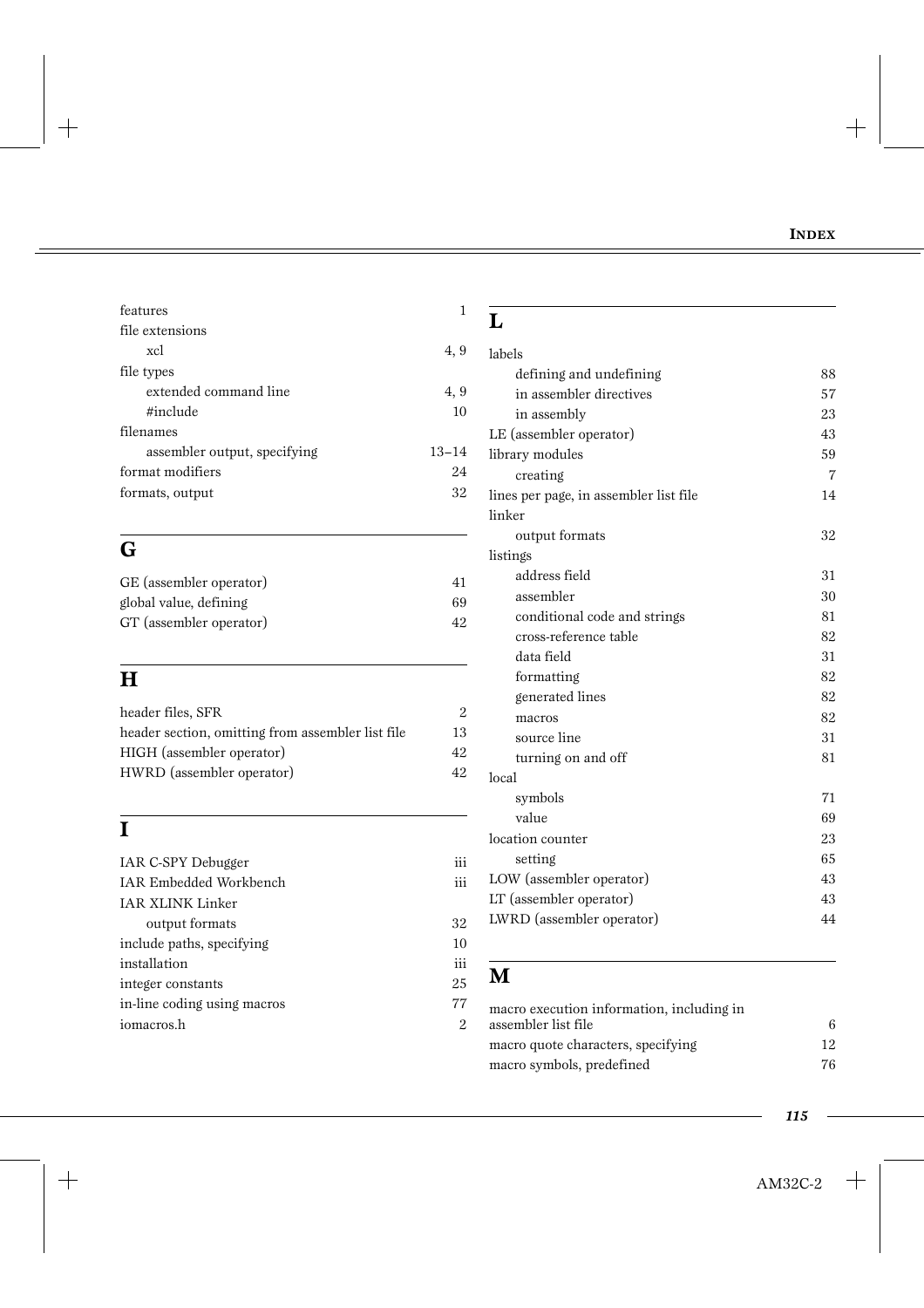| features                     | 1         |
|------------------------------|-----------|
| file extensions              |           |
| xcl                          | 4, 9      |
| file types                   |           |
| extended command line        | 4, 9      |
| #include                     | 10        |
| filenames                    |           |
| assembler output, specifying | $13 - 14$ |
| format modifiers             | 24        |
| formats, output              | 32        |
|                              |           |

# **G**

| GE (assembler operator) |    |
|-------------------------|----|
| global value, defining  | 69 |
| GT (assembler operator) | 42 |

# **H**

| header files, SFR                                  | $\mathfrak{D}$ |
|----------------------------------------------------|----------------|
| header section, omitting from assembler list file. | 13             |
| HIGH (assembler operator)                          | 42             |
| HWRD (assembler operator)                          | 42             |

# **I**

| IAR C-SPY Debugger          | iii            |
|-----------------------------|----------------|
| IAR Embedded Workbench      | iii            |
| IAR XLINK Linker            |                |
| output formats              | 32             |
| include paths, specifying   | 10             |
| installation                | iii            |
| integer constants           | 25             |
| in-line coding using macros | 77             |
| iomacros.h                  | $\overline{2}$ |
|                             |                |

# **L**

| labels                                 |    |
|----------------------------------------|----|
| defining and undefining                | 88 |
| in assembler directives                | 57 |
| in assembly                            | 23 |
| LE (assembler operator)                | 43 |
| library modules                        | 59 |
| creating                               | 7  |
| lines per page, in assembler list file | 14 |
| linker                                 |    |
| output formats                         | 32 |
| listings                               |    |
| address field                          | 31 |
| assembler                              | 30 |
| conditional code and strings           | 81 |
| cross-reference table                  | 82 |
| data field                             | 31 |
| formatting                             | 82 |
| generated lines                        | 82 |
| macros                                 | 82 |
| source line                            | 31 |
| turning on and off                     | 81 |
| local                                  |    |
| symbols                                | 71 |
| value                                  | 69 |
| location counter                       | 23 |
| setting                                | 65 |
| LOW (assembler operator)               | 43 |
| LT (assembler operator)                | 43 |
| LWRD (assembler operator)              | 44 |
|                                        |    |

# **M**

| macro execution information, including in |    |
|-------------------------------------------|----|
| assembler list file                       | 6  |
| macro quote characters, specifying        | 12 |
| macro symbols, predefined                 | 76 |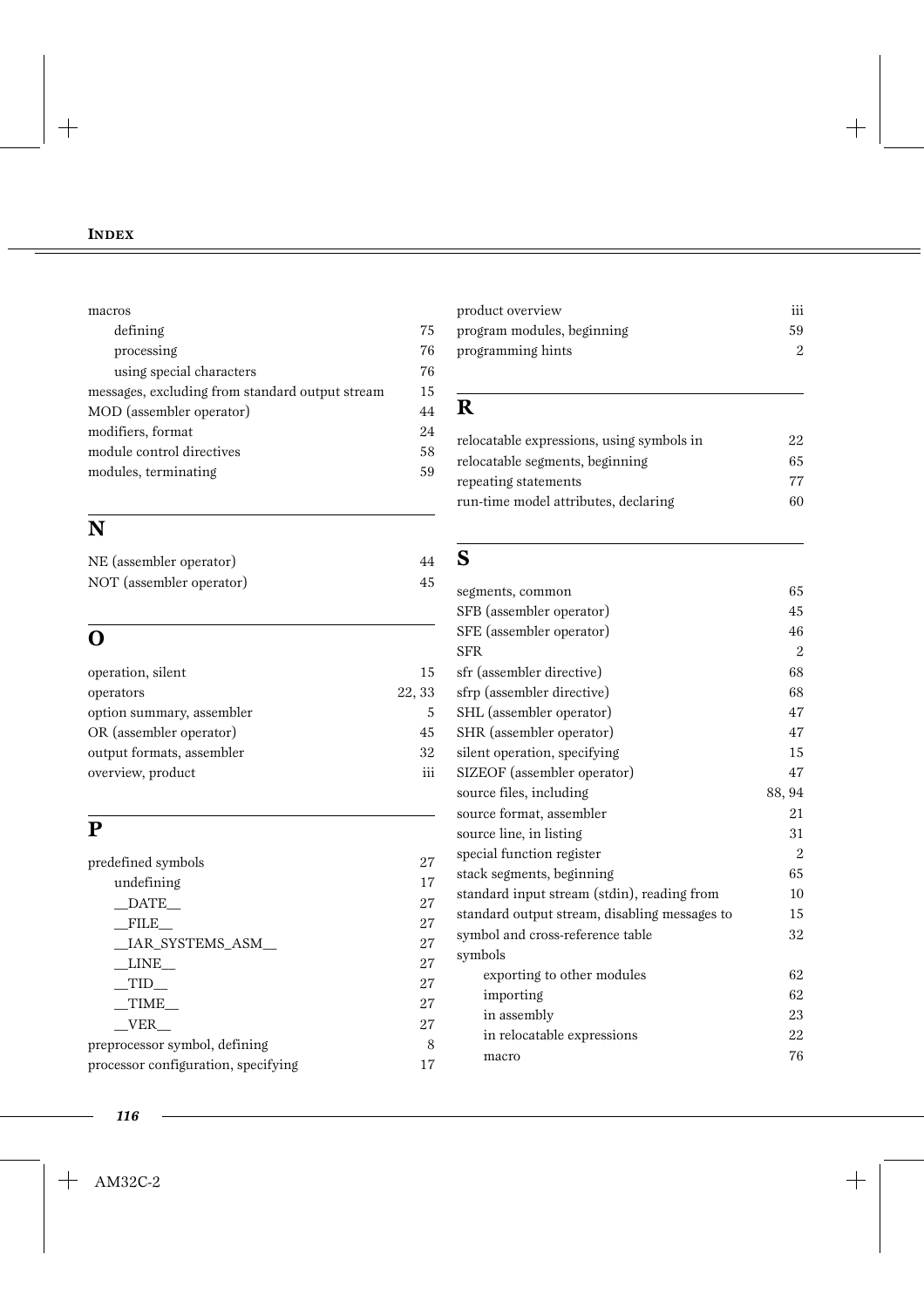### macros

| defining                                        | 75 |
|-------------------------------------------------|----|
| processing                                      | 76 |
| using special characters                        | 76 |
| messages, excluding from standard output stream | 15 |
| MOD (assembler operator)                        | 44 |
| modifiers, format                               | 24 |
| module control directives                       | 58 |
| modules, terminating                            | 59 |

# **N**

| NE (assembler operator)  | 44 |
|--------------------------|----|
| NOT (assembler operator) | 45 |

# **O**

| operation, silent         | 15     |
|---------------------------|--------|
| operators                 | 22, 33 |
| option summary, assembler | 5      |
| OR (assembler operator)   | 45     |
| output formats, assembler | 32     |
| overview, product         | iii    |

# **P**

| predefined symbols                  | 27 |
|-------------------------------------|----|
| undefining                          | 17 |
| DATE_                               | 27 |
| ${\rm FILE}$                        | 27 |
| IAR SYSTEMS ASM                     | 27 |
| LINE                                | 27 |
| TID                                 | 27 |
| TIME                                | 27 |
| VER                                 | 27 |
| preprocessor symbol, defining       | 8  |
| processor configuration, specifying | 17 |
|                                     |    |

| product overview           | $\cdots$<br>111 |
|----------------------------|-----------------|
| program modules, beginning | 59              |
| programming hints          |                 |

# **R**

| relocatable expressions, using symbols in | 22. |
|-------------------------------------------|-----|
| relocatable segments, beginning           | 65  |
| repeating statements                      | 77  |
| run-time model attributes, declaring      | 60  |

# **S**

| segments, common<br>SFB (assembler operator)<br>SFE (assembler operator)<br><b>SFR</b><br>sfr (assembler directive)<br>sfrp (assembler directive)<br>SHL (assembler operator)<br>SHR (assembler operator)<br>silent operation, specifying<br>SIZEOF (assembler operator)<br>source files, including<br>source format, assembler<br>source line, in listing<br>special function register<br>stack segments, beginning<br>standard input stream (stdin), reading from<br>standard output stream, disabling messages to<br>symbol and cross-reference table<br>symbols<br>exporting to other modules<br>importing<br>in assembly<br>in relocatable expressions | 65<br>45<br>46 |
|-------------------------------------------------------------------------------------------------------------------------------------------------------------------------------------------------------------------------------------------------------------------------------------------------------------------------------------------------------------------------------------------------------------------------------------------------------------------------------------------------------------------------------------------------------------------------------------------------------------------------------------------------------------|----------------|
|                                                                                                                                                                                                                                                                                                                                                                                                                                                                                                                                                                                                                                                             |                |
|                                                                                                                                                                                                                                                                                                                                                                                                                                                                                                                                                                                                                                                             |                |
|                                                                                                                                                                                                                                                                                                                                                                                                                                                                                                                                                                                                                                                             |                |
|                                                                                                                                                                                                                                                                                                                                                                                                                                                                                                                                                                                                                                                             | $\overline{2}$ |
|                                                                                                                                                                                                                                                                                                                                                                                                                                                                                                                                                                                                                                                             | 68             |
|                                                                                                                                                                                                                                                                                                                                                                                                                                                                                                                                                                                                                                                             | 68             |
|                                                                                                                                                                                                                                                                                                                                                                                                                                                                                                                                                                                                                                                             | 47             |
|                                                                                                                                                                                                                                                                                                                                                                                                                                                                                                                                                                                                                                                             | 47             |
|                                                                                                                                                                                                                                                                                                                                                                                                                                                                                                                                                                                                                                                             | 15             |
|                                                                                                                                                                                                                                                                                                                                                                                                                                                                                                                                                                                                                                                             | 47             |
|                                                                                                                                                                                                                                                                                                                                                                                                                                                                                                                                                                                                                                                             | 88, 94         |
|                                                                                                                                                                                                                                                                                                                                                                                                                                                                                                                                                                                                                                                             | 21             |
|                                                                                                                                                                                                                                                                                                                                                                                                                                                                                                                                                                                                                                                             | 31             |
|                                                                                                                                                                                                                                                                                                                                                                                                                                                                                                                                                                                                                                                             | $\overline{c}$ |
|                                                                                                                                                                                                                                                                                                                                                                                                                                                                                                                                                                                                                                                             | 65             |
|                                                                                                                                                                                                                                                                                                                                                                                                                                                                                                                                                                                                                                                             | 10             |
|                                                                                                                                                                                                                                                                                                                                                                                                                                                                                                                                                                                                                                                             | 15             |
|                                                                                                                                                                                                                                                                                                                                                                                                                                                                                                                                                                                                                                                             | 32             |
|                                                                                                                                                                                                                                                                                                                                                                                                                                                                                                                                                                                                                                                             |                |
|                                                                                                                                                                                                                                                                                                                                                                                                                                                                                                                                                                                                                                                             | 62             |
|                                                                                                                                                                                                                                                                                                                                                                                                                                                                                                                                                                                                                                                             | 62             |
|                                                                                                                                                                                                                                                                                                                                                                                                                                                                                                                                                                                                                                                             | 23             |
|                                                                                                                                                                                                                                                                                                                                                                                                                                                                                                                                                                                                                                                             | 22             |
| macro                                                                                                                                                                                                                                                                                                                                                                                                                                                                                                                                                                                                                                                       | 76             |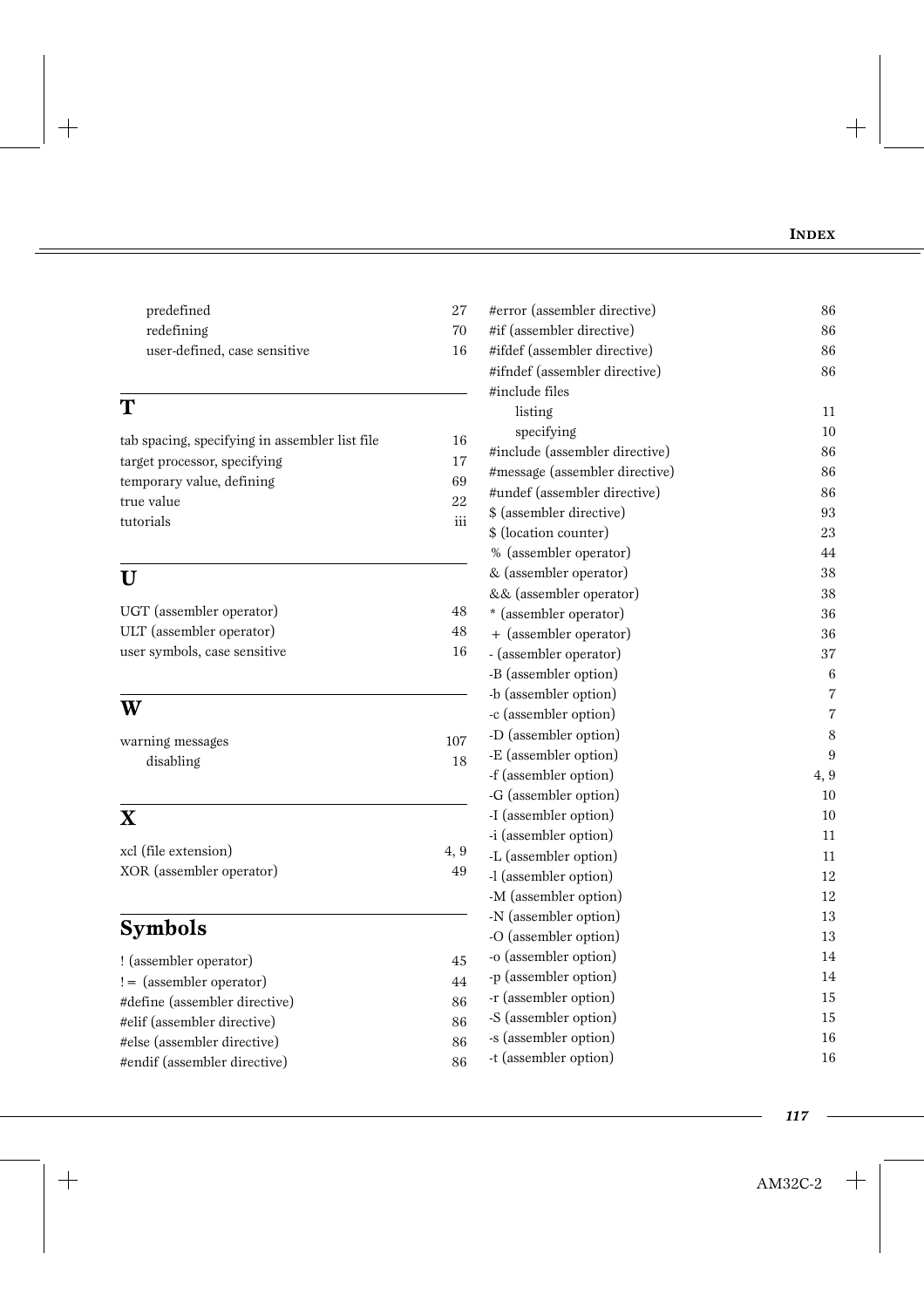| predefined                   | 27 |
|------------------------------|----|
| redefining                   | 70 |
| user-defined, case sensitive | 16 |

# **T**

| tab spacing, specifying in assembler list file | 16  |
|------------------------------------------------|-----|
| target processor, specifying                   | 17  |
| temporary value, defining                      | 69  |
| true value                                     | 22  |
| tutorials                                      | iii |

# **U**

| UGT (assembler operator)     | 48 |
|------------------------------|----|
| ULT (assembler operator)     | 48 |
| user symbols, case sensitive | 16 |

# **W**

| warning messages | 107 |
|------------------|-----|
| disabling        | 18  |

# **X**

| xcl (file extension)     | 4, 9 |
|--------------------------|------|
| XOR (assembler operator) | 49   |

# **Symbols**

| : (assembler operator)        | 45 |
|-------------------------------|----|
| $!=$ (assembler operator)     | 44 |
| #define (assembler directive) | 86 |
| #elif (assembler directive)   | 86 |
| #else (assembler directive)   | 86 |
| #endif (assembler directive)  | 86 |

| #error (assembler directive)   | 86   |
|--------------------------------|------|
| #if (assembler directive)      | 86   |
| #ifdef (assembler directive)   | 86   |
| #ifndef (assembler directive)  | 86   |
| #include files                 |      |
| listing                        | 11   |
| specifying                     | 10   |
| #include (assembler directive) | 86   |
| #message (assembler directive) | 86   |
| #undef (assembler directive)   | 86   |
| \$ (assembler directive)       | 93   |
| \$ (location counter)          | 23   |
| % (assembler operator)         | 44   |
| & (assembler operator)         | 38   |
| && (assembler operator)        | 38   |
| * (assembler operator)         | 36   |
| + (assembler operator)         | 36   |
| - (assembler operator)         | 37   |
| -B (assembler option)          | 6    |
| -b (assembler option)          | 7    |
| -c (assembler option)          | 7    |
| -D (assembler option)          | 8    |
| -E (assembler option)          | 9    |
| -f (assembler option)          | 4, 9 |
| -G (assembler option)          | 10   |
| -I (assembler option)          | 10   |
| -i (assembler option)          | 11   |
| -L (assembler option)          | 11   |
| -1 (assembler option)          | 12   |
| -M (assembler option)          | 12   |
| -N (assembler option)          | 13   |
| -O (assembler option)          | 13   |
| -o (assembler option)          | 14   |
| -p (assembler option)          | 14   |
| -r (assembler option)          | 15   |
| -S (assembler option)          | 15   |
| -s (assembler option)          | 16   |
| -t (assembler option)          | 16   |
|                                |      |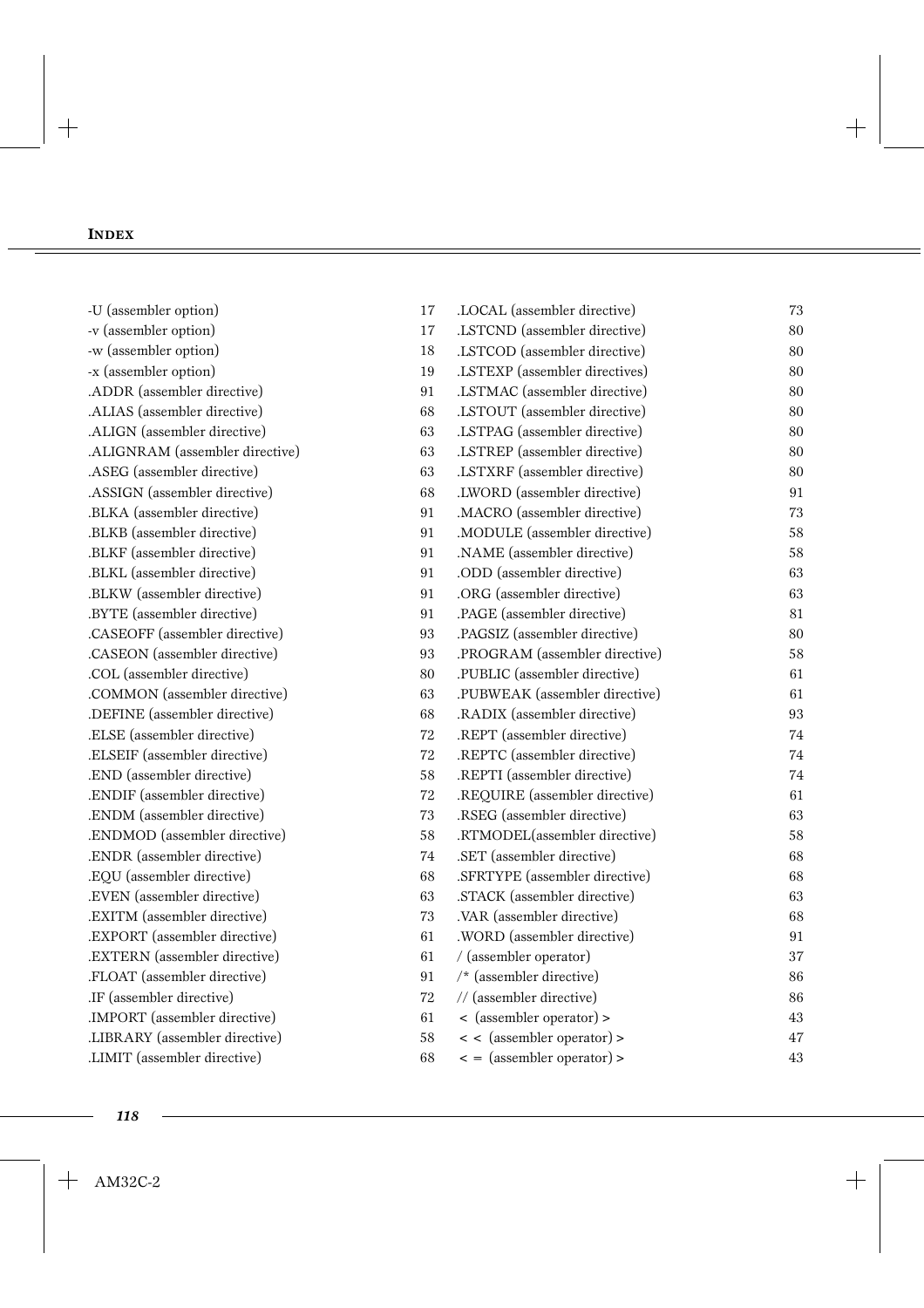| -U (assembler option)           | 17 |
|---------------------------------|----|
| -v (assembler option)           | 17 |
| -w (assembler option)           | 18 |
| -x (assembler option)           | 19 |
| .ADDR (assembler directive)     | 91 |
| .ALIAS (assembler directive)    | 68 |
| .ALIGN (assembler directive)    | 63 |
| .ALIGNRAM (assembler directive) | 63 |
| .ASEG (assembler directive)     | 63 |
| .ASSIGN (assembler directive)   | 68 |
| .BLKA (assembler directive)     | 91 |
| .BLKB (assembler directive)     | 91 |
| .BLKF (assembler directive)     | 91 |
| .BLKL (assembler directive)     | 91 |
| .BLKW (assembler directive)     | 91 |
| .BYTE (assembler directive)     | 91 |
| .CASEOFF (assembler directive)  | 93 |
| .CASEON (assembler directive)   | 93 |
| .COL (assembler directive)      | 80 |
| .COMMON (assembler directive)   | 63 |
| .DEFINE (assembler directive)   | 68 |
| .ELSE (assembler directive)     | 72 |
| .ELSEIF (assembler directive)   | 72 |
| .END (assembler directive)      | 58 |
| .ENDIF (assembler directive)    | 72 |
| .ENDM (assembler directive)     | 73 |
| .ENDMOD (assembler directive)   | 58 |
| .ENDR (assembler directive)     | 74 |
| .EQU (assembler directive)      | 68 |
| .EVEN (assembler directive)     | 63 |
| .EXITM (assembler directive)    | 73 |
| .EXPORT (assembler directive)   | 61 |
| .EXTERN (assembler directive)   | 61 |
| .FLOAT (assembler directive)    | 91 |
| .IF (assembler directive)       | 72 |
| .IMPORT (assembler directive)   | 61 |
| .LIBRARY (assembler directive)  | 58 |
| .LIMIT (assembler directive)    | 68 |
|                                 |    |

| .LOCAL (assembler directive)    | 73                       |
|---------------------------------|--------------------------|
| .LSTCND (assembler directive)   | 80                       |
| .LSTCOD (assembler directive)   | 80                       |
| .LSTEXP (assembler directives)  | 80                       |
| .LSTMAC (assembler directive)   | 80                       |
| LSTOUT (assembler directive)    | 80                       |
| .LSTPAG (assembler directive)   | 80                       |
| .LSTREP (assembler directive)   | 80                       |
| .LSTXRF (assembler directive)   | 80                       |
| .LWORD (assembler directive)    | 91                       |
| .MACRO (assembler directive)    | 73                       |
| .MODULE (assembler directive)   | 58                       |
| .NAME (assembler directive)     | 58                       |
| .ODD (assembler directive)      | 63                       |
| .ORG (assembler directive)      | 63                       |
| .PAGE (assembler directive)     | 81                       |
| .PAGSIZ (assembler directive)   | 80                       |
| .PROGRAM (assembler directive)  | 58                       |
| .PUBLIC (assembler directive)   | 61                       |
| .PUBWEAK (assembler directive)  | 61                       |
| .RADIX (assembler directive)    | 93                       |
| .REPT (assembler directive)     | 74                       |
| .REPTC (assembler directive)    | 74                       |
| .REPTI (assembler directive)    | 74                       |
| .REQUIRE (assembler directive)  | 61                       |
| .RSEG (assembler directive)     | 63                       |
| .RTMODEL(assembler directive)   | 58                       |
| .SET (assembler directive)      | 68                       |
| .SFRTYPE (assembler directive)  | 68                       |
| .STACK (assembler directive)    | 63                       |
| .VAR (assembler directive)      | 68                       |
| .WORD (assembler directive)     | 91                       |
| / (assembler operator)          | 37                       |
|                                 | 86                       |
| // (assembler directive)        | 86                       |
| < (assembler operator) >        | 43                       |
| < < (assembler operator) >      | 47                       |
| $\leq$ = (assembler operator) > | 43                       |
|                                 | /* (assembler directive) |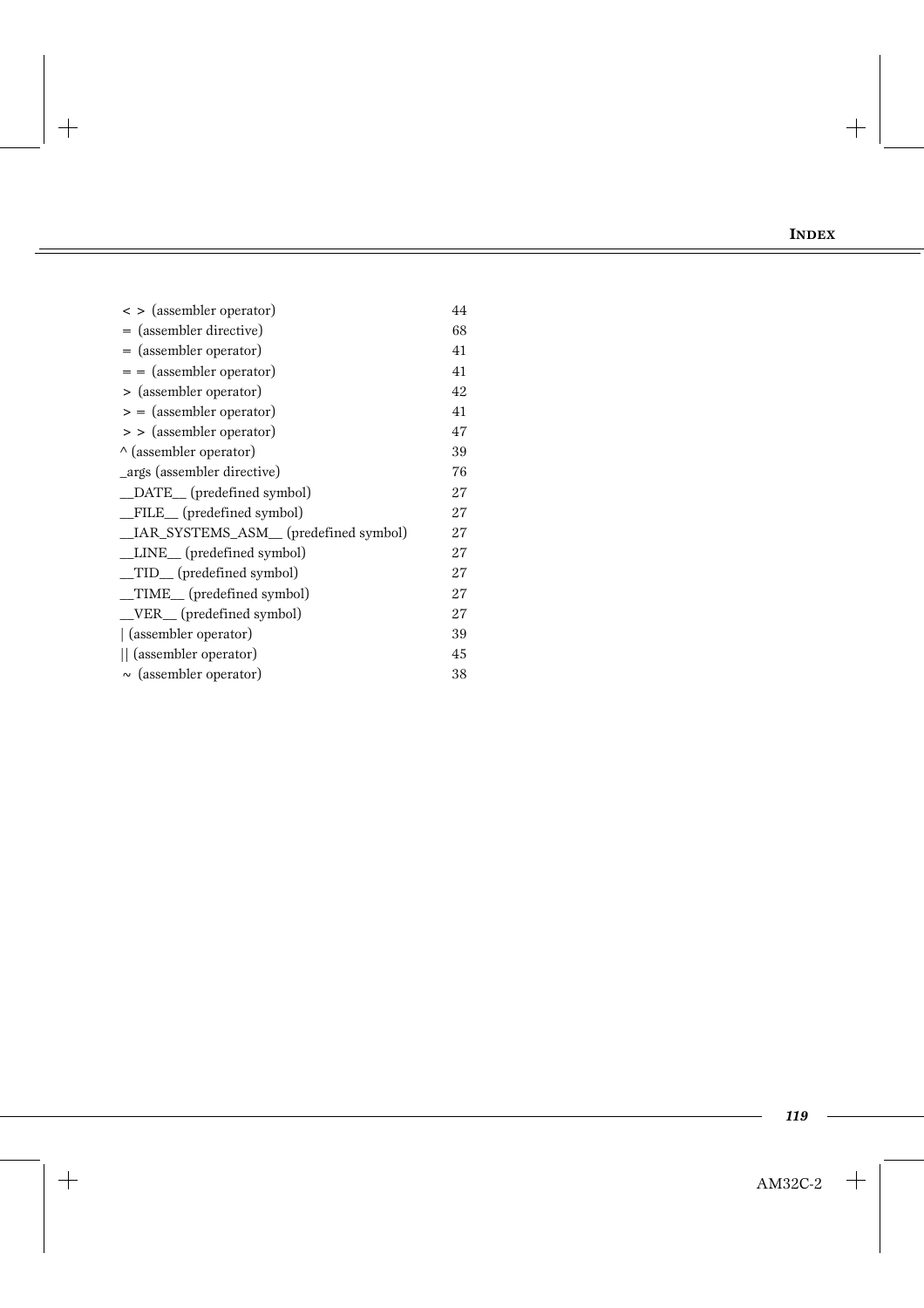| < > (assembler operator)              | 44 |
|---------------------------------------|----|
| $=$ (assembler directive)             | 68 |
| = (assembler operator)                | 41 |
| $=$ = (assembler operator)            | 41 |
| > (assembler operator)                | 42 |
| $>$ = (assembler operator)            | 41 |
| $>$ (assembler operator)              | 47 |
| $\wedge$ (assembler operator)         | 39 |
| args (assembler directive)            | 76 |
| _DATE__ (predefined symbol)           | 27 |
| FILE <sub>_{predefined symbol}</sub>  | 27 |
| IAR_SYSTEMS_ASM__ (predefined symbol) | 27 |
| LINE (predefined symbol)              | 27 |
| _TID_ (predefined symbol)             | 27 |
| TIME (predefined symbol)              | 27 |
| _VER_ (predefined symbol)             | 27 |
| (assembler operator)                  | 39 |
| $  $ (assembler operator)             | 45 |
| $\sim$ (assembler operator)           | 38 |
|                                       |    |